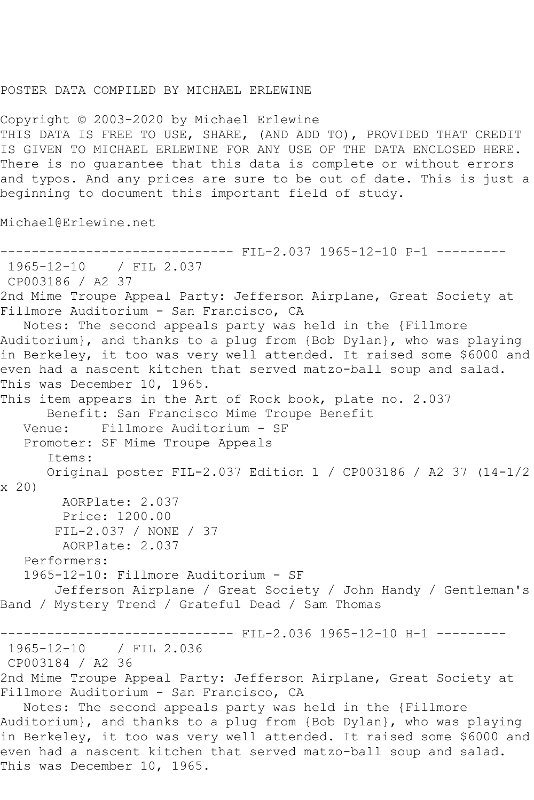## POSTER DATA COMPILED BY MICHAEL ERLEWINE

Copyright © 2003-2020 by Michael Erlewine THIS DATA IS FREE TO USE, SHARE, (AND ADD TO), PROVIDED THAT CREDIT IS GIVEN TO MICHAEL ERLEWINE FOR ANY USE OF THE DATA ENCLOSED HERE. There is no guarantee that this data is complete or without errors and typos. And any prices are sure to be out of date. This is just a beginning to document this important field of study.

Michael@Erlewine.net

```
------------------------------ FIL-2.037 1965-12-10 P-1 ---------
1965-12-10 / FIL 2.037
CP003186 / A2 37
2nd Mime Troupe Appeal Party: Jefferson Airplane, Great Society at 
Fillmore Auditorium - San Francisco, CA
   Notes: The second appeals party was held in the {Fillmore 
Auditorium}, and thanks to a plug from {Bob Dylan}, who was playing 
in Berkeley, it too was very well attended. It raised some $6000 and 
even had a nascent kitchen that served matzo-ball soup and salad. 
This was December 10, 1965.
This item appears in the Art of Rock book, plate no. 2.037
      Benefit: San Francisco Mime Troupe Benefit
   Venue: Fillmore Auditorium - SF
   Promoter: SF Mime Troupe Appeals
       Items:
       Original poster FIL-2.037 Edition 1 / CP003186 / A2 37 (14-1/2 
x 20)
        AORPlate: 2.037 
        Price: 1200.00
        FIL-2.037 / NONE / 37
        AORPlate: 2.037 
   Performers:
   1965-12-10: Fillmore Auditorium - SF
        Jefferson Airplane / Great Society / John Handy / Gentleman's 
Band / Mystery Trend / Grateful Dead / Sam Thomas
                          ----- FIL-2.036 1965-12-10 H-1 ---------
1965-12-10 / FIL 2.036
CP003184 / A2 36
2nd Mime Troupe Appeal Party: Jefferson Airplane, Great Society at 
Fillmore Auditorium - San Francisco, CA
   Notes: The second appeals party was held in the {Fillmore 
Auditorium}, and thanks to a plug from {Bob Dylan}, who was playing 
in Berkeley, it too was very well attended. It raised some $6000 and 
even had a nascent kitchen that served matzo-ball soup and salad. 
This was December 10, 1965.
```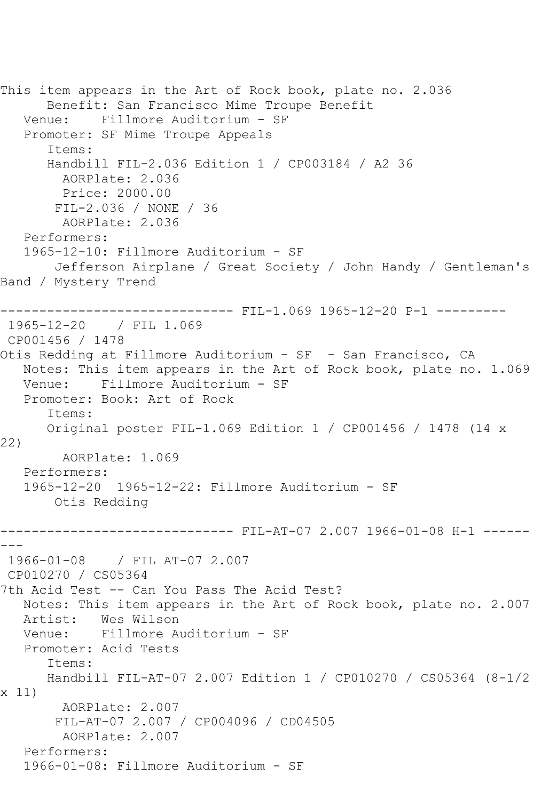This item appears in the Art of Rock book, plate no. 2.036 Benefit: San Francisco Mime Troupe Benefit Venue: Fillmore Auditorium - SF Promoter: SF Mime Troupe Appeals Items: Handbill FIL-2.036 Edition 1 / CP003184 / A2 36 AORPlate: 2.036 Price: 2000.00 FIL-2.036 / NONE / 36 AORPlate: 2.036 Performers: 1965-12-10: Fillmore Auditorium - SF Jefferson Airplane / Great Society / John Handy / Gentleman's Band / Mystery Trend ------------------------------ FIL-1.069 1965-12-20 P-1 --------- 1965-12-20 / FIL 1.069 CP001456 / 1478 Otis Redding at Fillmore Auditorium - SF - San Francisco, CA Notes: This item appears in the Art of Rock book, plate no. 1.069 Venue: Fillmore Auditorium - SF Promoter: Book: Art of Rock Items: Original poster FIL-1.069 Edition 1 / CP001456 / 1478 (14 x 22) AORPlate: 1.069 Performers: 1965-12-20 1965-12-22: Fillmore Auditorium - SF Otis Redding ------------------------------ FIL-AT-07 2.007 1966-01-08 H-1 ------ --- 1966-01-08 / FIL AT-07 2.007 CP010270 / CS05364 7th Acid Test -- Can You Pass The Acid Test? Notes: This item appears in the Art of Rock book, plate no. 2.007 Artist: Wes Wilson Venue: Fillmore Auditorium - SF Promoter: Acid Tests Items: Handbill FIL-AT-07 2.007 Edition 1 / CP010270 / CS05364 (8-1/2 x 11) AORPlate: 2.007 FIL-AT-07 2.007 / CP004096 / CD04505 AORPlate: 2.007 Performers: 1966-01-08: Fillmore Auditorium - SF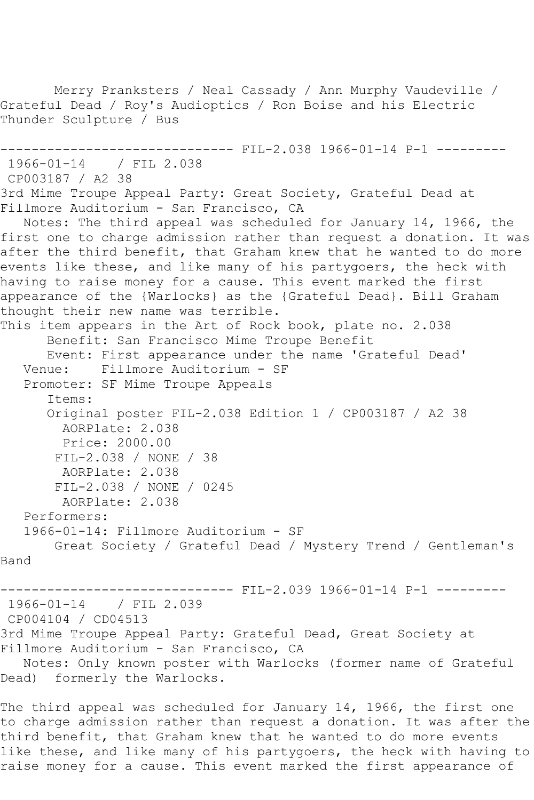```
 Merry Pranksters / Neal Cassady / Ann Murphy Vaudeville / 
Grateful Dead / Roy's Audioptics / Ron Boise and his Electric 
Thunder Sculpture / Bus
------------------------------ FIL-2.038 1966-01-14 P-1 ---------
1966-01-14 / FIL 2.038
CP003187 / A2 38
3rd Mime Troupe Appeal Party: Great Society, Grateful Dead at 
Fillmore Auditorium - San Francisco, CA
   Notes: The third appeal was scheduled for January 14, 1966, the 
first one to charge admission rather than request a donation. It was 
after the third benefit, that Graham knew that he wanted to do more 
events like these, and like many of his partygoers, the heck with
having to raise money for a cause. This event marked the first 
appearance of the {Warlocks} as the {Grateful Dead}. Bill Graham 
thought their new name was terrible.
This item appears in the Art of Rock book, plate no. 2.038
      Benefit: San Francisco Mime Troupe Benefit
       Event: First appearance under the name 'Grateful Dead'
   Venue: Fillmore Auditorium - SF
   Promoter: SF Mime Troupe Appeals
       Items:
       Original poster FIL-2.038 Edition 1 / CP003187 / A2 38
        AORPlate: 2.038 
        Price: 2000.00
       FIL-2.038 / NONE / 38
        AORPlate: 2.038 
       FIL-2.038 / NONE / 0245
        AORPlate: 2.038 
   Performers:
   1966-01-14: Fillmore Auditorium - SF
       Great Society / Grateful Dead / Mystery Trend / Gentleman's 
Band
                          ----- FIL-2.039 1966-01-14 P-1 ---------
1966-01-14 / FIL 2.039
CP004104 / CD04513
3rd Mime Troupe Appeal Party: Grateful Dead, Great Society at 
Fillmore Auditorium - San Francisco, CA
   Notes: Only known poster with Warlocks (former name of Grateful 
Dead) formerly the Warlocks.
```
The third appeal was scheduled for January 14, 1966, the first one to charge admission rather than request a donation. It was after the third benefit, that Graham knew that he wanted to do more events like these, and like many of his partygoers, the heck with having to raise money for a cause. This event marked the first appearance of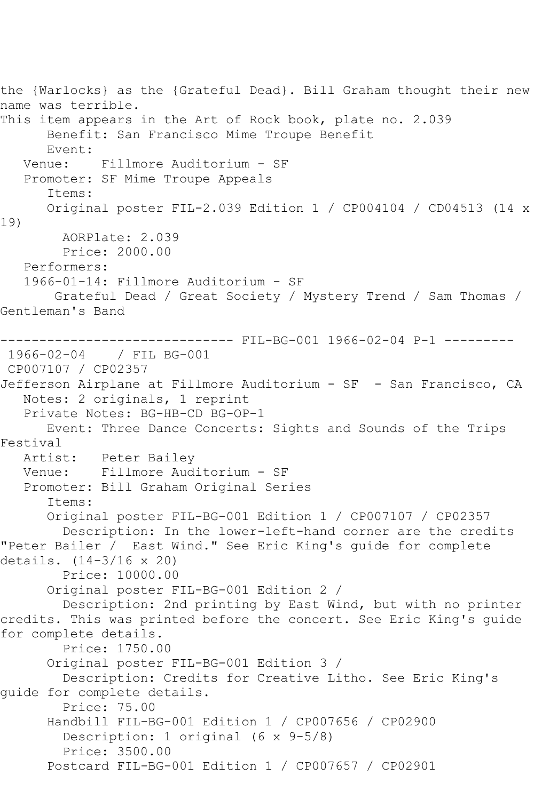the {Warlocks} as the {Grateful Dead}. Bill Graham thought their new name was terrible. This item appears in the Art of Rock book, plate no. 2.039 Benefit: San Francisco Mime Troupe Benefit Event:<br>:Venue Fillmore Auditorium - SF Promoter: SF Mime Troupe Appeals Items: Original poster FIL-2.039 Edition 1 / CP004104 / CD04513 (14 x 19) AORPlate: 2.039 Price: 2000.00 Performers: 1966-01-14: Fillmore Auditorium - SF Grateful Dead / Great Society / Mystery Trend / Sam Thomas / Gentleman's Band ------------------------------ FIL-BG-001 1966-02-04 P-1 --------- 1966-02-04 / FIL BG-001 CP007107 / CP02357 Jefferson Airplane at Fillmore Auditorium - SF - San Francisco, CA Notes: 2 originals, 1 reprint Private Notes: BG-HB-CD BG-OP-1 Event: Three Dance Concerts: Sights and Sounds of the Trips Festival Artist: Peter Bailey Venue: Fillmore Auditorium - SF Promoter: Bill Graham Original Series Items: Original poster FIL-BG-001 Edition 1 / CP007107 / CP02357 Description: In the lower-left-hand corner are the credits "Peter Bailer / East Wind." See Eric King's guide for complete details. (14-3/16 x 20) Price: 10000.00 Original poster FIL-BG-001 Edition 2 / Description: 2nd printing by East Wind, but with no printer credits. This was printed before the concert. See Eric King's guide for complete details. Price: 1750.00 Original poster FIL-BG-001 Edition 3 / Description: Credits for Creative Litho. See Eric King's guide for complete details. Price: 75.00 Handbill FIL-BG-001 Edition 1 / CP007656 / CP02900 Description: 1 original (6 x 9-5/8) Price: 3500.00 Postcard FIL-BG-001 Edition 1 / CP007657 / CP02901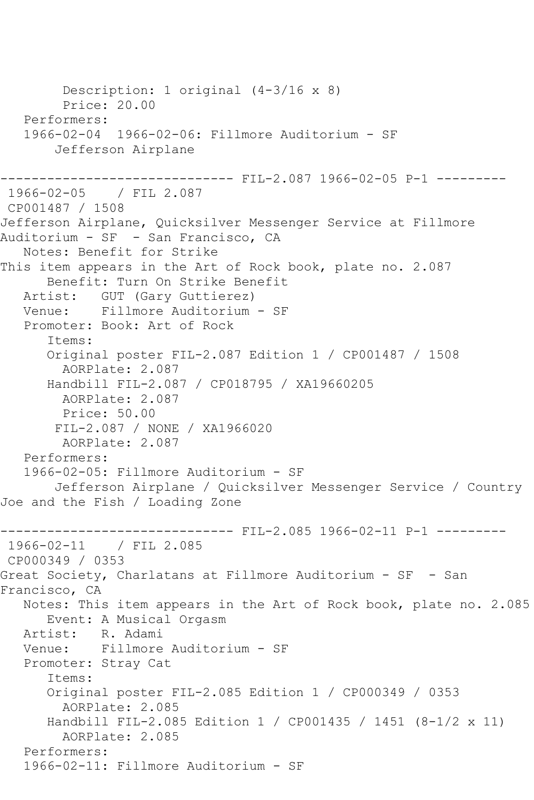Description: 1 original (4-3/16 x 8) Price: 20.00 Performers: 1966-02-04 1966-02-06: Fillmore Auditorium - SF Jefferson Airplane ------------------------------ FIL-2.087 1966-02-05 P-1 --------- 1966-02-05 / FIL 2.087 CP001487 / 1508 Jefferson Airplane, Quicksilver Messenger Service at Fillmore Auditorium - SF - San Francisco, CA Notes: Benefit for Strike This item appears in the Art of Rock book, plate no. 2.087 Benefit: Turn On Strike Benefit Artist: GUT (Gary Guttierez) Venue: Fillmore Auditorium - SF Promoter: Book: Art of Rock Items: Original poster FIL-2.087 Edition 1 / CP001487 / 1508 AORPlate: 2.087 Handbill FIL-2.087 / CP018795 / XA19660205 AORPlate: 2.087 Price: 50.00 FIL-2.087 / NONE / XA1966020 AORPlate: 2.087 Performers: 1966-02-05: Fillmore Auditorium - SF Jefferson Airplane / Quicksilver Messenger Service / Country Joe and the Fish / Loading Zone ------------------------------ FIL-2.085 1966-02-11 P-1 --------- 1966-02-11 / FIL 2.085 CP000349 / 0353 Great Society, Charlatans at Fillmore Auditorium - SF - San Francisco, CA Notes: This item appears in the Art of Rock book, plate no. 2.085 Event: A Musical Orgasm Artist: R. Adami Venue: Fillmore Auditorium - SF Promoter: Stray Cat Items: Original poster FIL-2.085 Edition 1 / CP000349 / 0353 AORPlate: 2.085 Handbill FIL-2.085 Edition 1 / CP001435 / 1451 (8-1/2 x 11) AORPlate: 2.085 Performers: 1966-02-11: Fillmore Auditorium - SF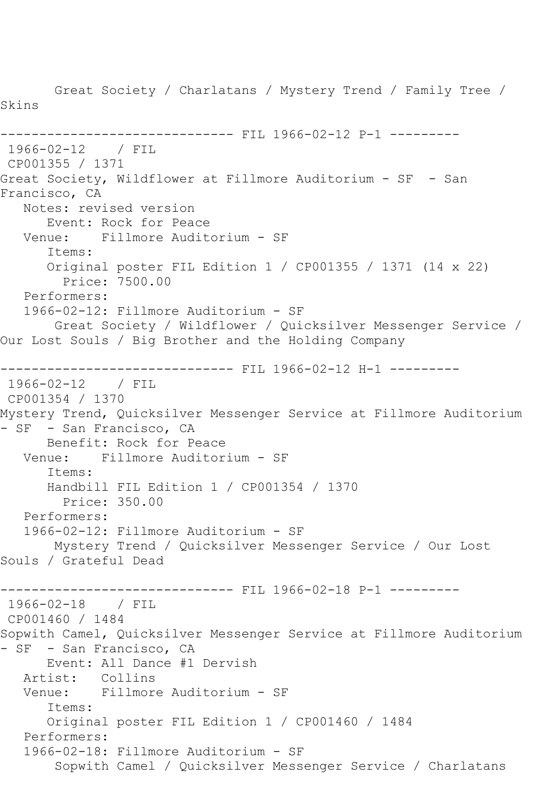Great Society / Charlatans / Mystery Trend / Family Tree / Skins ------------------------------ FIL 1966-02-12 P-1 --------- 1966-02-12 / FIL CP001355 / 1371 Great Society, Wildflower at Fillmore Auditorium - SF - San Francisco, CA Notes: revised version Event: Rock for Peace<br>Venue: Fillmore Audit Fillmore Auditorium - SF Items: Original poster FIL Edition 1 / CP001355 / 1371 (14 x 22) Price: 7500.00 Performers: 1966-02-12: Fillmore Auditorium - SF Great Society / Wildflower / Quicksilver Messenger Service / Our Lost Souls / Big Brother and the Holding Company ------------------------------ FIL 1966-02-12 H-1 --------- 1966-02-12 / FIL CP001354 / 1370 Mystery Trend, Quicksilver Messenger Service at Fillmore Auditorium - SF - San Francisco, CA Benefit: Rock for Peace Venue: Fillmore Auditorium - SF Items: Handbill FIL Edition 1 / CP001354 / 1370 Price: 350.00 Performers: 1966-02-12: Fillmore Auditorium - SF Mystery Trend / Quicksilver Messenger Service / Our Lost Souls / Grateful Dead ---------- FIL 1966-02-18 P-1 ---------1966-02-18 / FIL CP001460 / 1484 Sopwith Camel, Quicksilver Messenger Service at Fillmore Auditorium - SF - San Francisco, CA Event: All Dance #1 Dervish Artist: Collins Venue: Fillmore Auditorium - SF Items: Original poster FIL Edition 1 / CP001460 / 1484 Performers: 1966-02-18: Fillmore Auditorium - SF Sopwith Camel / Quicksilver Messenger Service / Charlatans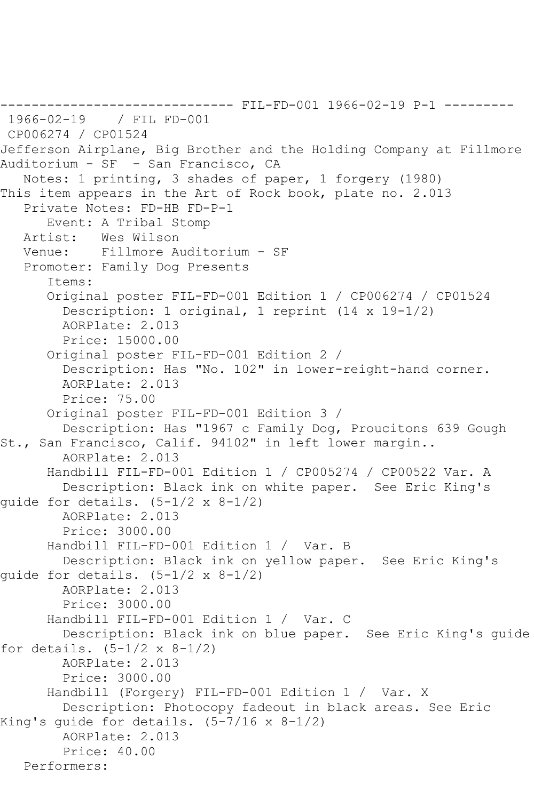```
------------------------------ FIL-FD-001 1966-02-19 P-1 ---------
1966-02-19 / FIL FD-001
CP006274 / CP01524
Jefferson Airplane, Big Brother and the Holding Company at Fillmore 
Auditorium - SF - San Francisco, CA
   Notes: 1 printing, 3 shades of paper, 1 forgery (1980)
This item appears in the Art of Rock book, plate no. 2.013
    Private Notes: FD-HB FD-P-1
   Event: A Tribal Stomp<br>Artist: Wes Wilson
  Artist: Wes Wilson<br>Venue: Fillmore A
            Fillmore Auditorium - SF
    Promoter: Family Dog Presents
       Items:
       Original poster FIL-FD-001 Edition 1 / CP006274 / CP01524
         Description: 1 original, 1 reprint (14 x 19-1/2)
         AORPlate: 2.013 
         Price: 15000.00
       Original poster FIL-FD-001 Edition 2 / 
         Description: Has "No. 102" in lower-reight-hand corner.
         AORPlate: 2.013 
         Price: 75.00
       Original poster FIL-FD-001 Edition 3 / 
         Description: Has "1967 c Family Dog, Proucitons 639 Gough 
St., San Francisco, Calif. 94102" in left lower margin..
         AORPlate: 2.013 
       Handbill FIL-FD-001 Edition 1 / CP005274 / CP00522 Var. A
         Description: Black ink on white paper. See Eric King's 
quide for details. (5-1/2 \times 8-1/2) AORPlate: 2.013 
         Price: 3000.00
       Handbill FIL-FD-001 Edition 1 / Var. B
         Description: Black ink on yellow paper. See Eric King's 
quide for details. (5-1/2 \times 8-1/2) AORPlate: 2.013 
         Price: 3000.00
       Handbill FIL-FD-001 Edition 1 / Var. C
         Description: Black ink on blue paper. See Eric King's guide 
for details. (5-1/2 \times 8-1/2) AORPlate: 2.013 
         Price: 3000.00
       Handbill (Forgery) FIL-FD-001 Edition 1 / Var. X
         Description: Photocopy fadeout in black areas. See Eric 
King's guide for details. (5-7/16 \times 8-1/2) AORPlate: 2.013 
         Price: 40.00
   Performers:
```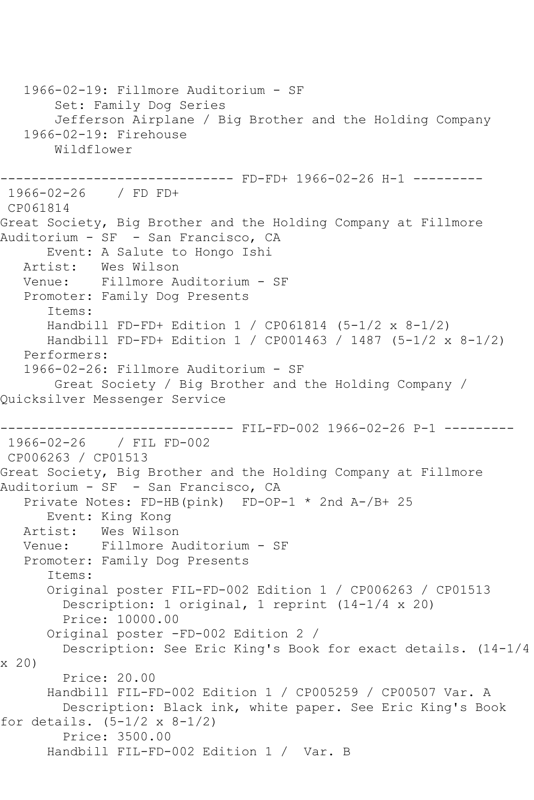1966-02-19: Fillmore Auditorium - SF Set: Family Dog Series Jefferson Airplane / Big Brother and the Holding Company 1966-02-19: Firehouse Wildflower ------------------------------ FD-FD+ 1966-02-26 H-1 --------- 1966-02-26 / FD FD+ CP061814 Great Society, Big Brother and the Holding Company at Fillmore Auditorium - SF - San Francisco, CA Event: A Salute to Hongo Ishi Artist: Wes Wilson Venue: Fillmore Auditorium - SF Promoter: Family Dog Presents Items: Handbill FD-FD+ Edition 1 / CP061814 (5-1/2 x 8-1/2) Handbill FD-FD+ Edition 1 / CP001463 / 1487 (5-1/2 x 8-1/2) Performers: 1966-02-26: Fillmore Auditorium - SF Great Society / Big Brother and the Holding Company / Quicksilver Messenger Service ------------------------------ FIL-FD-002 1966-02-26 P-1 --------- 1966-02-26 / FIL FD-002 CP006263 / CP01513 Great Society, Big Brother and the Holding Company at Fillmore Auditorium - SF - San Francisco, CA Private Notes: FD-HB(pink) FD-OP-1 \* 2nd A-/B+ 25 Event: King Kong Artist: Wes Wilson<br>Venue: Fillmore A Fillmore Auditorium - SF Promoter: Family Dog Presents Items: Original poster FIL-FD-002 Edition 1 / CP006263 / CP01513 Description: 1 original, 1 reprint (14-1/4 x 20) Price: 10000.00 Original poster -FD-002 Edition 2 / Description: See Eric King's Book for exact details. (14-1/4 x 20) Price: 20.00 Handbill FIL-FD-002 Edition 1 / CP005259 / CP00507 Var. A Description: Black ink, white paper. See Eric King's Book for details.  $(5-1/2 \times 8-1/2)$  Price: 3500.00 Handbill FIL-FD-002 Edition 1 / Var. B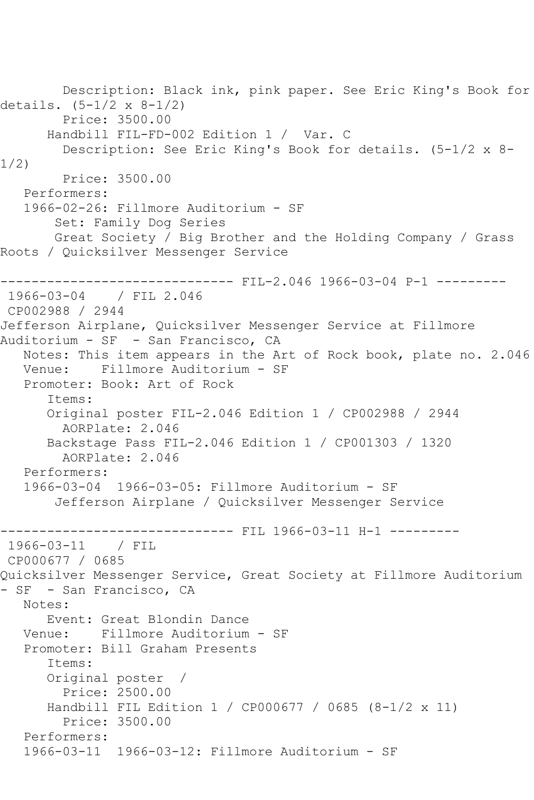```
 Description: Black ink, pink paper. See Eric King's Book for 
details. (5-1/2 x 8-1/2)
        Price: 3500.00
      Handbill FIL-FD-002 Edition 1 / Var. C
         Description: See Eric King's Book for details. (5-1/2 x 8-
1/2)
         Price: 3500.00
   Performers:
   1966-02-26: Fillmore Auditorium - SF
        Set: Family Dog Series
        Great Society / Big Brother and the Holding Company / Grass 
Roots / Quicksilver Messenger Service
------------------------------ FIL-2.046 1966-03-04 P-1 ---------
1966-03-04 / FIL 2.046
CP002988 / 2944
Jefferson Airplane, Quicksilver Messenger Service at Fillmore 
Auditorium - SF - San Francisco, CA
   Notes: This item appears in the Art of Rock book, plate no. 2.046
   Venue: Fillmore Auditorium - SF
   Promoter: Book: Art of Rock
       Items:
       Original poster FIL-2.046 Edition 1 / CP002988 / 2944
         AORPlate: 2.046 
       Backstage Pass FIL-2.046 Edition 1 / CP001303 / 1320
         AORPlate: 2.046 
   Performers:
   1966-03-04 1966-03-05: Fillmore Auditorium - SF
        Jefferson Airplane / Quicksilver Messenger Service
                    ------------------------------ FIL 1966-03-11 H-1 ---------
1966-03-11 / FIL 
CP000677 / 0685
Quicksilver Messenger Service, Great Society at Fillmore Auditorium 
- SF - San Francisco, CA
   Notes: 
      Event: Great Blondin Dance
   Venue: Fillmore Auditorium - SF
   Promoter: Bill Graham Presents
       Items:
      Original poster / 
         Price: 2500.00
       Handbill FIL Edition 1 / CP000677 / 0685 (8-1/2 x 11)
         Price: 3500.00
   Performers:
   1966-03-11 1966-03-12: Fillmore Auditorium - SF
```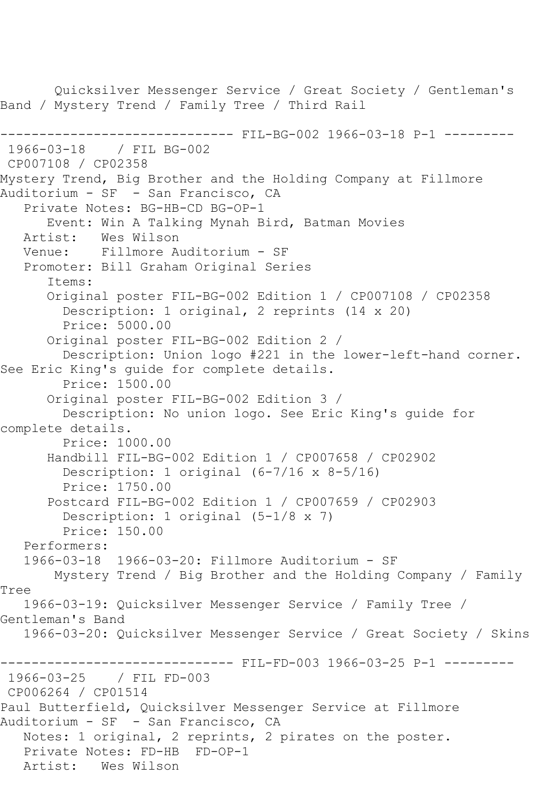Quicksilver Messenger Service / Great Society / Gentleman's Band / Mystery Trend / Family Tree / Third Rail ------------------------------ FIL-BG-002 1966-03-18 P-1 --------- 1966-03-18 / FIL BG-002 CP007108 / CP02358 Mystery Trend, Big Brother and the Holding Company at Fillmore Auditorium - SF - San Francisco, CA Private Notes: BG-HB-CD BG-OP-1 Event: Win A Talking Mynah Bird, Batman Movies Artist: Wes Wilson<br>Venue: Fillmore A Fillmore Auditorium - SF Promoter: Bill Graham Original Series Items: Original poster FIL-BG-002 Edition 1 / CP007108 / CP02358 Description: 1 original, 2 reprints (14 x 20) Price: 5000.00 Original poster FIL-BG-002 Edition 2 / Description: Union logo #221 in the lower-left-hand corner. See Eric King's guide for complete details. Price: 1500.00 Original poster FIL-BG-002 Edition 3 / Description: No union logo. See Eric King's guide for complete details. Price: 1000.00 Handbill FIL-BG-002 Edition 1 / CP007658 / CP02902 Description: 1 original (6-7/16 x 8-5/16) Price: 1750.00 Postcard FIL-BG-002 Edition 1 / CP007659 / CP02903 Description: 1 original (5-1/8 x 7) Price: 150.00 Performers: 1966-03-18 1966-03-20: Fillmore Auditorium - SF Mystery Trend / Big Brother and the Holding Company / Family Tree 1966-03-19: Quicksilver Messenger Service / Family Tree / Gentleman's Band 1966-03-20: Quicksilver Messenger Service / Great Society / Skins ------------------------------- FIL-FD-003 1966-03-25 P-1 ----------1966-03-25 / FIL FD-003 CP006264 / CP01514 Paul Butterfield, Quicksilver Messenger Service at Fillmore Auditorium - SF - San Francisco, CA Notes: 1 original, 2 reprints, 2 pirates on the poster. Private Notes: FD-HB FD-OP-1 Artist: Wes Wilson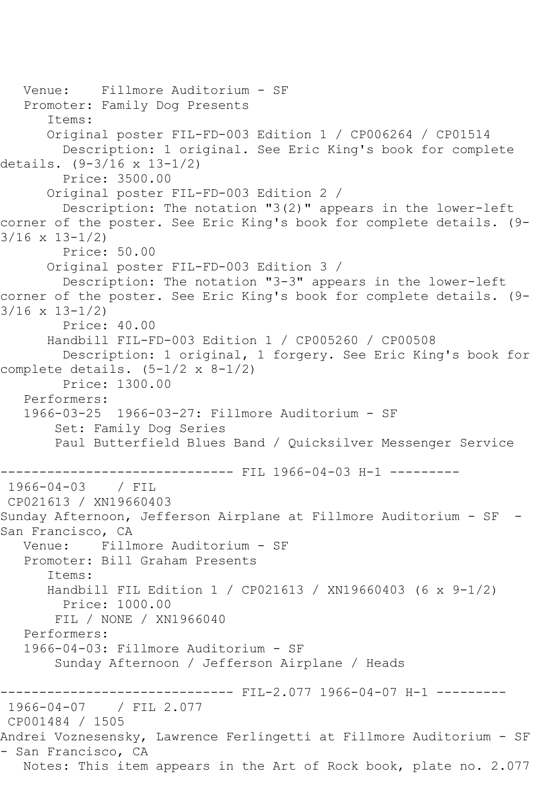Venue: Fillmore Auditorium - SF Promoter: Family Dog Presents Items: Original poster FIL-FD-003 Edition 1 / CP006264 / CP01514 Description: 1 original. See Eric King's book for complete details. (9-3/16 x 13-1/2) Price: 3500.00 Original poster FIL-FD-003 Edition 2 / Description: The notation "3(2)" appears in the lower-left corner of the poster. See Eric King's book for complete details. (9- 3/16 x 13-1/2) Price: 50.00 Original poster FIL-FD-003 Edition 3 / Description: The notation "3-3" appears in the lower-left corner of the poster. See Eric King's book for complete details. (9- 3/16 x 13-1/2) Price: 40.00 Handbill FIL-FD-003 Edition 1 / CP005260 / CP00508 Description: 1 original, 1 forgery. See Eric King's book for complete details.  $(5-1/2 \times 8-1/2)$  Price: 1300.00 Performers: 1966-03-25 1966-03-27: Fillmore Auditorium - SF Set: Family Dog Series Paul Butterfield Blues Band / Quicksilver Messenger Service ----------------------------- FIL 1966-04-03 H-1 ---------1966-04-03 / FIL CP021613 / XN19660403 Sunday Afternoon, Jefferson Airplane at Fillmore Auditorium - SF - San Francisco, CA<br>Venue: Fillm Venue: Fillmore Auditorium - SF Promoter: Bill Graham Presents Items: Handbill FIL Edition 1 / CP021613 / XN19660403 (6 x 9-1/2) Price: 1000.00 FIL / NONE / XN1966040 Performers: 1966-04-03: Fillmore Auditorium - SF Sunday Afternoon / Jefferson Airplane / Heads ------------------------------ FIL-2.077 1966-04-07 H-1 --------- 1966-04-07 / FIL 2.077 CP001484 / 1505 Andrei Voznesensky, Lawrence Ferlingetti at Fillmore Auditorium - SF - San Francisco, CA Notes: This item appears in the Art of Rock book, plate no. 2.077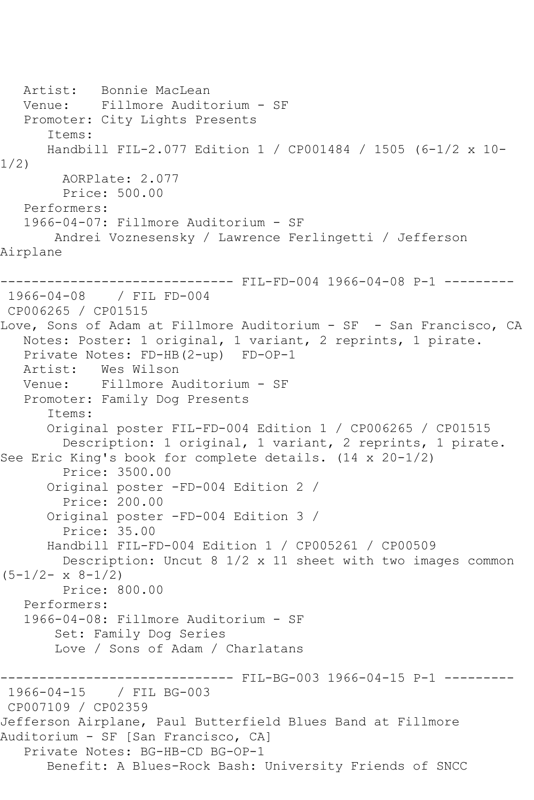```
 Artist: Bonnie MacLean
   Venue: Fillmore Auditorium - SF
   Promoter: City Lights Presents
       Items:
      Handbill FIL-2.077 Edition 1 / CP001484 / 1505 (6-1/2 x 10-
1/2)
        AORPlate: 2.077 
         Price: 500.00
   Performers:
   1966-04-07: Fillmore Auditorium - SF
        Andrei Voznesensky / Lawrence Ferlingetti / Jefferson 
Airplane
------------------------------ FIL-FD-004 1966-04-08 P-1 ---------
1966-04-08 / FIL FD-004
CP006265 / CP01515
Love, Sons of Adam at Fillmore Auditorium - SF - San Francisco, CA
   Notes: Poster: 1 original, 1 variant, 2 reprints, 1 pirate.
   Private Notes: FD-HB(2-up) FD-OP-1
   Artist: Wes Wilson
   Venue: Fillmore Auditorium - SF
   Promoter: Family Dog Presents
       Items:
       Original poster FIL-FD-004 Edition 1 / CP006265 / CP01515
         Description: 1 original, 1 variant, 2 reprints, 1 pirate. 
See Eric King's book for complete details. (14 x 20-1/2)
         Price: 3500.00
       Original poster -FD-004 Edition 2 / 
         Price: 200.00
       Original poster -FD-004 Edition 3 / 
        Price: 35.00
       Handbill FIL-FD-004 Edition 1 / CP005261 / CP00509
         Description: Uncut 8 1/2 x 11 sheet with two images common 
(5-1/2 - x 8-1/2) Price: 800.00
   Performers:
   1966-04-08: Fillmore Auditorium - SF
        Set: Family Dog Series
        Love / Sons of Adam / Charlatans
                          ----- FIL-BG-003 1966-04-15 P-1 ------
1966-04-15 / FIL BG-003
CP007109 / CP02359
Jefferson Airplane, Paul Butterfield Blues Band at Fillmore 
Auditorium - SF [San Francisco, CA]
   Private Notes: BG-HB-CD BG-OP-1
      Benefit: A Blues-Rock Bash: University Friends of SNCC
```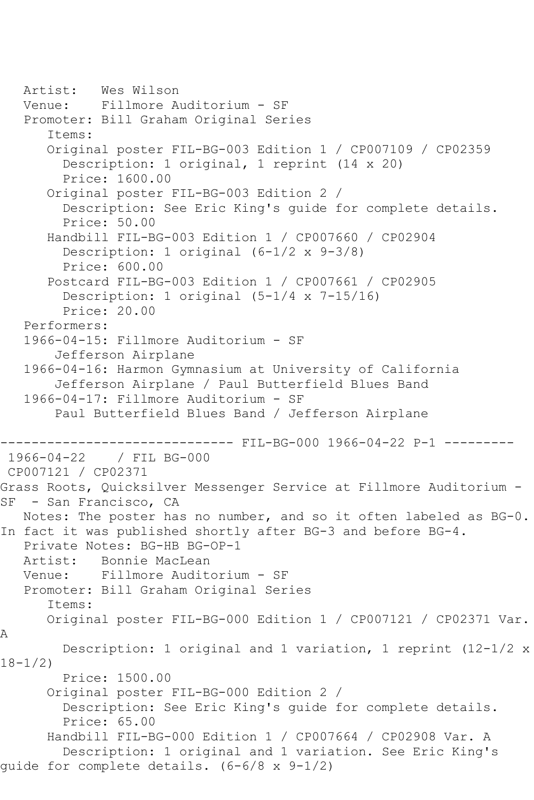```
 Artist: Wes Wilson
   Venue: Fillmore Auditorium - SF
    Promoter: Bill Graham Original Series
       Items:
       Original poster FIL-BG-003 Edition 1 / CP007109 / CP02359
         Description: 1 original, 1 reprint (14 x 20)
         Price: 1600.00
       Original poster FIL-BG-003 Edition 2 / 
         Description: See Eric King's guide for complete details.
         Price: 50.00
       Handbill FIL-BG-003 Edition 1 / CP007660 / CP02904
         Description: 1 original (6-1/2 x 9-3/8)
         Price: 600.00
       Postcard FIL-BG-003 Edition 1 / CP007661 / CP02905
         Description: 1 original (5-1/4 x 7-15/16)
         Price: 20.00
    Performers:
    1966-04-15: Fillmore Auditorium - SF
        Jefferson Airplane
    1966-04-16: Harmon Gymnasium at University of California
        Jefferson Airplane / Paul Butterfield Blues Band
    1966-04-17: Fillmore Auditorium - SF
        Paul Butterfield Blues Band / Jefferson Airplane
-------------------------------- FIL-BG-000 1966-04-22 P-1 -------<br>1966-04-22 / FIL BG-000
               1966-04-22 / FIL BG-000
CP007121 / CP02371
Grass Roots, Quicksilver Messenger Service at Fillmore Auditorium -
SF - San Francisco, CA
   Notes: The poster has no number, and so it often labeled as BG-0. 
In fact it was published shortly after BG-3 and before BG-4.
  Private Notes: BG-HB BG-OP-1<br>Artist: Bonnie MacLean
  Artist: Bonnie MacLean<br>Venue: Fillmore Audit
            Fillmore Auditorium - SF
   Promoter: Bill Graham Original Series
       Items:
       Original poster FIL-BG-000 Edition 1 / CP007121 / CP02371 Var. 
A
         Description: 1 original and 1 variation, 1 reprint (12-1/2 x 
18-1/2)
         Price: 1500.00
       Original poster FIL-BG-000 Edition 2 / 
         Description: See Eric King's guide for complete details.
         Price: 65.00
       Handbill FIL-BG-000 Edition 1 / CP007664 / CP02908 Var. A
         Description: 1 original and 1 variation. See Eric King's 
guide for complete details. (6-6/8 x 9-1/2)
```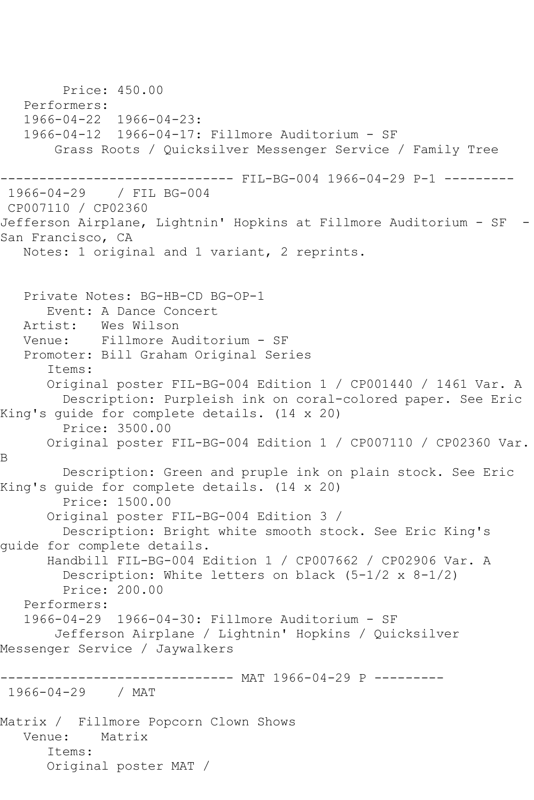Price: 450.00 Performers: 1966-04-22 1966-04-23: 1966-04-12 1966-04-17: Fillmore Auditorium - SF Grass Roots / Quicksilver Messenger Service / Family Tree ------------------------------ FIL-BG-004 1966-04-29 P-1 --------- 1966-04-29 / FIL BG-004 CP007110 / CP02360 Jefferson Airplane, Lightnin' Hopkins at Fillmore Auditorium - SF -San Francisco, CA Notes: 1 original and 1 variant, 2 reprints. Private Notes: BG-HB-CD BG-OP-1 Event: A Dance Concert Artist: Wes Wilson<br>Venue: Fillmore A Venue: Fillmore Auditorium - SF Promoter: Bill Graham Original Series Items: Original poster FIL-BG-004 Edition 1 / CP001440 / 1461 Var. A Description: Purpleish ink on coral-colored paper. See Eric King's guide for complete details. (14 x 20) Price: 3500.00 Original poster FIL-BG-004 Edition 1 / CP007110 / CP02360 Var. B Description: Green and pruple ink on plain stock. See Eric King's guide for complete details. (14 x 20) Price: 1500.00 Original poster FIL-BG-004 Edition 3 / Description: Bright white smooth stock. See Eric King's guide for complete details. Handbill FIL-BG-004 Edition 1 / CP007662 / CP02906 Var. A Description: White letters on black (5-1/2 x 8-1/2) Price: 200.00 Performers: 1966-04-29 1966-04-30: Fillmore Auditorium - SF Jefferson Airplane / Lightnin' Hopkins / Quicksilver Messenger Service / Jaywalkers -------------- MAT 1966-04-29 P ---------1966-04-29 / MAT Matrix / Fillmore Popcorn Clown Shows Venue: Matrix Items: Original poster MAT /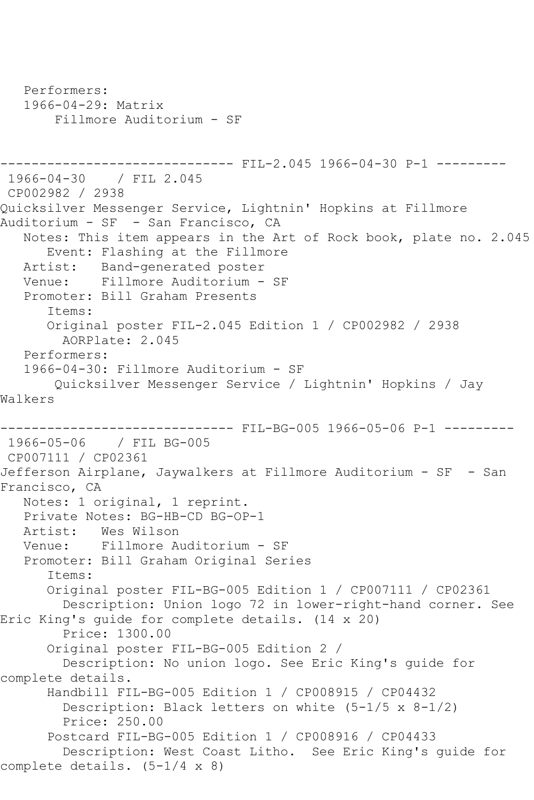```
 Performers:
   1966-04-29: Matrix
        Fillmore Auditorium - SF
                         ------ FIL-2.045 1966-04-30 P-1 ---------
1966-04-30 / FIL 2.045
CP002982 / 2938
Quicksilver Messenger Service, Lightnin' Hopkins at Fillmore 
Auditorium - SF - San Francisco, CA
   Notes: This item appears in the Art of Rock book, plate no. 2.045
       Event: Flashing at the Fillmore
   Artist: Band-generated poster
   Venue: Fillmore Auditorium - SF
   Promoter: Bill Graham Presents
       Items:
       Original poster FIL-2.045 Edition 1 / CP002982 / 2938
        AORPlate: 2.045 
   Performers:
   1966-04-30: Fillmore Auditorium - SF
       Quicksilver Messenger Service / Lightnin' Hopkins / Jay 
Walkers
------------------------------ FIL-BG-005 1966-05-06 P-1 ---------
1966-05-06 / FIL BG-005
CP007111 / CP02361
Jefferson Airplane, Jaywalkers at Fillmore Auditorium - SF - San 
Francisco, CA
   Notes: 1 original, 1 reprint.
   Private Notes: BG-HB-CD BG-OP-1
   Artist: Wes Wilson
   Venue: Fillmore Auditorium - SF
   Promoter: Bill Graham Original Series
       Items:
       Original poster FIL-BG-005 Edition 1 / CP007111 / CP02361
         Description: Union logo 72 in lower-right-hand corner. See 
Eric King's guide for complete details. (14 x 20)
         Price: 1300.00
       Original poster FIL-BG-005 Edition 2 / 
         Description: No union logo. See Eric King's guide for 
complete details.
       Handbill FIL-BG-005 Edition 1 / CP008915 / CP04432
         Description: Black letters on white (5-1/5 x 8-1/2)
         Price: 250.00
       Postcard FIL-BG-005 Edition 1 / CP008916 / CP04433
         Description: West Coast Litho. See Eric King's guide for 
complete details. (5-1/4 x 8)
```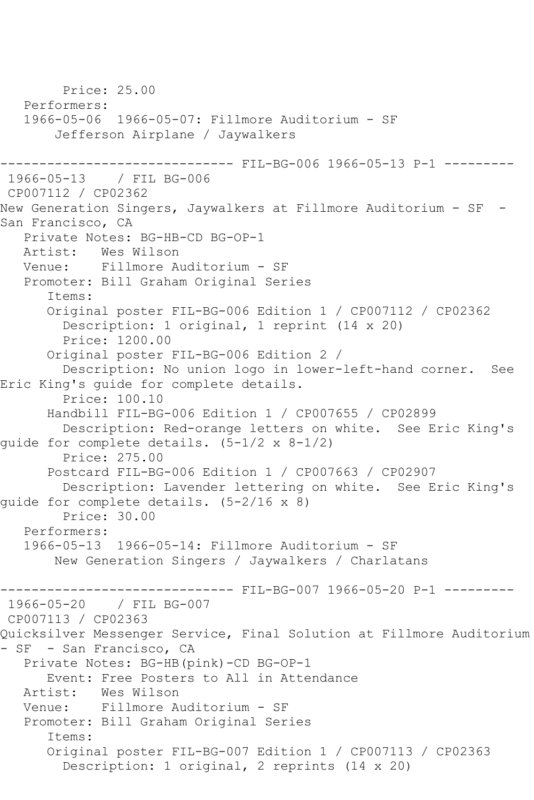Price: 25.00 Performers: 1966-05-06 1966-05-07: Fillmore Auditorium - SF Jefferson Airplane / Jaywalkers ---------- FIL-BG-006 1966-05-13 P-1 ---------1966-05-13 / FIL BG-006 CP007112 / CP02362 New Generation Singers, Jaywalkers at Fillmore Auditorium - SF - San Francisco, CA Private Notes: BG-HB-CD BG-OP-1 Artist: Wes Wilson Venue: Fillmore Auditorium - SF Promoter: Bill Graham Original Series Items: Original poster FIL-BG-006 Edition 1 / CP007112 / CP02362 Description: 1 original, 1 reprint (14 x 20) Price: 1200.00 Original poster FIL-BG-006 Edition 2 / Description: No union logo in lower-left-hand corner. See Eric King's guide for complete details. Price: 100.10 Handbill FIL-BG-006 Edition 1 / CP007655 / CP02899 Description: Red-orange letters on white. See Eric King's guide for complete details. (5-1/2 x 8-1/2) Price: 275.00 Postcard FIL-BG-006 Edition 1 / CP007663 / CP02907 Description: Lavender lettering on white. See Eric King's guide for complete details. (5-2/16 x 8) Price: 30.00 Performers: 1966-05-13 1966-05-14: Fillmore Auditorium - SF New Generation Singers / Jaywalkers / Charlatans ------------------------------ FIL-BG-007 1966-05-20 P-1 --------- 1966-05-20 / FIL BG-007 CP007113 / CP02363 Quicksilver Messenger Service, Final Solution at Fillmore Auditorium - SF - San Francisco, CA Private Notes: BG-HB(pink)-CD BG-OP-1 Event: Free Posters to All in Attendance Artist: Wes Wilson Venue: Fillmore Auditorium - SF Promoter: Bill Graham Original Series Items: Original poster FIL-BG-007 Edition 1 / CP007113 / CP02363 Description: 1 original, 2 reprints (14 x 20)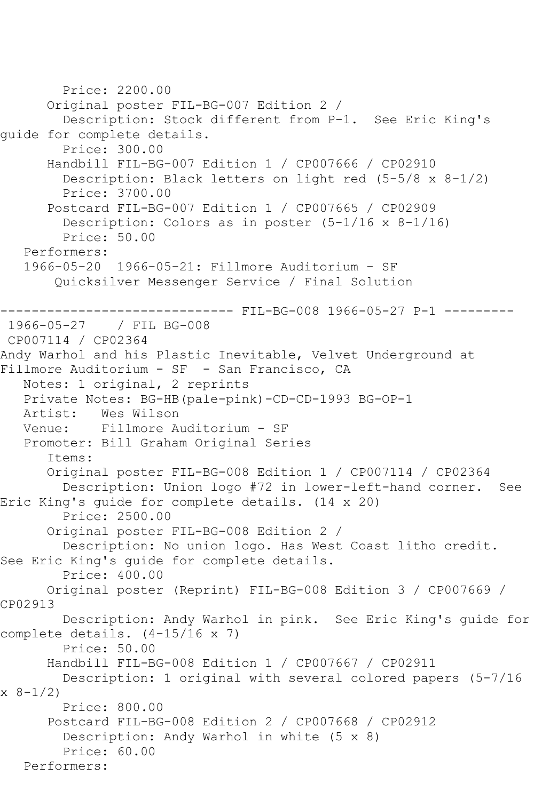```
 Price: 2200.00
       Original poster FIL-BG-007 Edition 2 / 
         Description: Stock different from P-1. See Eric King's 
guide for complete details.
         Price: 300.00
       Handbill FIL-BG-007 Edition 1 / CP007666 / CP02910
         Description: Black letters on light red (5-5/8 x 8-1/2)
         Price: 3700.00
       Postcard FIL-BG-007 Edition 1 / CP007665 / CP02909
         Description: Colors as in poster (5-1/16 x 8-1/16)
         Price: 50.00
    Performers:
    1966-05-20 1966-05-21: Fillmore Auditorium - SF
        Quicksilver Messenger Service / Final Solution
                     --------- FIL-BG-008 1966-05-27 P-1 ---------
1966-05-27 / FIL BG-008
CP007114 / CP02364
Andy Warhol and his Plastic Inevitable, Velvet Underground at 
Fillmore Auditorium - SF - San Francisco, CA
    Notes: 1 original, 2 reprints
    Private Notes: BG-HB(pale-pink)-CD-CD-1993 BG-OP-1
  Artist: Wes Wilson<br>Venue: Fillmore A
            Fillmore Auditorium - SF
   Promoter: Bill Graham Original Series
       Items:
       Original poster FIL-BG-008 Edition 1 / CP007114 / CP02364
         Description: Union logo #72 in lower-left-hand corner. See 
Eric King's guide for complete details. (14 x 20)
         Price: 2500.00
       Original poster FIL-BG-008 Edition 2 / 
         Description: No union logo. Has West Coast litho credit. 
See Eric King's guide for complete details.
         Price: 400.00
       Original poster (Reprint) FIL-BG-008 Edition 3 / CP007669 / 
CP02913
         Description: Andy Warhol in pink. See Eric King's guide for 
complete details. (4-15/16 x 7)
         Price: 50.00
       Handbill FIL-BG-008 Edition 1 / CP007667 / CP02911
         Description: 1 original with several colored papers (5-7/16 
x 8-1/2)
         Price: 800.00
       Postcard FIL-BG-008 Edition 2 / CP007668 / CP02912
         Description: Andy Warhol in white (5 x 8)
         Price: 60.00
   Performers:
```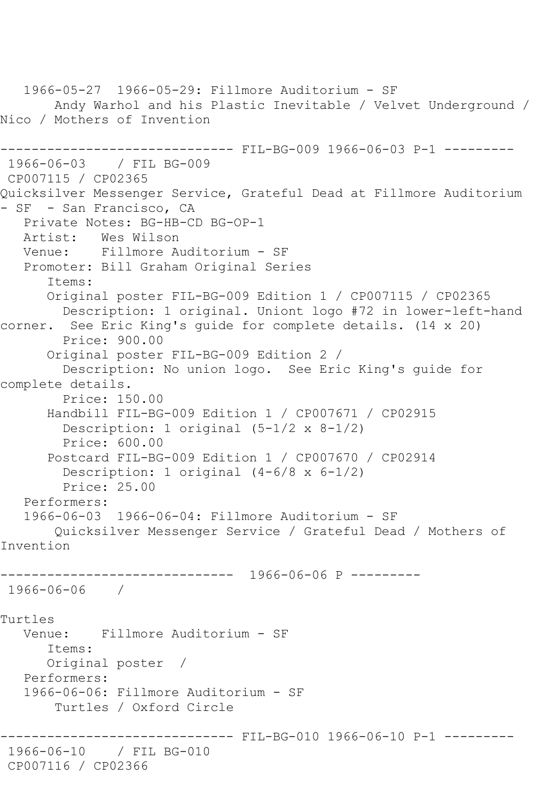1966-05-27 1966-05-29: Fillmore Auditorium - SF Andy Warhol and his Plastic Inevitable / Velvet Underground / Nico / Mothers of Invention ------------------------------ FIL-BG-009 1966-06-03 P-1 --------- 1966-06-03 / FIL BG-009 CP007115 / CP02365 Quicksilver Messenger Service, Grateful Dead at Fillmore Auditorium - SF - San Francisco, CA Private Notes: BG-HB-CD BG-OP-1 Artist: Wes Wilson Venue: Fillmore Auditorium - SF Promoter: Bill Graham Original Series Items: Original poster FIL-BG-009 Edition 1 / CP007115 / CP02365 Description: 1 original. Uniont logo #72 in lower-left-hand corner. See Eric King's guide for complete details. (14 x 20) Price: 900.00 Original poster FIL-BG-009 Edition 2 / Description: No union logo. See Eric King's guide for complete details. Price: 150.00 Handbill FIL-BG-009 Edition 1 / CP007671 / CP02915 Description: 1 original  $(5-1/2 \times 8-1/2)$  Price: 600.00 Postcard FIL-BG-009 Edition 1 / CP007670 / CP02914 Description: 1 original (4-6/8 x 6-1/2) Price: 25.00 Performers: 1966-06-03 1966-06-04: Fillmore Auditorium - SF Quicksilver Messenger Service / Grateful Dead / Mothers of Invention ------------------------------ 1966-06-06 P --------- 1966-06-06 / Turtles Venue: Fillmore Auditorium - SF Items: Original poster / Performers: 1966-06-06: Fillmore Auditorium - SF Turtles / Oxford Circle ------------------------------ FIL-BG-010 1966-06-10 P-1 --------- 1966-06-10 / FIL BG-010 CP007116 / CP02366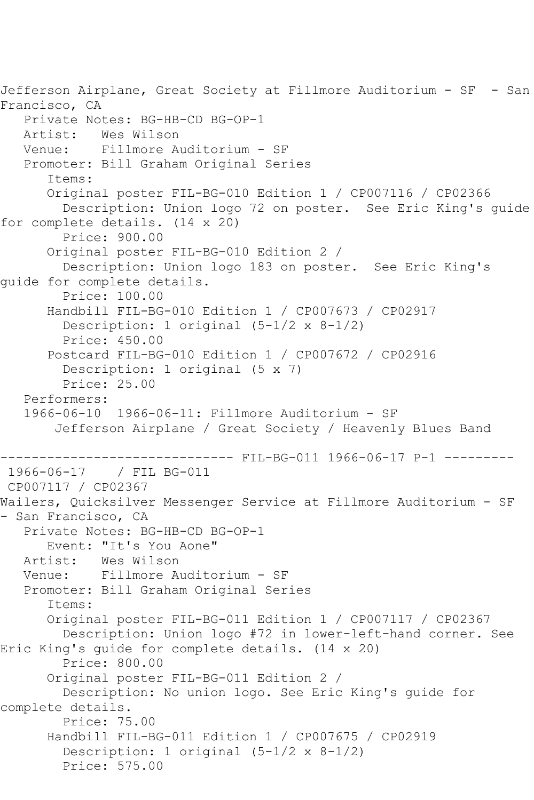Jefferson Airplane, Great Society at Fillmore Auditorium - SF - San Francisco, CA Private Notes: BG-HB-CD BG-OP-1 Artist: Wes Wilson<br>Venue: Fillmore A Fillmore Auditorium - SF Promoter: Bill Graham Original Series Items: Original poster FIL-BG-010 Edition 1 / CP007116 / CP02366 Description: Union logo 72 on poster. See Eric King's guide for complete details. (14 x 20) Price: 900.00 Original poster FIL-BG-010 Edition 2 / Description: Union logo 183 on poster. See Eric King's guide for complete details. Price: 100.00 Handbill FIL-BG-010 Edition 1 / CP007673 / CP02917 Description: 1 original (5-1/2 x 8-1/2) Price: 450.00 Postcard FIL-BG-010 Edition 1 / CP007672 / CP02916 Description: 1 original (5 x 7) Price: 25.00 Performers: 1966-06-10 1966-06-11: Fillmore Auditorium - SF Jefferson Airplane / Great Society / Heavenly Blues Band ------------ FIL-BG-011 1966-06-17 P-1 ---------1966-06-17 / FIL BG-011 CP007117 / CP02367 Wailers, Quicksilver Messenger Service at Fillmore Auditorium - SF - San Francisco, CA Private Notes: BG-HB-CD BG-OP-1 Event: "It's You Aone" Artist: Wes Wilson<br>Venue: Fillmore A Fillmore Auditorium - SF Promoter: Bill Graham Original Series Items: Original poster FIL-BG-011 Edition 1 / CP007117 / CP02367 Description: Union logo #72 in lower-left-hand corner. See Eric King's guide for complete details. (14 x 20) Price: 800.00 Original poster FIL-BG-011 Edition 2 / Description: No union logo. See Eric King's guide for complete details. Price: 75.00 Handbill FIL-BG-011 Edition 1 / CP007675 / CP02919 Description: 1 original (5-1/2 x 8-1/2) Price: 575.00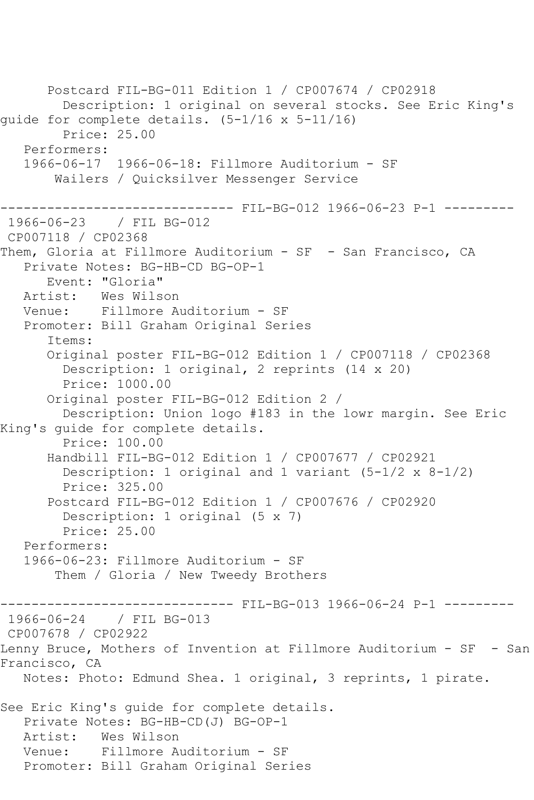Postcard FIL-BG-011 Edition 1 / CP007674 / CP02918 Description: 1 original on several stocks. See Eric King's guide for complete details. (5-1/16 x 5-11/16) Price: 25.00 Performers: 1966-06-17 1966-06-18: Fillmore Auditorium - SF Wailers / Quicksilver Messenger Service ------------------------------ FIL-BG-012 1966-06-23 P-1 --------- 1966-06-23 / FIL BG-012 CP007118 / CP02368 Them, Gloria at Fillmore Auditorium - SF - San Francisco, CA Private Notes: BG-HB-CD BG-OP-1 Event: "Gloria" Artist: Wes Wilson Venue: Fillmore Auditorium - SF Promoter: Bill Graham Original Series Items: Original poster FIL-BG-012 Edition 1 / CP007118 / CP02368 Description: 1 original, 2 reprints (14 x 20) Price: 1000.00 Original poster FIL-BG-012 Edition 2 / Description: Union logo #183 in the lowr margin. See Eric King's guide for complete details. Price: 100.00 Handbill FIL-BG-012 Edition 1 / CP007677 / CP02921 Description: 1 original and 1 variant (5-1/2 x 8-1/2) Price: 325.00 Postcard FIL-BG-012 Edition 1 / CP007676 / CP02920 Description: 1 original (5 x 7) Price: 25.00 Performers: 1966-06-23: Fillmore Auditorium - SF Them / Gloria / New Tweedy Brothers --------------------------------- FIL-BG-013 1966-06-24 P-1 ----------<br>1966-06-24 / FIL BG-013 / FIL BG-013 CP007678 / CP02922 Lenny Bruce, Mothers of Invention at Fillmore Auditorium - SF - San Francisco, CA Notes: Photo: Edmund Shea. 1 original, 3 reprints, 1 pirate. See Eric King's guide for complete details. Private Notes: BG-HB-CD(J) BG-OP-1 Artist: Wes Wilson Venue: Fillmore Auditorium - SF Promoter: Bill Graham Original Series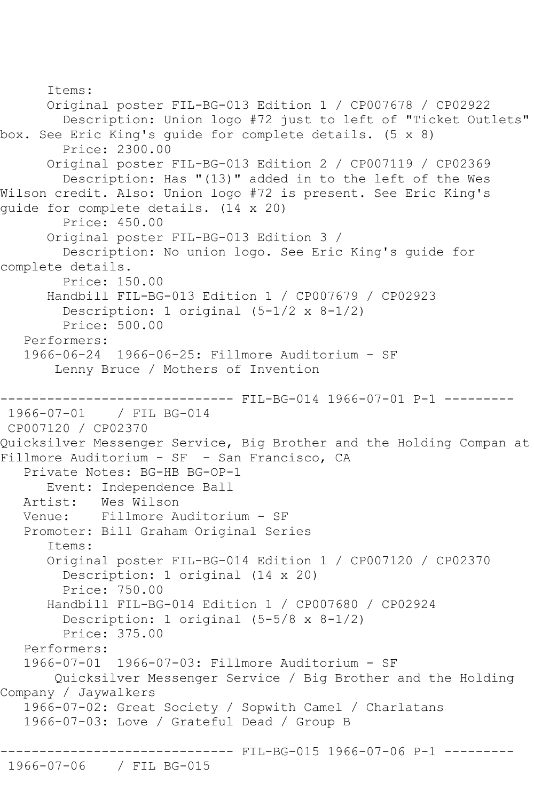```
 Items:
       Original poster FIL-BG-013 Edition 1 / CP007678 / CP02922
         Description: Union logo #72 just to left of "Ticket Outlets" 
box. See Eric King's guide for complete details. (5 x 8)
         Price: 2300.00
       Original poster FIL-BG-013 Edition 2 / CP007119 / CP02369
         Description: Has "(13)" added in to the left of the Wes 
Wilson credit. Also: Union logo #72 is present. See Eric King's 
guide for complete details. (14 x 20)
         Price: 450.00
       Original poster FIL-BG-013 Edition 3 / 
         Description: No union logo. See Eric King's guide for 
complete details.
         Price: 150.00
       Handbill FIL-BG-013 Edition 1 / CP007679 / CP02923
         Description: 1 original (5-1/2 x 8-1/2)
         Price: 500.00
    Performers:
    1966-06-24 1966-06-25: Fillmore Auditorium - SF
        Lenny Bruce / Mothers of Invention
---------------------------------- FIL-BG-014 1966-07-01 P-1 ----------<br>1966-07-01 / FIL BG-014
               / FIL BG-014
CP007120 / CP02370
Quicksilver Messenger Service, Big Brother and the Holding Compan at 
Fillmore Auditorium - SF - San Francisco, CA
    Private Notes: BG-HB BG-OP-1
       Event: Independence Ball
  Artist: Wes Wilson<br>Venue: Fillmore A
            Fillmore Auditorium - SF
    Promoter: Bill Graham Original Series
       Items:
       Original poster FIL-BG-014 Edition 1 / CP007120 / CP02370
         Description: 1 original (14 x 20)
         Price: 750.00
       Handbill FIL-BG-014 Edition 1 / CP007680 / CP02924
         Description: 1 original (5-5/8 x 8-1/2)
         Price: 375.00
    Performers:
    1966-07-01 1966-07-03: Fillmore Auditorium - SF
        Quicksilver Messenger Service / Big Brother and the Holding 
Company / Jaywalkers
    1966-07-02: Great Society / Sopwith Camel / Charlatans
    1966-07-03: Love / Grateful Dead / Group B
                         ------ FIL-BG-015 1966-07-06 P-1 ---------
1966-07-06 / FIL BG-015
```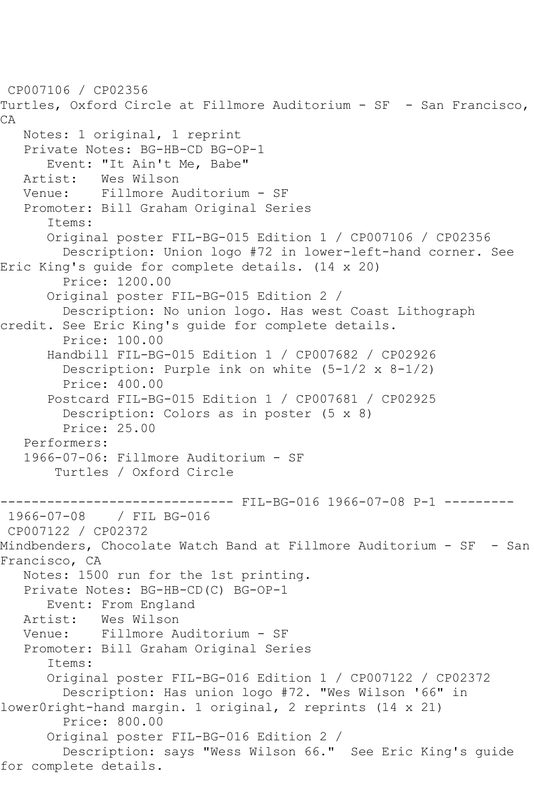CP007106 / CP02356 Turtles, Oxford Circle at Fillmore Auditorium - SF - San Francisco, CA Notes: 1 original, 1 reprint Private Notes: BG-HB-CD BG-OP-1 Event: "It Ain't Me, Babe"<br>Artist: Wes Wilson Wes Wilson Venue: Fillmore Auditorium - SF Promoter: Bill Graham Original Series Items: Original poster FIL-BG-015 Edition 1 / CP007106 / CP02356 Description: Union logo #72 in lower-left-hand corner. See Eric King's guide for complete details. (14 x 20) Price: 1200.00 Original poster FIL-BG-015 Edition 2 / Description: No union logo. Has west Coast Lithograph credit. See Eric King's guide for complete details. Price: 100.00 Handbill FIL-BG-015 Edition 1 / CP007682 / CP02926 Description: Purple ink on white (5-1/2 x 8-1/2) Price: 400.00 Postcard FIL-BG-015 Edition 1 / CP007681 / CP02925 Description: Colors as in poster (5 x 8) Price: 25.00 Performers: 1966-07-06: Fillmore Auditorium - SF Turtles / Oxford Circle -------- FIL-BG-016 1966-07-08 P-1 -------1966-07-08 / FIL BG-016 CP007122 / CP02372 Mindbenders, Chocolate Watch Band at Fillmore Auditorium - SF - San Francisco, CA Notes: 1500 run for the 1st printing. Private Notes: BG-HB-CD(C) BG-OP-1 Event: From England Artist: Wes Wilson Venue: Fillmore Auditorium - SF Promoter: Bill Graham Original Series Items: Original poster FIL-BG-016 Edition 1 / CP007122 / CP02372 Description: Has union logo #72. "Wes Wilson '66" in lower0right-hand margin. 1 original, 2 reprints (14 x 21) Price: 800.00 Original poster FIL-BG-016 Edition 2 / Description: says "Wess Wilson 66." See Eric King's guide for complete details.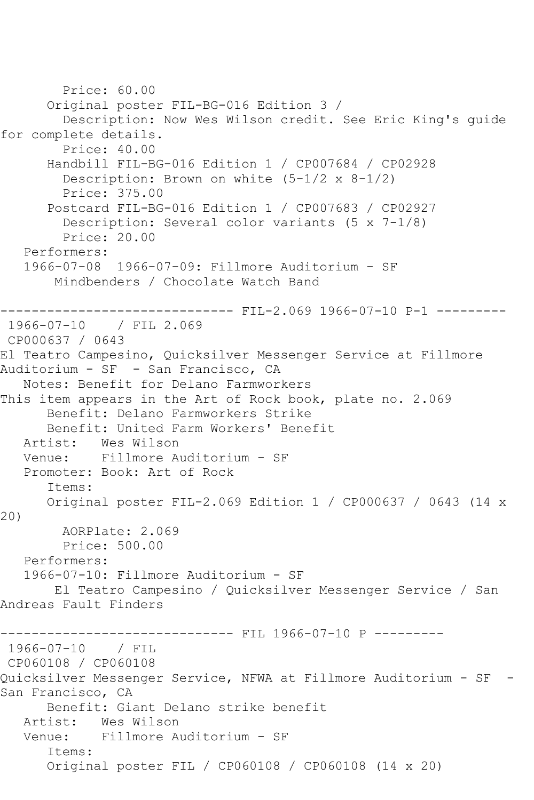Price: 60.00 Original poster FIL-BG-016 Edition 3 / Description: Now Wes Wilson credit. See Eric King's guide for complete details. Price: 40.00 Handbill FIL-BG-016 Edition 1 / CP007684 / CP02928 Description: Brown on white  $(5-1/2 \times 8-1/2)$  Price: 375.00 Postcard FIL-BG-016 Edition 1 / CP007683 / CP02927 Description: Several color variants (5 x 7-1/8) Price: 20.00 Performers: 1966-07-08 1966-07-09: Fillmore Auditorium - SF Mindbenders / Chocolate Watch Band ------------------------------ FIL-2.069 1966-07-10 P-1 --------- 1966-07-10 / FIL 2.069 CP000637 / 0643 El Teatro Campesino, Quicksilver Messenger Service at Fillmore Auditorium - SF - San Francisco, CA Notes: Benefit for Delano Farmworkers This item appears in the Art of Rock book, plate no. 2.069 Benefit: Delano Farmworkers Strike Benefit: United Farm Workers' Benefit Artist: Wes Wilson<br>Venue: Fillmore Au Fillmore Auditorium - SF Promoter: Book: Art of Rock Items: Original poster FIL-2.069 Edition 1 / CP000637 / 0643 (14 x 20) AORPlate: 2.069 Price: 500.00 Performers: 1966-07-10: Fillmore Auditorium - SF El Teatro Campesino / Quicksilver Messenger Service / San Andreas Fault Finders ------------------------------ FIL 1966-07-10 P --------- 1966-07-10 / FIL CP060108 / CP060108 Quicksilver Messenger Service, NFWA at Fillmore Auditorium - SF - San Francisco, CA Benefit: Giant Delano strike benefit Artist: Wes Wilson Venue: Fillmore Auditorium - SF Items: Original poster FIL / CP060108 / CP060108 (14 x 20)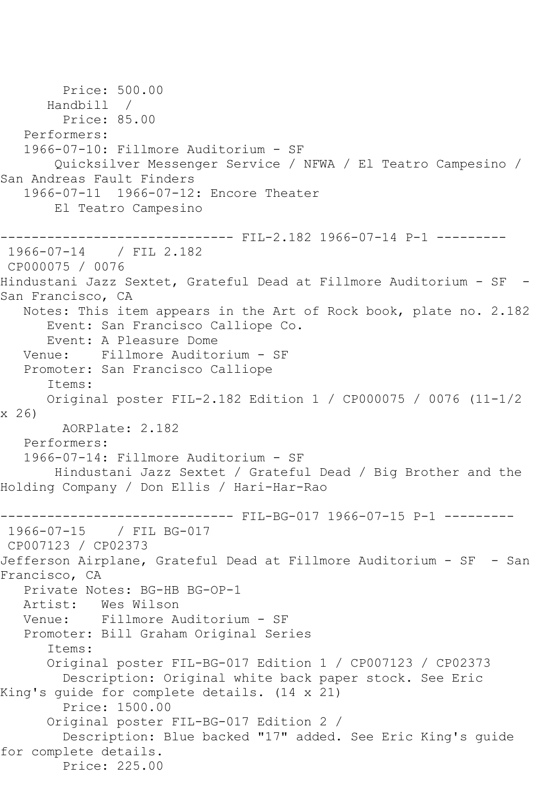```
 Price: 500.00
       Handbill / 
         Price: 85.00
   Performers:
   1966-07-10: Fillmore Auditorium - SF
        Quicksilver Messenger Service / NFWA / El Teatro Campesino / 
San Andreas Fault Finders
   1966-07-11 1966-07-12: Encore Theater
        El Teatro Campesino
------------------------------ FIL-2.182 1966-07-14 P-1 ---------
1966-07-14 / FIL 2.182
CP000075 / 0076
Hindustani Jazz Sextet, Grateful Dead at Fillmore Auditorium - SF -
San Francisco, CA
   Notes: This item appears in the Art of Rock book, plate no. 2.182
       Event: San Francisco Calliope Co.
      Event: A Pleasure Dome
   Venue: Fillmore Auditorium - SF
   Promoter: San Francisco Calliope
       Items:
      Original poster FIL-2.182 Edition 1 / CP000075 / 0076 (11-1/2 
x 26)
        AORPlate: 2.182 
   Performers:
   1966-07-14: Fillmore Auditorium - SF
        Hindustani Jazz Sextet / Grateful Dead / Big Brother and the 
Holding Company / Don Ellis / Hari-Har-Rao
------------------------------ FIL-BG-017 1966-07-15 P-1 ---------
1966-07-15 / FIL BG-017
CP007123 / CP02373
Jefferson Airplane, Grateful Dead at Fillmore Auditorium - SF - San 
Francisco, CA
   Private Notes: BG-HB BG-OP-1
   Artist: Wes Wilson
   Venue: Fillmore Auditorium - SF
   Promoter: Bill Graham Original Series
       Items:
       Original poster FIL-BG-017 Edition 1 / CP007123 / CP02373
        Description: Original white back paper stock. See Eric 
King's guide for complete details. (14 x 21)
        Price: 1500.00
       Original poster FIL-BG-017 Edition 2 / 
         Description: Blue backed "17" added. See Eric King's guide 
for complete details.
        Price: 225.00
```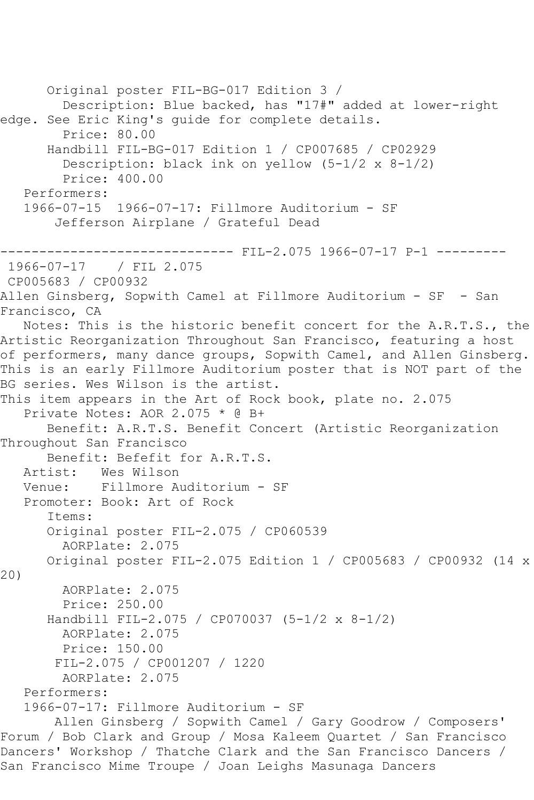```
 Original poster FIL-BG-017 Edition 3 / 
         Description: Blue backed, has "17#" added at lower-right 
edge. See Eric King's guide for complete details.
         Price: 80.00
       Handbill FIL-BG-017 Edition 1 / CP007685 / CP02929
         Description: black ink on yellow (5-1/2 x 8-1/2)
         Price: 400.00
   Performers:
   1966-07-15 1966-07-17: Fillmore Auditorium - SF
        Jefferson Airplane / Grateful Dead
              ------------------------------ FIL-2.075 1966-07-17 P-1 ---------
1966 - 07 - 17CP005683 / CP00932
Allen Ginsberg, Sopwith Camel at Fillmore Auditorium - SF - San 
Francisco, CA
   Notes: This is the historic benefit concert for the A.R.T.S., the 
Artistic Reorganization Throughout San Francisco, featuring a host 
of performers, many dance groups, Sopwith Camel, and Allen Ginsberg.
This is an early Fillmore Auditorium poster that is NOT part of the 
BG series. Wes Wilson is the artist.
This item appears in the Art of Rock book, plate no. 2.075
   Private Notes: AOR 2.075 * @ B+
      Benefit: A.R.T.S. Benefit Concert (Artistic Reorganization 
Throughout San Francisco
      Benefit: Befefit for A.R.T.S.
   Artist: Wes Wilson
   Venue: Fillmore Auditorium - SF
   Promoter: Book: Art of Rock
       Items:
       Original poster FIL-2.075 / CP060539
         AORPlate: 2.075 
       Original poster FIL-2.075 Edition 1 / CP005683 / CP00932 (14 x 
20)
        AORPlate: 2.075 
         Price: 250.00
       Handbill FIL-2.075 / CP070037 (5-1/2 x 8-1/2)
         AORPlate: 2.075 
        Price: 150.00
        FIL-2.075 / CP001207 / 1220
         AORPlate: 2.075 
   Performers:
   1966-07-17: Fillmore Auditorium - SF
        Allen Ginsberg / Sopwith Camel / Gary Goodrow / Composers' 
Forum / Bob Clark and Group / Mosa Kaleem Quartet / San Francisco 
Dancers' Workshop / Thatche Clark and the San Francisco Dancers / 
San Francisco Mime Troupe / Joan Leighs Masunaga Dancers
```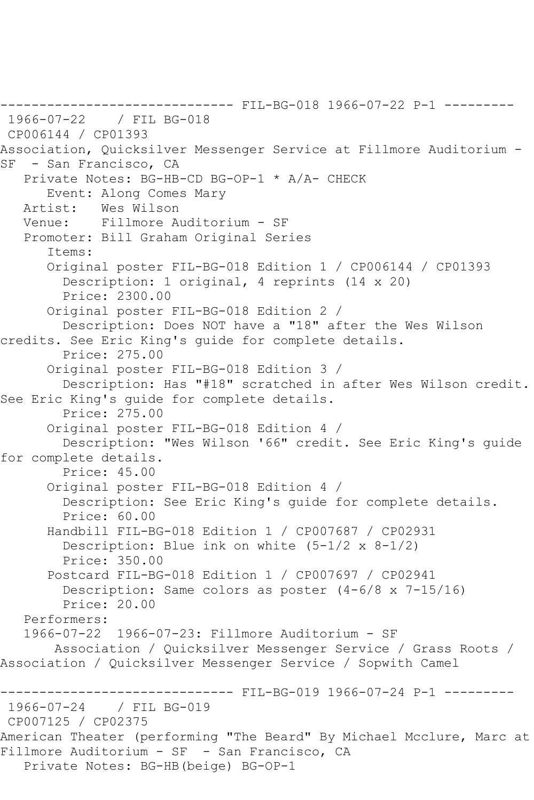------------------------------ FIL-BG-018 1966-07-22 P-1 --------- 1966-07-22 / FIL BG-018 CP006144 / CP01393 Association, Quicksilver Messenger Service at Fillmore Auditorium - SF - San Francisco, CA Private Notes: BG-HB-CD BG-OP-1 \* A/A- CHECK Event: Along Comes Mary<br>Artist: Wes Wilson Wes Wilson Venue: Fillmore Auditorium - SF Promoter: Bill Graham Original Series Items: Original poster FIL-BG-018 Edition 1 / CP006144 / CP01393 Description: 1 original, 4 reprints (14 x 20) Price: 2300.00 Original poster FIL-BG-018 Edition 2 / Description: Does NOT have a "18" after the Wes Wilson credits. See Eric King's guide for complete details. Price: 275.00 Original poster FIL-BG-018 Edition 3 / Description: Has "#18" scratched in after Wes Wilson credit. See Eric King's guide for complete details. Price: 275.00 Original poster FIL-BG-018 Edition 4 / Description: "Wes Wilson '66" credit. See Eric King's guide for complete details. Price: 45.00 Original poster FIL-BG-018 Edition 4 / Description: See Eric King's guide for complete details. Price: 60.00 Handbill FIL-BG-018 Edition 1 / CP007687 / CP02931 Description: Blue ink on white (5-1/2 x 8-1/2) Price: 350.00 Postcard FIL-BG-018 Edition 1 / CP007697 / CP02941 Description: Same colors as poster (4-6/8 x 7-15/16) Price: 20.00 Performers: 1966-07-22 1966-07-23: Fillmore Auditorium - SF Association / Quicksilver Messenger Service / Grass Roots / Association / Quicksilver Messenger Service / Sopwith Camel ------------------------------ FIL-BG-019 1966-07-24 P-1 --------- 1966-07-24 / FIL BG-019 CP007125 / CP02375 American Theater (performing "The Beard" By Michael Mcclure, Marc at Fillmore Auditorium - SF - San Francisco, CA Private Notes: BG-HB(beige) BG-OP-1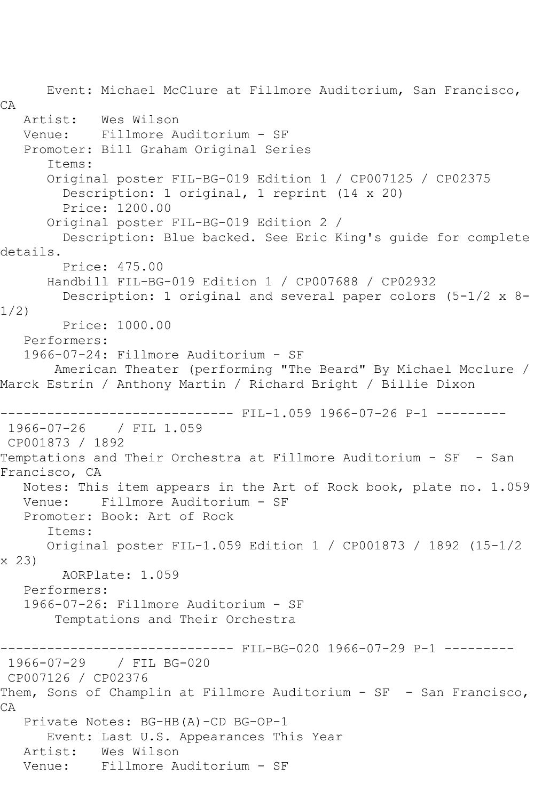Event: Michael McClure at Fillmore Auditorium, San Francisco, CA Artist: Wes Wilson Venue: Fillmore Auditorium - SF Promoter: Bill Graham Original Series Items: Original poster FIL-BG-019 Edition 1 / CP007125 / CP02375 Description: 1 original, 1 reprint (14 x 20) Price: 1200.00 Original poster FIL-BG-019 Edition 2 / Description: Blue backed. See Eric King's guide for complete details. Price: 475.00 Handbill FIL-BG-019 Edition 1 / CP007688 / CP02932 Description: 1 original and several paper colors (5-1/2 x 8- 1/2) Price: 1000.00 Performers: 1966-07-24: Fillmore Auditorium - SF American Theater (performing "The Beard" By Michael Mcclure / Marck Estrin / Anthony Martin / Richard Bright / Billie Dixon ------------------------------ FIL-1.059 1966-07-26 P-1 --------- 1966-07-26 / FIL 1.059 CP001873 / 1892 Temptations and Their Orchestra at Fillmore Auditorium - SF - San Francisco, CA Notes: This item appears in the Art of Rock book, plate no. 1.059 Venue: Fillmore Auditorium - SF Promoter: Book: Art of Rock Items: Original poster FIL-1.059 Edition 1 / CP001873 / 1892 (15-1/2 x 23) AORPlate: 1.059 Performers: 1966-07-26: Fillmore Auditorium - SF Temptations and Their Orchestra ------------------------------ FIL-BG-020 1966-07-29 P-1 --------- 1966-07-29 / FIL BG-020 CP007126 / CP02376 Them, Sons of Champlin at Fillmore Auditorium - SF - San Francisco, CA Private Notes: BG-HB(A)-CD BG-OP-1 Event: Last U.S. Appearances This Year Artist: Wes Wilson Venue: Fillmore Auditorium - SF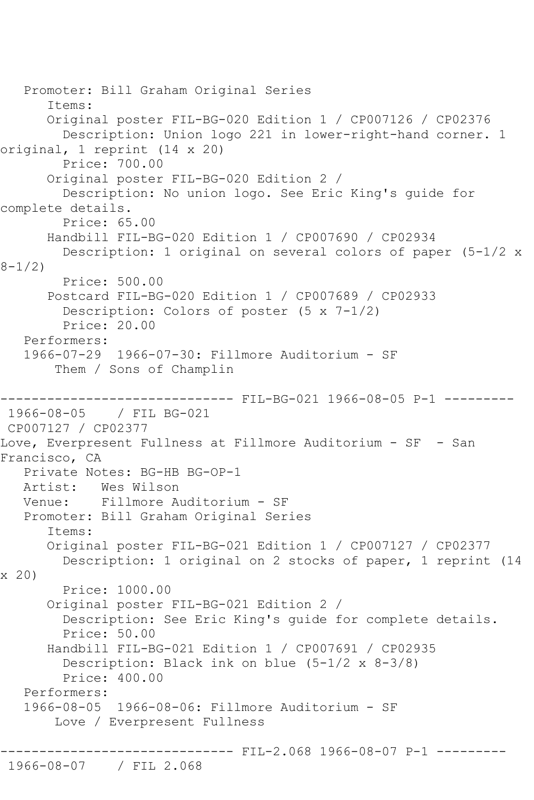```
 Promoter: Bill Graham Original Series
       Items:
       Original poster FIL-BG-020 Edition 1 / CP007126 / CP02376
         Description: Union logo 221 in lower-right-hand corner. 1 
original, 1 reprint (14 x 20)
        Price: 700.00
       Original poster FIL-BG-020 Edition 2 / 
         Description: No union logo. See Eric King's guide for 
complete details.
         Price: 65.00
       Handbill FIL-BG-020 Edition 1 / CP007690 / CP02934
         Description: 1 original on several colors of paper (5-1/2 x 
8 - 1/2 Price: 500.00
       Postcard FIL-BG-020 Edition 1 / CP007689 / CP02933
         Description: Colors of poster (5 x 7-1/2)
         Price: 20.00
    Performers:
    1966-07-29 1966-07-30: Fillmore Auditorium - SF
        Them / Sons of Champlin
                         ------ FIL-BG-021 1966-08-05 P-1 ---------
1966-08-05 / FIL BG-021
CP007127 / CP02377
Love, Everpresent Fullness at Fillmore Auditorium - SF - San 
Francisco, CA
    Private Notes: BG-HB BG-OP-1
   Artist: Wes Wilson
   Venue: Fillmore Auditorium - SF
    Promoter: Bill Graham Original Series
       Items:
       Original poster FIL-BG-021 Edition 1 / CP007127 / CP02377
         Description: 1 original on 2 stocks of paper, 1 reprint (14 
x 20)
         Price: 1000.00
       Original poster FIL-BG-021 Edition 2 / 
         Description: See Eric King's guide for complete details.
         Price: 50.00
       Handbill FIL-BG-021 Edition 1 / CP007691 / CP02935
         Description: Black ink on blue (5-1/2 x 8-3/8)
         Price: 400.00
    Performers:
    1966-08-05 1966-08-06: Fillmore Auditorium - SF
        Love / Everpresent Fullness
                         ------------------------------ FIL-2.068 1966-08-07 P-1 ---------
1966-08-07 / FIL 2.068
```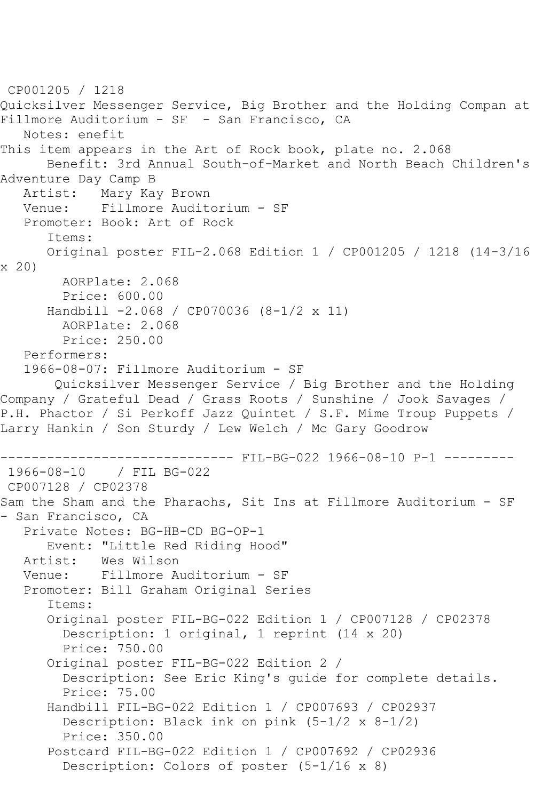```
CP001205 / 1218
Quicksilver Messenger Service, Big Brother and the Holding Compan at 
Fillmore Auditorium - SF - San Francisco, CA
   Notes: enefit
This item appears in the Art of Rock book, plate no. 2.068
      Benefit: 3rd Annual South-of-Market and North Beach Children's 
Adventure Day Camp B
   Artist: Mary Kay Brown
   Venue: Fillmore Auditorium - SF
   Promoter: Book: Art of Rock
       Items:
      Original poster FIL-2.068 Edition 1 / CP001205 / 1218 (14-3/16 
x 20)
        AORPlate: 2.068 
        Price: 600.00
       Handbill -2.068 / CP070036 (8-1/2 x 11)
         AORPlate: 2.068 
        Price: 250.00
   Performers:
   1966-08-07: Fillmore Auditorium - SF
        Quicksilver Messenger Service / Big Brother and the Holding 
Company / Grateful Dead / Grass Roots / Sunshine / Jook Savages / 
P.H. Phactor / Si Perkoff Jazz Quintet / S.F. Mime Troup Puppets / 
Larry Hankin / Son Sturdy / Lew Welch / Mc Gary Goodrow
------------------------------ FIL-BG-022 1966-08-10 P-1 ---------
1966-08-10 / FIL BG-022
CP007128 / CP02378
Sam the Sham and the Pharaohs, Sit Ins at Fillmore Auditorium - SF 
- San Francisco, CA
   Private Notes: BG-HB-CD BG-OP-1
      Event: "Little Red Riding Hood"
  Artist: Wes Wilson<br>Venue: Fillmore A
            Fillmore Auditorium - SF
   Promoter: Bill Graham Original Series
       Items:
       Original poster FIL-BG-022 Edition 1 / CP007128 / CP02378
         Description: 1 original, 1 reprint (14 x 20)
         Price: 750.00
       Original poster FIL-BG-022 Edition 2 / 
         Description: See Eric King's guide for complete details.
         Price: 75.00
       Handbill FIL-BG-022 Edition 1 / CP007693 / CP02937
         Description: Black ink on pink (5-1/2 x 8-1/2)
         Price: 350.00
       Postcard FIL-BG-022 Edition 1 / CP007692 / CP02936
         Description: Colors of poster (5-1/16 x 8)
```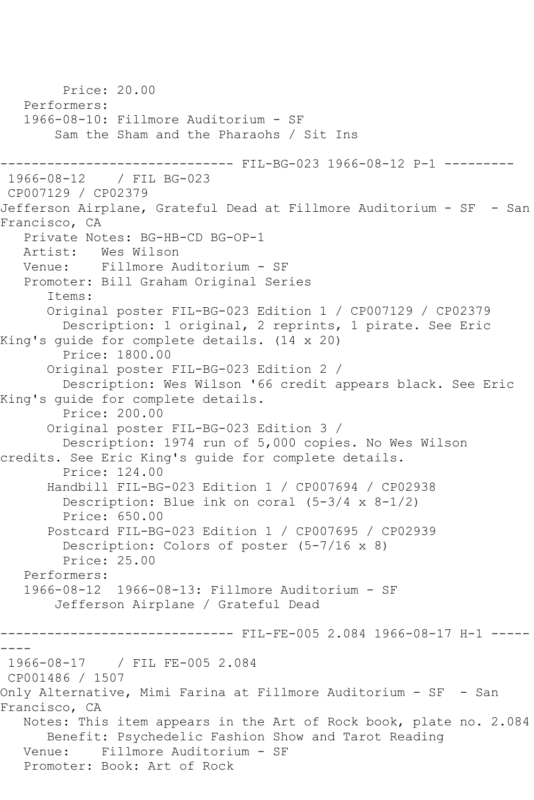Price: 20.00 Performers: 1966-08-10: Fillmore Auditorium - SF Sam the Sham and the Pharaohs / Sit Ins --------- FIL-BG-023 1966-08-12 P-1 ---------1966-08-12 / FIL BG-023 CP007129 / CP02379 Jefferson Airplane, Grateful Dead at Fillmore Auditorium - SF - San Francisco, CA Private Notes: BG-HB-CD BG-OP-1<br>Artist: Wes Wilson Wes Wilson Venue: Fillmore Auditorium - SF Promoter: Bill Graham Original Series Items: Original poster FIL-BG-023 Edition 1 / CP007129 / CP02379 Description: 1 original, 2 reprints, 1 pirate. See Eric King's guide for complete details. (14 x 20) Price: 1800.00 Original poster FIL-BG-023 Edition 2 / Description: Wes Wilson '66 credit appears black. See Eric King's guide for complete details. Price: 200.00 Original poster FIL-BG-023 Edition 3 / Description: 1974 run of 5,000 copies. No Wes Wilson credits. See Eric King's guide for complete details. Price: 124.00 Handbill FIL-BG-023 Edition 1 / CP007694 / CP02938 Description: Blue ink on coral  $(5-3/4 \times 8-1/2)$  Price: 650.00 Postcard FIL-BG-023 Edition 1 / CP007695 / CP02939 Description: Colors of poster (5-7/16 x 8) Price: 25.00 Performers: 1966-08-12 1966-08-13: Fillmore Auditorium - SF Jefferson Airplane / Grateful Dead ------------------------------ FIL-FE-005 2.084 1966-08-17 H-1 ----- ---- 1966-08-17 / FIL FE-005 2.084 CP001486 / 1507 Only Alternative, Mimi Farina at Fillmore Auditorium - SF - San Francisco, CA Notes: This item appears in the Art of Rock book, plate no. 2.084 Benefit: Psychedelic Fashion Show and Tarot Reading Venue: Fillmore Auditorium - SF Promoter: Book: Art of Rock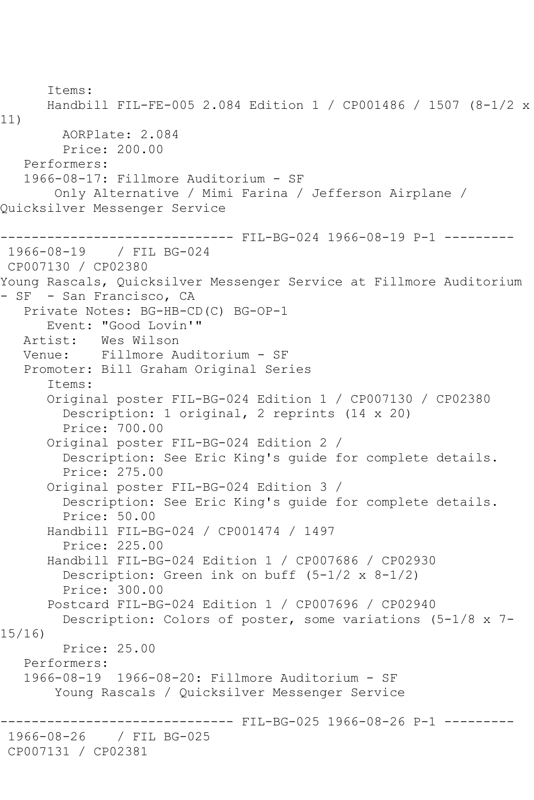```
 Items:
       Handbill FIL-FE-005 2.084 Edition 1 / CP001486 / 1507 (8-1/2 x 
11)
         AORPlate: 2.084 
         Price: 200.00
    Performers:
    1966-08-17: Fillmore Auditorium - SF
        Only Alternative / Mimi Farina / Jefferson Airplane / 
Quicksilver Messenger Service
------------------------------ FIL-BG-024 1966-08-19 P-1 ---------
1966-08-19 / FIL BG-024
CP007130 / CP02380
Young Rascals, Quicksilver Messenger Service at Fillmore Auditorium 
- SF - San Francisco, CA
    Private Notes: BG-HB-CD(C) BG-OP-1
       Event: "Good Lovin'"
  Artist: Wes Wilson<br>Venue: Fillmore A
           Venue: Fillmore Auditorium - SF
    Promoter: Bill Graham Original Series
       Items:
       Original poster FIL-BG-024 Edition 1 / CP007130 / CP02380
         Description: 1 original, 2 reprints (14 x 20)
         Price: 700.00
       Original poster FIL-BG-024 Edition 2 / 
         Description: See Eric King's guide for complete details.
         Price: 275.00
       Original poster FIL-BG-024 Edition 3 / 
         Description: See Eric King's guide for complete details.
         Price: 50.00
       Handbill FIL-BG-024 / CP001474 / 1497
         Price: 225.00
       Handbill FIL-BG-024 Edition 1 / CP007686 / CP02930
         Description: Green ink on buff (5-1/2 x 8-1/2)
         Price: 300.00
       Postcard FIL-BG-024 Edition 1 / CP007696 / CP02940
         Description: Colors of poster, some variations (5-1/8 x 7-
15/16)
         Price: 25.00
    Performers:
    1966-08-19 1966-08-20: Fillmore Auditorium - SF
        Young Rascals / Quicksilver Messenger Service
                         ------ FIL-BG-025 1966-08-26 P-1 ---------
1966-08-26 / FIL BG-025
CP007131 / CP02381
```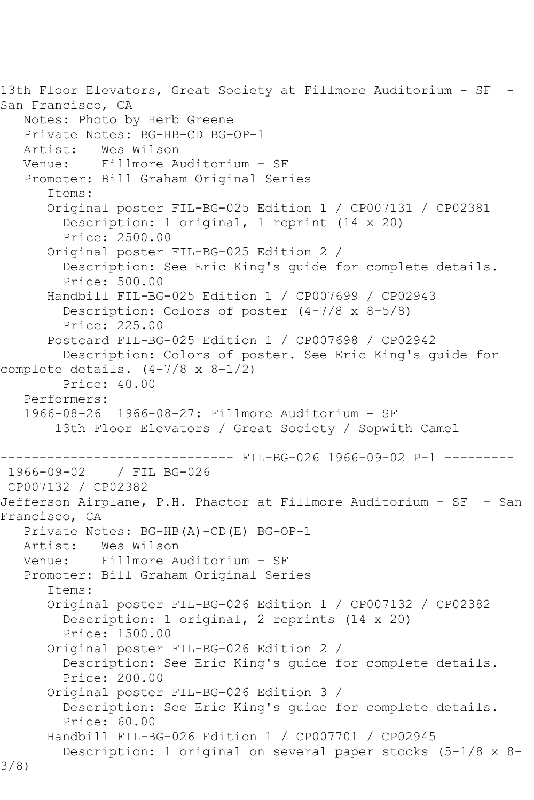13th Floor Elevators, Great Society at Fillmore Auditorium - SF - San Francisco, CA Notes: Photo by Herb Greene Private Notes: BG-HB-CD BG-OP-1 Artist: Wes Wilson Venue: Fillmore Auditorium - SF Promoter: Bill Graham Original Series Items: Original poster FIL-BG-025 Edition 1 / CP007131 / CP02381 Description: 1 original, 1 reprint (14 x 20) Price: 2500.00 Original poster FIL-BG-025 Edition 2 / Description: See Eric King's guide for complete details. Price: 500.00 Handbill FIL-BG-025 Edition 1 / CP007699 / CP02943 Description: Colors of poster (4-7/8 x 8-5/8) Price: 225.00 Postcard FIL-BG-025 Edition 1 / CP007698 / CP02942 Description: Colors of poster. See Eric King's guide for complete details.  $(4-7/8 \times 8-1/2)$  Price: 40.00 Performers: 1966-08-26 1966-08-27: Fillmore Auditorium - SF 13th Floor Elevators / Great Society / Sopwith Camel ------------ FIL-BG-026 1966-09-02 P-1 ---------1966-09-02 / FIL BG-026 CP007132 / CP02382 Jefferson Airplane, P.H. Phactor at Fillmore Auditorium - SF - San Francisco, CA Private Notes: BG-HB(A)-CD(E) BG-OP-1 Artist: Wes Wilson<br>Venue: Fillmore A Fillmore Auditorium - SF Promoter: Bill Graham Original Series Items: Original poster FIL-BG-026 Edition 1 / CP007132 / CP02382 Description: 1 original, 2 reprints (14 x 20) Price: 1500.00 Original poster FIL-BG-026 Edition 2 / Description: See Eric King's guide for complete details. Price: 200.00 Original poster FIL-BG-026 Edition 3 / Description: See Eric King's guide for complete details. Price: 60.00 Handbill FIL-BG-026 Edition 1 / CP007701 / CP02945 Description: 1 original on several paper stocks (5-1/8 x 8- 3/8)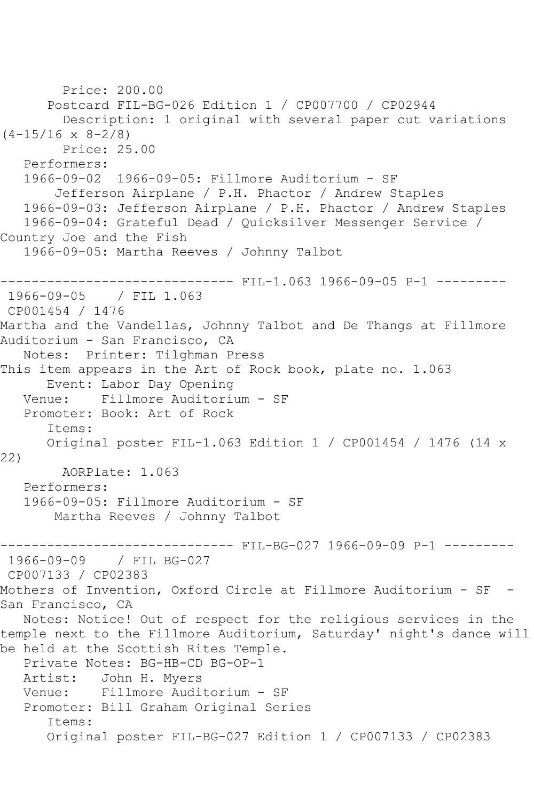```
 Price: 200.00
       Postcard FIL-BG-026 Edition 1 / CP007700 / CP02944
         Description: 1 original with several paper cut variations 
(4-15/16 \times 8-2/8) Price: 25.00
    Performers:
   1966-09-02 1966-09-05: Fillmore Auditorium - SF
        Jefferson Airplane / P.H. Phactor / Andrew Staples
    1966-09-03: Jefferson Airplane / P.H. Phactor / Andrew Staples
   1966-09-04: Grateful Dead / Quicksilver Messenger Service / 
Country Joe and the Fish
    1966-09-05: Martha Reeves / Johnny Talbot
------------------------------ FIL-1.063 1966-09-05 P-1 ---------
1966-09-05 / FIL 1.063
CP001454 / 1476
Martha and the Vandellas, Johnny Talbot and De Thangs at Fillmore 
Auditorium - San Francisco, CA
    Notes: Printer: Tilghman Press
This item appears in the Art of Rock book, plate no. 1.063
       Event: Labor Day Opening
   Venue: Fillmore Auditorium - SF
   Promoter: Book: Art of Rock
       Items:
       Original poster FIL-1.063 Edition 1 / CP001454 / 1476 (14 x 
22)
         AORPlate: 1.063 
   Performers:
    1966-09-05: Fillmore Auditorium - SF
        Martha Reeves / Johnny Talbot
                 ------------------------------ FIL-BG-027 1966-09-09 P-1 ---------
1966-09-09 / FIL BG-027
CP007133 / CP02383
Mothers of Invention, Oxford Circle at Fillmore Auditorium - SF -
San Francisco, CA
   Notes: Notice! Out of respect for the religious services in the 
temple next to the Fillmore Auditorium, Saturday' night's dance will 
be held at the Scottish Rites Temple.
  Private Notes: BG-HB-CD BG-OP-1<br>Artist: John H. Myers
           John H. Myers
   Venue: Fillmore Auditorium - SF
   Promoter: Bill Graham Original Series
       Items:
       Original poster FIL-BG-027 Edition 1 / CP007133 / CP02383
```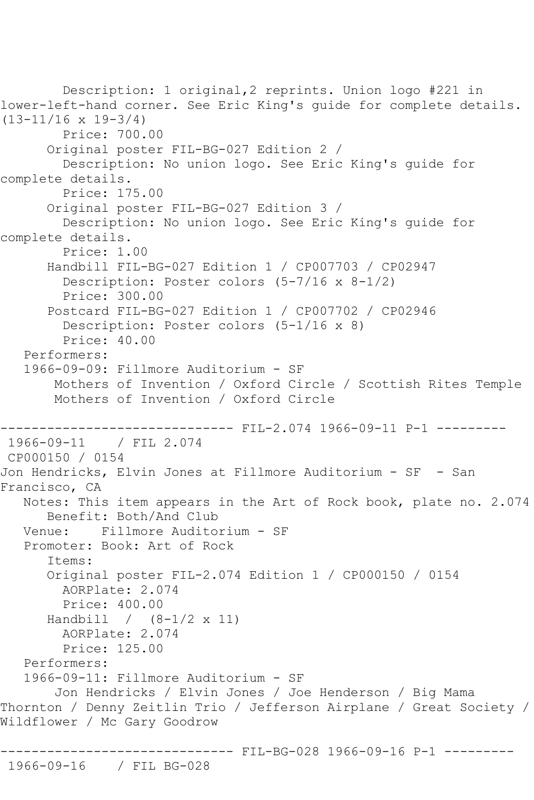Description: 1 original,2 reprints. Union logo #221 in lower-left-hand corner. See Eric King's guide for complete details. (13-11/16 x 19-3/4) Price: 700.00 Original poster FIL-BG-027 Edition 2 / Description: No union logo. See Eric King's guide for complete details. Price: 175.00 Original poster FIL-BG-027 Edition 3 / Description: No union logo. See Eric King's guide for complete details. Price: 1.00 Handbill FIL-BG-027 Edition 1 / CP007703 / CP02947 Description: Poster colors (5-7/16 x 8-1/2) Price: 300.00 Postcard FIL-BG-027 Edition 1 / CP007702 / CP02946 Description: Poster colors (5-1/16 x 8) Price: 40.00 Performers: 1966-09-09: Fillmore Auditorium - SF Mothers of Invention / Oxford Circle / Scottish Rites Temple Mothers of Invention / Oxford Circle ------------------------------ FIL-2.074 1966-09-11 P-1 --------- 1966-09-11 / FIL 2.074 CP000150 / 0154 Jon Hendricks, Elvin Jones at Fillmore Auditorium - SF - San Francisco, CA Notes: This item appears in the Art of Rock book, plate no. 2.074 Benefit: Both/And Club Venue: Fillmore Auditorium - SF Promoter: Book: Art of Rock Items: Original poster FIL-2.074 Edition 1 / CP000150 / 0154 AORPlate: 2.074 Price: 400.00 Handbill / (8-1/2 x 11) AORPlate: 2.074 Price: 125.00 Performers: 1966-09-11: Fillmore Auditorium - SF Jon Hendricks / Elvin Jones / Joe Henderson / Big Mama Thornton / Denny Zeitlin Trio / Jefferson Airplane / Great Society / Wildflower / Mc Gary Goodrow ------------------------------ FIL-BG-028 1966-09-16 P-1 --------- 1966-09-16 / FIL BG-028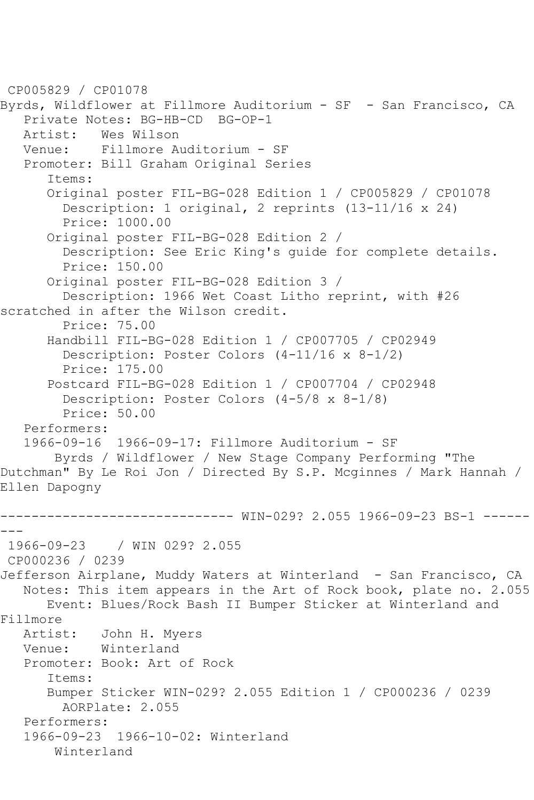CP005829 / CP01078 Byrds, Wildflower at Fillmore Auditorium - SF - San Francisco, CA Private Notes: BG-HB-CD BG-OP-1 Artist: Wes Wilson<br>Venue: Fillmore A Fillmore Auditorium - SF Promoter: Bill Graham Original Series Items: Original poster FIL-BG-028 Edition 1 / CP005829 / CP01078 Description: 1 original, 2 reprints (13-11/16 x 24) Price: 1000.00 Original poster FIL-BG-028 Edition 2 / Description: See Eric King's guide for complete details. Price: 150.00 Original poster FIL-BG-028 Edition 3 / Description: 1966 Wet Coast Litho reprint, with #26 scratched in after the Wilson credit. Price: 75.00 Handbill FIL-BG-028 Edition 1 / CP007705 / CP02949 Description: Poster Colors (4-11/16 x 8-1/2) Price: 175.00 Postcard FIL-BG-028 Edition 1 / CP007704 / CP02948 Description: Poster Colors (4-5/8 x 8-1/8) Price: 50.00 Performers: 1966-09-16 1966-09-17: Fillmore Auditorium - SF Byrds / Wildflower / New Stage Company Performing "The Dutchman" By Le Roi Jon / Directed By S.P. Mcginnes / Mark Hannah / Ellen Dapogny ------------------------------ WIN-029? 2.055 1966-09-23 BS-1 ------ --- 1966-09-23 / WIN 029? 2.055 CP000236 / 0239 Jefferson Airplane, Muddy Waters at Winterland - San Francisco, CA Notes: This item appears in the Art of Rock book, plate no. 2.055 Event: Blues/Rock Bash II Bumper Sticker at Winterland and Fillmore<br>Artist: John H. Myers Venue: Winterland Promoter: Book: Art of Rock Items: Bumper Sticker WIN-029? 2.055 Edition 1 / CP000236 / 0239 AORPlate: 2.055 Performers: 1966-09-23 1966-10-02: Winterland Winterland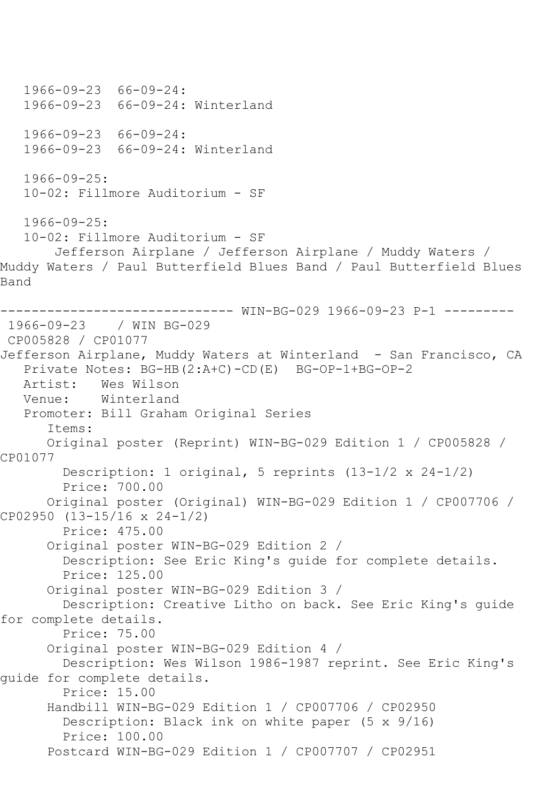1966-09-23 66-09-24: 1966-09-23 66-09-24: Winterland 1966-09-23 66-09-24: 1966-09-23 66-09-24: Winterland 1966-09-25: 10-02: Fillmore Auditorium - SF 1966-09-25: 10-02: Fillmore Auditorium - SF Jefferson Airplane / Jefferson Airplane / Muddy Waters / Muddy Waters / Paul Butterfield Blues Band / Paul Butterfield Blues Band ------------------------------ WIN-BG-029 1966-09-23 P-1 --------- 1966-09-23 / WIN BG-029 CP005828 / CP01077 Jefferson Airplane, Muddy Waters at Winterland - San Francisco, CA Private Notes: BG-HB(2:A+C)-CD(E) BG-OP-1+BG-OP-2 Artist: Wes Wilson Venue: Winterland Promoter: Bill Graham Original Series Items: Original poster (Reprint) WIN-BG-029 Edition 1 / CP005828 / CP01077 Description: 1 original, 5 reprints (13-1/2 x 24-1/2) Price: 700.00 Original poster (Original) WIN-BG-029 Edition 1 / CP007706 / CP02950 (13-15/16 x 24-1/2) Price: 475.00 Original poster WIN-BG-029 Edition 2 / Description: See Eric King's guide for complete details. Price: 125.00 Original poster WIN-BG-029 Edition 3 / Description: Creative Litho on back. See Eric King's guide for complete details. Price: 75.00 Original poster WIN-BG-029 Edition 4 / Description: Wes Wilson 1986-1987 reprint. See Eric King's guide for complete details. Price: 15.00 Handbill WIN-BG-029 Edition 1 / CP007706 / CP02950 Description: Black ink on white paper (5 x 9/16) Price: 100.00 Postcard WIN-BG-029 Edition 1 / CP007707 / CP02951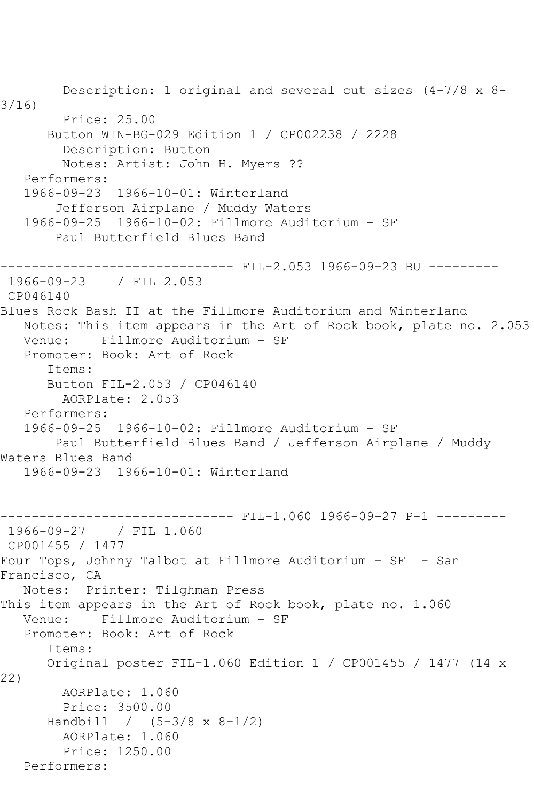Description: 1 original and several cut sizes (4-7/8 x 8- 3/16) Price: 25.00 Button WIN-BG-029 Edition 1 / CP002238 / 2228 Description: Button Notes: Artist: John H. Myers ?? Performers: 1966-09-23 1966-10-01: Winterland Jefferson Airplane / Muddy Waters 1966-09-25 1966-10-02: Fillmore Auditorium - SF Paul Butterfield Blues Band ------------------------------ FIL-2.053 1966-09-23 BU --------- 1966-09-23 / FIL 2.053 CP046140 Blues Rock Bash II at the Fillmore Auditorium and Winterland Notes: This item appears in the Art of Rock book, plate no. 2.053 Venue: Fillmore Auditorium - SF Promoter: Book: Art of Rock Items: Button FIL-2.053 / CP046140 AORPlate: 2.053 Performers: 1966-09-25 1966-10-02: Fillmore Auditorium - SF Paul Butterfield Blues Band / Jefferson Airplane / Muddy Waters Blues Band 1966-09-23 1966-10-01: Winterland ------------------------------ FIL-1.060 1966-09-27 P-1 --------- 1966-09-27 / FIL 1.060 CP001455 / 1477 Four Tops, Johnny Talbot at Fillmore Auditorium - SF - San Francisco, CA Notes: Printer: Tilghman Press This item appears in the Art of Rock book, plate no. 1.060 Venue: Fillmore Auditorium - SF Promoter: Book: Art of Rock Items: Original poster FIL-1.060 Edition 1 / CP001455 / 1477 (14 x 22) AORPlate: 1.060 Price: 3500.00 Handbill / (5-3/8 x 8-1/2) AORPlate: 1.060 Price: 1250.00 Performers: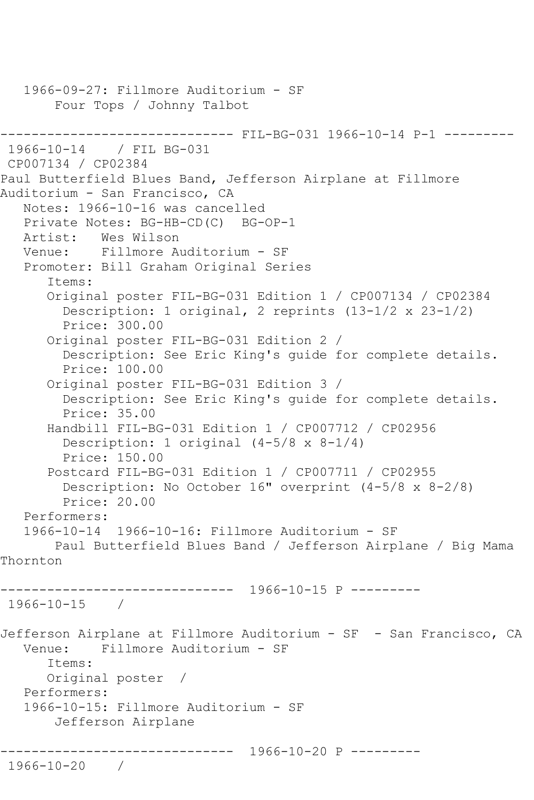```
 1966-09-27: Fillmore Auditorium - SF
        Four Tops / Johnny Talbot
------------------------------ FIL-BG-031 1966-10-14 P-1 ---------
1966-10-14 / FIL BG-031
CP007134 / CP02384
Paul Butterfield Blues Band, Jefferson Airplane at Fillmore 
Auditorium - San Francisco, CA
    Notes: 1966-10-16 was cancelled
    Private Notes: BG-HB-CD(C) BG-OP-1
    Artist: Wes Wilson
   Venue: Fillmore Auditorium - SF
    Promoter: Bill Graham Original Series
       Items:
       Original poster FIL-BG-031 Edition 1 / CP007134 / CP02384
         Description: 1 original, 2 reprints (13-1/2 x 23-1/2)
         Price: 300.00
       Original poster FIL-BG-031 Edition 2 / 
         Description: See Eric King's guide for complete details.
         Price: 100.00
       Original poster FIL-BG-031 Edition 3 / 
         Description: See Eric King's guide for complete details.
         Price: 35.00
       Handbill FIL-BG-031 Edition 1 / CP007712 / CP02956
         Description: 1 original (4-5/8 x 8-1/4)
         Price: 150.00
       Postcard FIL-BG-031 Edition 1 / CP007711 / CP02955
         Description: No October 16" overprint (4-5/8 x 8-2/8)
         Price: 20.00
    Performers:
    1966-10-14 1966-10-16: Fillmore Auditorium - SF
        Paul Butterfield Blues Band / Jefferson Airplane / Big Mama 
Thornton
                   ------------------------------ 1966-10-15 P ---------
1966-10-15 / 
Jefferson Airplane at Fillmore Auditorium - SF - San Francisco, CA
   Venue: Fillmore Auditorium - SF
       Items:
       Original poster / 
    Performers:
    1966-10-15: Fillmore Auditorium - SF
        Jefferson Airplane
              ------------------------------ 1966-10-20 P ---------
1966-10-20 /
```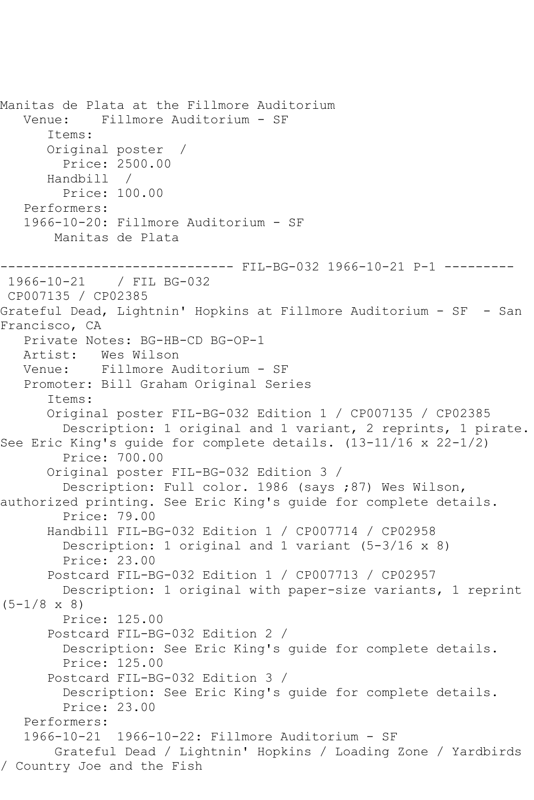Manitas de Plata at the Fillmore Auditorium Venue: Fillmore Auditorium - SF Items: Original poster / Price: 2500.00 Handbill / Price: 100.00 Performers: 1966-10-20: Fillmore Auditorium - SF Manitas de Plata --------- FIL-BG-032 1966-10-21 P-1 ---------1966-10-21 / FIL BG-032 CP007135 / CP02385 Grateful Dead, Lightnin' Hopkins at Fillmore Auditorium - SF - San Francisco, CA Private Notes: BG-HB-CD BG-OP-1<br>Artist: Wes Wilson Wes Wilson Venue: Fillmore Auditorium - SF Promoter: Bill Graham Original Series Items: Original poster FIL-BG-032 Edition 1 / CP007135 / CP02385 Description: 1 original and 1 variant, 2 reprints, 1 pirate. See Eric King's guide for complete details. (13-11/16 x 22-1/2) Price: 700.00 Original poster FIL-BG-032 Edition 3 / Description: Full color. 1986 (says ;87) Wes Wilson, authorized printing. See Eric King's guide for complete details. Price: 79.00 Handbill FIL-BG-032 Edition 1 / CP007714 / CP02958 Description: 1 original and 1 variant (5-3/16 x 8) Price: 23.00 Postcard FIL-BG-032 Edition 1 / CP007713 / CP02957 Description: 1 original with paper-size variants, 1 reprint  $(5-1/8 \times 8)$  Price: 125.00 Postcard FIL-BG-032 Edition 2 / Description: See Eric King's guide for complete details. Price: 125.00 Postcard FIL-BG-032 Edition 3 / Description: See Eric King's guide for complete details. Price: 23.00 Performers:<br>1966-10-21 1966-10-22: Fillmore Auditorium - SF Grateful Dead / Lightnin' Hopkins / Loading Zone / Yardbirds / Country Joe and the Fish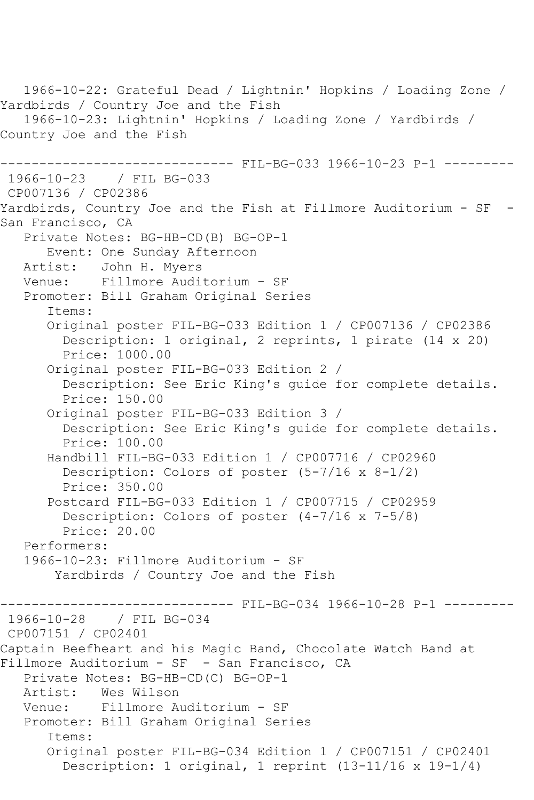1966-10-22: Grateful Dead / Lightnin' Hopkins / Loading Zone / Yardbirds / Country Joe and the Fish 1966-10-23: Lightnin' Hopkins / Loading Zone / Yardbirds / Country Joe and the Fish ------------------------------ FIL-BG-033 1966-10-23 P-1 --------- 1966-10-23 / FIL BG-033 CP007136 / CP02386 Yardbirds, Country Joe and the Fish at Fillmore Auditorium - SF - San Francisco, CA Private Notes: BG-HB-CD(B) BG-OP-1 Event: One Sunday Afternoon Artist: John H. Myers Venue: Fillmore Auditorium - SF Promoter: Bill Graham Original Series Items: Original poster FIL-BG-033 Edition 1 / CP007136 / CP02386 Description: 1 original, 2 reprints, 1 pirate (14 x 20) Price: 1000.00 Original poster FIL-BG-033 Edition 2 / Description: See Eric King's guide for complete details. Price: 150.00 Original poster FIL-BG-033 Edition 3 / Description: See Eric King's guide for complete details. Price: 100.00 Handbill FIL-BG-033 Edition 1 / CP007716 / CP02960 Description: Colors of poster (5-7/16 x 8-1/2) Price: 350.00 Postcard FIL-BG-033 Edition 1 / CP007715 / CP02959 Description: Colors of poster (4-7/16 x 7-5/8) Price: 20.00 Performers: 1966-10-23: Fillmore Auditorium - SF Yardbirds / Country Joe and the Fish ------------------------------ FIL-BG-034 1966-10-28 P-1 --------- 1966-10-28 / FIL BG-034 CP007151 / CP02401 Captain Beefheart and his Magic Band, Chocolate Watch Band at Fillmore Auditorium - SF - San Francisco, CA Private Notes: BG-HB-CD(C) BG-OP-1 Artist: Wes Wilson Venue: Fillmore Auditorium - SF Promoter: Bill Graham Original Series Items: Original poster FIL-BG-034 Edition 1 / CP007151 / CP02401 Description: 1 original, 1 reprint (13-11/16 x 19-1/4)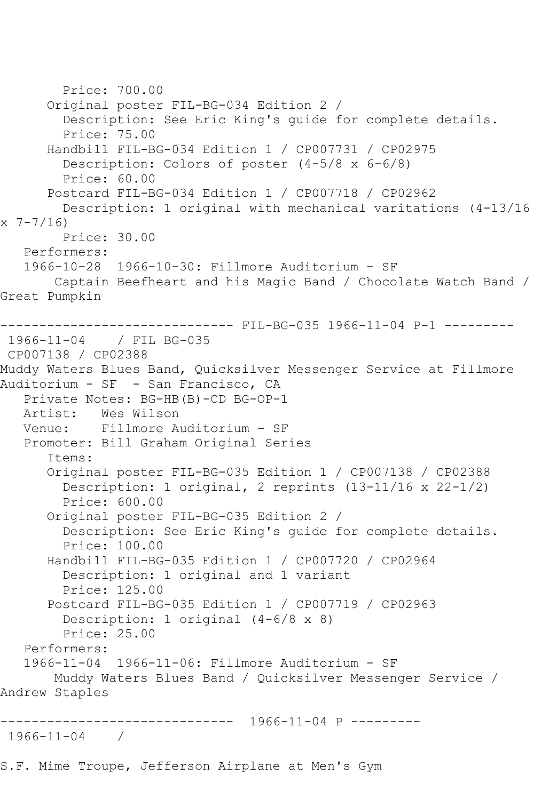Price: 700.00 Original poster FIL-BG-034 Edition 2 / Description: See Eric King's guide for complete details. Price: 75.00 Handbill FIL-BG-034 Edition 1 / CP007731 / CP02975 Description: Colors of poster (4-5/8 x 6-6/8) Price: 60.00 Postcard FIL-BG-034 Edition 1 / CP007718 / CP02962 Description: 1 original with mechanical varitations (4-13/16 x 7-7/16) Price: 30.00 Performers: 1966-10-28 1966-10-30: Fillmore Auditorium - SF Captain Beefheart and his Magic Band / Chocolate Watch Band / Great Pumpkin ------------------------------ FIL-BG-035 1966-11-04 P-1 --------- 1966-11-04 / FIL BG-035 CP007138 / CP02388 Muddy Waters Blues Band, Quicksilver Messenger Service at Fillmore Auditorium - SF - San Francisco, CA Private Notes: BG-HB(B)-CD BG-OP-1 Artist: Wes Wilson Venue: Fillmore Auditorium - SF Promoter: Bill Graham Original Series Items: Original poster FIL-BG-035 Edition 1 / CP007138 / CP02388 Description: 1 original, 2 reprints (13-11/16 x 22-1/2) Price: 600.00 Original poster FIL-BG-035 Edition 2 / Description: See Eric King's guide for complete details. Price: 100.00 Handbill FIL-BG-035 Edition 1 / CP007720 / CP02964 Description: 1 original and 1 variant Price: 125.00 Postcard FIL-BG-035 Edition 1 / CP007719 / CP02963 Description: 1 original (4-6/8 x 8) Price: 25.00 Performers: 1966-11-04 1966-11-06: Fillmore Auditorium - SF Muddy Waters Blues Band / Quicksilver Messenger Service / Andrew Staples ------------------------------ 1966-11-04 P --------- 1966-11-04 /

S.F. Mime Troupe, Jefferson Airplane at Men's Gym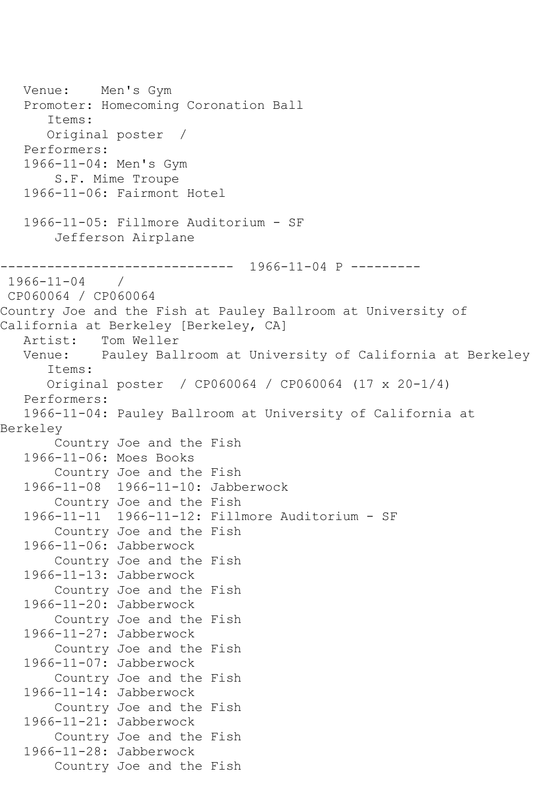```
 Venue: Men's Gym
    Promoter: Homecoming Coronation Ball
       Items:
       Original poster / 
    Performers:
    1966-11-04: Men's Gym
        S.F. Mime Troupe
    1966-11-06: Fairmont Hotel
    1966-11-05: Fillmore Auditorium - SF
        Jefferson Airplane
           ------------------------------ 1966-11-04 P ---------
1966-11-04 / 
CP060064 / CP060064
Country Joe and the Fish at Pauley Ballroom at University of 
California at Berkeley [Berkeley, CA]
  Artist: Tom Weller<br>Venue: Pauley Bal
           Pauley Ballroom at University of California at Berkeley
       Items:
       Original poster / CP060064 / CP060064 (17 x 20-1/4)
    Performers:
    1966-11-04: Pauley Ballroom at University of California at 
Berkeley
        Country Joe and the Fish
    1966-11-06: Moes Books
        Country Joe and the Fish
    1966-11-08 1966-11-10: Jabberwock
        Country Joe and the Fish
    1966-11-11 1966-11-12: Fillmore Auditorium - SF
        Country Joe and the Fish
    1966-11-06: Jabberwock
        Country Joe and the Fish
    1966-11-13: Jabberwock
        Country Joe and the Fish
    1966-11-20: Jabberwock
        Country Joe and the Fish
    1966-11-27: Jabberwock
        Country Joe and the Fish
    1966-11-07: Jabberwock
        Country Joe and the Fish
    1966-11-14: Jabberwock
        Country Joe and the Fish
    1966-11-21: Jabberwock
        Country Joe and the Fish
    1966-11-28: Jabberwock
        Country Joe and the Fish
```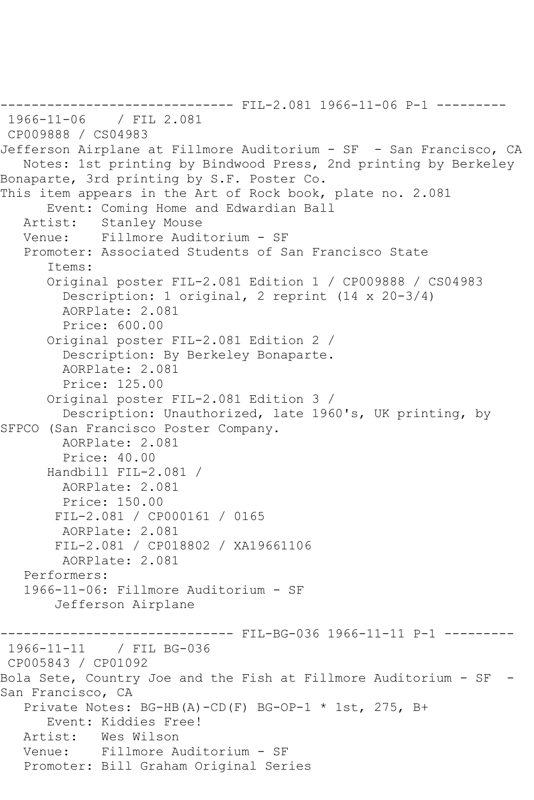------------------------------ FIL-2.081 1966-11-06 P-1 --------- 1966-11-06 / FIL 2.081 CP009888 / CS04983 Jefferson Airplane at Fillmore Auditorium - SF - San Francisco, CA Notes: 1st printing by Bindwood Press, 2nd printing by Berkeley Bonaparte, 3rd printing by S.F. Poster Co. This item appears in the Art of Rock book, plate no. 2.081 Event: Coming Home and Edwardian Ball Artist: Stanley Mouse<br>Venue: Fillmore Audi Fillmore Auditorium - SF Promoter: Associated Students of San Francisco State Items: Original poster FIL-2.081 Edition 1 / CP009888 / CS04983 Description: 1 original, 2 reprint (14 x 20-3/4) AORPlate: 2.081 Price: 600.00 Original poster FIL-2.081 Edition 2 / Description: By Berkeley Bonaparte. AORPlate: 2.081 Price: 125.00 Original poster FIL-2.081 Edition 3 / Description: Unauthorized, late 1960's, UK printing, by SFPCO (San Francisco Poster Company. AORPlate: 2.081 Price: 40.00 Handbill FIL-2.081 / AORPlate: 2.081 Price: 150.00 FIL-2.081 / CP000161 / 0165 AORPlate: 2.081 FIL-2.081 / CP018802 / XA19661106 AORPlate: 2.081 Performers: 1966-11-06: Fillmore Auditorium - SF Jefferson Airplane -------------------------------- FIL-BG-036 1966-11-11 P-1 ----------<br>1966-11-11 / FIL BG-036 / FIL BG-036 CP005843 / CP01092 Bola Sete, Country Joe and the Fish at Fillmore Auditorium - SF - San Francisco, CA Private Notes: BG-HB(A)-CD(F) BG-OP-1 \* 1st, 275, B+ Event: Kiddies Free! Artist: Wes Wilson Venue: Fillmore Auditorium - SF Promoter: Bill Graham Original Series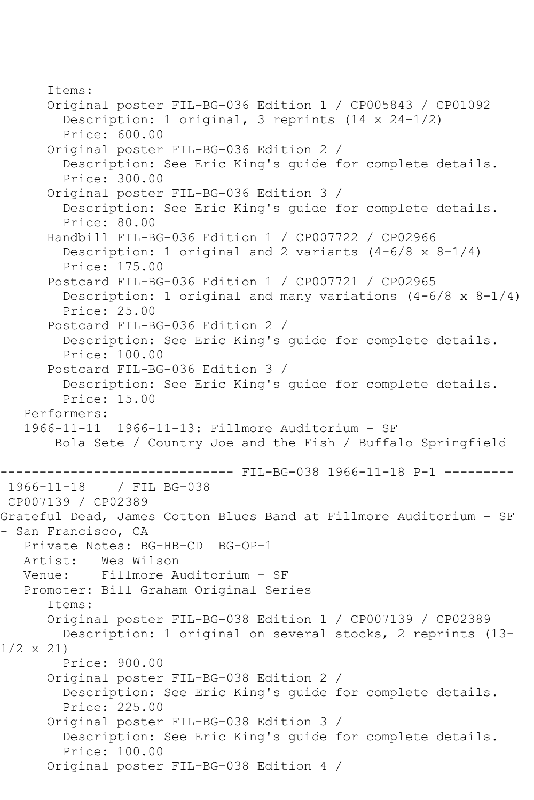Items: Original poster FIL-BG-036 Edition 1 / CP005843 / CP01092 Description: 1 original, 3 reprints (14 x 24-1/2) Price: 600.00 Original poster FIL-BG-036 Edition 2 / Description: See Eric King's guide for complete details. Price: 300.00 Original poster FIL-BG-036 Edition 3 / Description: See Eric King's guide for complete details. Price: 80.00 Handbill FIL-BG-036 Edition 1 / CP007722 / CP02966 Description: 1 original and 2 variants  $(4-6/8 \times 8-1/4)$  Price: 175.00 Postcard FIL-BG-036 Edition 1 / CP007721 / CP02965 Description: 1 original and many variations  $(4-6/8 \times 8-1/4)$  Price: 25.00 Postcard FIL-BG-036 Edition 2 / Description: See Eric King's guide for complete details. Price: 100.00 Postcard FIL-BG-036 Edition 3 / Description: See Eric King's guide for complete details. Price: 15.00 Performers: 1966-11-11 1966-11-13: Fillmore Auditorium - SF Bola Sete / Country Joe and the Fish / Buffalo Springfield ------------------------------ FIL-BG-038 1966-11-18 P-1 ---------<br>1966-11-18 / FIL BG-038 / FIL BG-038 CP007139 / CP02389 Grateful Dead, James Cotton Blues Band at Fillmore Auditorium - SF - San Francisco, CA Private Notes: BG-HB-CD BG-OP-1<br>Artist: Wes Wilson Wes Wilson Venue: Fillmore Auditorium - SF Promoter: Bill Graham Original Series Items: Original poster FIL-BG-038 Edition 1 / CP007139 / CP02389 Description: 1 original on several stocks, 2 reprints (13- 1/2 x 21) Price: 900.00 Original poster FIL-BG-038 Edition 2 / Description: See Eric King's guide for complete details. Price: 225.00 Original poster FIL-BG-038 Edition 3 / Description: See Eric King's guide for complete details. Price: 100.00 Original poster FIL-BG-038 Edition 4 /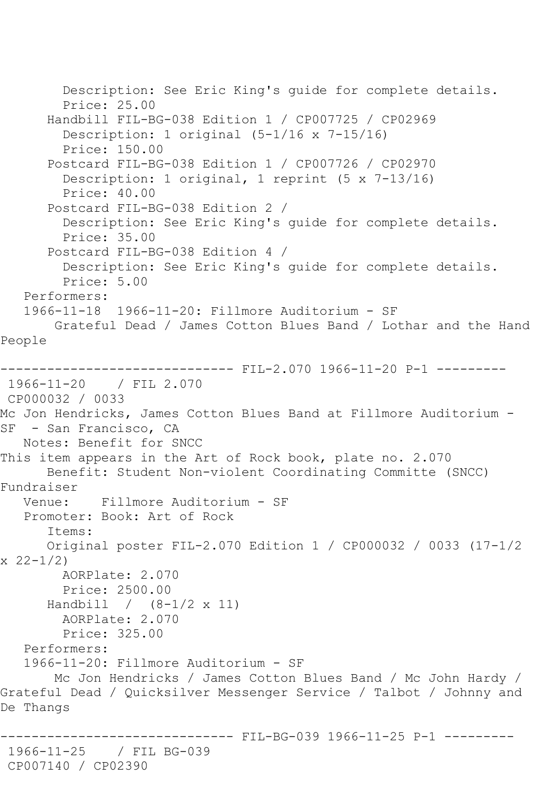Description: See Eric King's guide for complete details. Price: 25.00 Handbill FIL-BG-038 Edition 1 / CP007725 / CP02969 Description: 1 original (5-1/16 x 7-15/16) Price: 150.00 Postcard FIL-BG-038 Edition 1 / CP007726 / CP02970 Description: 1 original, 1 reprint (5 x 7-13/16) Price: 40.00 Postcard FIL-BG-038 Edition 2 / Description: See Eric King's guide for complete details. Price: 35.00 Postcard FIL-BG-038 Edition 4 / Description: See Eric King's guide for complete details. Price: 5.00 Performers: 1966-11-18 1966-11-20: Fillmore Auditorium - SF Grateful Dead / James Cotton Blues Band / Lothar and the Hand People ------------------------------ FIL-2.070 1966-11-20 P-1 --------- 1966-11-20 / FIL 2.070 CP000032 / 0033 Mc Jon Hendricks, James Cotton Blues Band at Fillmore Auditorium - SF - San Francisco, CA Notes: Benefit for SNCC This item appears in the Art of Rock book, plate no. 2.070 Benefit: Student Non-violent Coordinating Committe (SNCC) Fundraiser Venue: Fillmore Auditorium - SF Promoter: Book: Art of Rock Items: Original poster FIL-2.070 Edition 1 / CP000032 / 0033 (17-1/2  $x \ 22 - 1/2$  AORPlate: 2.070 Price: 2500.00 Handbill / (8-1/2 x 11) AORPlate: 2.070 Price: 325.00 Performers: 1966-11-20: Fillmore Auditorium - SF Mc Jon Hendricks / James Cotton Blues Band / Mc John Hardy / Grateful Dead / Quicksilver Messenger Service / Talbot / Johnny and De Thangs ------------------------------ FIL-BG-039 1966-11-25 P-1 --------- 1966-11-25 / FIL BG-039 CP007140 / CP02390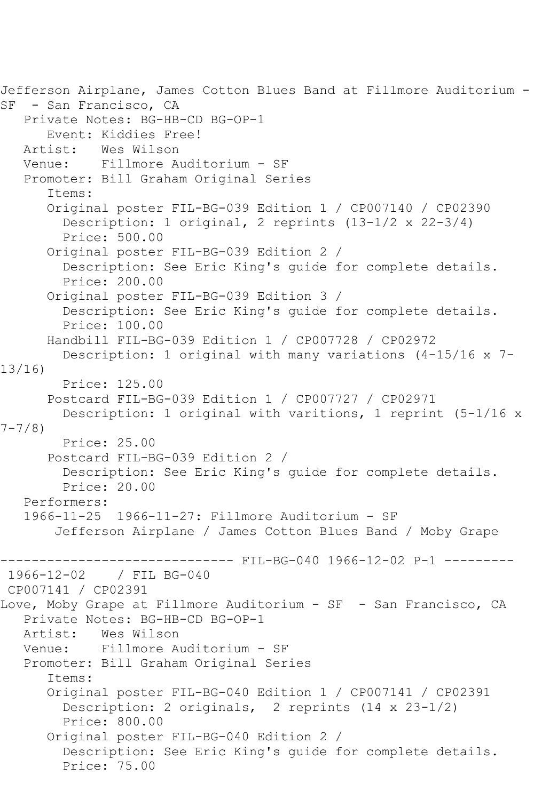```
Jefferson Airplane, James Cotton Blues Band at Fillmore Auditorium -
SF - San Francisco, CA
    Private Notes: BG-HB-CD BG-OP-1
       Event: Kiddies Free!
    Artist: Wes Wilson
   Venue: Fillmore Auditorium - SF
    Promoter: Bill Graham Original Series
       Items:
       Original poster FIL-BG-039 Edition 1 / CP007140 / CP02390
         Description: 1 original, 2 reprints (13-1/2 x 22-3/4)
         Price: 500.00
       Original poster FIL-BG-039 Edition 2 / 
         Description: See Eric King's guide for complete details.
         Price: 200.00
       Original poster FIL-BG-039 Edition 3 / 
         Description: See Eric King's guide for complete details.
         Price: 100.00
       Handbill FIL-BG-039 Edition 1 / CP007728 / CP02972
         Description: 1 original with many variations (4-15/16 x 7-
13/16)
         Price: 125.00
       Postcard FIL-BG-039 Edition 1 / CP007727 / CP02971
         Description: 1 original with varitions, 1 reprint (5-1/16 x 
7-7/8)
         Price: 25.00
       Postcard FIL-BG-039 Edition 2 / 
         Description: See Eric King's guide for complete details.
         Price: 20.00
    Performers:
    1966-11-25 1966-11-27: Fillmore Auditorium - SF
        Jefferson Airplane / James Cotton Blues Band / Moby Grape
--------------------------------- FIL-BG-040 1966-12-02 P-1 ----------<br>1966-12-02   / FIL BG-040
               / FIL BG-040
CP007141 / CP02391
Love, Moby Grape at Fillmore Auditorium - SF - San Francisco, CA
  Private Notes: BG-HB-CD BG-OP-1<br>Artist: Wes Wilson
            Wes Wilson
   Venue: Fillmore Auditorium - SF
    Promoter: Bill Graham Original Series
       Items:
       Original poster FIL-BG-040 Edition 1 / CP007141 / CP02391
         Description: 2 originals, 2 reprints (14 x 23-1/2)
         Price: 800.00
       Original poster FIL-BG-040 Edition 2 / 
         Description: See Eric King's guide for complete details.
         Price: 75.00
```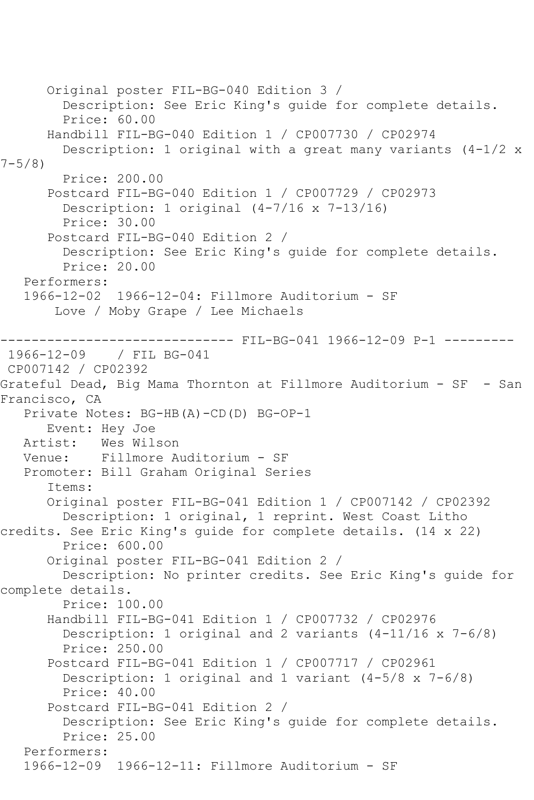```
 Original poster FIL-BG-040 Edition 3 / 
         Description: See Eric King's guide for complete details.
         Price: 60.00
       Handbill FIL-BG-040 Edition 1 / CP007730 / CP02974
         Description: 1 original with a great many variants (4-1/2 x 
7 - 5/8)
         Price: 200.00
       Postcard FIL-BG-040 Edition 1 / CP007729 / CP02973
         Description: 1 original (4-7/16 x 7-13/16)
         Price: 30.00
       Postcard FIL-BG-040 Edition 2 / 
         Description: See Eric King's guide for complete details.
         Price: 20.00
    Performers:
    1966-12-02 1966-12-04: Fillmore Auditorium - SF
        Love / Moby Grape / Lee Michaels
                      ------------------------------ FIL-BG-041 1966-12-09 P-1 ---------
1966-12-09 / FIL BG-041
CP007142 / CP02392
Grateful Dead, Big Mama Thornton at Fillmore Auditorium - SF - San 
Francisco, CA
   Private Notes: BG-HB(A)-CD(D) BG-OP-1
  Event: Hey Joe<br>Artist: Wes Wil
  Artist: Wes Wilson<br>Venue: Fillmore A
            Fillmore Auditorium - SF
    Promoter: Bill Graham Original Series
       Items:
       Original poster FIL-BG-041 Edition 1 / CP007142 / CP02392
         Description: 1 original, 1 reprint. West Coast Litho 
credits. See Eric King's guide for complete details. (14 x 22)
         Price: 600.00
       Original poster FIL-BG-041 Edition 2 / 
         Description: No printer credits. See Eric King's guide for 
complete details.
         Price: 100.00
       Handbill FIL-BG-041 Edition 1 / CP007732 / CP02976
         Description: 1 original and 2 variants (4-11/16 x 7-6/8)
         Price: 250.00
       Postcard FIL-BG-041 Edition 1 / CP007717 / CP02961
         Description: 1 original and 1 variant (4-5/8 x 7-6/8)
         Price: 40.00
       Postcard FIL-BG-041 Edition 2 / 
         Description: See Eric King's guide for complete details.
         Price: 25.00
    Performers:
    1966-12-09 1966-12-11: Fillmore Auditorium - SF
```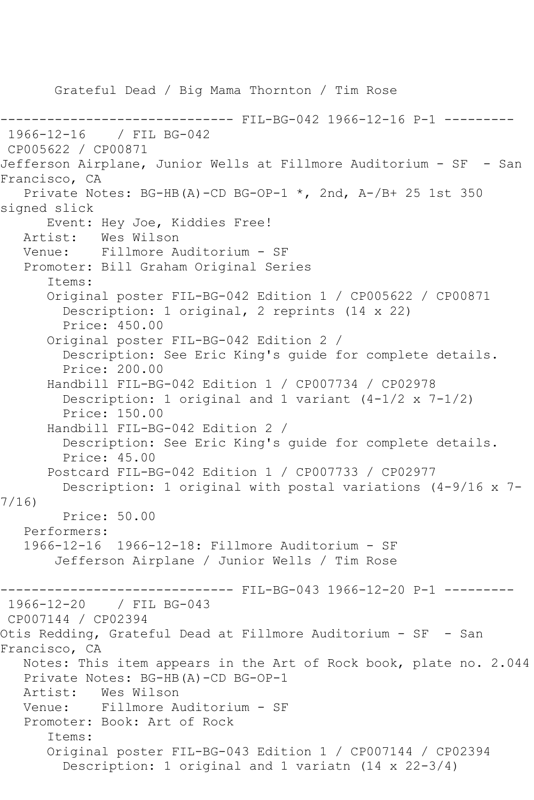Grateful Dead / Big Mama Thornton / Tim Rose ------ FIL-BG-042 1966-12-16 P-1 ---------1966-12-16 / FIL BG-042 CP005622 / CP00871 Jefferson Airplane, Junior Wells at Fillmore Auditorium - SF - San Francisco, CA Private Notes: BG-HB(A)-CD BG-OP-1 \*, 2nd, A-/B+ 25 1st 350 signed slick Event: Hey Joe, Kiddies Free!<br>Artist: Wes Wilson Wes Wilson Venue: Fillmore Auditorium - SF Promoter: Bill Graham Original Series Items: Original poster FIL-BG-042 Edition 1 / CP005622 / CP00871 Description: 1 original, 2 reprints (14 x 22) Price: 450.00 Original poster FIL-BG-042 Edition 2 / Description: See Eric King's guide for complete details. Price: 200.00 Handbill FIL-BG-042 Edition 1 / CP007734 / CP02978 Description: 1 original and 1 variant (4-1/2 x 7-1/2) Price: 150.00 Handbill FIL-BG-042 Edition 2 / Description: See Eric King's guide for complete details. Price: 45.00 Postcard FIL-BG-042 Edition 1 / CP007733 / CP02977 Description: 1 original with postal variations (4-9/16 x 7- 7/16) Price: 50.00 Performers: 1966-12-16 1966-12-18: Fillmore Auditorium - SF Jefferson Airplane / Junior Wells / Tim Rose ----- FIL-BG-043 1966-12-20 P-1 ---------1966-12-20 / FIL BG-043 CP007144 / CP02394 Otis Redding, Grateful Dead at Fillmore Auditorium - SF - San Francisco, CA Notes: This item appears in the Art of Rock book, plate no. 2.044 Private Notes: BG-HB(A)-CD BG-OP-1 Artist: Wes Wilson Venue: Fillmore Auditorium - SF Promoter: Book: Art of Rock Items: Original poster FIL-BG-043 Edition 1 / CP007144 / CP02394 Description: 1 original and 1 variatn (14 x 22-3/4)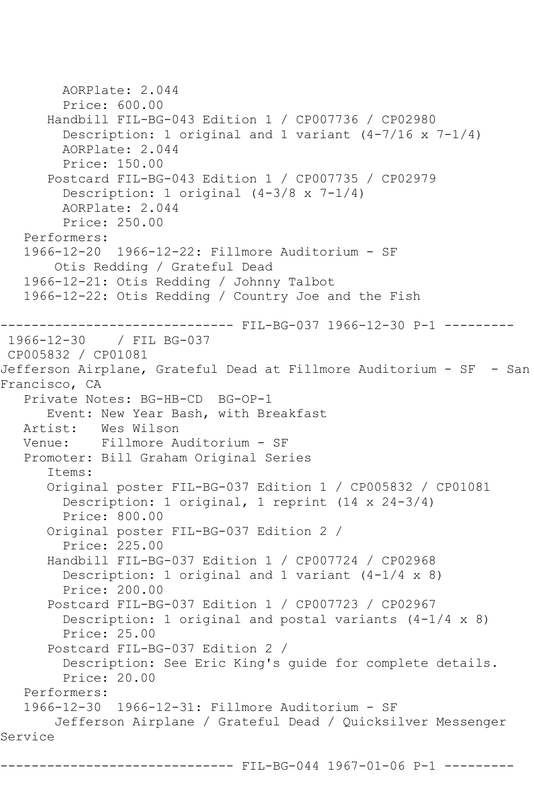```
 AORPlate: 2.044 
         Price: 600.00
       Handbill FIL-BG-043 Edition 1 / CP007736 / CP02980
         Description: 1 original and 1 variant (4-7/16 x 7-1/4)
         AORPlate: 2.044 
         Price: 150.00
       Postcard FIL-BG-043 Edition 1 / CP007735 / CP02979
         Description: 1 original (4-3/8 x 7-1/4)
         AORPlate: 2.044 
         Price: 250.00
   Performers:
    1966-12-20 1966-12-22: Fillmore Auditorium - SF
        Otis Redding / Grateful Dead
    1966-12-21: Otis Redding / Johnny Talbot
    1966-12-22: Otis Redding / Country Joe and the Fish
                  ------------------------------ FIL-BG-037 1966-12-30 P-1 ---------
1966-12-30 / FIL BG-037
CP005832 / CP01081
Jefferson Airplane, Grateful Dead at Fillmore Auditorium - SF - San 
Francisco, CA
    Private Notes: BG-HB-CD BG-OP-1
   Event: New Year Bash, with Breakfast<br>Artist: Wes Wilson
            Wes Wilson
   Venue: Fillmore Auditorium - SF
    Promoter: Bill Graham Original Series
       Items:
       Original poster FIL-BG-037 Edition 1 / CP005832 / CP01081
         Description: 1 original, 1 reprint (14 x 24-3/4)
         Price: 800.00
       Original poster FIL-BG-037 Edition 2 / 
         Price: 225.00
       Handbill FIL-BG-037 Edition 1 / CP007724 / CP02968
         Description: 1 original and 1 variant (4-1/4 x 8)
         Price: 200.00
       Postcard FIL-BG-037 Edition 1 / CP007723 / CP02967
         Description: 1 original and postal variants (4-1/4 x 8)
         Price: 25.00
       Postcard FIL-BG-037 Edition 2 / 
         Description: See Eric King's guide for complete details.
         Price: 20.00
    Performers:
    1966-12-30 1966-12-31: Fillmore Auditorium - SF
        Jefferson Airplane / Grateful Dead / Quicksilver Messenger 
Service
                      --------- FIL-BG-044 1967-01-06 P-1 ---------
```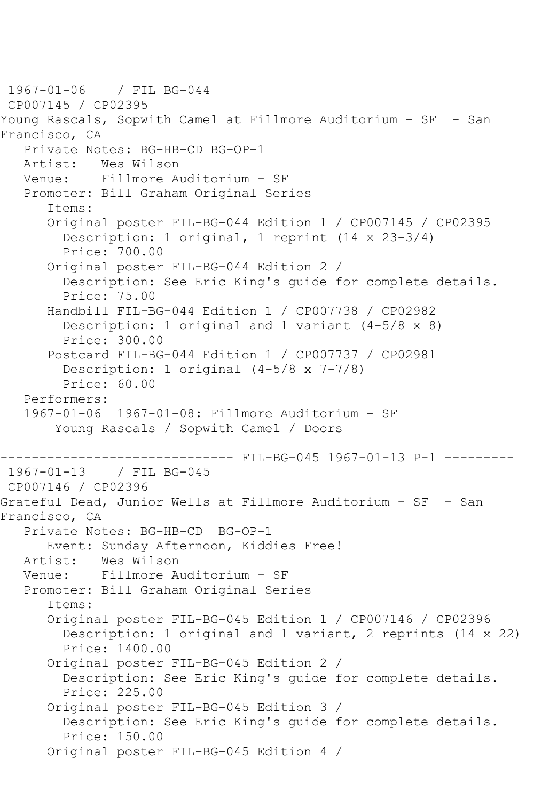1967-01-06 / FIL BG-044 CP007145 / CP02395 Young Rascals, Sopwith Camel at Fillmore Auditorium - SF - San Francisco, CA Private Notes: BG-HB-CD BG-OP-1<br>Artist: Wes Wilson Wes Wilson Venue: Fillmore Auditorium - SF Promoter: Bill Graham Original Series Items: Original poster FIL-BG-044 Edition 1 / CP007145 / CP02395 Description: 1 original, 1 reprint (14 x 23-3/4) Price: 700.00 Original poster FIL-BG-044 Edition 2 / Description: See Eric King's guide for complete details. Price: 75.00 Handbill FIL-BG-044 Edition 1 / CP007738 / CP02982 Description: 1 original and 1 variant (4-5/8 x 8) Price: 300.00 Postcard FIL-BG-044 Edition 1 / CP007737 / CP02981 Description: 1 original (4-5/8 x 7-7/8) Price: 60.00 Performers: 1967-01-06 1967-01-08: Fillmore Auditorium - SF Young Rascals / Sopwith Camel / Doors ------------------------------- FIL-BG-045 1967-01-13 P-1 ---------<br>1967-01-13 / FIL BG-045 1967-01-13 / FIL BG-045 CP007146 / CP02396 Grateful Dead, Junior Wells at Fillmore Auditorium - SF - San Francisco, CA Private Notes: BG-HB-CD BG-OP-1 Event: Sunday Afternoon, Kiddies Free! Artist: Wes Wilson<br>Venue: Fillmore A Fillmore Auditorium - SF Promoter: Bill Graham Original Series Items: Original poster FIL-BG-045 Edition 1 / CP007146 / CP02396 Description: 1 original and 1 variant, 2 reprints (14 x 22) Price: 1400.00 Original poster FIL-BG-045 Edition 2 / Description: See Eric King's guide for complete details. Price: 225.00 Original poster FIL-BG-045 Edition 3 / Description: See Eric King's guide for complete details. Price: 150.00 Original poster FIL-BG-045 Edition 4 /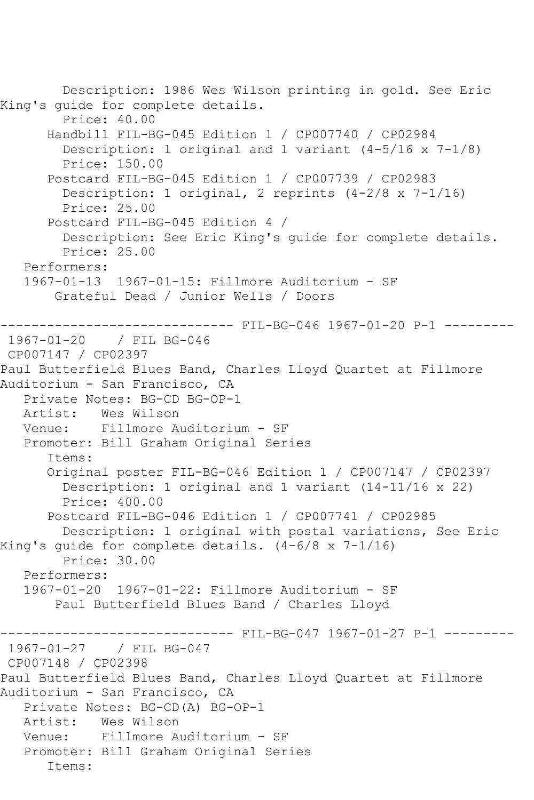Description: 1986 Wes Wilson printing in gold. See Eric King's guide for complete details. Price: 40.00 Handbill FIL-BG-045 Edition 1 / CP007740 / CP02984 Description: 1 original and 1 variant (4-5/16 x 7-1/8) Price: 150.00 Postcard FIL-BG-045 Edition 1 / CP007739 / CP02983 Description: 1 original, 2 reprints  $(4-2/8 \times 7-1/16)$  Price: 25.00 Postcard FIL-BG-045 Edition 4 / Description: See Eric King's guide for complete details. Price: 25.00 Performers: 1967-01-13 1967-01-15: Fillmore Auditorium - SF Grateful Dead / Junior Wells / Doors ------------------------------ FIL-BG-046 1967-01-20 P-1 --------- 1967-01-20 / FIL BG-046 CP007147 / CP02397 Paul Butterfield Blues Band, Charles Lloyd Quartet at Fillmore Auditorium - San Francisco, CA Private Notes: BG-CD BG-OP-1 Artist: Wes Wilson Venue: Fillmore Auditorium - SF Promoter: Bill Graham Original Series Items: Original poster FIL-BG-046 Edition 1 / CP007147 / CP02397 Description: 1 original and 1 variant (14-11/16 x 22) Price: 400.00 Postcard FIL-BG-046 Edition 1 / CP007741 / CP02985 Description: 1 original with postal variations, See Eric King's guide for complete details. (4-6/8 x 7-1/16) Price: 30.00 Performers: 1967-01-20 1967-01-22: Fillmore Auditorium - SF Paul Butterfield Blues Band / Charles Lloyd ----------- FIL-BG-047 1967-01-27 P-1 ---------1967-01-27 / FIL BG-047 CP007148 / CP02398 Paul Butterfield Blues Band, Charles Lloyd Quartet at Fillmore Auditorium - San Francisco, CA Private Notes: BG-CD(A) BG-OP-1 Artist: Wes Wilson Venue: Fillmore Auditorium - SF Promoter: Bill Graham Original Series Items: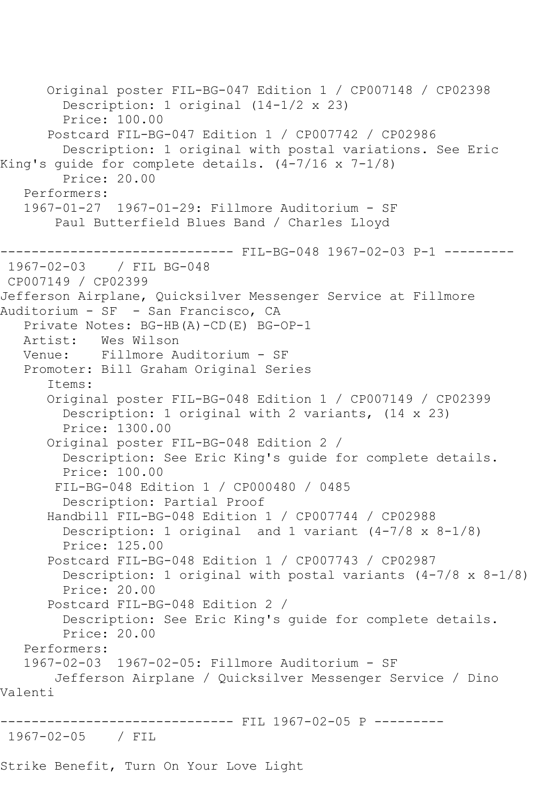Original poster FIL-BG-047 Edition 1 / CP007148 / CP02398 Description: 1 original (14-1/2 x 23) Price: 100.00 Postcard FIL-BG-047 Edition 1 / CP007742 / CP02986 Description: 1 original with postal variations. See Eric King's guide for complete details. (4-7/16 x 7-1/8) Price: 20.00 Performers: 1967-01-27 1967-01-29: Fillmore Auditorium - SF Paul Butterfield Blues Band / Charles Lloyd ------------------------------ FIL-BG-048 1967-02-03 P-1 --------- 1967-02-03 / FIL BG-048 CP007149 / CP02399 Jefferson Airplane, Quicksilver Messenger Service at Fillmore Auditorium - SF - San Francisco, CA Private Notes: BG-HB(A)-CD(E) BG-OP-1 Artist: Wes Wilson Venue: Fillmore Auditorium - SF Promoter: Bill Graham Original Series Items: Original poster FIL-BG-048 Edition 1 / CP007149 / CP02399 Description: 1 original with 2 variants, (14 x 23) Price: 1300.00 Original poster FIL-BG-048 Edition 2 / Description: See Eric King's guide for complete details. Price: 100.00 FIL-BG-048 Edition 1 / CP000480 / 0485 Description: Partial Proof Handbill FIL-BG-048 Edition 1 / CP007744 / CP02988 Description: 1 original and 1 variant (4-7/8 x 8-1/8) Price: 125.00 Postcard FIL-BG-048 Edition 1 / CP007743 / CP02987 Description: 1 original with postal variants (4-7/8 x 8-1/8) Price: 20.00 Postcard FIL-BG-048 Edition 2 / Description: See Eric King's guide for complete details. Price: 20.00 Performers: 1967-02-03 1967-02-05: Fillmore Auditorium - SF Jefferson Airplane / Quicksilver Messenger Service / Dino Valenti ------------------------------ FIL 1967-02-05 P --------- 1967-02-05 / FIL

Strike Benefit, Turn On Your Love Light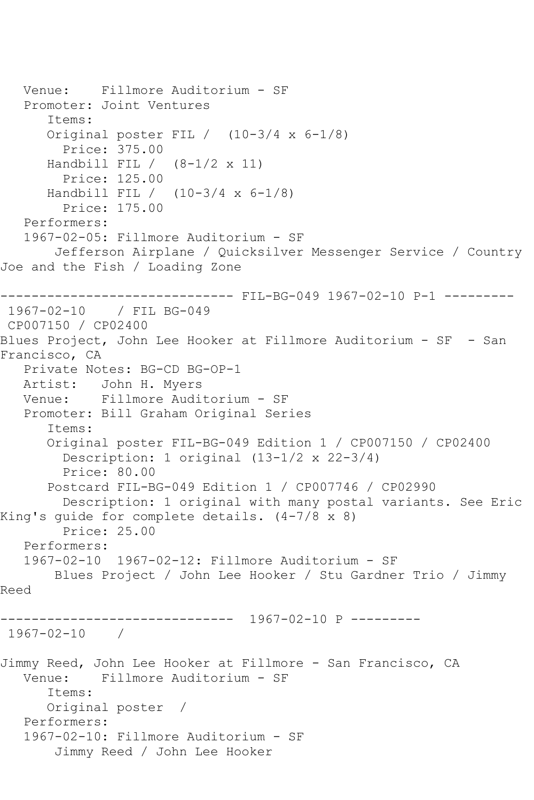```
 Venue: Fillmore Auditorium - SF
    Promoter: Joint Ventures
       Items:
       Original poster FIL / (10-3/4 x 6-1/8)
         Price: 375.00
      Handbill FIL / (8-1/2 x 11)
         Price: 125.00
       Handbill FIL / (10-3/4 x 6-1/8)
         Price: 175.00
    Performers:
    1967-02-05: Fillmore Auditorium - SF
        Jefferson Airplane / Quicksilver Messenger Service / Country 
Joe and the Fish / Loading Zone
------------------------------ FIL-BG-049 1967-02-10 P-1 ---------
1967-02-10 / FIL BG-049
CP007150 / CP02400
Blues Project, John Lee Hooker at Fillmore Auditorium - SF - San 
Francisco, CA
   Private Notes: BG-CD BG-OP-1
   Artist: John H. Myers
   Venue: Fillmore Auditorium - SF
   Promoter: Bill Graham Original Series
       Items:
       Original poster FIL-BG-049 Edition 1 / CP007150 / CP02400
         Description: 1 original (13-1/2 x 22-3/4)
         Price: 80.00
       Postcard FIL-BG-049 Edition 1 / CP007746 / CP02990
         Description: 1 original with many postal variants. See Eric 
King's guide for complete details. (4-7/8 x 8)
         Price: 25.00
    Performers:
    1967-02-10 1967-02-12: Fillmore Auditorium - SF
        Blues Project / John Lee Hooker / Stu Gardner Trio / Jimmy 
Reed
      ------------------------------ 1967-02-10 P ---------
1967-02-10 / 
Jimmy Reed, John Lee Hooker at Fillmore - San Francisco, CA<br>Venue: Fillmore Auditorium - SF
             Venue: Fillmore Auditorium - SF
       Items:
       Original poster / 
    Performers:
    1967-02-10: Fillmore Auditorium - SF
        Jimmy Reed / John Lee Hooker
```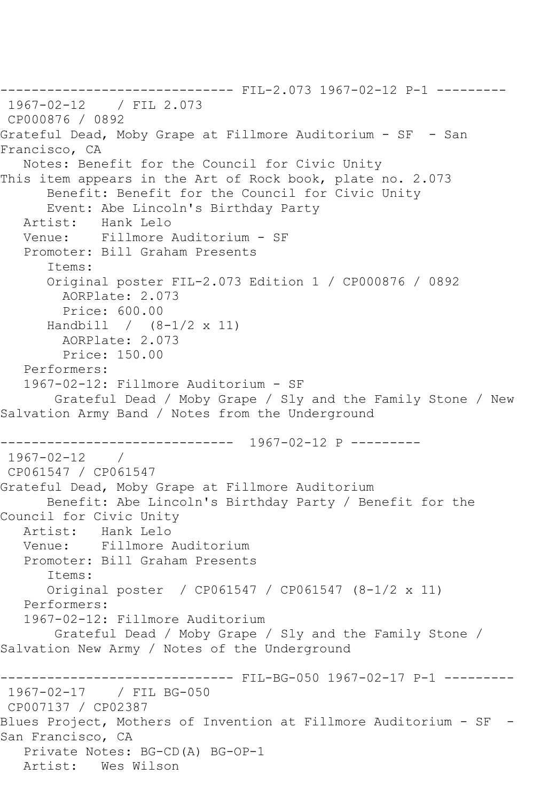------------------------------ FIL-2.073 1967-02-12 P-1 --------- 1967-02-12 / FIL 2.073 CP000876 / 0892 Grateful Dead, Moby Grape at Fillmore Auditorium - SF - San Francisco, CA Notes: Benefit for the Council for Civic Unity This item appears in the Art of Rock book, plate no. 2.073 Benefit: Benefit for the Council for Civic Unity Event: Abe Lincoln's Birthday Party Artist: Hank Lelo Venue: Fillmore Auditorium - SF Promoter: Bill Graham Presents Items: Original poster FIL-2.073 Edition 1 / CP000876 / 0892 AORPlate: 2.073 Price: 600.00 Handbill / (8-1/2 x 11) AORPlate: 2.073 Price: 150.00 Performers: 1967-02-12: Fillmore Auditorium - SF Grateful Dead / Moby Grape / Sly and the Family Stone / New Salvation Army Band / Notes from the Underground ------------------------------ 1967-02-12 P --------- 1967-02-12 / CP061547 / CP061547 Grateful Dead, Moby Grape at Fillmore Auditorium Benefit: Abe Lincoln's Birthday Party / Benefit for the Council for Civic Unity Artist: Hank Lelo<br>Venue: Fillmore *l* Fillmore Auditorium Promoter: Bill Graham Presents Items: Original poster / CP061547 / CP061547 (8-1/2 x 11) Performers: 1967-02-12: Fillmore Auditorium Grateful Dead / Moby Grape / Sly and the Family Stone / Salvation New Army / Notes of the Underground ------------------------------ FIL-BG-050 1967-02-17 P-1 --------- 1967-02-17 / FIL BG-050 CP007137 / CP02387 Blues Project, Mothers of Invention at Fillmore Auditorium - SF - San Francisco, CA Private Notes: BG-CD(A) BG-OP-1 Artist: Wes Wilson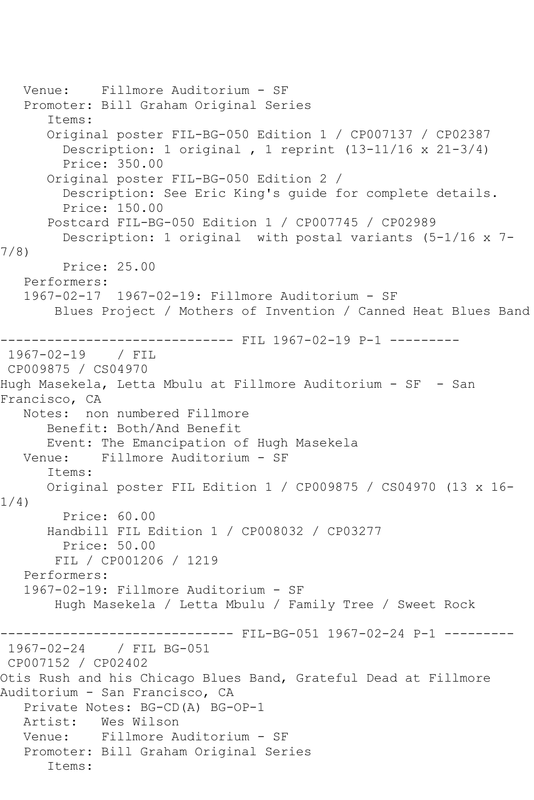```
 Venue: Fillmore Auditorium - SF
   Promoter: Bill Graham Original Series
       Items:
       Original poster FIL-BG-050 Edition 1 / CP007137 / CP02387
         Description: 1 original , 1 reprint (13-11/16 x 21-3/4)
         Price: 350.00
       Original poster FIL-BG-050 Edition 2 / 
         Description: See Eric King's guide for complete details.
         Price: 150.00
       Postcard FIL-BG-050 Edition 1 / CP007745 / CP02989
         Description: 1 original with postal variants (5-1/16 x 7-
7/8)
         Price: 25.00
   Performers:
   1967-02-17 1967-02-19: Fillmore Auditorium - SF
        Blues Project / Mothers of Invention / Canned Heat Blues Band
                    ---------- FIL 1967-02-19 P-1 ---------
1967-02-19 / FIL 
CP009875 / CS04970
Hugh Masekela, Letta Mbulu at Fillmore Auditorium - SF - San 
Francisco, CA
   Notes: non numbered Fillmore
       Benefit: Both/And Benefit
      Event: The Emancipation of Hugh Masekela
   Venue: Fillmore Auditorium - SF
       Items:
      Original poster FIL Edition 1 / CP009875 / CS04970 (13 x 16-
1/4)
         Price: 60.00
      Handbill FIL Edition 1 / CP008032 / CP03277
         Price: 50.00
        FIL / CP001206 / 1219
   Performers:
   1967-02-19: Fillmore Auditorium - SF
        Hugh Masekela / Letta Mbulu / Family Tree / Sweet Rock
                   ------------------------------ FIL-BG-051 1967-02-24 P-1 ---------
1967-02-24 / FIL BG-051
CP007152 / CP02402
Otis Rush and his Chicago Blues Band, Grateful Dead at Fillmore 
Auditorium - San Francisco, CA
   Private Notes: BG-CD(A) BG-OP-1
   Artist: Wes Wilson
   Venue: Fillmore Auditorium - SF
   Promoter: Bill Graham Original Series
       Items:
```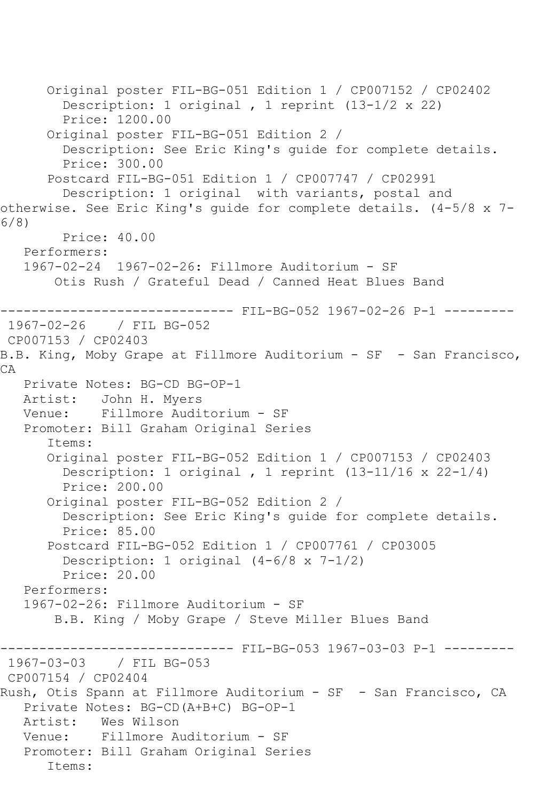Original poster FIL-BG-051 Edition 1 / CP007152 / CP02402 Description: 1 original , 1 reprint (13-1/2 x 22) Price: 1200.00 Original poster FIL-BG-051 Edition 2 / Description: See Eric King's guide for complete details. Price: 300.00 Postcard FIL-BG-051 Edition 1 / CP007747 / CP02991 Description: 1 original with variants, postal and otherwise. See Eric King's guide for complete details. (4-5/8 x 7- 6/8) Price: 40.00 Performers: 1967-02-24 1967-02-26: Fillmore Auditorium - SF Otis Rush / Grateful Dead / Canned Heat Blues Band ------------------------------ FIL-BG-052 1967-02-26 P-1 --------- 1967-02-26 / FIL BG-052 CP007153 / CP02403 B.B. King, Moby Grape at Fillmore Auditorium - SF - San Francisco, CA Private Notes: BG-CD BG-OP-1 Artist: John H. Myers Venue: Fillmore Auditorium - SF Promoter: Bill Graham Original Series Items: Original poster FIL-BG-052 Edition 1 / CP007153 / CP02403 Description: 1 original , 1 reprint (13-11/16 x 22-1/4) Price: 200.00 Original poster FIL-BG-052 Edition 2 / Description: See Eric King's guide for complete details. Price: 85.00 Postcard FIL-BG-052 Edition 1 / CP007761 / CP03005 Description: 1 original (4-6/8 x 7-1/2) Price: 20.00 Performers: 1967-02-26: Fillmore Auditorium - SF B.B. King / Moby Grape / Steve Miller Blues Band ------------------------------ FIL-BG-053 1967-03-03 P-1 --------- 1967-03-03 / FIL BG-053 CP007154 / CP02404 Rush, Otis Spann at Fillmore Auditorium - SF - San Francisco, CA Private Notes: BG-CD(A+B+C) BG-OP-1 Artist: Wes Wilson Venue: Fillmore Auditorium - SF Promoter: Bill Graham Original Series Items: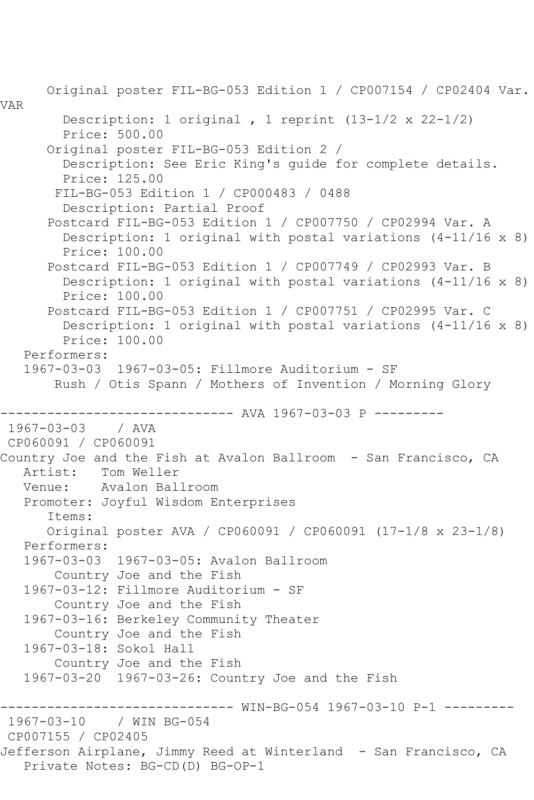```
 Original poster FIL-BG-053 Edition 1 / CP007154 / CP02404 Var. 
VAR
         Description: 1 original , 1 reprint (13-1/2 x 22-1/2)
         Price: 500.00
      Original poster FIL-BG-053 Edition 2 / 
         Description: See Eric King's guide for complete details.
         Price: 125.00
        FIL-BG-053 Edition 1 / CP000483 / 0488
         Description: Partial Proof
       Postcard FIL-BG-053 Edition 1 / CP007750 / CP02994 Var. A
         Description: 1 original with postal variations (4-11/16 x 8)
         Price: 100.00
       Postcard FIL-BG-053 Edition 1 / CP007749 / CP02993 Var. B
         Description: 1 original with postal variations (4-11/16 x 8)
         Price: 100.00
       Postcard FIL-BG-053 Edition 1 / CP007751 / CP02995 Var. C
         Description: 1 original with postal variations (4-11/16 x 8)
         Price: 100.00
   Performers:
   1967-03-03 1967-03-05: Fillmore Auditorium - SF
        Rush / Otis Spann / Mothers of Invention / Morning Glory
                 ------------- AVA 1967-03-03 P ---------
1967-03-03 / AVA 
CP060091 / CP060091
Country Joe and the Fish at Avalon Ballroom - San Francisco, CA<br>Artist: Tom Weller
           Tom Weller
   Venue: Avalon Ballroom
   Promoter: Joyful Wisdom Enterprises
       Items:
      Original poster AVA / CP060091 / CP060091 (17-1/8 x 23-1/8)
   Performers:
   1967-03-03 1967-03-05: Avalon Ballroom
        Country Joe and the Fish
   1967-03-12: Fillmore Auditorium - SF
        Country Joe and the Fish
   1967-03-16: Berkeley Community Theater
        Country Joe and the Fish
   1967-03-18: Sokol Hall
        Country Joe and the Fish
   1967-03-20 1967-03-26: Country Joe and the Fish
------------------------------ WIN-BG-054 1967-03-10 P-1 ---------
              / WIN BG-054
CP007155 / CP02405
Jefferson Airplane, Jimmy Reed at Winterland - San Francisco, CA
   Private Notes: BG-CD(D) BG-OP-1
```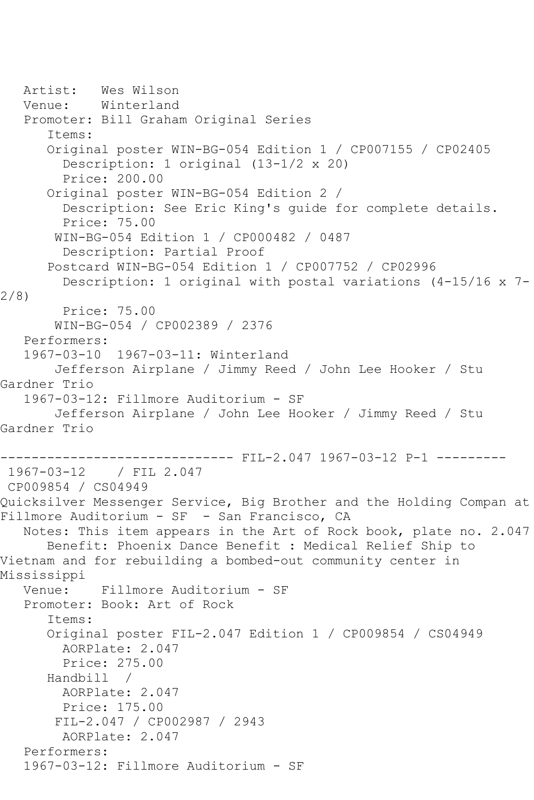```
 Artist: Wes Wilson
   Venue: Winterland
   Promoter: Bill Graham Original Series
       Items:
      Original poster WIN-BG-054 Edition 1 / CP007155 / CP02405
         Description: 1 original (13-1/2 x 20)
         Price: 200.00
       Original poster WIN-BG-054 Edition 2 / 
         Description: See Eric King's guide for complete details.
         Price: 75.00
        WIN-BG-054 Edition 1 / CP000482 / 0487
         Description: Partial Proof
       Postcard WIN-BG-054 Edition 1 / CP007752 / CP02996
         Description: 1 original with postal variations (4-15/16 x 7-
2/8)
         Price: 75.00
        WIN-BG-054 / CP002389 / 2376
   Performers:
   1967-03-10 1967-03-11: Winterland
        Jefferson Airplane / Jimmy Reed / John Lee Hooker / Stu 
Gardner Trio
   1967-03-12: Fillmore Auditorium - SF
        Jefferson Airplane / John Lee Hooker / Jimmy Reed / Stu 
Gardner Trio
------------------------------ FIL-2.047 1967-03-12 P-1 ---------
1967-03-12 / FIL 2.047
CP009854 / CS04949
Quicksilver Messenger Service, Big Brother and the Holding Compan at 
Fillmore Auditorium - SF - San Francisco, CA
   Notes: This item appears in the Art of Rock book, plate no. 2.047
      Benefit: Phoenix Dance Benefit : Medical Relief Ship to 
Vietnam and for rebuilding a bombed-out community center in 
Mississippi
   Venue: Fillmore Auditorium - SF
   Promoter: Book: Art of Rock
       Items:
       Original poster FIL-2.047 Edition 1 / CP009854 / CS04949
        AORPlate: 2.047 
         Price: 275.00
       Handbill / 
        AORPlate: 2.047 
        Price: 175.00
        FIL-2.047 / CP002987 / 2943
        AORPlate: 2.047 
   Performers:
   1967-03-12: Fillmore Auditorium - SF
```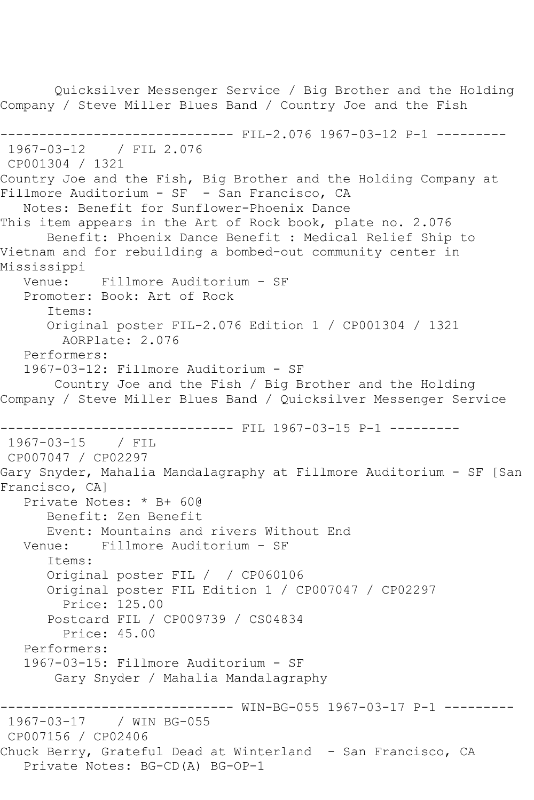Quicksilver Messenger Service / Big Brother and the Holding Company / Steve Miller Blues Band / Country Joe and the Fish ------------------------------ FIL-2.076 1967-03-12 P-1 --------- 1967-03-12 / FIL 2.076 CP001304 / 1321 Country Joe and the Fish, Big Brother and the Holding Company at Fillmore Auditorium - SF - San Francisco, CA Notes: Benefit for Sunflower-Phoenix Dance This item appears in the Art of Rock book, plate no. 2.076 Benefit: Phoenix Dance Benefit : Medical Relief Ship to Vietnam and for rebuilding a bombed-out community center in Mississippi Venue: Fillmore Auditorium - SF Promoter: Book: Art of Rock Items: Original poster FIL-2.076 Edition 1 / CP001304 / 1321 AORPlate: 2.076 Performers: 1967-03-12: Fillmore Auditorium - SF Country Joe and the Fish / Big Brother and the Holding Company / Steve Miller Blues Band / Quicksilver Messenger Service ------------------------------ FIL 1967-03-15 P-1 --------- 1967-03-15 / FIL CP007047 / CP02297 Gary Snyder, Mahalia Mandalagraphy at Fillmore Auditorium - SF [San Francisco, CA] Private Notes: \* B+ 60@ Benefit: Zen Benefit Event: Mountains and rivers Without End Venue: Fillmore Auditorium - SF Items: Original poster FIL / / CP060106 Original poster FIL Edition 1 / CP007047 / CP02297 Price: 125.00 Postcard FIL / CP009739 / CS04834 Price: 45.00 Performers: 1967-03-15: Fillmore Auditorium - SF Gary Snyder / Mahalia Mandalagraphy ------------------------------ WIN-BG-055 1967-03-17 P-1 --------- 1967-03-17 / WIN BG-055 CP007156 / CP02406 Chuck Berry, Grateful Dead at Winterland - San Francisco, CA Private Notes: BG-CD(A) BG-OP-1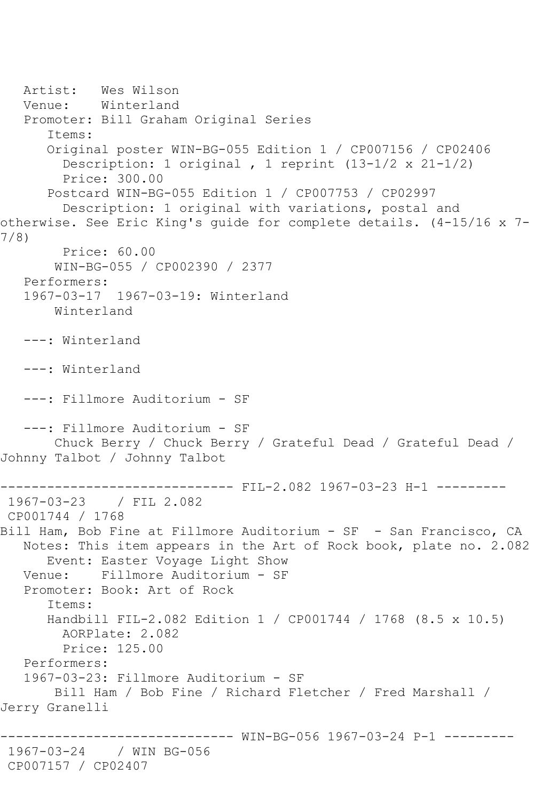Artist: Wes Wilson Venue: Winterland Promoter: Bill Graham Original Series Items: Original poster WIN-BG-055 Edition 1 / CP007156 / CP02406 Description: 1 original , 1 reprint (13-1/2 x 21-1/2) Price: 300.00 Postcard WIN-BG-055 Edition 1 / CP007753 / CP02997 Description: 1 original with variations, postal and otherwise. See Eric King's guide for complete details. (4-15/16 x 7- 7/8) Price: 60.00 WIN-BG-055 / CP002390 / 2377 Performers: 1967-03-17 1967-03-19: Winterland Winterland ---: Winterland ---: Winterland ---: Fillmore Auditorium - SF ---: Fillmore Auditorium - SF Chuck Berry / Chuck Berry / Grateful Dead / Grateful Dead / Johnny Talbot / Johnny Talbot ------------------------------ FIL-2.082 1967-03-23 H-1 --------- 1967-03-23 / FIL 2.082 CP001744 / 1768 Bill Ham, Bob Fine at Fillmore Auditorium - SF - San Francisco, CA Notes: This item appears in the Art of Rock book, plate no. 2.082 Event: Easter Voyage Light Show Venue: Fillmore Auditorium - SF Promoter: Book: Art of Rock Items: Handbill FIL-2.082 Edition 1 / CP001744 / 1768 (8.5 x 10.5) AORPlate: 2.082 Price: 125.00 Performers: 1967-03-23: Fillmore Auditorium - SF Bill Ham / Bob Fine / Richard Fletcher / Fred Marshall / Jerry Granelli ------------------------------ WIN-BG-056 1967-03-24 P-1 --------- 1967-03-24 / WIN BG-056 CP007157 / CP02407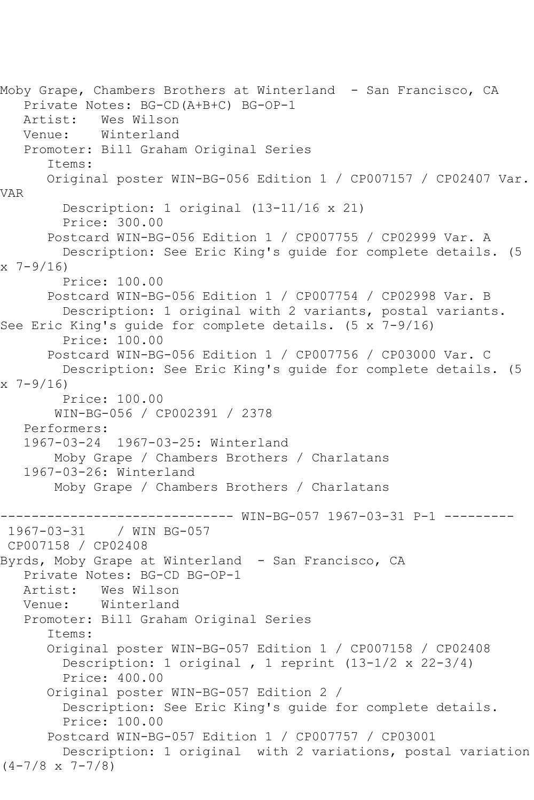Moby Grape, Chambers Brothers at Winterland - San Francisco, CA Private Notes: BG-CD(A+B+C) BG-OP-1 Artist: Wes Wilson Venue: Winterland Promoter: Bill Graham Original Series Items: Original poster WIN-BG-056 Edition 1 / CP007157 / CP02407 Var. VAR Description: 1 original (13-11/16 x 21) Price: 300.00 Postcard WIN-BG-056 Edition 1 / CP007755 / CP02999 Var. A Description: See Eric King's guide for complete details. (5  $x \ 7 - 9/16$  Price: 100.00 Postcard WIN-BG-056 Edition 1 / CP007754 / CP02998 Var. B Description: 1 original with 2 variants, postal variants. See Eric King's guide for complete details. (5 x 7-9/16) Price: 100.00 Postcard WIN-BG-056 Edition 1 / CP007756 / CP03000 Var. C Description: See Eric King's guide for complete details. (5  $x \ 7 - 9/16$  Price: 100.00 WIN-BG-056 / CP002391 / 2378 Performers: 1967-03-24 1967-03-25: Winterland Moby Grape / Chambers Brothers / Charlatans 1967-03-26: Winterland Moby Grape / Chambers Brothers / Charlatans ------------------------------ WIN-BG-057 1967-03-31 P-1 --------- / WIN BG-057 CP007158 / CP02408 Byrds, Moby Grape at Winterland - San Francisco, CA Private Notes: BG-CD BG-OP-1 Artist: Wes Wilson Venue: Winterland Promoter: Bill Graham Original Series Items: Original poster WIN-BG-057 Edition 1 / CP007158 / CP02408 Description: 1 original , 1 reprint (13-1/2 x 22-3/4) Price: 400.00 Original poster WIN-BG-057 Edition 2 / Description: See Eric King's guide for complete details. Price: 100.00 Postcard WIN-BG-057 Edition 1 / CP007757 / CP03001 Description: 1 original with 2 variations, postal variation (4-7/8 x 7-7/8)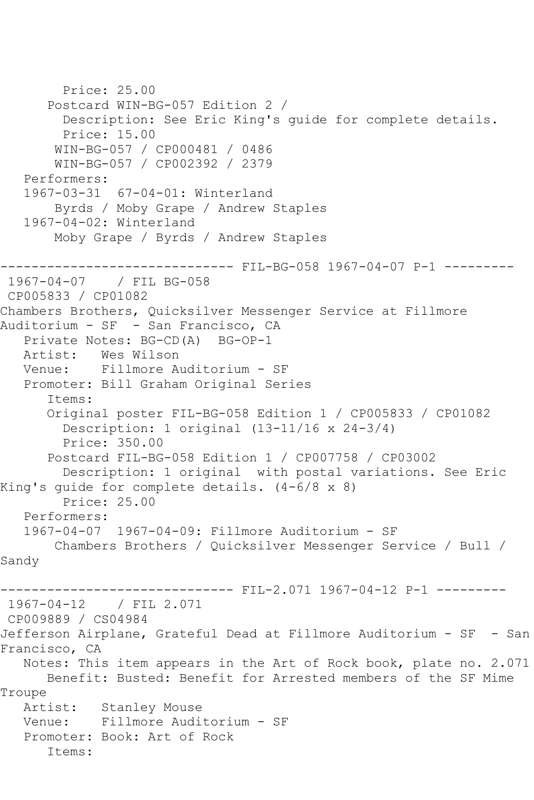```
 Price: 25.00
       Postcard WIN-BG-057 Edition 2 / 
         Description: See Eric King's guide for complete details.
         Price: 15.00
       WIN-BG-057 / CP000481 / 0486
       WIN-BG-057 / CP002392 / 2379
   Performers:
   1967-03-31 67-04-01: Winterland
       Byrds / Moby Grape / Andrew Staples
   1967-04-02: Winterland
       Moby Grape / Byrds / Andrew Staples
------------------------------ FIL-BG-058 1967-04-07 P-1 ---------
1967-04-07 / FIL BG-058
CP005833 / CP01082
Chambers Brothers, Quicksilver Messenger Service at Fillmore 
Auditorium - SF - San Francisco, CA
   Private Notes: BG-CD(A) BG-OP-1
   Artist: Wes Wilson
   Venue: Fillmore Auditorium - SF
   Promoter: Bill Graham Original Series
       Items:
      Original poster FIL-BG-058 Edition 1 / CP005833 / CP01082
         Description: 1 original (13-11/16 x 24-3/4)
         Price: 350.00
       Postcard FIL-BG-058 Edition 1 / CP007758 / CP03002
         Description: 1 original with postal variations. See Eric 
King's guide for complete details. (4-6/8 x 8)
        Price: 25.00
   Performers:
   1967-04-07 1967-04-09: Fillmore Auditorium - SF
       Chambers Brothers / Quicksilver Messenger Service / Bull / 
Sandy
                         ----- FIL-2.071 1967-04-12 P-1 ---------
1967-04-12 / FIL 2.071
CP009889 / CS04984
Jefferson Airplane, Grateful Dead at Fillmore Auditorium - SF - San 
Francisco, CA
   Notes: This item appears in the Art of Rock book, plate no. 2.071
      Benefit: Busted: Benefit for Arrested members of the SF Mime 
Troupe
   Artist: Stanley Mouse
   Venue: Fillmore Auditorium - SF
   Promoter: Book: Art of Rock
       Items:
```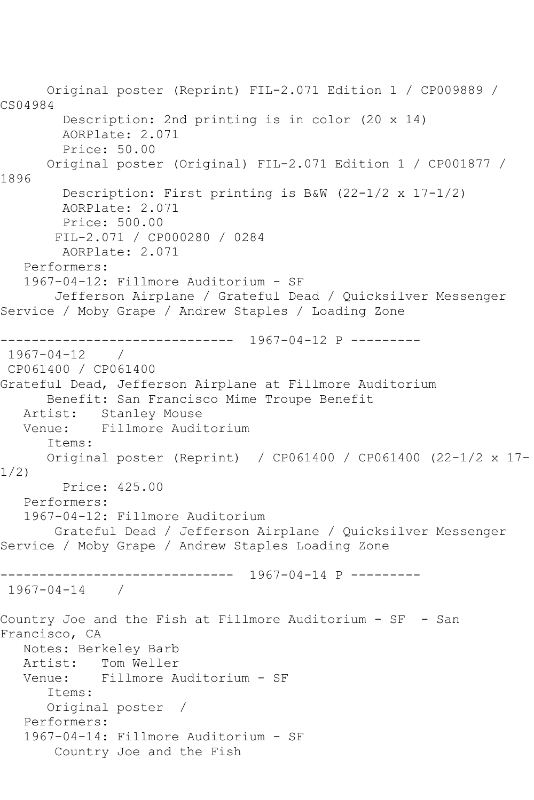Original poster (Reprint) FIL-2.071 Edition 1 / CP009889 / CS04984 Description: 2nd printing is in color (20 x 14) AORPlate: 2.071 Price: 50.00 Original poster (Original) FIL-2.071 Edition 1 / CP001877 / 1896 Description: First printing is B&W (22-1/2 x 17-1/2) AORPlate: 2.071 Price: 500.00 FIL-2.071 / CP000280 / 0284 AORPlate: 2.071 Performers: 1967-04-12: Fillmore Auditorium - SF Jefferson Airplane / Grateful Dead / Quicksilver Messenger Service / Moby Grape / Andrew Staples / Loading Zone ------------------------------ 1967-04-12 P --------- 1967-04-12 / CP061400 / CP061400 Grateful Dead, Jefferson Airplane at Fillmore Auditorium Benefit: San Francisco Mime Troupe Benefit Artist: Stanley Mouse<br>Venue: Fillmore Audi Fillmore Auditorium Items: Original poster (Reprint) / CP061400 / CP061400 (22-1/2 x 17- 1/2) Price: 425.00 Performers: 1967-04-12: Fillmore Auditorium Grateful Dead / Jefferson Airplane / Quicksilver Messenger Service / Moby Grape / Andrew Staples Loading Zone ------------------------------ 1967-04-14 P --------- 1967-04-14 / Country Joe and the Fish at Fillmore Auditorium - SF - San Francisco, CA Notes: Berkeley Barb Artist: Tom Weller Venue: Fillmore Auditorium - SF Items: Original poster / Performers: 1967-04-14: Fillmore Auditorium - SF Country Joe and the Fish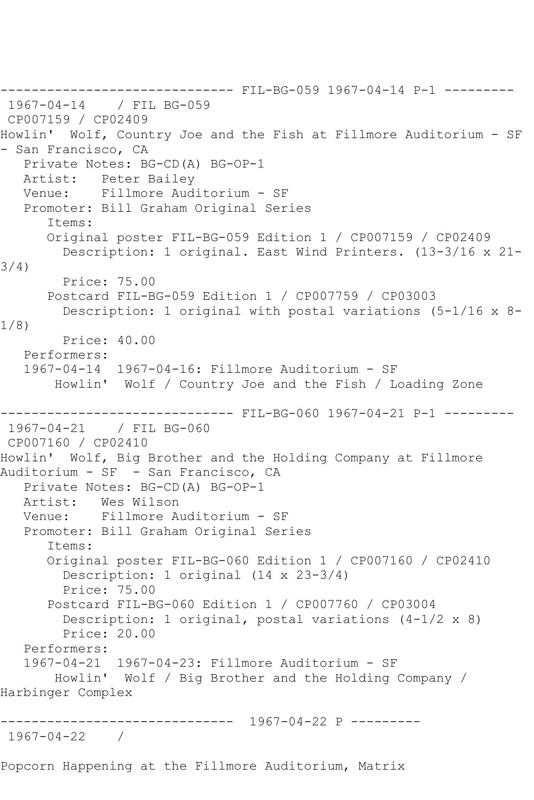------------------------------ FIL-BG-059 1967-04-14 P-1 --------- 1967-04-14 / FIL BG-059 CP007159 / CP02409 Howlin' Wolf, Country Joe and the Fish at Fillmore Auditorium - SF - San Francisco, CA Private Notes: BG-CD(A) BG-OP-1 Artist: Peter Bailey Venue: Fillmore Auditorium - SF Promoter: Bill Graham Original Series Items: Original poster FIL-BG-059 Edition 1 / CP007159 / CP02409 Description: 1 original. East Wind Printers. (13-3/16 x 21- 3/4) Price: 75.00 Postcard FIL-BG-059 Edition 1 / CP007759 / CP03003 Description: 1 original with postal variations (5-1/16 x 8- 1/8) Price: 40.00 Performers: 1967-04-14 1967-04-16: Fillmore Auditorium - SF Howlin' Wolf / Country Joe and the Fish / Loading Zone ------------------------------ FIL-BG-060 1967-04-21 P-1 --------- 1967-04-21 / FIL BG-060 CP007160 / CP02410 Howlin' Wolf, Big Brother and the Holding Company at Fillmore Auditorium - SF - San Francisco, CA Private Notes: BG-CD(A) BG-OP-1 Artist: Wes Wilson Venue: Fillmore Auditorium - SF Promoter: Bill Graham Original Series Items: Original poster FIL-BG-060 Edition 1 / CP007160 / CP02410 Description: 1 original (14 x 23-3/4) Price: 75.00 Postcard FIL-BG-060 Edition 1 / CP007760 / CP03004 Description: 1 original, postal variations (4-1/2 x 8) Price: 20.00 Performers: 1967-04-21 1967-04-23: Fillmore Auditorium - SF Howlin' Wolf / Big Brother and the Holding Company / Harbinger Complex ------------------------------ 1967-04-22 P --------- 1967-04-22 /

Popcorn Happening at the Fillmore Auditorium, Matrix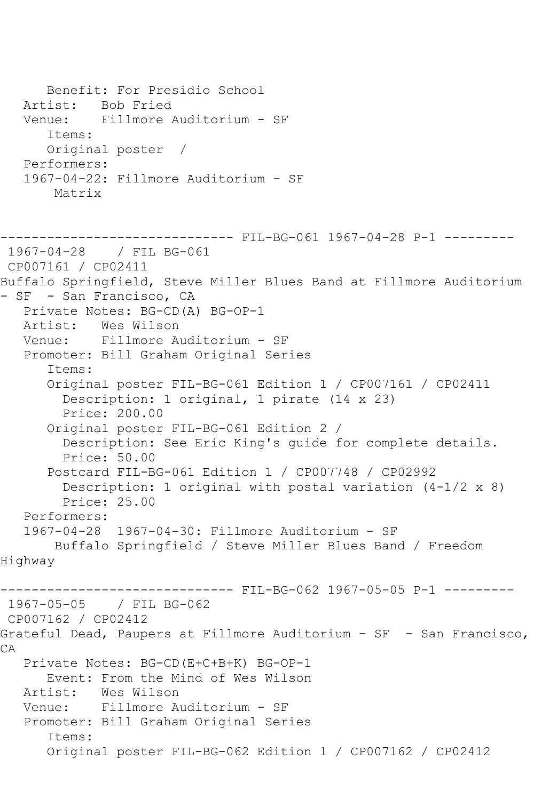```
 Benefit: For Presidio School
   Artist: Bob Fried
   Venue: Fillmore Auditorium - SF
       Items:
      Original poster / 
   Performers:
   1967-04-22: Fillmore Auditorium - SF
       Matrix
------------------------------ FIL-BG-061 1967-04-28 P-1 ---------
1967-04-28 / FIL BG-061
CP007161 / CP02411
Buffalo Springfield, Steve Miller Blues Band at Fillmore Auditorium 
- SF - San Francisco, CA
   Private Notes: BG-CD(A) BG-OP-1
  Artist: Wes Wilson<br>Venue: Fillmore A
            Fillmore Auditorium - SF
   Promoter: Bill Graham Original Series
       Items:
       Original poster FIL-BG-061 Edition 1 / CP007161 / CP02411
         Description: 1 original, 1 pirate (14 x 23)
         Price: 200.00
       Original poster FIL-BG-061 Edition 2 / 
         Description: See Eric King's guide for complete details.
         Price: 50.00
       Postcard FIL-BG-061 Edition 1 / CP007748 / CP02992
         Description: 1 original with postal variation (4-1/2 x 8)
         Price: 25.00
   Performers:
   1967-04-28 1967-04-30: Fillmore Auditorium - SF
        Buffalo Springfield / Steve Miller Blues Band / Freedom 
Highway
                         ------ FIL-BG-062 1967-05-05 P-1 ---------
1967-05-05 / FIL BG-062
CP007162 / CP02412
Grateful Dead, Paupers at Fillmore Auditorium - SF - San Francisco, 
CA
   Private Notes: BG-CD(E+C+B+K) BG-OP-1
       Event: From the Mind of Wes Wilson
   Artist: Wes Wilson
   Venue: Fillmore Auditorium - SF
   Promoter: Bill Graham Original Series
       Items:
       Original poster FIL-BG-062 Edition 1 / CP007162 / CP02412
```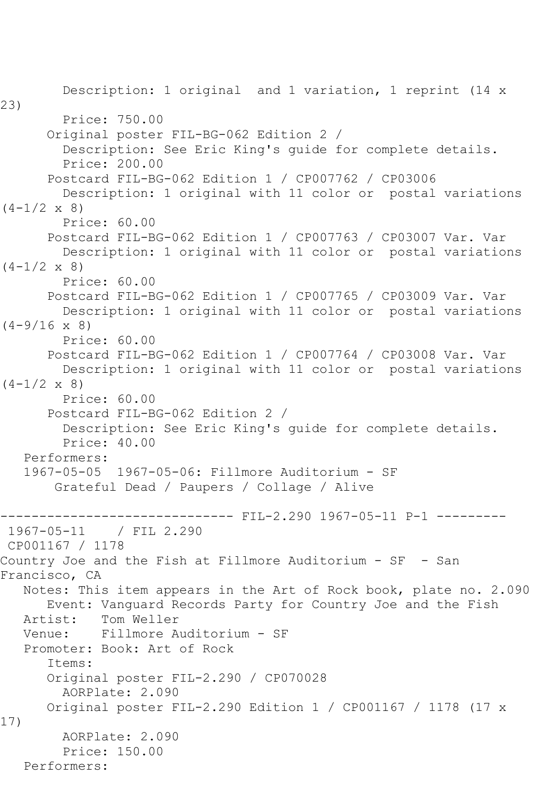Description: 1 original and 1 variation, 1 reprint (14 x 23) Price: 750.00 Original poster FIL-BG-062 Edition 2 / Description: See Eric King's guide for complete details. Price: 200.00 Postcard FIL-BG-062 Edition 1 / CP007762 / CP03006 Description: 1 original with 11 color or postal variations  $(4-1/2 \times 8)$  Price: 60.00 Postcard FIL-BG-062 Edition 1 / CP007763 / CP03007 Var. Var Description: 1 original with 11 color or postal variations  $(4-1/2 \times 8)$  Price: 60.00 Postcard FIL-BG-062 Edition 1 / CP007765 / CP03009 Var. Var Description: 1 original with 11 color or postal variations  $(4-9/16 \times 8)$  Price: 60.00 Postcard FIL-BG-062 Edition 1 / CP007764 / CP03008 Var. Var Description: 1 original with 11 color or postal variations  $(4-1/2 \times 8)$  Price: 60.00 Postcard FIL-BG-062 Edition 2 / Description: See Eric King's guide for complete details. Price: 40.00 Performers: 1967-05-05 1967-05-06: Fillmore Auditorium - SF Grateful Dead / Paupers / Collage / Alive ------------------------------ FIL-2.290 1967-05-11 P-1 --------- 1967-05-11 / FIL 2.290 CP001167 / 1178 Country Joe and the Fish at Fillmore Auditorium - SF - San Francisco, CA Notes: This item appears in the Art of Rock book, plate no. 2.090 Event: Vanguard Records Party for Country Joe and the Fish Tom Weller Venue: Fillmore Auditorium - SF Promoter: Book: Art of Rock Items: Original poster FIL-2.290 / CP070028 AORPlate: 2.090 Original poster FIL-2.290 Edition 1 / CP001167 / 1178 (17 x 17) AORPlate: 2.090 Price: 150.00 Performers: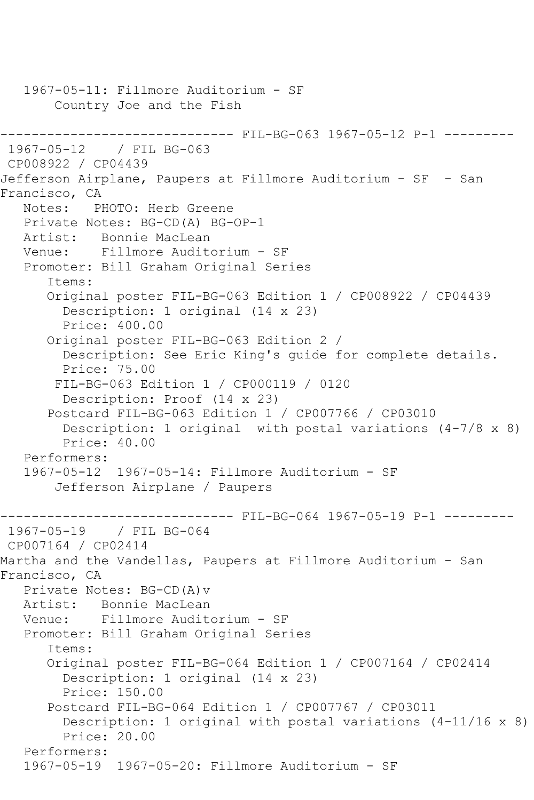1967-05-11: Fillmore Auditorium - SF Country Joe and the Fish ------------------------------ FIL-BG-063 1967-05-12 P-1 --------- 1967-05-12 / FIL BG-063 CP008922 / CP04439 Jefferson Airplane, Paupers at Fillmore Auditorium - SF - San Francisco, CA Notes: PHOTO: Herb Greene Private Notes: BG-CD(A) BG-OP-1 Artist: Bonnie MacLean Venue: Fillmore Auditorium - SF Promoter: Bill Graham Original Series Items: Original poster FIL-BG-063 Edition 1 / CP008922 / CP04439 Description: 1 original (14 x 23) Price: 400.00 Original poster FIL-BG-063 Edition 2 / Description: See Eric King's guide for complete details. Price: 75.00 FIL-BG-063 Edition 1 / CP000119 / 0120 Description: Proof (14 x 23) Postcard FIL-BG-063 Edition 1 / CP007766 / CP03010 Description: 1 original with postal variations (4-7/8 x 8) Price: 40.00 Performers: 1967-05-12 1967-05-14: Fillmore Auditorium - SF Jefferson Airplane / Paupers ------------------------------ FIL-BG-064 1967-05-19 P-1 --------- 1967-05-19 / FIL BG-064 CP007164 / CP02414 Martha and the Vandellas, Paupers at Fillmore Auditorium - San Francisco, CA Private Notes: BG-CD(A)v Artist: Bonnie MacLean Venue: Fillmore Auditorium - SF Promoter: Bill Graham Original Series Items: Original poster FIL-BG-064 Edition 1 / CP007164 / CP02414 Description: 1 original (14 x 23) Price: 150.00 Postcard FIL-BG-064 Edition 1 / CP007767 / CP03011 Description: 1 original with postal variations (4-11/16 x 8) Price: 20.00 Performers: 1967-05-19 1967-05-20: Fillmore Auditorium - SF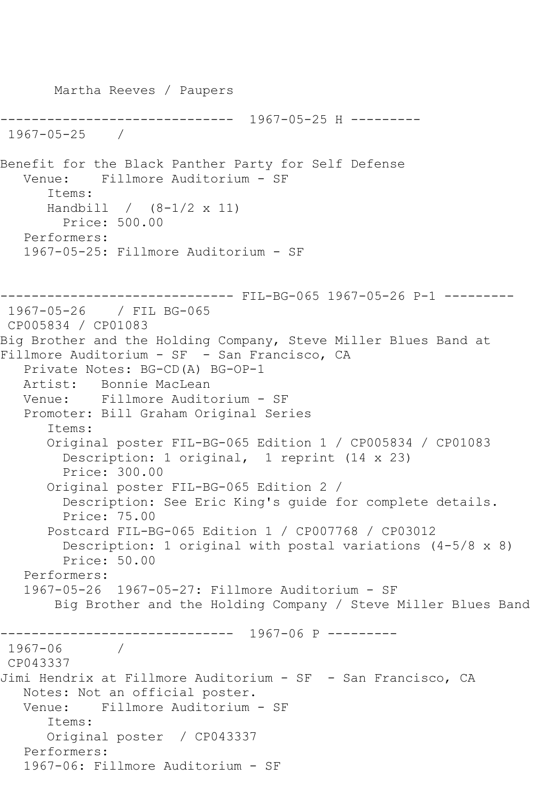```
 Martha Reeves / Paupers
                  ------------------------------ 1967-05-25 H ---------
1967-05-25 / 
Benefit for the Black Panther Party for Self Defense
   Venue: Fillmore Auditorium - SF
       Items:
      Handbill / (8-1/2 x 11)
        Price: 500.00
   Performers:
   1967-05-25: Fillmore Auditorium - SF
------------------------------ FIL-BG-065 1967-05-26 P-1 ---------
1967-05-26 / FIL BG-065
CP005834 / CP01083
Big Brother and the Holding Company, Steve Miller Blues Band at 
Fillmore Auditorium - SF - San Francisco, CA
   Private Notes: BG-CD(A) BG-OP-1
   Artist: Bonnie MacLean
   Venue: Fillmore Auditorium - SF
   Promoter: Bill Graham Original Series
       Items:
       Original poster FIL-BG-065 Edition 1 / CP005834 / CP01083
         Description: 1 original, 1 reprint (14 x 23)
         Price: 300.00
       Original poster FIL-BG-065 Edition 2 / 
         Description: See Eric King's guide for complete details.
         Price: 75.00
       Postcard FIL-BG-065 Edition 1 / CP007768 / CP03012
         Description: 1 original with postal variations (4-5/8 x 8)
         Price: 50.00
   Performers:
   1967-05-26 1967-05-27: Fillmore Auditorium - SF
        Big Brother and the Holding Company / Steve Miller Blues Band
      ------------------------------ 1967-06 P ---------
1967-06
CP043337
Jimi Hendrix at Fillmore Auditorium - SF - San Francisco, CA
   Notes: Not an official poster.
   Venue: Fillmore Auditorium - SF
       Items:
      Original poster / CP043337
   Performers:
   1967-06: Fillmore Auditorium - SF
```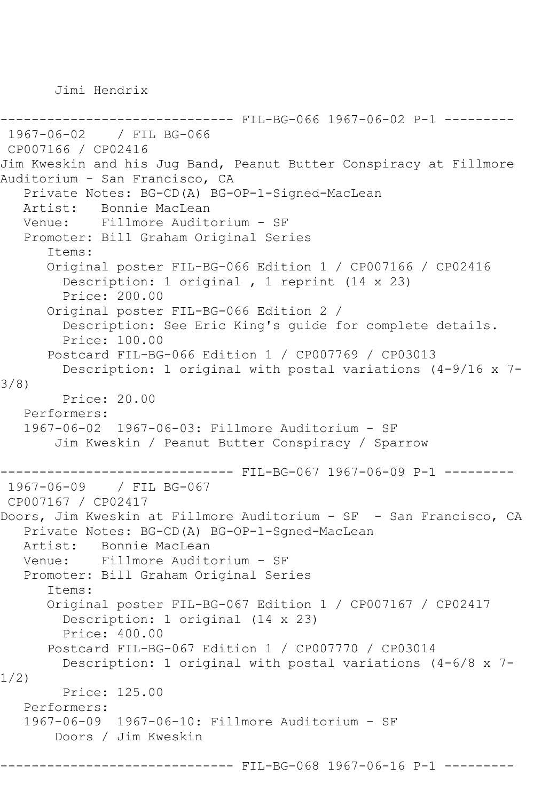Jimi Hendrix

```
------------------------------ FIL-BG-066 1967-06-02 P-1 ---------
1967-06-02 / FIL BG-066
CP007166 / CP02416
Jim Kweskin and his Jug Band, Peanut Butter Conspiracy at Fillmore 
Auditorium - San Francisco, CA
   Private Notes: BG-CD(A) BG-OP-1-Signed-MacLean
            Bonnie MacLean
   Venue: Fillmore Auditorium - SF
    Promoter: Bill Graham Original Series
       Items:
       Original poster FIL-BG-066 Edition 1 / CP007166 / CP02416
         Description: 1 original , 1 reprint (14 x 23)
         Price: 200.00
       Original poster FIL-BG-066 Edition 2 / 
         Description: See Eric King's guide for complete details.
         Price: 100.00
       Postcard FIL-BG-066 Edition 1 / CP007769 / CP03013
         Description: 1 original with postal variations (4-9/16 x 7-
3/8)
         Price: 20.00
   Performers:
    1967-06-02 1967-06-03: Fillmore Auditorium - SF
        Jim Kweskin / Peanut Butter Conspiracy / Sparrow
------------------------------ FIL-BG-067 1967-06-09 P-1 ---------
1967-06-09 / FIL BG-067
CP007167 / CP02417
Doors, Jim Kweskin at Fillmore Auditorium - SF - San Francisco, CA
   Private Notes: BG-CD(A) BG-OP-1-Sgned-MacLean
  Artist: Bonnie MacLean<br>Venue: Fillmore Audite
            Fillmore Auditorium - SF
    Promoter: Bill Graham Original Series
       Items:
       Original poster FIL-BG-067 Edition 1 / CP007167 / CP02417
         Description: 1 original (14 x 23)
         Price: 400.00
       Postcard FIL-BG-067 Edition 1 / CP007770 / CP03014
         Description: 1 original with postal variations (4-6/8 x 7-
1/2)
         Price: 125.00
   Performers:
    1967-06-09 1967-06-10: Fillmore Auditorium - SF
        Doors / Jim Kweskin
                      ------------------------------ FIL-BG-068 1967-06-16 P-1 ---------
```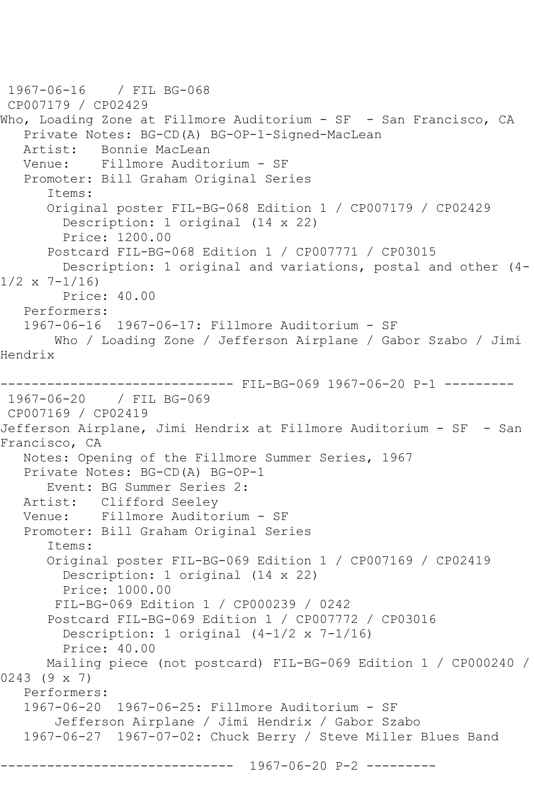```
1967-06-16 / FIL BG-068
CP007179 / CP02429
Who, Loading Zone at Fillmore Auditorium - SF - San Francisco, CA
   Private Notes: BG-CD(A) BG-OP-1-Signed-MacLean
   Artist: Bonnie MacLean
   Venue: Fillmore Auditorium - SF
   Promoter: Bill Graham Original Series
       Items:
       Original poster FIL-BG-068 Edition 1 / CP007179 / CP02429
         Description: 1 original (14 x 22)
         Price: 1200.00
       Postcard FIL-BG-068 Edition 1 / CP007771 / CP03015
         Description: 1 original and variations, postal and other (4-
1/2 \times 7 - 1/16 Price: 40.00
   Performers:
   1967-06-16 1967-06-17: Fillmore Auditorium - SF
       Who / Loading Zone / Jefferson Airplane / Gabor Szabo / Jimi 
Hendrix
------------------------------ FIL-BG-069 1967-06-20 P-1 ---------
1967-06-20 / FIL BG-069
CP007169 / CP02419
Jefferson Airplane, Jimi Hendrix at Fillmore Auditorium - SF - San 
Francisco, CA
   Notes: Opening of the Fillmore Summer Series, 1967
   Private Notes: BG-CD(A) BG-OP-1
       Event: BG Summer Series 2:
   Artist: Clifford Seeley
   Venue: Fillmore Auditorium - SF
   Promoter: Bill Graham Original Series
       Items:
       Original poster FIL-BG-069 Edition 1 / CP007169 / CP02419
         Description: 1 original (14 x 22)
         Price: 1000.00
        FIL-BG-069 Edition 1 / CP000239 / 0242
       Postcard FIL-BG-069 Edition 1 / CP007772 / CP03016
         Description: 1 original (4-1/2 x 7-1/16)
         Price: 40.00
      Mailing piece (not postcard) FIL-BG-069 Edition 1 / CP000240 / 
0243 (9 x 7)
   Performers:
   1967-06-20 1967-06-25: Fillmore Auditorium - SF
        Jefferson Airplane / Jimi Hendrix / Gabor Szabo
   1967-06-27 1967-07-02: Chuck Berry / Steve Miller Blues Band
                  ------------------------------ 1967-06-20 P-2 ---------
```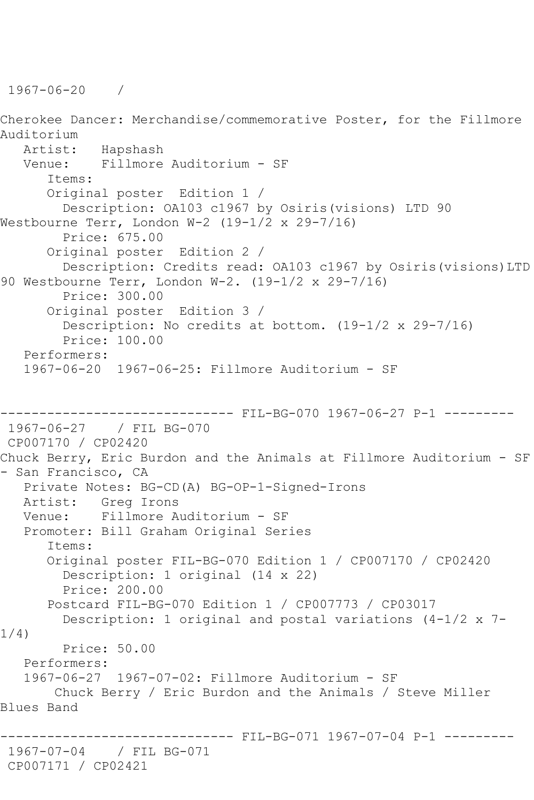1967-06-20 /

Cherokee Dancer: Merchandise/commemorative Poster, for the Fillmore Auditorium Artist: Hapshash Venue: Fillmore Auditorium - SF Items: Original poster Edition 1 / Description: OA103 c1967 by Osiris(visions) LTD 90 Westbourne Terr, London W-2 (19-1/2 x 29-7/16) Price: 675.00 Original poster Edition 2 / Description: Credits read: OA103 c1967 by Osiris(visions)LTD 90 Westbourne Terr, London W-2. (19-1/2 x 29-7/16) Price: 300.00 Original poster Edition 3 / Description: No credits at bottom. (19-1/2 x 29-7/16) Price: 100.00 Performers: 1967-06-20 1967-06-25: Fillmore Auditorium - SF ------------------------------ FIL-BG-070 1967-06-27 P-1 --------- 1967-06-27 / FIL BG-070 CP007170 / CP02420 Chuck Berry, Eric Burdon and the Animals at Fillmore Auditorium - SF - San Francisco, CA Private Notes: BG-CD(A) BG-OP-1-Signed-Irons Artist: Greg Irons Venue: Fillmore Auditorium - SF Promoter: Bill Graham Original Series Items: Original poster FIL-BG-070 Edition 1 / CP007170 / CP02420 Description: 1 original (14 x 22) Price: 200.00 Postcard FIL-BG-070 Edition 1 / CP007773 / CP03017 Description: 1 original and postal variations (4-1/2 x 7- 1/4) Price: 50.00 Performers: 1967-06-27 1967-07-02: Fillmore Auditorium - SF Chuck Berry / Eric Burdon and the Animals / Steve Miller Blues Band ------------------------------ FIL-BG-071 1967-07-04 P-1 --------- 1967-07-04 / FIL BG-071 CP007171 / CP02421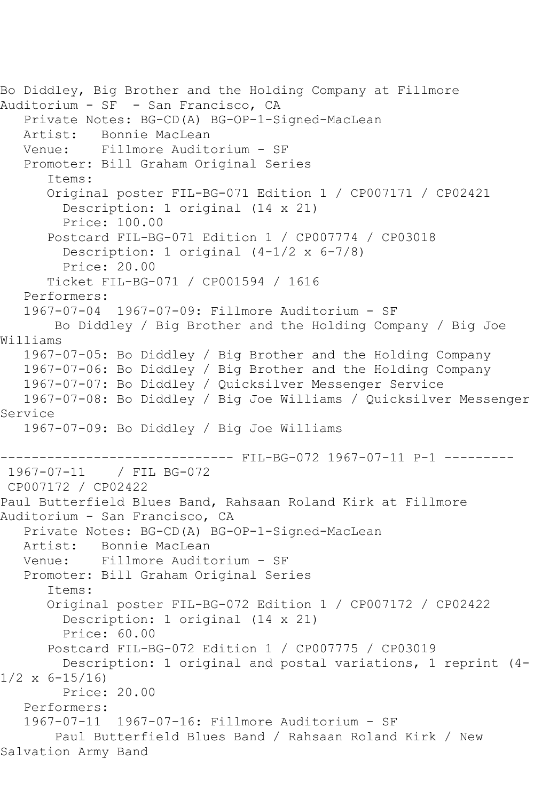```
Bo Diddley, Big Brother and the Holding Company at Fillmore 
Auditorium - SF - San Francisco, CA
    Private Notes: BG-CD(A) BG-OP-1-Signed-MacLean
  Artist: Bonnie MacLean<br>Venue: Fillmore Audit
            Fillmore Auditorium - SF
    Promoter: Bill Graham Original Series
       Items:
       Original poster FIL-BG-071 Edition 1 / CP007171 / CP02421
         Description: 1 original (14 x 21)
         Price: 100.00
       Postcard FIL-BG-071 Edition 1 / CP007774 / CP03018
        Description: 1 original (4-1/2 \times 6-7/8) Price: 20.00
       Ticket FIL-BG-071 / CP001594 / 1616
   Performers:
   1967-07-04 1967-07-09: Fillmore Auditorium - SF
        Bo Diddley / Big Brother and the Holding Company / Big Joe 
Williams
    1967-07-05: Bo Diddley / Big Brother and the Holding Company
    1967-07-06: Bo Diddley / Big Brother and the Holding Company
    1967-07-07: Bo Diddley / Quicksilver Messenger Service
    1967-07-08: Bo Diddley / Big Joe Williams / Quicksilver Messenger 
Service
    1967-07-09: Bo Diddley / Big Joe Williams
------------------------------ FIL-BG-072 1967-07-11 P-1 ---------
1967-07-11 / FIL BG-072
CP007172 / CP02422
Paul Butterfield Blues Band, Rahsaan Roland Kirk at Fillmore 
Auditorium - San Francisco, CA
   Private Notes: BG-CD(A) BG-OP-1-Signed-MacLean
  Artist: Bonnie MacLean<br>Venue: Fillmore Audite
            Fillmore Auditorium - SF
   Promoter: Bill Graham Original Series
       Items:
       Original poster FIL-BG-072 Edition 1 / CP007172 / CP02422
         Description: 1 original (14 x 21)
         Price: 60.00
       Postcard FIL-BG-072 Edition 1 / CP007775 / CP03019
         Description: 1 original and postal variations, 1 reprint (4-
1/2 \times 6 - 15/16 Price: 20.00
    Performers:
    1967-07-11 1967-07-16: Fillmore Auditorium - SF
        Paul Butterfield Blues Band / Rahsaan Roland Kirk / New 
Salvation Army Band
```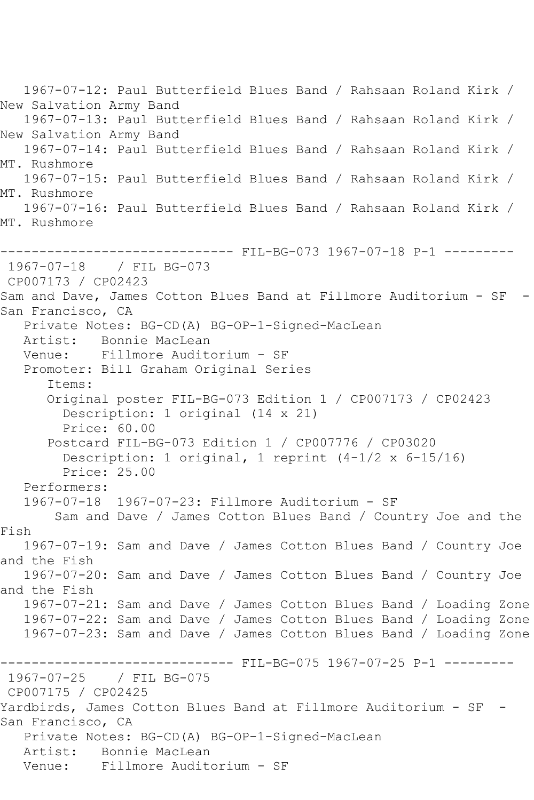1967-07-12: Paul Butterfield Blues Band / Rahsaan Roland Kirk / New Salvation Army Band 1967-07-13: Paul Butterfield Blues Band / Rahsaan Roland Kirk / New Salvation Army Band 1967-07-14: Paul Butterfield Blues Band / Rahsaan Roland Kirk / MT. Rushmore 1967-07-15: Paul Butterfield Blues Band / Rahsaan Roland Kirk / MT. Rushmore 1967-07-16: Paul Butterfield Blues Band / Rahsaan Roland Kirk / MT. Rushmore ------------------------------ FIL-BG-073 1967-07-18 P-1 --------- 1967-07-18 / FIL BG-073 CP007173 / CP02423 Sam and Dave, James Cotton Blues Band at Fillmore Auditorium - SF - San Francisco, CA Private Notes: BG-CD(A) BG-OP-1-Signed-MacLean Artist: Bonnie MacLean Venue: Fillmore Auditorium - SF Promoter: Bill Graham Original Series Items: Original poster FIL-BG-073 Edition 1 / CP007173 / CP02423 Description: 1 original (14 x 21) Price: 60.00 Postcard FIL-BG-073 Edition 1 / CP007776 / CP03020 Description: 1 original, 1 reprint (4-1/2 x 6-15/16) Price: 25.00 Performers: 1967-07-18 1967-07-23: Fillmore Auditorium - SF Sam and Dave / James Cotton Blues Band / Country Joe and the Fish 1967-07-19: Sam and Dave / James Cotton Blues Band / Country Joe and the Fish 1967-07-20: Sam and Dave / James Cotton Blues Band / Country Joe and the Fish 1967-07-21: Sam and Dave / James Cotton Blues Band / Loading Zone 1967-07-22: Sam and Dave / James Cotton Blues Band / Loading Zone 1967-07-23: Sam and Dave / James Cotton Blues Band / Loading Zone ------------------------------ FIL-BG-075 1967-07-25 P-1 --------- 1967-07-25 / FIL BG-075 CP007175 / CP02425 Yardbirds, James Cotton Blues Band at Fillmore Auditorium - SF - San Francisco, CA Private Notes: BG-CD(A) BG-OP-1-Signed-MacLean Artist: Bonnie MacLean Venue: Fillmore Auditorium - SF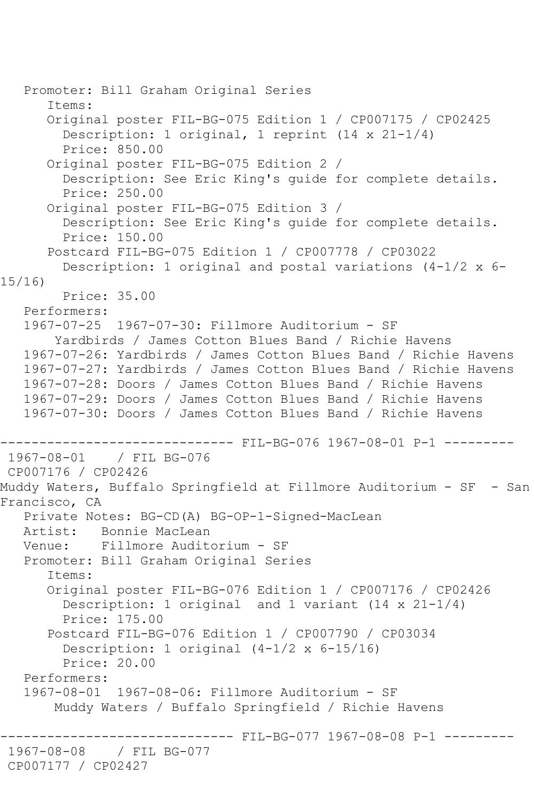Promoter: Bill Graham Original Series Items: Original poster FIL-BG-075 Edition 1 / CP007175 / CP02425 Description: 1 original, 1 reprint (14 x 21-1/4) Price: 850.00 Original poster FIL-BG-075 Edition 2 / Description: See Eric King's guide for complete details. Price: 250.00 Original poster FIL-BG-075 Edition 3 / Description: See Eric King's guide for complete details. Price: 150.00 Postcard FIL-BG-075 Edition 1 / CP007778 / CP03022 Description: 1 original and postal variations  $(4-1/2 \times 6-1)$ 15/16) Price: 35.00 Performers: 1967-07-25 1967-07-30: Fillmore Auditorium - SF Yardbirds / James Cotton Blues Band / Richie Havens 1967-07-26: Yardbirds / James Cotton Blues Band / Richie Havens 1967-07-27: Yardbirds / James Cotton Blues Band / Richie Havens 1967-07-28: Doors / James Cotton Blues Band / Richie Havens 1967-07-29: Doors / James Cotton Blues Band / Richie Havens 1967-07-30: Doors / James Cotton Blues Band / Richie Havens ---------------------------------- FIL-BG-076 1967-08-01 P-1 ----------<br>1967-08-01 / FIL BG-076 1967-08-01 / FIL BG-076 CP007176 / CP02426 Muddy Waters, Buffalo Springfield at Fillmore Auditorium - SF - San Francisco, CA Private Notes: BG-CD(A) BG-OP-1-Signed-MacLean Artist: Bonnie MacLean Venue: Fillmore Auditorium - SF Promoter: Bill Graham Original Series Items: Original poster FIL-BG-076 Edition 1 / CP007176 / CP02426 Description: 1 original and 1 variant  $(14 \times 21 - 1/4)$  Price: 175.00 Postcard FIL-BG-076 Edition 1 / CP007790 / CP03034 Description: 1 original (4-1/2 x 6-15/16) Price: 20.00 Performers: 1967-08-01 1967-08-06: Fillmore Auditorium - SF Muddy Waters / Buffalo Springfield / Richie Havens ------ FIL-BG-077 1967-08-08 P-1 ---------1967-08-08 / FIL BG-077 CP007177 / CP02427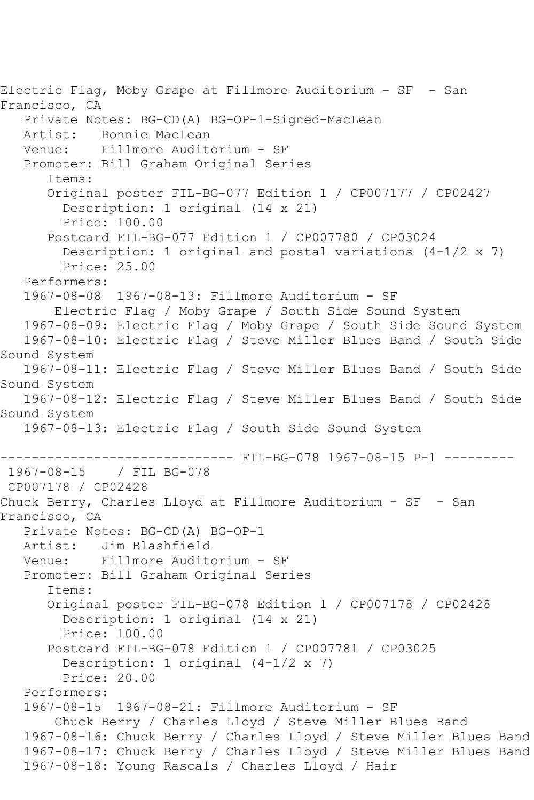Electric Flag, Moby Grape at Fillmore Auditorium - SF - San Francisco, CA Private Notes: BG-CD(A) BG-OP-1-Signed-MacLean Artist: Bonnie MacLean<br>Venue: Fillmore Audit Fillmore Auditorium - SF Promoter: Bill Graham Original Series Items: Original poster FIL-BG-077 Edition 1 / CP007177 / CP02427 Description: 1 original (14 x 21) Price: 100.00 Postcard FIL-BG-077 Edition 1 / CP007780 / CP03024 Description: 1 original and postal variations  $(4-1/2 \times 7)$  Price: 25.00 Performers: 1967-08-08 1967-08-13: Fillmore Auditorium - SF Electric Flag / Moby Grape / South Side Sound System 1967-08-09: Electric Flag / Moby Grape / South Side Sound System 1967-08-10: Electric Flag / Steve Miller Blues Band / South Side Sound System 1967-08-11: Electric Flag / Steve Miller Blues Band / South Side Sound System 1967-08-12: Electric Flag / Steve Miller Blues Band / South Side Sound System 1967-08-13: Electric Flag / South Side Sound System -------------------------------- FIL-BG-078 1967-08-15 P-1 ----------<br>1967-08-15 / FIL BG-078 1967-08-15 / FIL BG-078 CP007178 / CP02428 Chuck Berry, Charles Lloyd at Fillmore Auditorium - SF - San Francisco, CA Private Notes: BG-CD(A) BG-OP-1 Artist: Jim Blashfield<br>Venue: Fillmore Audite Fillmore Auditorium - SF Promoter: Bill Graham Original Series Items: Original poster FIL-BG-078 Edition 1 / CP007178 / CP02428 Description: 1 original (14 x 21) Price: 100.00 Postcard FIL-BG-078 Edition 1 / CP007781 / CP03025 Description: 1 original (4-1/2 x 7) Price: 20.00 Performers: 1967-08-15 1967-08-21: Fillmore Auditorium - SF Chuck Berry / Charles Lloyd / Steve Miller Blues Band 1967-08-16: Chuck Berry / Charles Lloyd / Steve Miller Blues Band 1967-08-17: Chuck Berry / Charles Lloyd / Steve Miller Blues Band 1967-08-18: Young Rascals / Charles Lloyd / Hair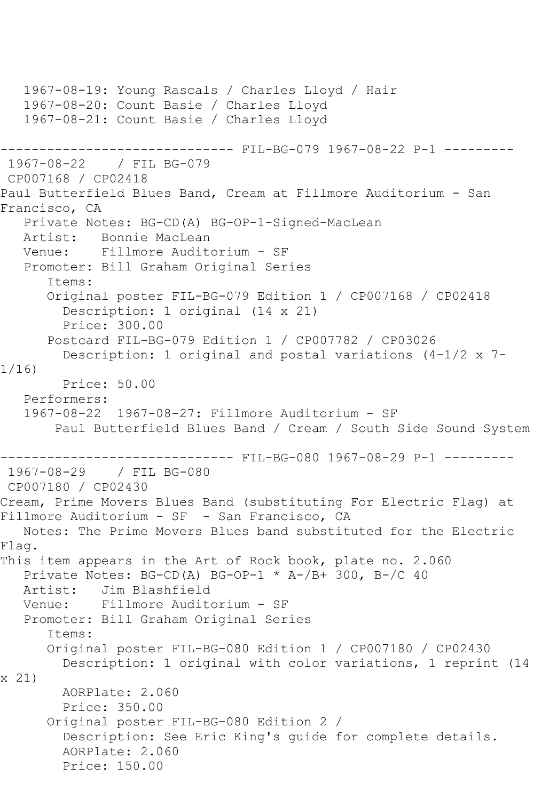```
 1967-08-19: Young Rascals / Charles Lloyd / Hair
   1967-08-20: Count Basie / Charles Lloyd
   1967-08-21: Count Basie / Charles Lloyd
------------------------------ FIL-BG-079 1967-08-22 P-1 ---------
1967-08-22 / FIL BG-079
CP007168 / CP02418
Paul Butterfield Blues Band, Cream at Fillmore Auditorium - San 
Francisco, CA
   Private Notes: BG-CD(A) BG-OP-1-Signed-MacLean
  Artist: Bonnie MacLean<br>Venue: Fillmore Audite
            Fillmore Auditorium - SF
   Promoter: Bill Graham Original Series
       Items:
       Original poster FIL-BG-079 Edition 1 / CP007168 / CP02418
         Description: 1 original (14 x 21)
         Price: 300.00
       Postcard FIL-BG-079 Edition 1 / CP007782 / CP03026
         Description: 1 original and postal variations (4-1/2 x 7-
1/16)
         Price: 50.00
   Performers:
   1967-08-22 1967-08-27: Fillmore Auditorium - SF
        Paul Butterfield Blues Band / Cream / South Side Sound System
------------------------------ FIL-BG-080 1967-08-29 P-1 ---------
1967-08-29 / FIL BG-080
CP007180 / CP02430
Cream, Prime Movers Blues Band (substituting For Electric Flag) at 
Fillmore Auditorium - SF - San Francisco, CA
   Notes: The Prime Movers Blues band substituted for the Electric 
Flag.
This item appears in the Art of Rock book, plate no. 2.060
   Private Notes: BG-CD(A) BG-OP-1 * A-/B+ 300, B-/C 40
   Artist: Jim Blashfield
   Venue: Fillmore Auditorium - SF
   Promoter: Bill Graham Original Series
       Items:
      Original poster FIL-BG-080 Edition 1 / CP007180 / CP02430
         Description: 1 original with color variations, 1 reprint (14 
x 21)
        AORPlate: 2.060 
         Price: 350.00
       Original poster FIL-BG-080 Edition 2 / 
         Description: See Eric King's guide for complete details.
         AORPlate: 2.060 
         Price: 150.00
```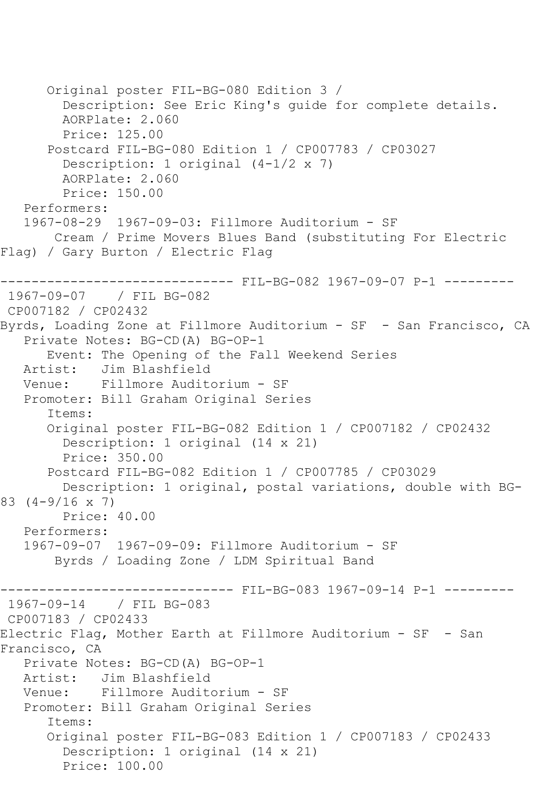```
 Original poster FIL-BG-080 Edition 3 / 
         Description: See Eric King's guide for complete details.
         AORPlate: 2.060 
         Price: 125.00
       Postcard FIL-BG-080 Edition 1 / CP007783 / CP03027
        Description: 1 original (4-1/2 \times 7) AORPlate: 2.060 
         Price: 150.00
    Performers:
    1967-08-29 1967-09-03: Fillmore Auditorium - SF
        Cream / Prime Movers Blues Band (substituting For Electric 
Flag) / Gary Burton / Electric Flag
------------------------------ FIL-BG-082 1967-09-07 P-1 ---------
1967-09-07 / FIL BG-082
CP007182 / CP02432
Byrds, Loading Zone at Fillmore Auditorium - SF - San Francisco, CA
    Private Notes: BG-CD(A) BG-OP-1
       Event: The Opening of the Fall Weekend Series
  Artist: Jim Blashfield<br>Venue: Fillmore Audit
            Fillmore Auditorium - SF
    Promoter: Bill Graham Original Series
       Items:
       Original poster FIL-BG-082 Edition 1 / CP007182 / CP02432
         Description: 1 original (14 x 21)
         Price: 350.00
       Postcard FIL-BG-082 Edition 1 / CP007785 / CP03029
         Description: 1 original, postal variations, double with BG-
83 (4-9/16 x 7)
         Price: 40.00
    Performers:
    1967-09-07 1967-09-09: Fillmore Auditorium - SF
        Byrds / Loading Zone / LDM Spiritual Band
                        ------- FIL-BG-083 1967-09-14 P-1 ---------
1967-09-14 / FIL BG-083
CP007183 / CP02433
Electric Flag, Mother Earth at Fillmore Auditorium - SF - San 
Francisco, CA
    Private Notes: BG-CD(A) BG-OP-1
   Artist: Jim Blashfield
   Venue: Fillmore Auditorium - SF
    Promoter: Bill Graham Original Series
       Items:
       Original poster FIL-BG-083 Edition 1 / CP007183 / CP02433
         Description: 1 original (14 x 21)
         Price: 100.00
```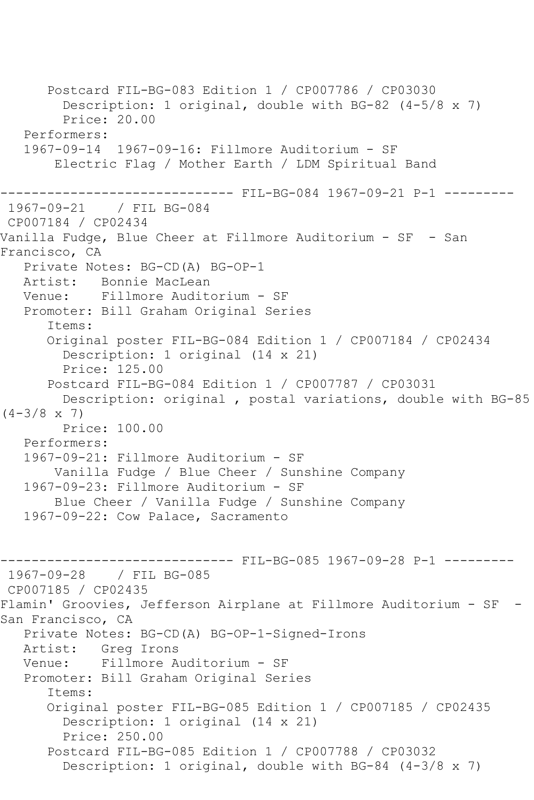Postcard FIL-BG-083 Edition 1 / CP007786 / CP03030 Description: 1 original, double with BG-82 (4-5/8 x 7) Price: 20.00 Performers: 1967-09-14 1967-09-16: Fillmore Auditorium - SF Electric Flag / Mother Earth / LDM Spiritual Band ------------------------------ FIL-BG-084 1967-09-21 P-1 --------- 1967-09-21 / FIL BG-084 CP007184 / CP02434 Vanilla Fudge, Blue Cheer at Fillmore Auditorium - SF - San Francisco, CA Private Notes: BG-CD(A) BG-OP-1 Artist: Bonnie MacLean Venue: Fillmore Auditorium - SF Promoter: Bill Graham Original Series Items: Original poster FIL-BG-084 Edition 1 / CP007184 / CP02434 Description: 1 original (14 x 21) Price: 125.00 Postcard FIL-BG-084 Edition 1 / CP007787 / CP03031 Description: original , postal variations, double with BG-85  $(4-3/8 \times 7)$  Price: 100.00 Performers: 1967-09-21: Fillmore Auditorium - SF Vanilla Fudge / Blue Cheer / Sunshine Company 1967-09-23: Fillmore Auditorium - SF Blue Cheer / Vanilla Fudge / Sunshine Company 1967-09-22: Cow Palace, Sacramento ------------------------------ FIL-BG-085 1967-09-28 P-1 --------- 1967-09-28 / FIL BG-085 CP007185 / CP02435 Flamin' Groovies, Jefferson Airplane at Fillmore Auditorium - SF - San Francisco, CA Private Notes: BG-CD(A) BG-OP-1-Signed-Irons Artist: Greg Irons<br>Venue: Fillmore A Fillmore Auditorium - SF Promoter: Bill Graham Original Series Items: Original poster FIL-BG-085 Edition 1 / CP007185 / CP02435 Description: 1 original (14 x 21) Price: 250.00 Postcard FIL-BG-085 Edition 1 / CP007788 / CP03032 Description: 1 original, double with BG-84 (4-3/8 x 7)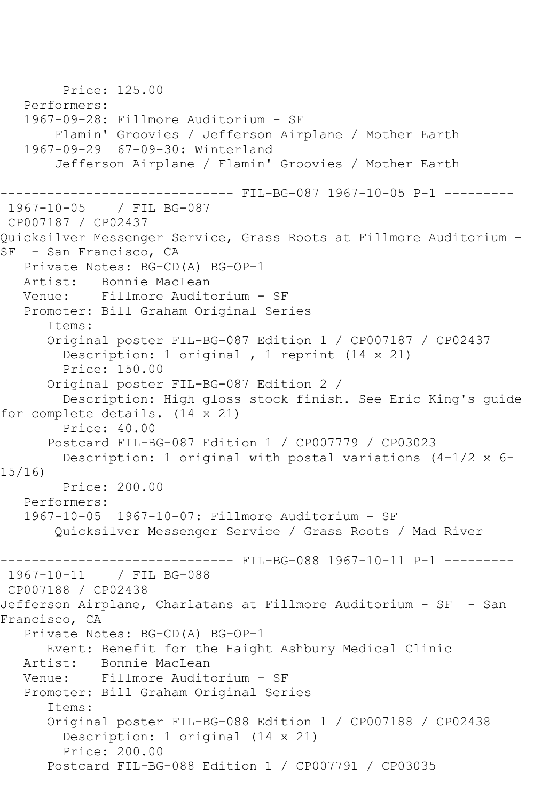Price: 125.00 Performers: 1967-09-28: Fillmore Auditorium - SF Flamin' Groovies / Jefferson Airplane / Mother Earth 1967-09-29 67-09-30: Winterland Jefferson Airplane / Flamin' Groovies / Mother Earth ------------------------------ FIL-BG-087 1967-10-05 P-1 --------- 1967-10-05 / FIL BG-087 CP007187 / CP02437 Quicksilver Messenger Service, Grass Roots at Fillmore Auditorium - SF - San Francisco, CA Private Notes: BG-CD(A) BG-OP-1 Artist: Bonnie MacLean Venue: Fillmore Auditorium - SF Promoter: Bill Graham Original Series Items: Original poster FIL-BG-087 Edition 1 / CP007187 / CP02437 Description: 1 original , 1 reprint (14 x 21) Price: 150.00 Original poster FIL-BG-087 Edition 2 / Description: High gloss stock finish. See Eric King's guide for complete details. (14 x 21) Price: 40.00 Postcard FIL-BG-087 Edition 1 / CP007779 / CP03023 Description: 1 original with postal variations (4-1/2 x 6- 15/16) Price: 200.00 Performers: 1967-10-05 1967-10-07: Fillmore Auditorium - SF Quicksilver Messenger Service / Grass Roots / Mad River --------------------------------- FIL-BG-088 1967-10-11 P-1 ----------<br>1967-10-11 / FIL BG-088 1967-10-11 / FIL BG-088 CP007188 / CP02438 Jefferson Airplane, Charlatans at Fillmore Auditorium - SF - San Francisco, CA Private Notes: BG-CD(A) BG-OP-1 Event: Benefit for the Haight Ashbury Medical Clinic Bonnie MacLean Venue: Fillmore Auditorium - SF Promoter: Bill Graham Original Series Items: Original poster FIL-BG-088 Edition 1 / CP007188 / CP02438 Description: 1 original (14 x 21) Price: 200.00 Postcard FIL-BG-088 Edition 1 / CP007791 / CP03035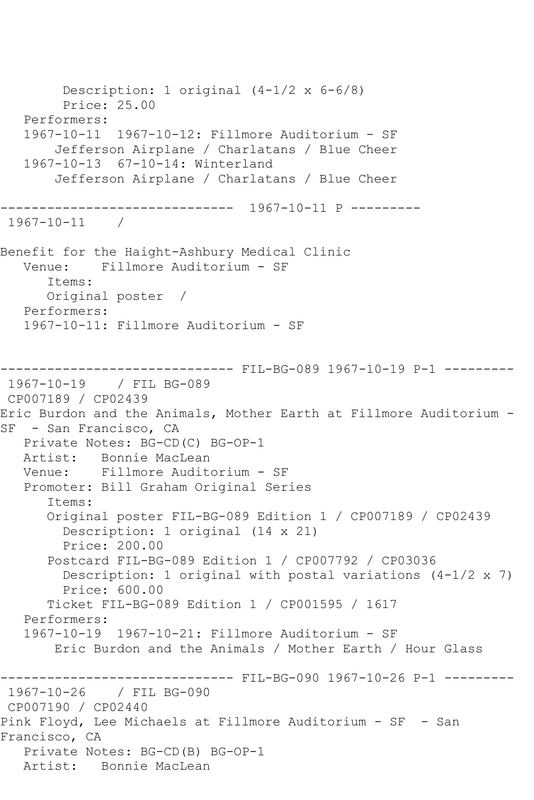Description: 1 original (4-1/2 x 6-6/8) Price: 25.00 Performers: 1967-10-11 1967-10-12: Fillmore Auditorium - SF Jefferson Airplane / Charlatans / Blue Cheer 1967-10-13 67-10-14: Winterland Jefferson Airplane / Charlatans / Blue Cheer ------------------------------ 1967-10-11 P --------- 1967-10-11 / Benefit for the Haight-Ashbury Medical Clinic Venue: Fillmore Auditorium - SF Items: Original poster / Performers: 1967-10-11: Fillmore Auditorium - SF ------------------------------ FIL-BG-089 1967-10-19 P-1 --------- 1967-10-19 / FIL BG-089 CP007189 / CP02439 Eric Burdon and the Animals, Mother Earth at Fillmore Auditorium - SF - San Francisco, CA Private Notes: BG-CD(C) BG-OP-1 Artist: Bonnie MacLean Venue: Fillmore Auditorium - SF Promoter: Bill Graham Original Series Items: Original poster FIL-BG-089 Edition 1 / CP007189 / CP02439 Description: 1 original (14 x 21) Price: 200.00 Postcard FIL-BG-089 Edition 1 / CP007792 / CP03036 Description: 1 original with postal variations  $(4-1/2 \times 7)$  Price: 600.00 Ticket FIL-BG-089 Edition 1 / CP001595 / 1617 Performers: 1967-10-19 1967-10-21: Fillmore Auditorium - SF Eric Burdon and the Animals / Mother Earth / Hour Glass ------------------------------ FIL-BG-090 1967-10-26 P-1 --------- 1967-10-26 / FIL BG-090 CP007190 / CP02440 Pink Floyd, Lee Michaels at Fillmore Auditorium - SF - San Francisco, CA Private Notes: BG-CD(B) BG-OP-1 Artist: Bonnie MacLean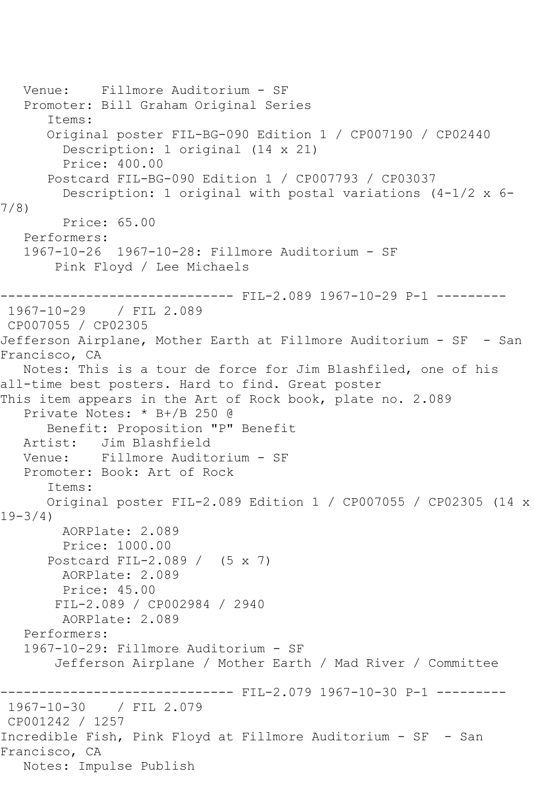```
 Venue: Fillmore Auditorium - SF
    Promoter: Bill Graham Original Series
       Items:
       Original poster FIL-BG-090 Edition 1 / CP007190 / CP02440
         Description: 1 original (14 x 21)
         Price: 400.00
       Postcard FIL-BG-090 Edition 1 / CP007793 / CP03037
         Description: 1 original with postal variations (4-1/2 x 6-
7/8)
         Price: 65.00
    Performers:
    1967-10-26 1967-10-28: Fillmore Auditorium - SF
        Pink Floyd / Lee Michaels
                    ------------------------------ FIL-2.089 1967-10-29 P-1 ---------
1967-10-29 / FIL 2.089
CP007055 / CP02305
Jefferson Airplane, Mother Earth at Fillmore Auditorium - SF - San 
Francisco, CA
   Notes: This is a tour de force for Jim Blashfiled, one of his 
all-time best posters. Hard to find. Great poster
This item appears in the Art of Rock book, plate no. 2.089
   Private Notes: * B+/B 250 @
  Benefit: Proposition "P" Benefit<br>Artist: Jim Blashfield
  Artist: Jim Blashfield<br>Venue: Fillmore Audite
            Fillmore Auditorium - SF
   Promoter: Book: Art of Rock
       Items:
       Original poster FIL-2.089 Edition 1 / CP007055 / CP02305 (14 x 
19 - 3/4)
         AORPlate: 2.089 
         Price: 1000.00
       Postcard FIL-2.089 / (5 x 7)
         AORPlate: 2.089 
         Price: 45.00
        FIL-2.089 / CP002984 / 2940
         AORPlate: 2.089 
    Performers:
    1967-10-29: Fillmore Auditorium - SF
        Jefferson Airplane / Mother Earth / Mad River / Committee
                  ------------ FIL-2.079 1967-10-30 P-1 ---------
1967-10-30 / FIL 2.079
CP001242 / 1257
Incredible Fish, Pink Floyd at Fillmore Auditorium - SF - San 
Francisco, CA
   Notes: Impulse Publish
```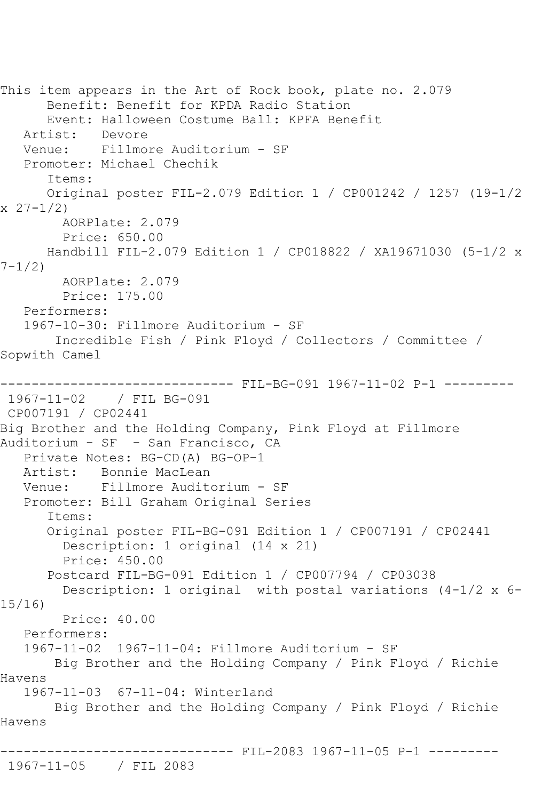This item appears in the Art of Rock book, plate no. 2.079 Benefit: Benefit for KPDA Radio Station Event: Halloween Costume Ball: KPFA Benefit Artist: Devore<br>Venue: Fillmo: Fillmore Auditorium - SF Promoter: Michael Chechik Items: Original poster FIL-2.079 Edition 1 / CP001242 / 1257 (19-1/2  $x \ 27 - 1/2$  AORPlate: 2.079 Price: 650.00 Handbill FIL-2.079 Edition 1 / CP018822 / XA19671030 (5-1/2 x 7-1/2) AORPlate: 2.079 Price: 175.00 Performers: 1967-10-30: Fillmore Auditorium - SF Incredible Fish / Pink Floyd / Collectors / Committee / Sopwith Camel ------------------------------ FIL-BG-091 1967-11-02 P-1 --------- 1967-11-02 / FIL BG-091 CP007191 / CP02441 Big Brother and the Holding Company, Pink Floyd at Fillmore Auditorium - SF - San Francisco, CA Private Notes: BG-CD(A) BG-OP-1 Bonnie MacLean Venue: Fillmore Auditorium - SF Promoter: Bill Graham Original Series Items: Original poster FIL-BG-091 Edition 1 / CP007191 / CP02441 Description: 1 original (14 x 21) Price: 450.00 Postcard FIL-BG-091 Edition 1 / CP007794 / CP03038 Description: 1 original with postal variations (4-1/2 x 6- 15/16) Price: 40.00 Performers: 1967-11-02 1967-11-04: Fillmore Auditorium - SF Big Brother and the Holding Company / Pink Floyd / Richie Havens 1967-11-03 67-11-04: Winterland Big Brother and the Holding Company / Pink Floyd / Richie Havens ------------------------------ FIL-2083 1967-11-05 P-1 --------- 1967-11-05 / FIL 2083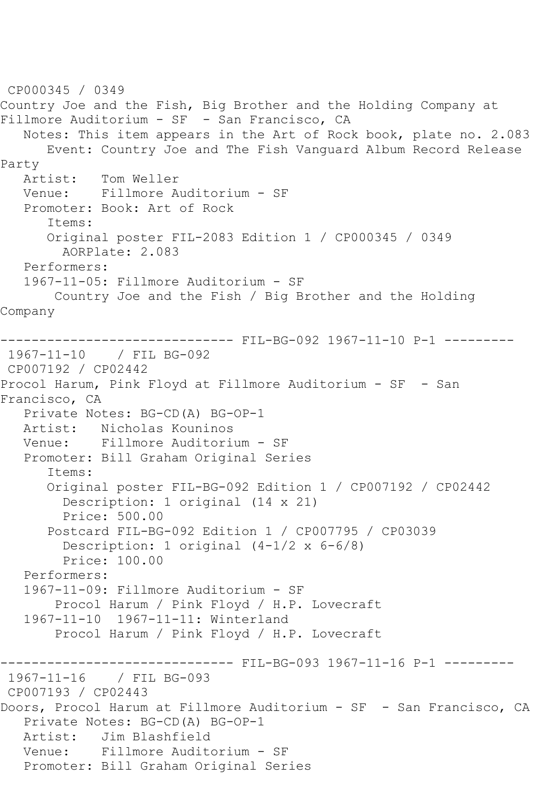```
CP000345 / 0349
Country Joe and the Fish, Big Brother and the Holding Company at 
Fillmore Auditorium - SF - San Francisco, CA
    Notes: This item appears in the Art of Rock book, plate no. 2.083
       Event: Country Joe and The Fish Vanguard Album Record Release 
Party<br>Artist:
            Tom Weller
   Venue: Fillmore Auditorium - SF
    Promoter: Book: Art of Rock
       Items:
       Original poster FIL-2083 Edition 1 / CP000345 / 0349
         AORPlate: 2.083 
    Performers:
    1967-11-05: Fillmore Auditorium - SF
        Country Joe and the Fish / Big Brother and the Holding 
Company
------------------------------ FIL-BG-092 1967-11-10 P-1 ---------
1967-11-10 / FIL BG-092
CP007192 / CP02442
Procol Harum, Pink Floyd at Fillmore Auditorium - SF - San 
Francisco, CA
   Private Notes: BG-CD(A) BG-OP-1
   Artist: Nicholas Kouninos
   Venue: Fillmore Auditorium - SF
    Promoter: Bill Graham Original Series
       Items:
       Original poster FIL-BG-092 Edition 1 / CP007192 / CP02442
         Description: 1 original (14 x 21)
         Price: 500.00
       Postcard FIL-BG-092 Edition 1 / CP007795 / CP03039
         Description: 1 original (4-1/2 x 6-6/8)
         Price: 100.00
    Performers:
    1967-11-09: Fillmore Auditorium - SF
        Procol Harum / Pink Floyd / H.P. Lovecraft
    1967-11-10 1967-11-11: Winterland
        Procol Harum / Pink Floyd / H.P. Lovecraft
------------------------------ FIL-BG-093 1967-11-16 P-1 ----------<br>1967-11-16   / FIL BG-093
1967 - 11 - 16CP007193 / CP02443
Doors, Procol Harum at Fillmore Auditorium - SF - San Francisco, CA
    Private Notes: BG-CD(A) BG-OP-1
   Artist: Jim Blashfield
   Venue: Fillmore Auditorium - SF
   Promoter: Bill Graham Original Series
```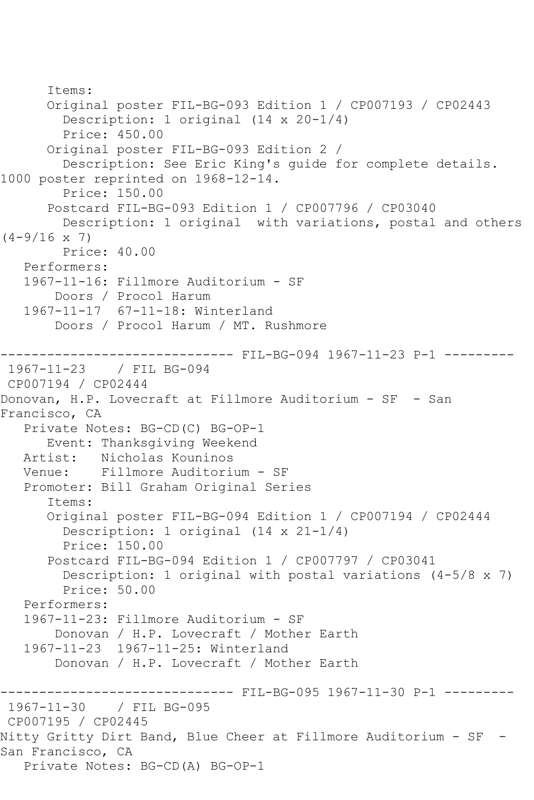```
 Items:
       Original poster FIL-BG-093 Edition 1 / CP007193 / CP02443
         Description: 1 original (14 x 20-1/4)
         Price: 450.00
       Original poster FIL-BG-093 Edition 2 / 
         Description: See Eric King's guide for complete details. 
1000 poster reprinted on 1968-12-14.
         Price: 150.00
       Postcard FIL-BG-093 Edition 1 / CP007796 / CP03040
         Description: 1 original with variations, postal and others 
(4-9/16 \times 7) Price: 40.00
    Performers:
    1967-11-16: Fillmore Auditorium - SF
        Doors / Procol Harum
    1967-11-17 67-11-18: Winterland
        Doors / Procol Harum / MT. Rushmore
                         ------ FIL-BG-094 1967-11-23 P-1 ---------
1967-11-23 / FIL BG-094
CP007194 / CP02444
Donovan, H.P. Lovecraft at Fillmore Auditorium - SF - San 
Francisco, CA
    Private Notes: BG-CD(C) BG-OP-1
       Event: Thanksgiving Weekend
   Artist: Nicholas Kouninos
   Venue: Fillmore Auditorium - SF
    Promoter: Bill Graham Original Series
       Items:
       Original poster FIL-BG-094 Edition 1 / CP007194 / CP02444
         Description: 1 original (14 x 21-1/4)
         Price: 150.00
       Postcard FIL-BG-094 Edition 1 / CP007797 / CP03041
         Description: 1 original with postal variations (4-5/8 x 7)
         Price: 50.00
    Performers:
    1967-11-23: Fillmore Auditorium - SF
        Donovan / H.P. Lovecraft / Mother Earth
    1967-11-23 1967-11-25: Winterland
        Donovan / H.P. Lovecraft / Mother Earth
                   ------------------------------ FIL-BG-095 1967-11-30 P-1 ---------
1967-11-30 / FIL BG-095
CP007195 / CP02445
Nitty Gritty Dirt Band, Blue Cheer at Fillmore Auditorium - SF -
San Francisco, CA
   Private Notes: BG-CD(A) BG-OP-1
```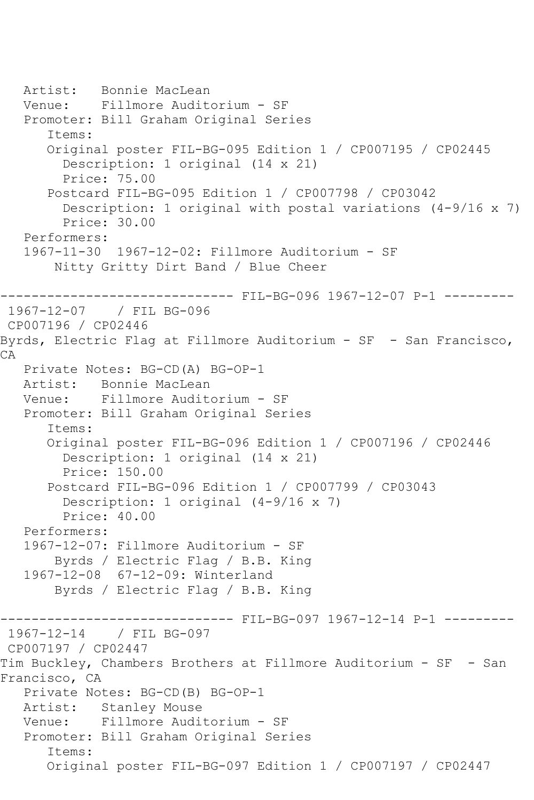```
 Artist: Bonnie MacLean
   Venue: Fillmore Auditorium - SF
   Promoter: Bill Graham Original Series
       Items:
       Original poster FIL-BG-095 Edition 1 / CP007195 / CP02445
         Description: 1 original (14 x 21)
         Price: 75.00
       Postcard FIL-BG-095 Edition 1 / CP007798 / CP03042
         Description: 1 original with postal variations (4-9/16 x 7)
         Price: 30.00
   Performers:
   1967-11-30 1967-12-02: Fillmore Auditorium - SF
        Nitty Gritty Dirt Band / Blue Cheer
                  ------------------------------ FIL-BG-096 1967-12-07 P-1 ---------
1967-12-07 / FIL BG-096
CP007196 / CP02446
Byrds, Electric Flag at Fillmore Auditorium - SF - San Francisco, 
CA
   Private Notes: BG-CD(A) BG-OP-1
   Artist: Bonnie MacLean
   Venue: Fillmore Auditorium - SF
   Promoter: Bill Graham Original Series
       Items:
       Original poster FIL-BG-096 Edition 1 / CP007196 / CP02446
         Description: 1 original (14 x 21)
         Price: 150.00
       Postcard FIL-BG-096 Edition 1 / CP007799 / CP03043
         Description: 1 original (4-9/16 x 7)
         Price: 40.00
   Performers:
   1967-12-07: Fillmore Auditorium - SF
        Byrds / Electric Flag / B.B. King
   1967-12-08 67-12-09: Winterland
        Byrds / Electric Flag / B.B. King
------------------------------ FIL-BG-097 1967-12-14 P-1 ---------
1967-12-14 / FIL BG-097
CP007197 / CP02447
Tim Buckley, Chambers Brothers at Fillmore Auditorium - SF - San 
Francisco, CA
   Private Notes: BG-CD(B) BG-OP-1
   Artist: Stanley Mouse
   Venue: Fillmore Auditorium - SF
   Promoter: Bill Graham Original Series
       Items:
       Original poster FIL-BG-097 Edition 1 / CP007197 / CP02447
```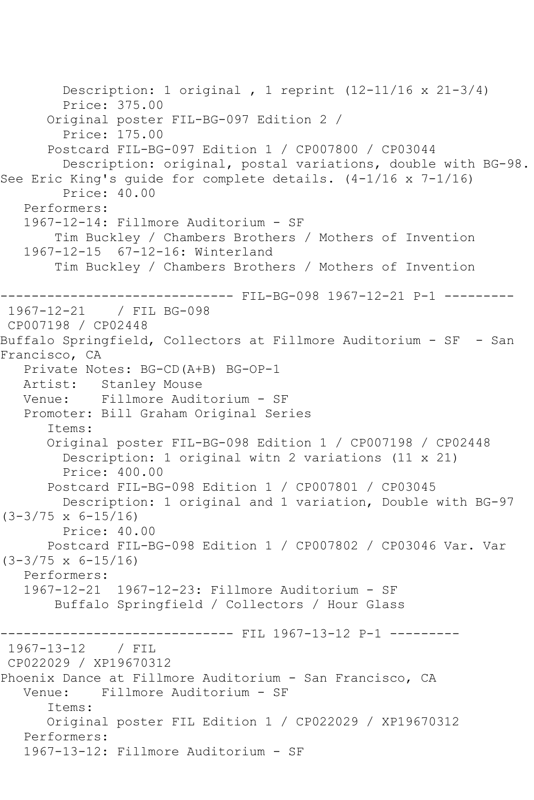```
 Description: 1 original , 1 reprint (12-11/16 x 21-3/4)
         Price: 375.00
       Original poster FIL-BG-097 Edition 2 / 
         Price: 175.00
       Postcard FIL-BG-097 Edition 1 / CP007800 / CP03044
         Description: original, postal variations, double with BG-98. 
See Eric King's quide for complete details. (4-1/16 \times 7-1/16) Price: 40.00
    Performers:
    1967-12-14: Fillmore Auditorium - SF
        Tim Buckley / Chambers Brothers / Mothers of Invention
    1967-12-15 67-12-16: Winterland
        Tim Buckley / Chambers Brothers / Mothers of Invention
                   ------------------------------ FIL-BG-098 1967-12-21 P-1 ---------
1967-12-21 / FIL BG-098
CP007198 / CP02448
Buffalo Springfield, Collectors at Fillmore Auditorium - SF - San 
Francisco, CA
   Private Notes: BG-CD(A+B) BG-OP-1
   Artist: Stanley Mouse
   Venue: Fillmore Auditorium - SF
   Promoter: Bill Graham Original Series
       Items:
       Original poster FIL-BG-098 Edition 1 / CP007198 / CP02448
         Description: 1 original witn 2 variations (11 x 21)
         Price: 400.00
       Postcard FIL-BG-098 Edition 1 / CP007801 / CP03045
         Description: 1 original and 1 variation, Double with BG-97 
(3-3/75 \times 6-15/16) Price: 40.00
       Postcard FIL-BG-098 Edition 1 / CP007802 / CP03046 Var. Var 
(3-3/75 x 6-15/16)
    Performers:
    1967-12-21 1967-12-23: Fillmore Auditorium - SF
        Buffalo Springfield / Collectors / Hour Glass
                    ----------- FIL 1967-13-12 P-1 ----------
1967-13-12 / FIL 
CP022029 / XP19670312
Phoenix Dance at Fillmore Auditorium - San Francisco, CA
   Venue: Fillmore Auditorium - SF
       Items:
       Original poster FIL Edition 1 / CP022029 / XP19670312
    Performers:
    1967-13-12: Fillmore Auditorium - SF
```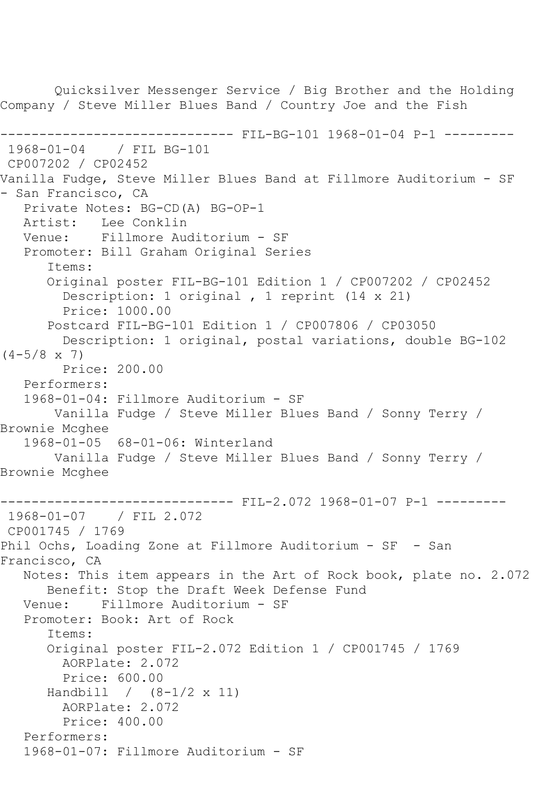Quicksilver Messenger Service / Big Brother and the Holding Company / Steve Miller Blues Band / Country Joe and the Fish ------------------------------ FIL-BG-101 1968-01-04 P-1 --------- 1968-01-04 / FIL BG-101 CP007202 / CP02452 Vanilla Fudge, Steve Miller Blues Band at Fillmore Auditorium - SF - San Francisco, CA Private Notes: BG-CD(A) BG-OP-1 Artist: Lee Conklin Venue: Fillmore Auditorium - SF Promoter: Bill Graham Original Series Items: Original poster FIL-BG-101 Edition 1 / CP007202 / CP02452 Description: 1 original , 1 reprint (14 x 21) Price: 1000.00 Postcard FIL-BG-101 Edition 1 / CP007806 / CP03050 Description: 1 original, postal variations, double BG-102  $(4-5/8 \times 7)$  Price: 200.00 Performers: 1968-01-04: Fillmore Auditorium - SF Vanilla Fudge / Steve Miller Blues Band / Sonny Terry / Brownie Mcghee 1968-01-05 68-01-06: Winterland Vanilla Fudge / Steve Miller Blues Band / Sonny Terry / Brownie Mcghee ------------------------------ FIL-2.072 1968-01-07 P-1 --------- 1968-01-07 / FIL 2.072 CP001745 / 1769 Phil Ochs, Loading Zone at Fillmore Auditorium - SF - San Francisco, CA Notes: This item appears in the Art of Rock book, plate no. 2.072 Benefit: Stop the Draft Week Defense Fund Venue: Fillmore Auditorium - SF Promoter: Book: Art of Rock Items: Original poster FIL-2.072 Edition 1 / CP001745 / 1769 AORPlate: 2.072 Price: 600.00 Handbill / (8-1/2 x 11) AORPlate: 2.072 Price: 400.00 Performers: 1968-01-07: Fillmore Auditorium - SF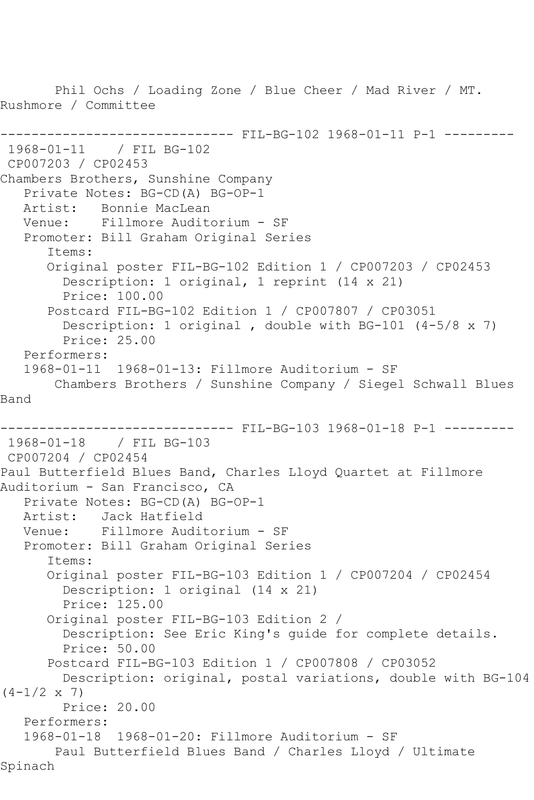Phil Ochs / Loading Zone / Blue Cheer / Mad River / MT. Rushmore / Committee ------------------------------ FIL-BG-102 1968-01-11 P-1 --------- 1968-01-11 / FIL BG-102 CP007203 / CP02453 Chambers Brothers, Sunshine Company Private Notes: BG-CD(A) BG-OP-1 Artist: Bonnie MacLean Venue: Fillmore Auditorium - SF Promoter: Bill Graham Original Series Items: Original poster FIL-BG-102 Edition 1 / CP007203 / CP02453 Description: 1 original, 1 reprint (14 x 21) Price: 100.00 Postcard FIL-BG-102 Edition 1 / CP007807 / CP03051 Description: 1 original , double with BG-101 (4-5/8 x 7) Price: 25.00 Performers: 1968-01-11 1968-01-13: Fillmore Auditorium - SF Chambers Brothers / Sunshine Company / Siegel Schwall Blues Band ------------------------------ FIL-BG-103 1968-01-18 P-1 --------- 1968-01-18 / FIL BG-103 CP007204 / CP02454 Paul Butterfield Blues Band, Charles Lloyd Quartet at Fillmore Auditorium - San Francisco, CA Private Notes: BG-CD(A) BG-OP-1<br>Artist: Jack Hatfield Jack Hatfield Venue: Fillmore Auditorium - SF Promoter: Bill Graham Original Series Items: Original poster FIL-BG-103 Edition 1 / CP007204 / CP02454 Description: 1 original (14 x 21) Price: 125.00 Original poster FIL-BG-103 Edition 2 / Description: See Eric King's guide for complete details. Price: 50.00 Postcard FIL-BG-103 Edition 1 / CP007808 / CP03052 Description: original, postal variations, double with BG-104  $(4-1/2 \times 7)$  Price: 20.00 Performers: 1968-01-18 1968-01-20: Fillmore Auditorium - SF Paul Butterfield Blues Band / Charles Lloyd / Ultimate Spinach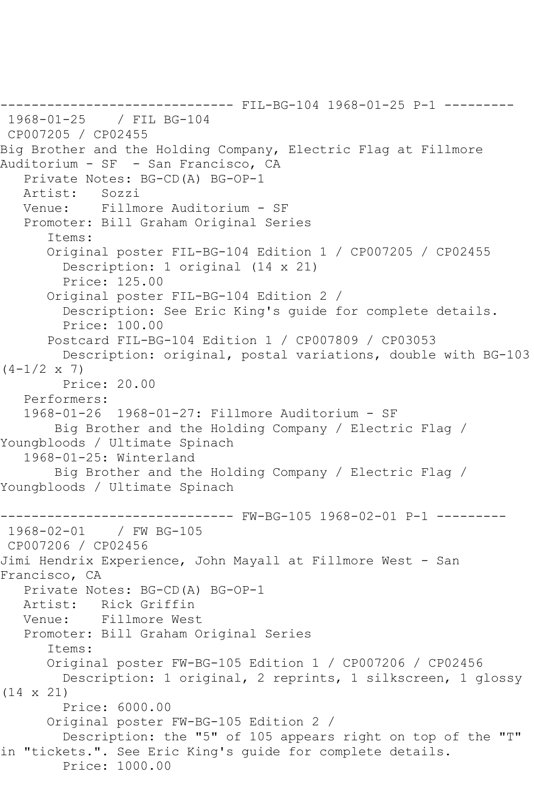------------------------------ FIL-BG-104 1968-01-25 P-1 --------- 1968-01-25 / FIL BG-104 CP007205 / CP02455 Big Brother and the Holding Company, Electric Flag at Fillmore Auditorium - SF - San Francisco, CA Private Notes: BG-CD(A) BG-OP-1 Artist: Sozzi Venue: Fillmore Auditorium - SF Promoter: Bill Graham Original Series Items: Original poster FIL-BG-104 Edition 1 / CP007205 / CP02455 Description: 1 original (14 x 21) Price: 125.00 Original poster FIL-BG-104 Edition 2 / Description: See Eric King's guide for complete details. Price: 100.00 Postcard FIL-BG-104 Edition 1 / CP007809 / CP03053 Description: original, postal variations, double with BG-103  $(4-1/2 \times 7)$  Price: 20.00 Performers: 1968-01-26 1968-01-27: Fillmore Auditorium - SF Big Brother and the Holding Company / Electric Flag / Youngbloods / Ultimate Spinach 1968-01-25: Winterland Big Brother and the Holding Company / Electric Flag / Youngbloods / Ultimate Spinach ------------------------------ FW-BG-105 1968-02-01 P-1 --------- 1968-02-01 / FW BG-105 CP007206 / CP02456 Jimi Hendrix Experience, John Mayall at Fillmore West - San Francisco, CA Private Notes: BG-CD(A) BG-OP-1 Artist: Rick Griffin Venue: Fillmore West Promoter: Bill Graham Original Series Items: Original poster FW-BG-105 Edition 1 / CP007206 / CP02456 Description: 1 original, 2 reprints, 1 silkscreen, 1 glossy (14 x 21) Price: 6000.00 Original poster FW-BG-105 Edition 2 / Description: the "5" of 105 appears right on top of the "T" in "tickets.". See Eric King's guide for complete details. Price: 1000.00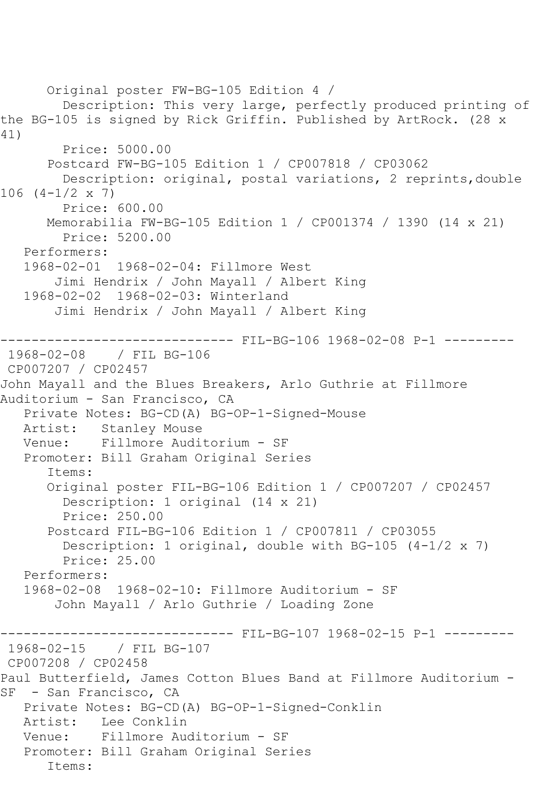Original poster FW-BG-105 Edition 4 / Description: This very large, perfectly produced printing of the BG-105 is signed by Rick Griffin. Published by ArtRock. (28 x 41) Price: 5000.00 Postcard FW-BG-105 Edition 1 / CP007818 / CP03062 Description: original, postal variations, 2 reprints,double 106 (4-1/2 x 7) Price: 600.00 Memorabilia FW-BG-105 Edition 1 / CP001374 / 1390 (14 x 21) Price: 5200.00 Performers: 1968-02-01 1968-02-04: Fillmore West Jimi Hendrix / John Mayall / Albert King 1968-02-02 1968-02-03: Winterland Jimi Hendrix / John Mayall / Albert King ------------------------------ FIL-BG-106 1968-02-08 P-1 --------- 1968-02-08 / FIL BG-106 CP007207 / CP02457 John Mayall and the Blues Breakers, Arlo Guthrie at Fillmore Auditorium - San Francisco, CA Private Notes: BG-CD(A) BG-OP-1-Signed-Mouse Stanley Mouse Venue: Fillmore Auditorium - SF Promoter: Bill Graham Original Series Items: Original poster FIL-BG-106 Edition 1 / CP007207 / CP02457 Description: 1 original (14 x 21) Price: 250.00 Postcard FIL-BG-106 Edition 1 / CP007811 / CP03055 Description: 1 original, double with BG-105 (4-1/2 x 7) Price: 25.00 Performers: 1968-02-08 1968-02-10: Fillmore Auditorium - SF John Mayall / Arlo Guthrie / Loading Zone ------------------------------ FIL-BG-107 1968-02-15 P-1 --------- 1968-02-15 / FIL BG-107 CP007208 / CP02458 Paul Butterfield, James Cotton Blues Band at Fillmore Auditorium - SF - San Francisco, CA Private Notes: BG-CD(A) BG-OP-1-Signed-Conklin Artist: Lee Conklin Venue: Fillmore Auditorium - SF Promoter: Bill Graham Original Series Items: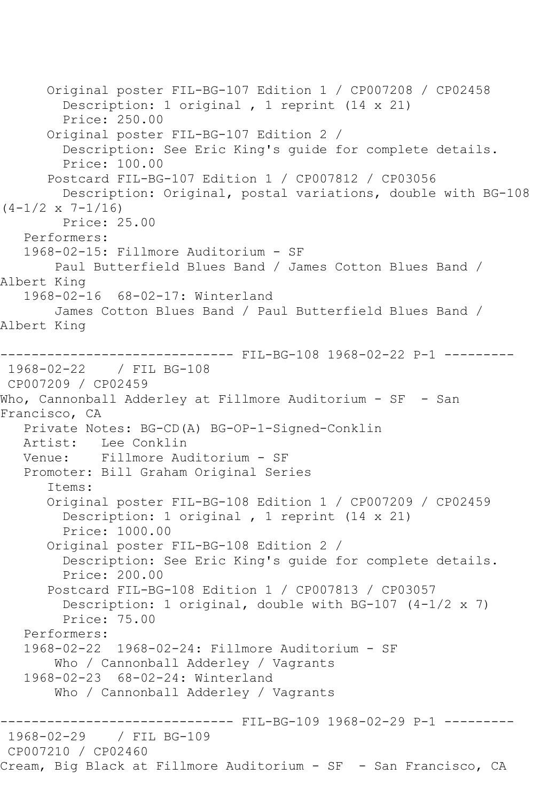```
 Original poster FIL-BG-107 Edition 1 / CP007208 / CP02458
         Description: 1 original , 1 reprint (14 x 21)
         Price: 250.00
       Original poster FIL-BG-107 Edition 2 / 
         Description: See Eric King's guide for complete details.
         Price: 100.00
       Postcard FIL-BG-107 Edition 1 / CP007812 / CP03056
         Description: Original, postal variations, double with BG-108 
(4-1/2 \times 7-1/16) Price: 25.00
    Performers:
    1968-02-15: Fillmore Auditorium - SF
        Paul Butterfield Blues Band / James Cotton Blues Band / 
Albert King
    1968-02-16 68-02-17: Winterland
        James Cotton Blues Band / Paul Butterfield Blues Band / 
Albert King
                      --------- FIL-BG-108 1968-02-22 P-1 ---------
1968-02-22 / FIL BG-108
CP007209 / CP02459
Who, Cannonball Adderley at Fillmore Auditorium - SF - San
Francisco, CA
   Private Notes: BG-CD(A) BG-OP-1-Signed-Conklin
  Artist: Lee Conklin<br>Venue: Fillmore Aud
            Fillmore Auditorium - SF
    Promoter: Bill Graham Original Series
       Items:
       Original poster FIL-BG-108 Edition 1 / CP007209 / CP02459
         Description: 1 original , 1 reprint (14 x 21)
         Price: 1000.00
       Original poster FIL-BG-108 Edition 2 / 
         Description: See Eric King's guide for complete details.
         Price: 200.00
       Postcard FIL-BG-108 Edition 1 / CP007813 / CP03057
        Description: 1 original, double with BG-107 (4-1/2 \times 7) Price: 75.00
    Performers:
    1968-02-22 1968-02-24: Fillmore Auditorium - SF
        Who / Cannonball Adderley / Vagrants
    1968-02-23 68-02-24: Winterland
        Who / Cannonball Adderley / Vagrants
                   ------------------------------ FIL-BG-109 1968-02-29 P-1 ---------
1968-02-29 / FIL BG-109
CP007210 / CP02460
Cream, Big Black at Fillmore Auditorium - SF - San Francisco, CA
```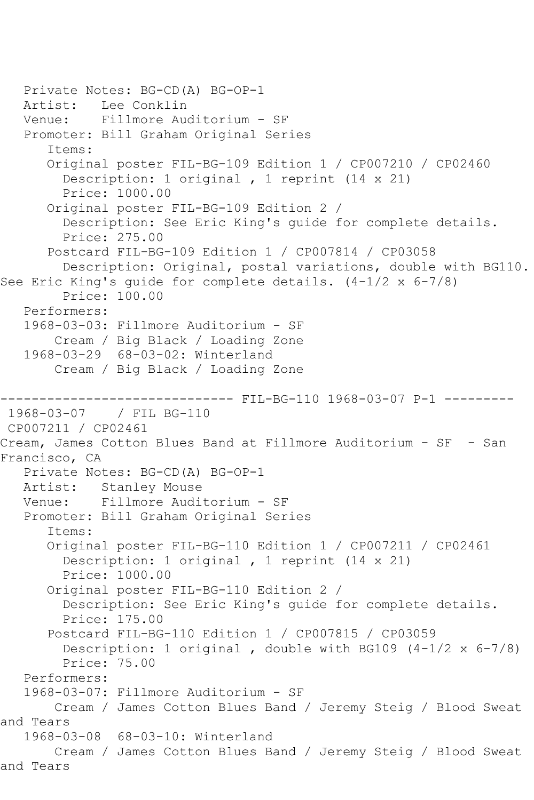Private Notes: BG-CD(A) BG-OP-1 Artist: Lee Conklin Venue: Fillmore Auditorium - SF Promoter: Bill Graham Original Series Items: Original poster FIL-BG-109 Edition 1 / CP007210 / CP02460 Description: 1 original , 1 reprint (14 x 21) Price: 1000.00 Original poster FIL-BG-109 Edition 2 / Description: See Eric King's guide for complete details. Price: 275.00 Postcard FIL-BG-109 Edition 1 / CP007814 / CP03058 Description: Original, postal variations, double with BG110. See Eric King's guide for complete details. (4-1/2 x 6-7/8) Price: 100.00 Performers: 1968-03-03: Fillmore Auditorium - SF Cream / Big Black / Loading Zone 1968-03-29 68-03-02: Winterland Cream / Big Black / Loading Zone ------------------------------ FIL-BG-110 1968-03-07 P-1 --------- / FIL BG-110 CP007211 / CP02461 Cream, James Cotton Blues Band at Fillmore Auditorium - SF - San Francisco, CA Private Notes: BG-CD(A) BG-OP-1 Artist: Stanley Mouse Venue: Fillmore Auditorium - SF Promoter: Bill Graham Original Series Items: Original poster FIL-BG-110 Edition 1 / CP007211 / CP02461 Description: 1 original , 1 reprint (14 x 21) Price: 1000.00 Original poster FIL-BG-110 Edition 2 / Description: See Eric King's guide for complete details. Price: 175.00 Postcard FIL-BG-110 Edition 1 / CP007815 / CP03059 Description: 1 original , double with BG109 (4-1/2 x 6-7/8) Price: 75.00 Performers: 1968-03-07: Fillmore Auditorium - SF Cream / James Cotton Blues Band / Jeremy Steig / Blood Sweat and Tears 1968-03-08 68-03-10: Winterland Cream / James Cotton Blues Band / Jeremy Steig / Blood Sweat and Tears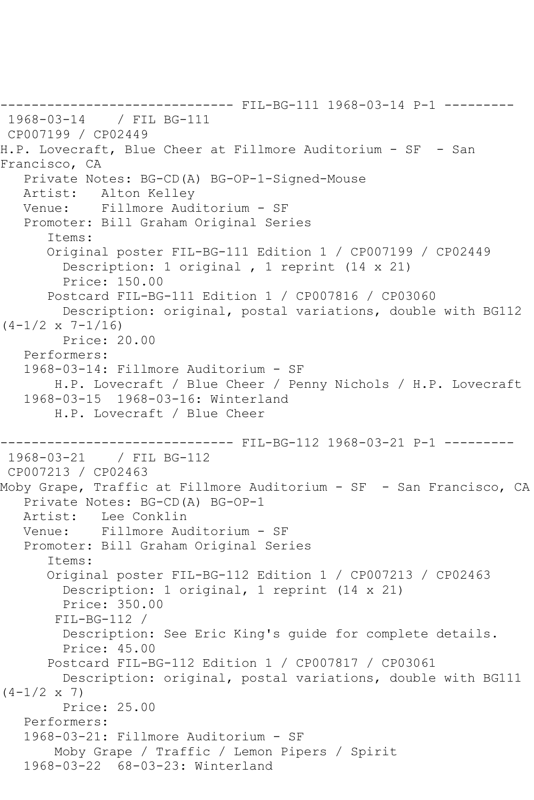```
------------------------------ FIL-BG-111 1968-03-14 P-1 ---------
1968-03-14 / FIL BG-111
CP007199 / CP02449
H.P. Lovecraft, Blue Cheer at Fillmore Auditorium - SF - San 
Francisco, CA
   Private Notes: BG-CD(A) BG-OP-1-Signed-Mouse
   Artist: Alton Kelley
   Venue: Fillmore Auditorium - SF
    Promoter: Bill Graham Original Series
       Items:
       Original poster FIL-BG-111 Edition 1 / CP007199 / CP02449
         Description: 1 original , 1 reprint (14 x 21)
         Price: 150.00
       Postcard FIL-BG-111 Edition 1 / CP007816 / CP03060
         Description: original, postal variations, double with BG112 
(4-1/2 \times 7-1/16) Price: 20.00
    Performers:
    1968-03-14: Fillmore Auditorium - SF
        H.P. Lovecraft / Blue Cheer / Penny Nichols / H.P. Lovecraft
    1968-03-15 1968-03-16: Winterland
        H.P. Lovecraft / Blue Cheer
                        ------- FIL-BG-112 1968-03-21 P-1 ---------
1968-03-21 / FIL BG-112
CP007213 / CP02463
Moby Grape, Traffic at Fillmore Auditorium - SF - San Francisco, CA
    Private Notes: BG-CD(A) BG-OP-1
   Artist: Lee Conklin
   Venue: Fillmore Auditorium - SF
    Promoter: Bill Graham Original Series
       Items:
       Original poster FIL-BG-112 Edition 1 / CP007213 / CP02463
         Description: 1 original, 1 reprint (14 x 21)
         Price: 350.00
        FIL-BG-112 / 
         Description: See Eric King's guide for complete details.
         Price: 45.00
       Postcard FIL-BG-112 Edition 1 / CP007817 / CP03061
         Description: original, postal variations, double with BG111 
(4-1/2 \times 7) Price: 25.00
    Performers:
    1968-03-21: Fillmore Auditorium - SF
        Moby Grape / Traffic / Lemon Pipers / Spirit
    1968-03-22 68-03-23: Winterland
```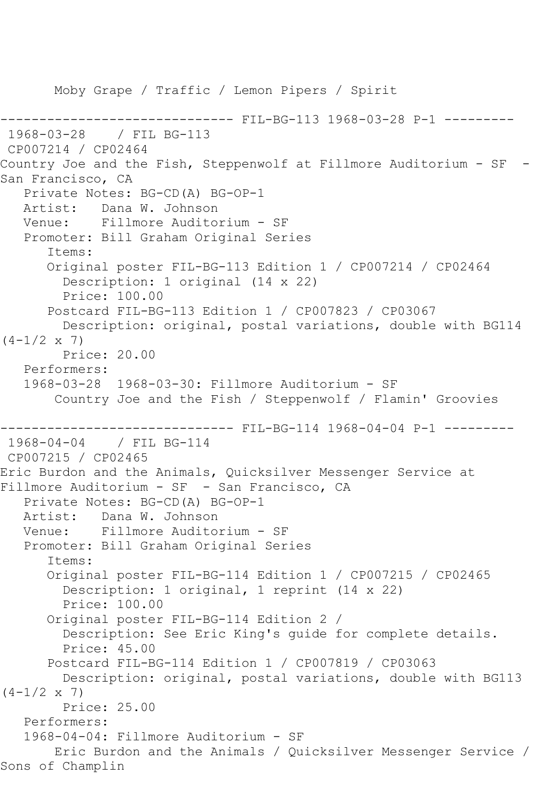Moby Grape / Traffic / Lemon Pipers / Spirit --------- FIL-BG-113 1968-03-28 P-1 ---------1968-03-28 / FIL BG-113 CP007214 / CP02464 Country Joe and the Fish, Steppenwolf at Fillmore Auditorium - SF - San Francisco, CA Private Notes: BG-CD(A) BG-OP-1 Artist: Dana W. Johnson Venue: Fillmore Auditorium - SF Promoter: Bill Graham Original Series Items: Original poster FIL-BG-113 Edition 1 / CP007214 / CP02464 Description: 1 original (14 x 22) Price: 100.00 Postcard FIL-BG-113 Edition 1 / CP007823 / CP03067 Description: original, postal variations, double with BG114  $(4-1/2 \times 7)$  Price: 20.00 Performers: 1968-03-28 1968-03-30: Fillmore Auditorium - SF Country Joe and the Fish / Steppenwolf / Flamin' Groovies ------------------------------ FIL-BG-114 1968-04-04 P-1 --------- 1968-04-04 / FIL BG-114 CP007215 / CP02465 Eric Burdon and the Animals, Quicksilver Messenger Service at Fillmore Auditorium - SF - San Francisco, CA Private Notes: BG-CD(A) BG-OP-1 Artist: Dana W. Johnson Venue: Fillmore Auditorium - SF Promoter: Bill Graham Original Series Items: Original poster FIL-BG-114 Edition 1 / CP007215 / CP02465 Description: 1 original, 1 reprint (14 x 22) Price: 100.00 Original poster FIL-BG-114 Edition 2 / Description: See Eric King's guide for complete details. Price: 45.00 Postcard FIL-BG-114 Edition 1 / CP007819 / CP03063 Description: original, postal variations, double with BG113  $(4-1/2 \times 7)$  Price: 25.00 Performers: 1968-04-04: Fillmore Auditorium - SF Eric Burdon and the Animals / Quicksilver Messenger Service / Sons of Champlin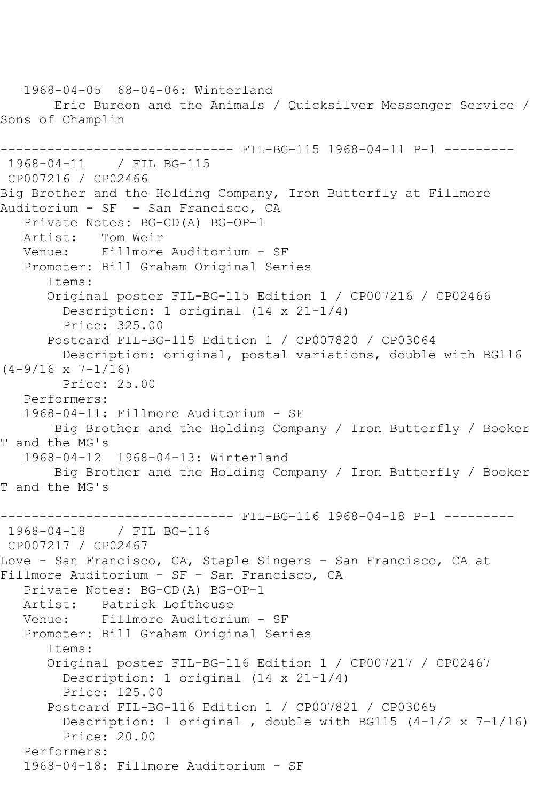```
 1968-04-05 68-04-06: Winterland
        Eric Burdon and the Animals / Quicksilver Messenger Service / 
Sons of Champlin
------------------------------ FIL-BG-115 1968-04-11 P-1 ---------
1968-04-11 / FIL BG-115
CP007216 / CP02466
Big Brother and the Holding Company, Iron Butterfly at Fillmore 
Auditorium - SF - San Francisco, CA
  Private Notes: BG-CD(A) BG-OP-1<br>Artist: Tom Weir
  Artist: Tom Weir<br>Venue: Fillmore
            Fillmore Auditorium - SF
    Promoter: Bill Graham Original Series
       Items:
       Original poster FIL-BG-115 Edition 1 / CP007216 / CP02466
         Description: 1 original (14 x 21-1/4)
         Price: 325.00
       Postcard FIL-BG-115 Edition 1 / CP007820 / CP03064
         Description: original, postal variations, double with BG116 
(4-9/16 \times 7-1/16) Price: 25.00
    Performers:
    1968-04-11: Fillmore Auditorium - SF
        Big Brother and the Holding Company / Iron Butterfly / Booker 
T and the MG's
    1968-04-12 1968-04-13: Winterland
        Big Brother and the Holding Company / Iron Butterfly / Booker 
T and the MG's
------------------------------ FIL-BG-116 1968-04-18 P-1 ---------
1968-04-18 / FIL BG-116
CP007217 / CP02467
Love - San Francisco, CA, Staple Singers - San Francisco, CA at
Fillmore Auditorium - SF - San Francisco, CA
    Private Notes: BG-CD(A) BG-OP-1
   Artist: Patrick Lofthouse
    Venue: Fillmore Auditorium - SF
    Promoter: Bill Graham Original Series
       Items:
       Original poster FIL-BG-116 Edition 1 / CP007217 / CP02467
         Description: 1 original (14 x 21-1/4)
         Price: 125.00
       Postcard FIL-BG-116 Edition 1 / CP007821 / CP03065
         Description: 1 original , double with BG115 (4-1/2 x 7-1/16)
         Price: 20.00
    Performers:
    1968-04-18: Fillmore Auditorium - SF
```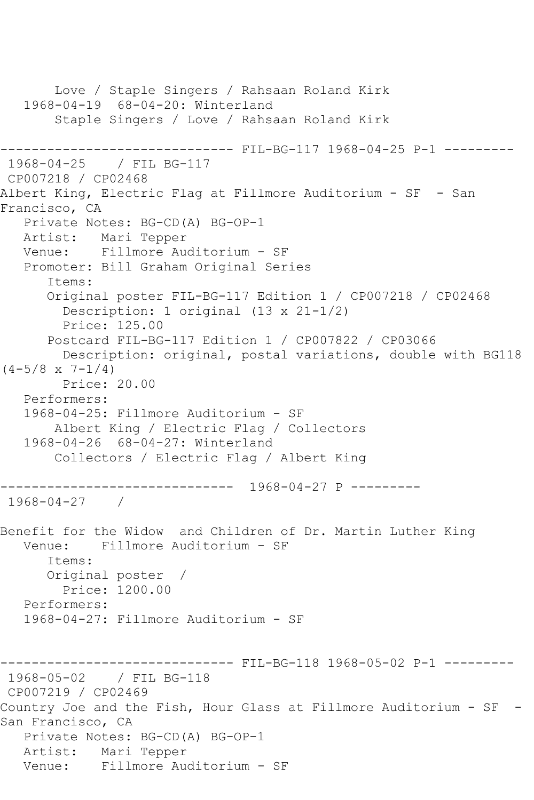Love / Staple Singers / Rahsaan Roland Kirk 1968-04-19 68-04-20: Winterland Staple Singers / Love / Rahsaan Roland Kirk ------------------------------ FIL-BG-117 1968-04-25 P-1 --------- 1968-04-25 / FIL BG-117 CP007218 / CP02468 Albert King, Electric Flag at Fillmore Auditorium - SF - San Francisco, CA Private Notes: BG-CD(A) BG-OP-1 Artist: Mari Tepper Venue: Fillmore Auditorium - SF Promoter: Bill Graham Original Series Items: Original poster FIL-BG-117 Edition 1 / CP007218 / CP02468 Description: 1 original (13 x 21-1/2) Price: 125.00 Postcard FIL-BG-117 Edition 1 / CP007822 / CP03066 Description: original, postal variations, double with BG118  $(4-5/8 \times 7-1/4)$  Price: 20.00 Performers: 1968-04-25: Fillmore Auditorium - SF Albert King / Electric Flag / Collectors 1968-04-26 68-04-27: Winterland Collectors / Electric Flag / Albert King ------------------------------ 1968-04-27 P --------- 1968-04-27 / Benefit for the Widow and Children of Dr. Martin Luther King Venue: Fillmore Auditorium - SF Items: Original poster / Price: 1200.00 Performers: 1968-04-27: Fillmore Auditorium - SF ------------------------------ FIL-BG-118 1968-05-02 P-1 --------- 1968-05-02 / FIL BG-118 CP007219 / CP02469 Country Joe and the Fish, Hour Glass at Fillmore Auditorium - SF - San Francisco, CA Private Notes: BG-CD(A) BG-OP-1 Artist: Mari Tepper Venue: Fillmore Auditorium - SF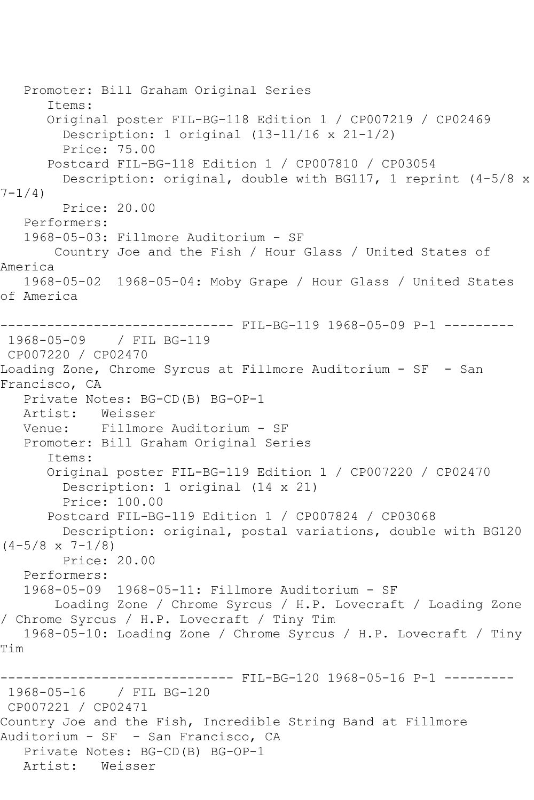```
 Promoter: Bill Graham Original Series
       Items:
       Original poster FIL-BG-118 Edition 1 / CP007219 / CP02469
         Description: 1 original (13-11/16 x 21-1/2)
         Price: 75.00
       Postcard FIL-BG-118 Edition 1 / CP007810 / CP03054
         Description: original, double with BG117, 1 reprint (4-5/8 x 
7 - 1/4)
         Price: 20.00
   Performers:
   1968-05-03: Fillmore Auditorium - SF
       Country Joe and the Fish / Hour Glass / United States of 
America
   1968-05-02 1968-05-04: Moby Grape / Hour Glass / United States 
of America
------------------------------ FIL-BG-119 1968-05-09 P-1 ---------
1968-05-09 / FIL BG-119
CP007220 / CP02470
Loading Zone, Chrome Syrcus at Fillmore Auditorium - SF - San 
Francisco, CA
   Private Notes: BG-CD(B) BG-OP-1
   Artist: Weisser
   Venue: Fillmore Auditorium - SF
   Promoter: Bill Graham Original Series
       Items:
       Original poster FIL-BG-119 Edition 1 / CP007220 / CP02470
         Description: 1 original (14 x 21)
         Price: 100.00
       Postcard FIL-BG-119 Edition 1 / CP007824 / CP03068
        Description: original, postal variations, double with BG120 
(4-5/8 \times 7-1/8) Price: 20.00
   Performers:
   1968-05-09 1968-05-11: Fillmore Auditorium - SF
        Loading Zone / Chrome Syrcus / H.P. Lovecraft / Loading Zone 
/ Chrome Syrcus / H.P. Lovecraft / Tiny Tim
   1968-05-10: Loading Zone / Chrome Syrcus / H.P. Lovecraft / Tiny 
Tim
                   ------------------------------ FIL-BG-120 1968-05-16 P-1 ---------
1968-05-16 / FIL BG-120
CP007221 / CP02471
Country Joe and the Fish, Incredible String Band at Fillmore 
Auditorium - SF - San Francisco, CA
   Private Notes: BG-CD(B) BG-OP-1
   Artist: Weisser
```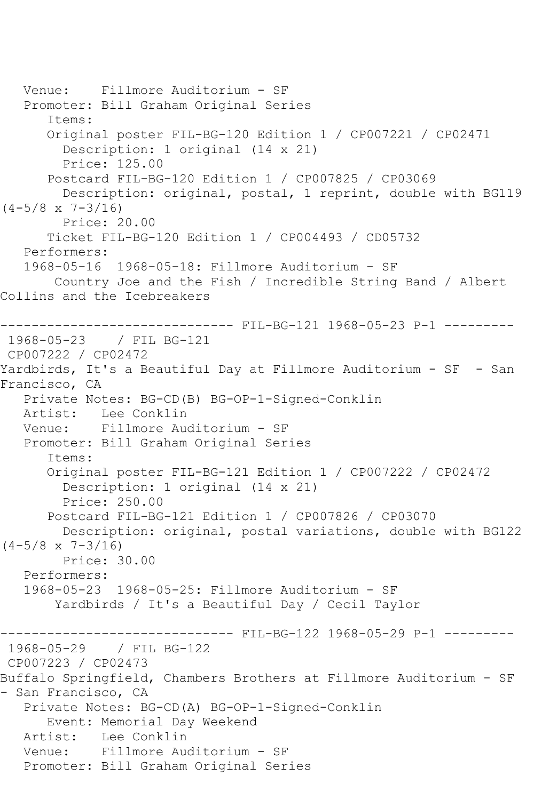```
 Venue: Fillmore Auditorium - SF
    Promoter: Bill Graham Original Series
       Items:
       Original poster FIL-BG-120 Edition 1 / CP007221 / CP02471
         Description: 1 original (14 x 21)
         Price: 125.00
       Postcard FIL-BG-120 Edition 1 / CP007825 / CP03069
         Description: original, postal, 1 reprint, double with BG119 
(4-5/8 \times 7-3/16) Price: 20.00
       Ticket FIL-BG-120 Edition 1 / CP004493 / CD05732
    Performers:
    1968-05-16 1968-05-18: Fillmore Auditorium - SF
        Country Joe and the Fish / Incredible String Band / Albert 
Collins and the Icebreakers
------------------------------ FIL-BG-121 1968-05-23 P-1 ---------
1968-05-23 / FIL BG-121
CP007222 / CP02472
Yardbirds, It's a Beautiful Day at Fillmore Auditorium - SF - San 
Francisco, CA
    Private Notes: BG-CD(B) BG-OP-1-Signed-Conklin
   Artist: Lee Conklin
   Venue: Fillmore Auditorium - SF
   Promoter: Bill Graham Original Series
       Items:
       Original poster FIL-BG-121 Edition 1 / CP007222 / CP02472
         Description: 1 original (14 x 21)
         Price: 250.00
       Postcard FIL-BG-121 Edition 1 / CP007826 / CP03070
        Description: original, postal variations, double with BG122 
(4-5/8 \times 7-3/16) Price: 30.00
    Performers:
    1968-05-23 1968-05-25: Fillmore Auditorium - SF
        Yardbirds / It's a Beautiful Day / Cecil Taylor
                    ------------------------------ FIL-BG-122 1968-05-29 P-1 ---------
1968-05-29 / FIL BG-122
CP007223 / CP02473
Buffalo Springfield, Chambers Brothers at Fillmore Auditorium - SF 
- San Francisco, CA
   Private Notes: BG-CD(A) BG-OP-1-Signed-Conklin
       Event: Memorial Day Weekend
  Artist: Lee Conklin<br>Venue: Fillmore Aud
            Fillmore Auditorium - SF
   Promoter: Bill Graham Original Series
```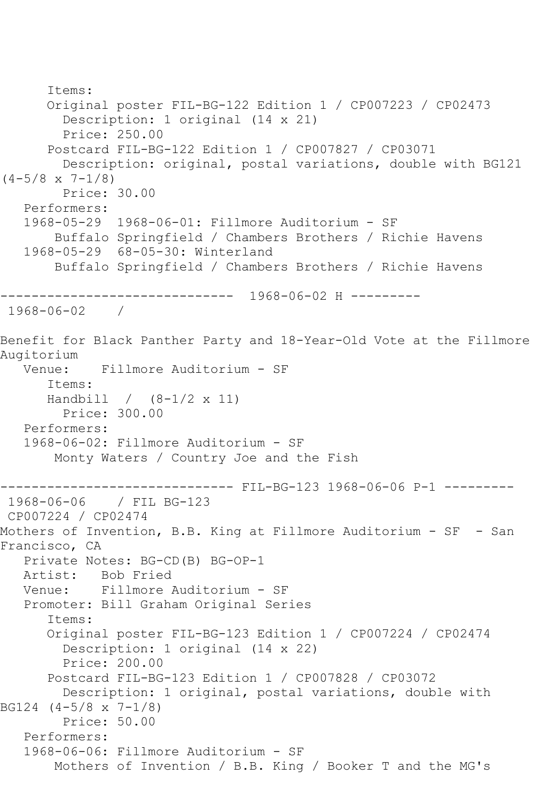```
 Items:
       Original poster FIL-BG-122 Edition 1 / CP007223 / CP02473
         Description: 1 original (14 x 21)
         Price: 250.00
       Postcard FIL-BG-122 Edition 1 / CP007827 / CP03071
         Description: original, postal variations, double with BG121 
(4-5/8 \times 7-1/8) Price: 30.00
    Performers:
    1968-05-29 1968-06-01: Fillmore Auditorium - SF
        Buffalo Springfield / Chambers Brothers / Richie Havens
    1968-05-29 68-05-30: Winterland
        Buffalo Springfield / Chambers Brothers / Richie Havens
         ------------------------------ 1968-06-02 H ---------
1968-06-02 / 
Benefit for Black Panther Party and 18-Year-Old Vote at the Fillmore 
Augitorium
   Venue: Fillmore Auditorium - SF
       Items:
       Handbill / (8-1/2 x 11)
         Price: 300.00
   Performers:
   1968-06-02: Fillmore Auditorium - SF
        Monty Waters / Country Joe and the Fish
                  ------------------------------ FIL-BG-123 1968-06-06 P-1 ---------
1968-06-06 / FIL BG-123
CP007224 / CP02474
Mothers of Invention, B.B. King at Fillmore Auditorium - SF - San 
Francisco, CA
    Private Notes: BG-CD(B) BG-OP-1
   Artist: Bob Fried
   Venue: Fillmore Auditorium - SF
    Promoter: Bill Graham Original Series
       Items:
       Original poster FIL-BG-123 Edition 1 / CP007224 / CP02474
         Description: 1 original (14 x 22)
         Price: 200.00
       Postcard FIL-BG-123 Edition 1 / CP007828 / CP03072
         Description: 1 original, postal variations, double with 
BG124 (4-5/8 x 7-1/8)
         Price: 50.00
    Performers:
    1968-06-06: Fillmore Auditorium - SF
        Mothers of Invention / B.B. King / Booker T and the MG's
```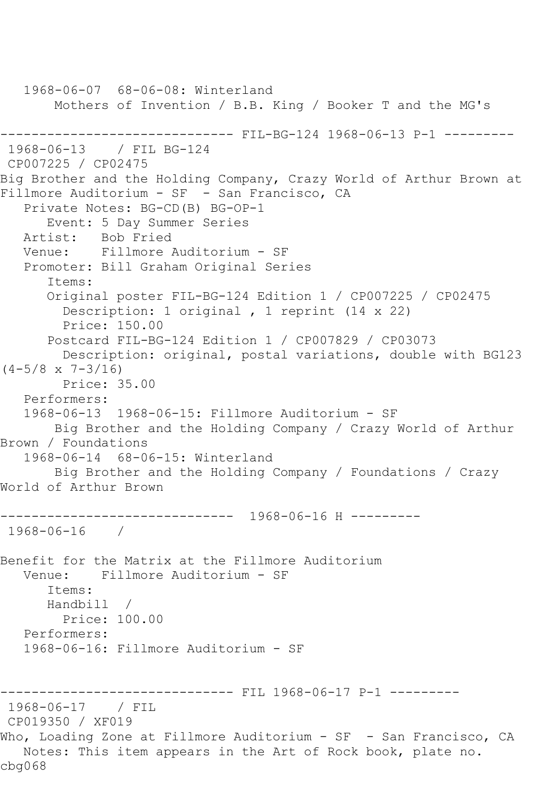```
 1968-06-07 68-06-08: Winterland
        Mothers of Invention / B.B. King / Booker T and the MG's
------------------------------ FIL-BG-124 1968-06-13 P-1 ---------
1968-06-13 / FIL BG-124
CP007225 / CP02475
Big Brother and the Holding Company, Crazy World of Arthur Brown at 
Fillmore Auditorium - SF - San Francisco, CA
   Private Notes: BG-CD(B) BG-OP-1
      Event: 5 Day Summer Series
   Artist: Bob Fried
   Venue: Fillmore Auditorium - SF
   Promoter: Bill Graham Original Series
       Items:
       Original poster FIL-BG-124 Edition 1 / CP007225 / CP02475
         Description: 1 original , 1 reprint (14 x 22)
        Price: 150.00
       Postcard FIL-BG-124 Edition 1 / CP007829 / CP03073
         Description: original, postal variations, double with BG123 
(4-5/8 \times 7-3/16) Price: 35.00
   Performers:
   1968-06-13 1968-06-15: Fillmore Auditorium - SF
       Big Brother and the Holding Company / Crazy World of Arthur 
Brown / Foundations
   1968-06-14 68-06-15: Winterland
        Big Brother and the Holding Company / Foundations / Crazy 
World of Arthur Brown
      ------------------------------ 1968-06-16 H ---------
1968-06-16 / 
Benefit for the Matrix at the Fillmore Auditorium
   Venue: Fillmore Auditorium - SF
      Items:
      Handbill / 
        Price: 100.00
   Performers:
   1968-06-16: Fillmore Auditorium - SF
------------------------------ FIL 1968-06-17 P-1 ---------
1968-06-17 / FIL 
CP019350 / XF019
Who, Loading Zone at Fillmore Auditorium - SF - San Francisco, CA
   Notes: This item appears in the Art of Rock book, plate no. 
cbg068
```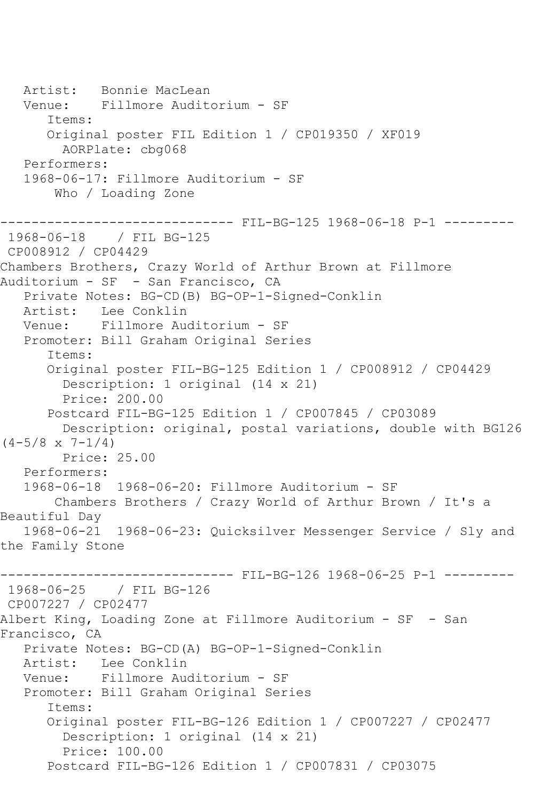Artist: Bonnie MacLean Venue: Fillmore Auditorium - SF Items: Original poster FIL Edition 1 / CP019350 / XF019 AORPlate: cbg068 Performers: 1968-06-17: Fillmore Auditorium - SF Who / Loading Zone ------------------------------ FIL-BG-125 1968-06-18 P-1 --------- 1968-06-18 / FIL BG-125 CP008912 / CP04429 Chambers Brothers, Crazy World of Arthur Brown at Fillmore Auditorium - SF - San Francisco, CA Private Notes: BG-CD(B) BG-OP-1-Signed-Conklin Artist: Lee Conklin<br>Venue: Fillmore Aud Fillmore Auditorium - SF Promoter: Bill Graham Original Series Items: Original poster FIL-BG-125 Edition 1 / CP008912 / CP04429 Description: 1 original (14 x 21) Price: 200.00 Postcard FIL-BG-125 Edition 1 / CP007845 / CP03089 Description: original, postal variations, double with BG126  $(4-5/8 \times 7-1/4)$  Price: 25.00 Performers: 1968-06-18 1968-06-20: Fillmore Auditorium - SF Chambers Brothers / Crazy World of Arthur Brown / It's a Beautiful Day 1968-06-21 1968-06-23: Quicksilver Messenger Service / Sly and the Family Stone ------------------------------- FIL-BG-126 1968-06-25 P-1 ----------1968-06-25 / FIL BG-126 CP007227 / CP02477 Albert King, Loading Zone at Fillmore Auditorium - SF - San Francisco, CA Private Notes: BG-CD(A) BG-OP-1-Signed-Conklin Artist: Lee Conklin Venue: Fillmore Auditorium - SF Promoter: Bill Graham Original Series Items: Original poster FIL-BG-126 Edition 1 / CP007227 / CP02477 Description: 1 original (14 x 21) Price: 100.00 Postcard FIL-BG-126 Edition 1 / CP007831 / CP03075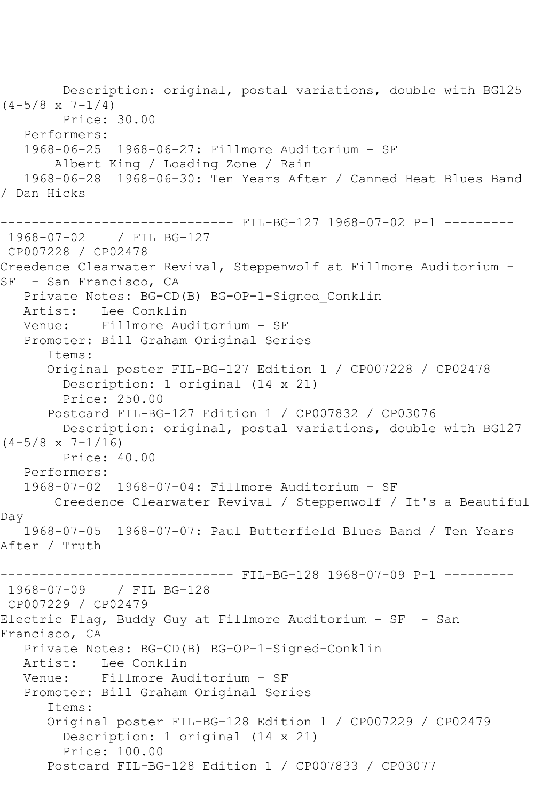Description: original, postal variations, double with BG125  $(4-5/8 \times 7-1/4)$  Price: 30.00 Performers: 1968-06-25 1968-06-27: Fillmore Auditorium - SF Albert King / Loading Zone / Rain 1968-06-28 1968-06-30: Ten Years After / Canned Heat Blues Band / Dan Hicks ------------------------------ FIL-BG-127 1968-07-02 P-1 --------- 1968-07-02 / FIL BG-127 CP007228 / CP02478 Creedence Clearwater Revival, Steppenwolf at Fillmore Auditorium - SF - San Francisco, CA Private Notes: BG-CD(B) BG-OP-1-Signed\_Conklin Artist: Lee Conklin Venue: Fillmore Auditorium - SF Promoter: Bill Graham Original Series Items: Original poster FIL-BG-127 Edition 1 / CP007228 / CP02478 Description: 1 original (14 x 21) Price: 250.00 Postcard FIL-BG-127 Edition 1 / CP007832 / CP03076 Description: original, postal variations, double with BG127  $(4-5/8 \times 7-1/16)$  Price: 40.00 Performers: 1968-07-02 1968-07-04: Fillmore Auditorium - SF Creedence Clearwater Revival / Steppenwolf / It's a Beautiful Day 1968-07-05 1968-07-07: Paul Butterfield Blues Band / Ten Years After / Truth ------------------------------ FIL-BG-128 1968-07-09 P-1 --------- 1968-07-09 / FIL BG-128 CP007229 / CP02479 Electric Flag, Buddy Guy at Fillmore Auditorium - SF - San Francisco, CA Private Notes: BG-CD(B) BG-OP-1-Signed-Conklin Artist: Lee Conklin<br>Venue: Fillmore Au Fillmore Auditorium - SF Promoter: Bill Graham Original Series Items: Original poster FIL-BG-128 Edition 1 / CP007229 / CP02479 Description: 1 original (14 x 21) Price: 100.00 Postcard FIL-BG-128 Edition 1 / CP007833 / CP03077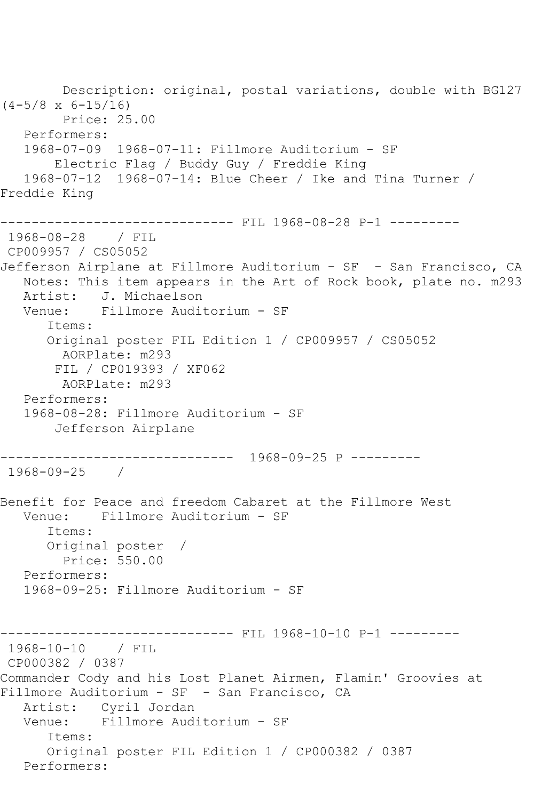Description: original, postal variations, double with BG127  $(4-5/8 \times 6-15/16)$  Price: 25.00 Performers: 1968-07-09 1968-07-11: Fillmore Auditorium - SF Electric Flag / Buddy Guy / Freddie King 1968-07-12 1968-07-14: Blue Cheer / Ike and Tina Turner / Freddie King ------------------------------ FIL 1968-08-28 P-1 --------- 1968-08-28 / FIL CP009957 / CS05052 Jefferson Airplane at Fillmore Auditorium - SF - San Francisco, CA Notes: This item appears in the Art of Rock book, plate no. m293 Artist: J. Michaelson Venue: Fillmore Auditorium - SF Items: Original poster FIL Edition 1 / CP009957 / CS05052 AORPlate: m293 FIL / CP019393 / XF062 AORPlate: m293 Performers: 1968-08-28: Fillmore Auditorium - SF Jefferson Airplane ------------------------------ 1968-09-25 P --------- 1968-09-25 / Benefit for Peace and freedom Cabaret at the Fillmore West Venue: Fillmore Auditorium - SF Items: Original poster / Price: 550.00 Performers: 1968-09-25: Fillmore Auditorium - SF ---------- FIL 1968-10-10 P-1 ---------1968-10-10 / FIL CP000382 / 0387 Commander Cody and his Lost Planet Airmen, Flamin' Groovies at Fillmore Auditorium - SF - San Francisco, CA Artist: Cyril Jordan<br>Venue: Fillmore Aud Fillmore Auditorium - SF Items: Original poster FIL Edition 1 / CP000382 / 0387 Performers: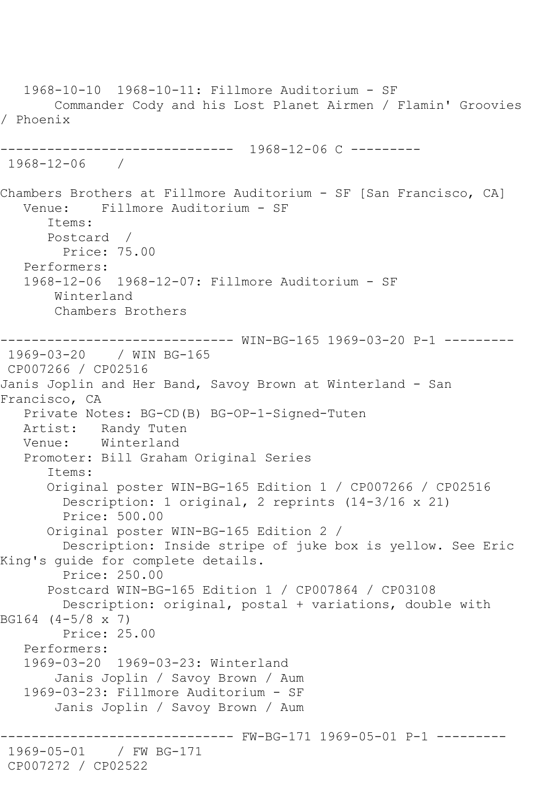1968-10-10 1968-10-11: Fillmore Auditorium - SF Commander Cody and his Lost Planet Airmen / Flamin' Groovies / Phoenix ------------------------------ 1968-12-06 C --------- 1968-12-06 / Chambers Brothers at Fillmore Auditorium - SF [San Francisco, CA] Venue: Fillmore Auditorium - SF Items: Postcard / Price: 75.00 Performers: 1968-12-06 1968-12-07: Fillmore Auditorium - SF Winterland Chambers Brothers ------------------------------ WIN-BG-165 1969-03-20 P-1 --------- 1969-03-20 / WIN BG-165 CP007266 / CP02516 Janis Joplin and Her Band, Savoy Brown at Winterland - San Francisco, CA Private Notes: BG-CD(B) BG-OP-1-Signed-Tuten Artist: Randy Tuten Venue: Winterland Promoter: Bill Graham Original Series Items: Original poster WIN-BG-165 Edition 1 / CP007266 / CP02516 Description: 1 original, 2 reprints (14-3/16 x 21) Price: 500.00 Original poster WIN-BG-165 Edition 2 / Description: Inside stripe of juke box is yellow. See Eric King's guide for complete details. Price: 250.00 Postcard WIN-BG-165 Edition 1 / CP007864 / CP03108 Description: original, postal + variations, double with BG164 (4-5/8 x 7) Price: 25.00 Performers: 1969-03-20 1969-03-23: Winterland Janis Joplin / Savoy Brown / Aum 1969-03-23: Fillmore Auditorium - SF Janis Joplin / Savoy Brown / Aum ------------------------------ FW-BG-171 1969-05-01 P-1 --------- 1969-05-01 / FW BG-171 CP007272 / CP02522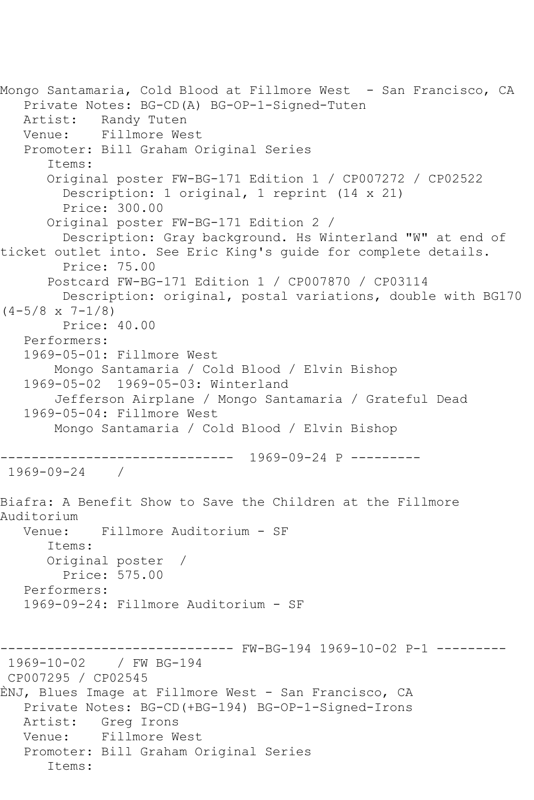```
Mongo Santamaria, Cold Blood at Fillmore West - San Francisco, CA
   Private Notes: BG-CD(A) BG-OP-1-Signed-Tuten
   Artist: Randy Tuten
   Venue: Fillmore West
   Promoter: Bill Graham Original Series
       Items:
       Original poster FW-BG-171 Edition 1 / CP007272 / CP02522
         Description: 1 original, 1 reprint (14 x 21)
         Price: 300.00
       Original poster FW-BG-171 Edition 2 / 
         Description: Gray background. Hs Winterland "W" at end of 
ticket outlet into. See Eric King's guide for complete details.
         Price: 75.00
       Postcard FW-BG-171 Edition 1 / CP007870 / CP03114
        Description: original, postal variations, double with BG170 
(4-5/8 \times 7-1/8) Price: 40.00
   Performers:
   1969-05-01: Fillmore West
        Mongo Santamaria / Cold Blood / Elvin Bishop
   1969-05-02 1969-05-03: Winterland
        Jefferson Airplane / Mongo Santamaria / Grateful Dead
   1969-05-04: Fillmore West
        Mongo Santamaria / Cold Blood / Elvin Bishop
 ------------------------------ 1969-09-24 P ---------
1969-09-24 / 
Biafra: A Benefit Show to Save the Children at the Fillmore 
Auditorium<br>Venue:
            Fillmore Auditorium - SF
       Items:
       Original poster / 
        Price: 575.00
   Performers:
   1969-09-24: Fillmore Auditorium - SF
------------------------------ FW-BG-194 1969-10-02 P-1 ---------
1969-10-02 / FW BG-194
CP007295 / CP02545
ÈNJ, Blues Image at Fillmore West - San Francisco, CA
   Private Notes: BG-CD(+BG-194) BG-OP-1-Signed-Irons
   Artist: Greg Irons
   Venue: Fillmore West
   Promoter: Bill Graham Original Series
       Items:
```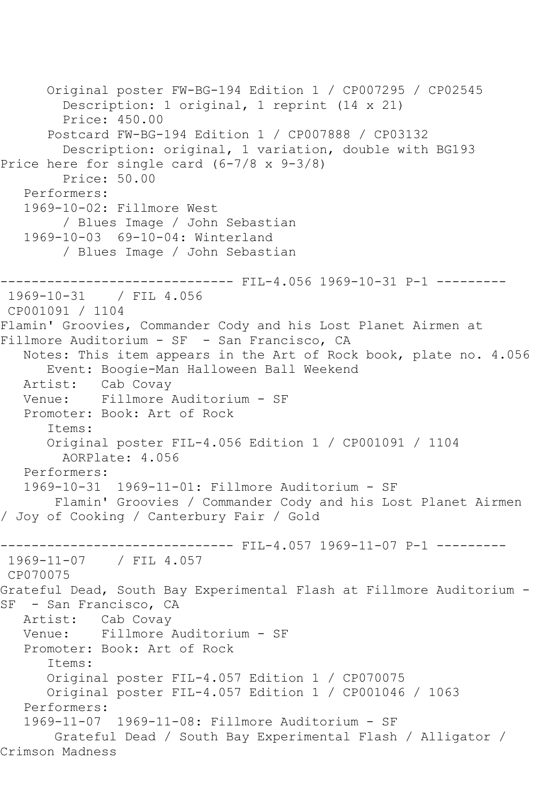```
 Original poster FW-BG-194 Edition 1 / CP007295 / CP02545
         Description: 1 original, 1 reprint (14 x 21)
         Price: 450.00
      Postcard FW-BG-194 Edition 1 / CP007888 / CP03132
         Description: original, 1 variation, double with BG193
Price here for single card (6-7/8 x 9-3/8)
         Price: 50.00
   Performers:
   1969-10-02: Fillmore West
         / Blues Image / John Sebastian
   1969-10-03 69-10-04: Winterland
         / Blues Image / John Sebastian
------------------------------ FIL-4.056 1969-10-31 P-1 ---------
1969-10-31 / FIL 4.056
CP001091 / 1104
Flamin' Groovies, Commander Cody and his Lost Planet Airmen at 
Fillmore Auditorium - SF - San Francisco, CA
   Notes: This item appears in the Art of Rock book, plate no. 4.056
      Event: Boogie-Man Halloween Ball Weekend
   Artist: Cab Covay
   Venue: Fillmore Auditorium - SF
   Promoter: Book: Art of Rock
      Items:
      Original poster FIL-4.056 Edition 1 / CP001091 / 1104
        AORPlate: 4.056 
   Performers:
   1969-10-31 1969-11-01: Fillmore Auditorium - SF
        Flamin' Groovies / Commander Cody and his Lost Planet Airmen 
/ Joy of Cooking / Canterbury Fair / Gold
------------------------------ FIL-4.057 1969-11-07 P-1 ---------
1969-11-07 / FIL 4.057
CP070075
Grateful Dead, South Bay Experimental Flash at Fillmore Auditorium -
SF - San Francisco, CA
   Artist: Cab Covay
   Venue: Fillmore Auditorium - SF
   Promoter: Book: Art of Rock
      Items:
      Original poster FIL-4.057 Edition 1 / CP070075
      Original poster FIL-4.057 Edition 1 / CP001046 / 1063
   Performers:
   1969-11-07 1969-11-08: Fillmore Auditorium - SF
       Grateful Dead / South Bay Experimental Flash / Alligator / 
Crimson Madness
```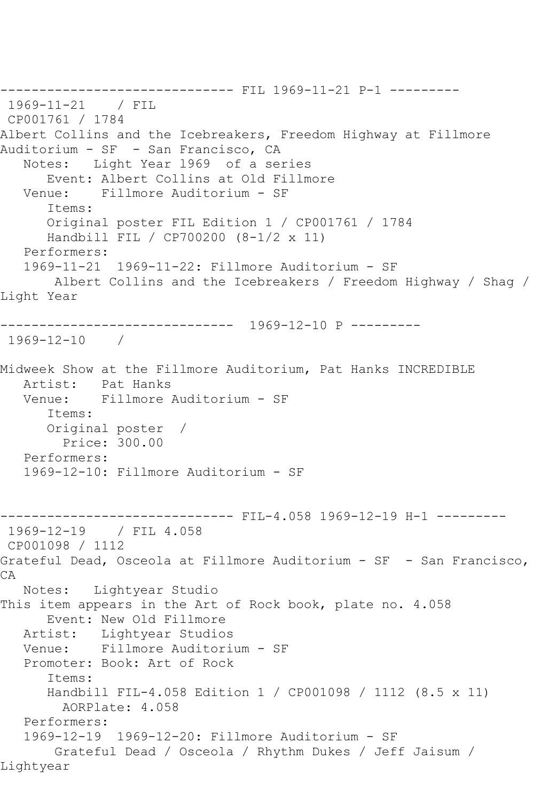------------------------------ FIL 1969-11-21 P-1 --------- 1969-11-21 / FIL CP001761 / 1784 Albert Collins and the Icebreakers, Freedom Highway at Fillmore Auditorium - SF - San Francisco, CA Notes: Light Year l969 of a series Event: Albert Collins at Old Fillmore Venue: Fillmore Auditorium - SF Items: Original poster FIL Edition 1 / CP001761 / 1784 Handbill FIL / CP700200 (8-1/2 x 11) Performers: 1969-11-21 1969-11-22: Fillmore Auditorium - SF Albert Collins and the Icebreakers / Freedom Highway / Shag / Light Year ------------------------------ 1969-12-10 P --------- 1969-12-10 / Midweek Show at the Fillmore Auditorium, Pat Hanks INCREDIBLE Artist: Pat Hanks Venue: Fillmore Auditorium - SF Items: Original poster / Price: 300.00 Performers: 1969-12-10: Fillmore Auditorium - SF ------------------------------ FIL-4.058 1969-12-19 H-1 --------- 1969-12-19 / FIL 4.058 CP001098 / 1112 Grateful Dead, Osceola at Fillmore Auditorium - SF - San Francisco, CA Notes: Lightyear Studio This item appears in the Art of Rock book, plate no. 4.058 Event: New Old Fillmore Artist: Lightyear Studios Venue: Fillmore Auditorium - SF Promoter: Book: Art of Rock Items: Handbill FIL-4.058 Edition 1 / CP001098 / 1112 (8.5 x 11) AORPlate: 4.058 Performers: 1969-12-19 1969-12-20: Fillmore Auditorium - SF Grateful Dead / Osceola / Rhythm Dukes / Jeff Jaisum / Lightyear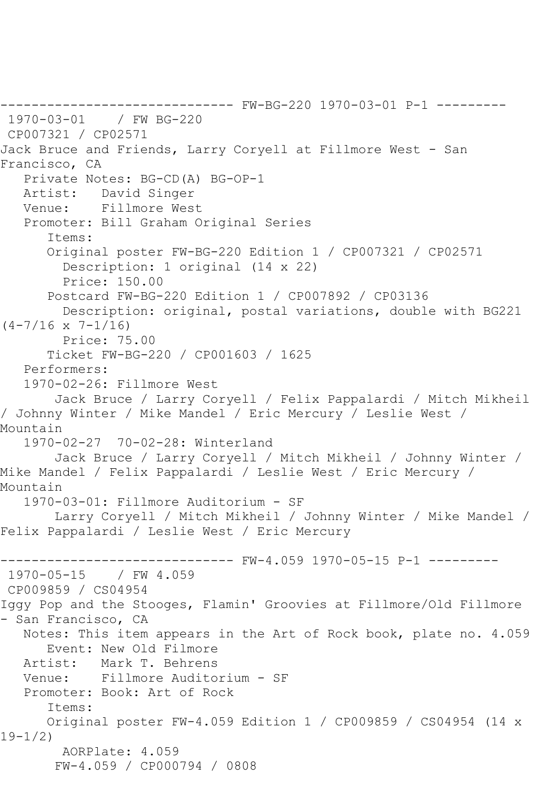------------------------------ FW-BG-220 1970-03-01 P-1 --------- 1970-03-01 / FW BG-220 CP007321 / CP02571 Jack Bruce and Friends, Larry Coryell at Fillmore West - San Francisco, CA Private Notes: BG-CD(A) BG-OP-1 Artist: David Singer Venue: Fillmore West Promoter: Bill Graham Original Series Items: Original poster FW-BG-220 Edition 1 / CP007321 / CP02571 Description: 1 original (14 x 22) Price: 150.00 Postcard FW-BG-220 Edition 1 / CP007892 / CP03136 Description: original, postal variations, double with BG221  $(4-7/16 \times 7-1/16)$  Price: 75.00 Ticket FW-BG-220 / CP001603 / 1625 Performers: 1970-02-26: Fillmore West Jack Bruce / Larry Coryell / Felix Pappalardi / Mitch Mikheil / Johnny Winter / Mike Mandel / Eric Mercury / Leslie West / Mountain 1970-02-27 70-02-28: Winterland Jack Bruce / Larry Coryell / Mitch Mikheil / Johnny Winter / Mike Mandel / Felix Pappalardi / Leslie West / Eric Mercury / Mountain 1970-03-01: Fillmore Auditorium - SF Larry Coryell / Mitch Mikheil / Johnny Winter / Mike Mandel / Felix Pappalardi / Leslie West / Eric Mercury ------------------------------ FW-4.059 1970-05-15 P-1 ---------  $1970 - 05 - 15$ CP009859 / CS04954 Iggy Pop and the Stooges, Flamin' Groovies at Fillmore/Old Fillmore - San Francisco, CA Notes: This item appears in the Art of Rock book, plate no. 4.059 Event: New Old Filmore<br>Artist: Mark T. Behrens Mark T. Behrens Venue: Fillmore Auditorium - SF Promoter: Book: Art of Rock Items: Original poster FW-4.059 Edition 1 / CP009859 / CS04954 (14 x 19-1/2) AORPlate: 4.059 FW-4.059 / CP000794 / 0808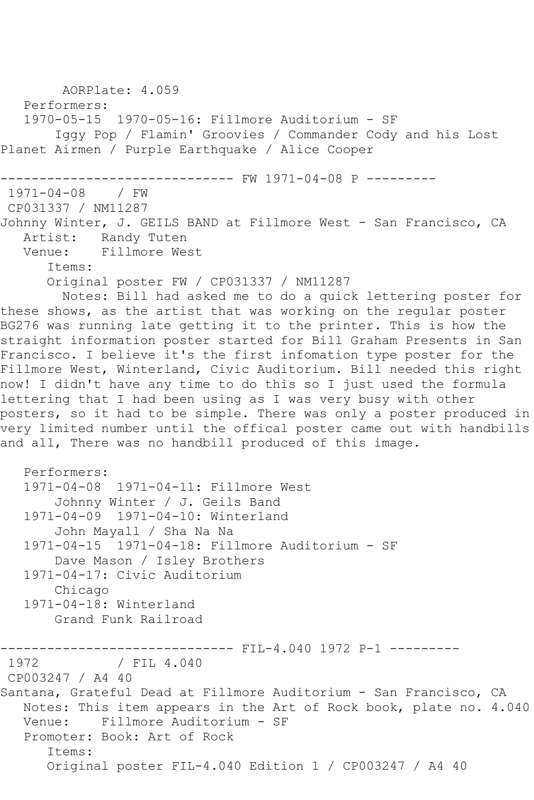```
 AORPlate: 4.059 
   Performers:
   1970-05-15 1970-05-16: Fillmore Auditorium - SF
        Iggy Pop / Flamin' Groovies / Commander Cody and his Lost 
Planet Airmen / Purple Earthquake / Alice Cooper
------------------------------ FW 1971-04-08 P ---------
1971-04-08 / FW 
CP031337 / NM11287
Johnny Winter, J. GEILS BAND at Fillmore West - San Francisco, CA
  Artist: Randy Tuten<br>Venue: Fillmore We
            Fillmore West
       Items:
       Original poster FW / CP031337 / NM11287
         Notes: Bill had asked me to do a quick lettering poster for 
these shows, as the artist that was working on the regular poster 
BG276 was running late getting it to the printer. This is how the 
straight information poster started for Bill Graham Presents in San 
Francisco. I believe it's the first infomation type poster for the 
Fillmore West, Winterland, Civic Auditorium. Bill needed this right 
now! I didn't have any time to do this so I just used the formula 
lettering that I had been using as I was very busy with other 
posters, so it had to be simple. There was only a poster produced in
very limited number until the offical poster came out with handbills 
and all, There was no handbill produced of this image.
   Performers:
   1971-04-08 1971-04-11: Fillmore West
        Johnny Winter / J. Geils Band
   1971-04-09 1971-04-10: Winterland
        John Mayall / Sha Na Na
   1971-04-15 1971-04-18: Fillmore Auditorium - SF
        Dave Mason / Isley Brothers
   1971-04-17: Civic Auditorium
        Chicago
   1971-04-18: Winterland
        Grand Funk Railroad
------------------------------ FIL-4.040 1972 P-1 ---------
              / FIL 4.040
CP003247 / A4 40
Santana, Grateful Dead at Fillmore Auditorium - San Francisco, CA
   Notes: This item appears in the Art of Rock book, plate no. 4.040
   Venue: Fillmore Auditorium - SF
   Promoter: Book: Art of Rock
       Items:
       Original poster FIL-4.040 Edition 1 / CP003247 / A4 40
```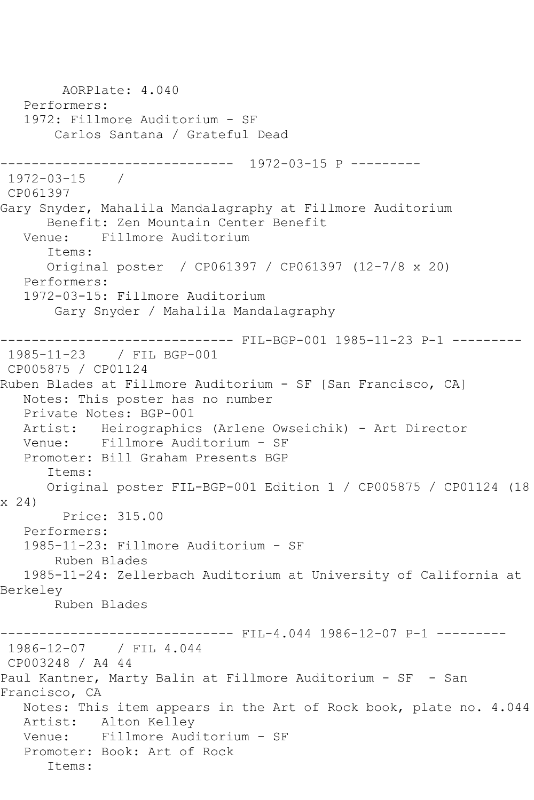AORPlate: 4.040 Performers: 1972: Fillmore Auditorium - SF Carlos Santana / Grateful Dead ------------------------------ 1972-03-15 P --------- 1972-03-15 / CP061397 Gary Snyder, Mahalila Mandalagraphy at Fillmore Auditorium Benefit: Zen Mountain Center Benefit<br>Venue: Fillmore Auditorium Fillmore Auditorium Items: Original poster / CP061397 / CP061397 (12-7/8 x 20) Performers: 1972-03-15: Fillmore Auditorium Gary Snyder / Mahalila Mandalagraphy ------------------------------ FIL-BGP-001 1985-11-23 P-1 --------- 1985-11-23 / FIL BGP-001 CP005875 / CP01124 Ruben Blades at Fillmore Auditorium - SF [San Francisco, CA] Notes: This poster has no number Private Notes: BGP-001 Artist: Heirographics (Arlene Owseichik) - Art Director Venue: Fillmore Auditorium - SF Promoter: Bill Graham Presents BGP Items: Original poster FIL-BGP-001 Edition 1 / CP005875 / CP01124 (18 x 24) Price: 315.00 Performers: 1985-11-23: Fillmore Auditorium - SF Ruben Blades 1985-11-24: Zellerbach Auditorium at University of California at Berkeley Ruben Blades ------- FIL-4.044 1986-12-07 P-1 ---------1986-12-07 / FIL 4.044 CP003248 / A4 44 Paul Kantner, Marty Balin at Fillmore Auditorium - SF - San Francisco, CA Notes: This item appears in the Art of Rock book, plate no. 4.044 Artist: Alton Kelley Venue: Fillmore Auditorium - SF Promoter: Book: Art of Rock Items: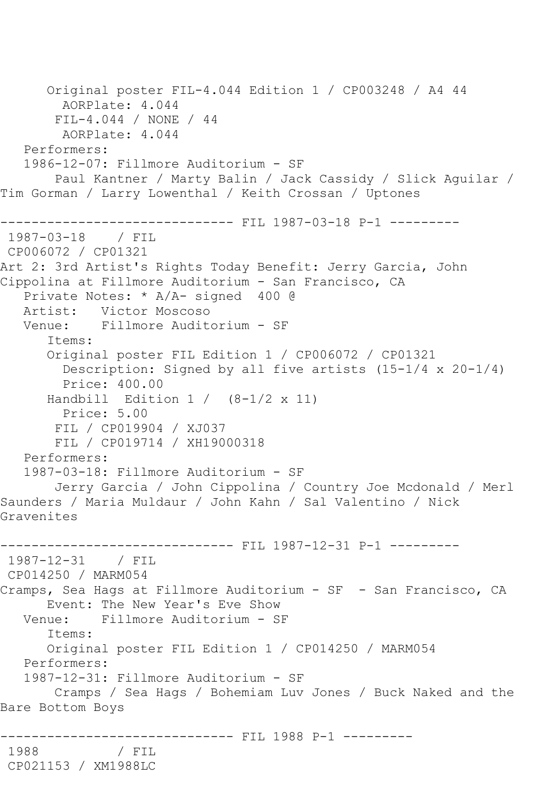Original poster FIL-4.044 Edition 1 / CP003248 / A4 44 AORPlate: 4.044 FIL-4.044 / NONE / 44 AORPlate: 4.044 Performers: 1986-12-07: Fillmore Auditorium - SF Paul Kantner / Marty Balin / Jack Cassidy / Slick Aguilar / Tim Gorman / Larry Lowenthal / Keith Crossan / Uptones ------------------------------ FIL 1987-03-18 P-1 --------- 1987-03-18 / FIL CP006072 / CP01321 Art 2: 3rd Artist's Rights Today Benefit: Jerry Garcia, John Cippolina at Fillmore Auditorium - San Francisco, CA Private Notes: \* A/A- signed 400 @ Artist: Victor Moscoso Venue: Fillmore Auditorium - SF Items: Original poster FIL Edition 1 / CP006072 / CP01321 Description: Signed by all five artists (15-1/4 x 20-1/4) Price: 400.00 Handbill Edition  $1 / (8-1/2 \times 11)$  Price: 5.00 FIL / CP019904 / XJ037 FIL / CP019714 / XH19000318 Performers: 1987-03-18: Fillmore Auditorium - SF Jerry Garcia / John Cippolina / Country Joe Mcdonald / Merl Saunders / Maria Muldaur / John Kahn / Sal Valentino / Nick Gravenites ------------------------------ FIL 1987-12-31 P-1 --------- 1987-12-31 / FIL CP014250 / MARM054 Cramps, Sea Hags at Fillmore Auditorium - SF - San Francisco, CA Event: The New Year's Eve Show Venue: Fillmore Auditorium - SF Items: Original poster FIL Edition 1 / CP014250 / MARM054 Performers: 1987-12-31: Fillmore Auditorium - SF Cramps / Sea Hags / Bohemiam Luv Jones / Buck Naked and the Bare Bottom Boys ------------------------------- FIL 1988 P-1 ----------<br>1988 / FIL 1988 / FIL CP021153 / XM1988LC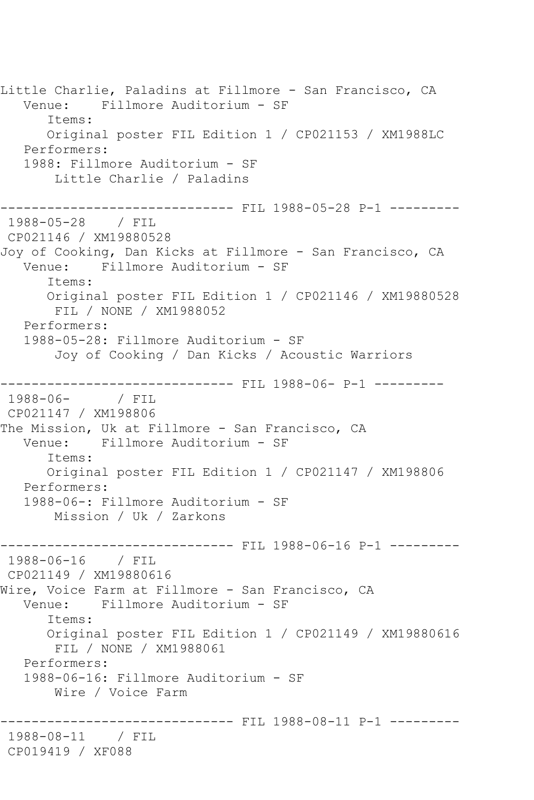Little Charlie, Paladins at Fillmore - San Francisco, CA Venue: Fillmore Auditorium - SF Items: Original poster FIL Edition 1 / CP021153 / XM1988LC Performers: 1988: Fillmore Auditorium - SF Little Charlie / Paladins ------------------------------ FIL 1988-05-28 P-1 --------- 1988-05-28 / FIL CP021146 / XM19880528 Joy of Cooking, Dan Kicks at Fillmore - San Francisco, CA Venue: Fillmore Auditorium - SF Items: Original poster FIL Edition 1 / CP021146 / XM19880528 FIL / NONE / XM1988052 Performers: 1988-05-28: Fillmore Auditorium - SF Joy of Cooking / Dan Kicks / Acoustic Warriors ------------------------------ FIL 1988-06- P-1 --------- 1988-06- / FIL CP021147 / XM198806 The Mission, Uk at Fillmore - San Francisco, CA<br>Venue: Fillmore Auditorium - SF Venue: Fillmore Auditorium - SF Items: Original poster FIL Edition 1 / CP021147 / XM198806 Performers: 1988-06-: Fillmore Auditorium - SF Mission / Uk / Zarkons ------------------------------ FIL 1988-06-16 P-1 --------- 1988-06-16 / FIL CP021149 / XM19880616 Wire, Voice Farm at Fillmore - San Francisco, CA Venue: Fillmore Auditorium - SF Items: Original poster FIL Edition 1 / CP021149 / XM19880616 FIL / NONE / XM1988061 Performers: 1988-06-16: Fillmore Auditorium - SF Wire / Voice Farm ------------------------------ FIL 1988-08-11 P-1 --------- 1988-08-11 / FIL CP019419 / XF088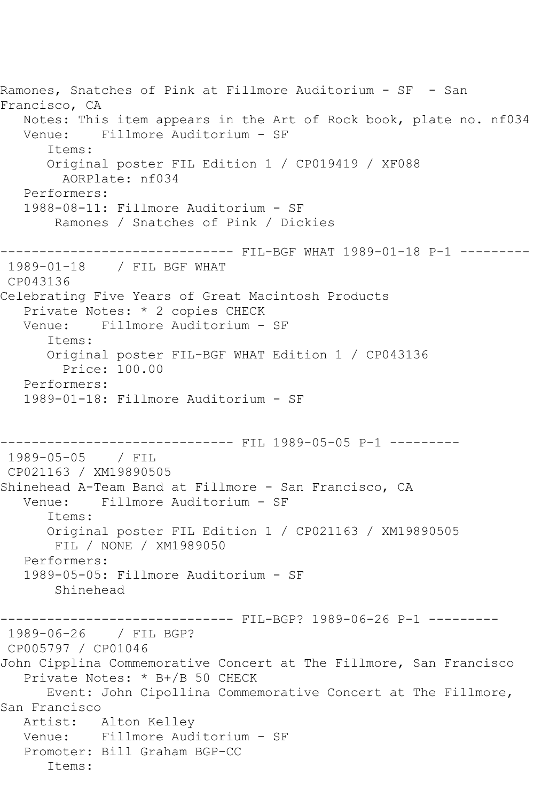```
Ramones, Snatches of Pink at Fillmore Auditorium - SF - San 
Francisco, CA
   Notes: This item appears in the Art of Rock book, plate no. nf034
   Venue: Fillmore Auditorium - SF
       Items:
       Original poster FIL Edition 1 / CP019419 / XF088
         AORPlate: nf034 
   Performers:
   1988-08-11: Fillmore Auditorium - SF
        Ramones / Snatches of Pink / Dickies
      ------------------------------ FIL-BGF WHAT 1989-01-18 P-1 ---------
1989-01-18 / FIL BGF WHAT
CP043136
Celebrating Five Years of Great Macintosh Products
   Private Notes: * 2 copies CHECK
   Venue: Fillmore Auditorium - SF
       Items:
       Original poster FIL-BGF WHAT Edition 1 / CP043136
         Price: 100.00
   Performers:
   1989-01-18: Fillmore Auditorium - SF
                   ------------------------------ FIL 1989-05-05 P-1 ---------
1989-05-05 / FIL 
CP021163 / XM19890505
Shinehead A-Team Band at Fillmore - San Francisco, CA
   Venue: Fillmore Auditorium - SF
       Items:
      Original poster FIL Edition 1 / CP021163 / XM19890505
        FIL / NONE / XM1989050
   Performers:
   1989-05-05: Fillmore Auditorium - SF
        Shinehead
------------------------------ FIL-BGP? 1989-06-26 P-1 ---------
1989-06-26 / FIL BGP?
CP005797 / CP01046
John Cipplina Commemorative Concert at The Fillmore, San Francisco
   Private Notes: * B+/B 50 CHECK
      Event: John Cipollina Commemorative Concert at The Fillmore, 
San Francisco
   Artist: Alton Kelley
   Venue: Fillmore Auditorium - SF
   Promoter: Bill Graham BGP-CC
       Items:
```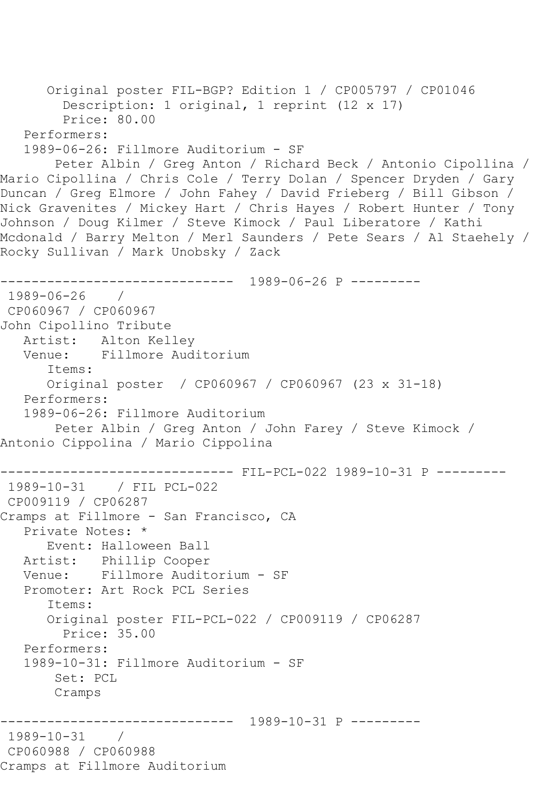```
 Original poster FIL-BGP? Edition 1 / CP005797 / CP01046
         Description: 1 original, 1 reprint (12 x 17)
         Price: 80.00
   Performers:
   1989-06-26: Fillmore Auditorium - SF
        Peter Albin / Greg Anton / Richard Beck / Antonio Cipollina / 
Mario Cipollina / Chris Cole / Terry Dolan / Spencer Dryden / Gary 
Duncan / Greg Elmore / John Fahey / David Frieberg / Bill Gibson / 
Nick Gravenites / Mickey Hart / Chris Hayes / Robert Hunter / Tony 
Johnson / Doug Kilmer / Steve Kimock / Paul Liberatore / Kathi 
Mcdonald / Barry Melton / Merl Saunders / Pete Sears / Al Staehely / 
Rocky Sullivan / Mark Unobsky / Zack
------------------------------ 1989-06-26 P ---------
1989-06-26 / 
CP060967 / CP060967
John Cipollino Tribute
   Artist: Alton Kelley
   Venue: Fillmore Auditorium
       Items:
      Original poster / CP060967 / CP060967 (23 x 31-18)
   Performers:
   1989-06-26: Fillmore Auditorium
       Peter Albin / Greg Anton / John Farey / Steve Kimock / 
Antonio Cippolina / Mario Cippolina
------------------------------ FIL-PCL-022 1989-10-31 P ---------
1989-10-31 / FIL PCL-022
CP009119 / CP06287
Cramps at Fillmore - San Francisco, CA
   Private Notes: *
      Event: Halloween Ball
   Artist: Phillip Cooper
   Venue: Fillmore Auditorium - SF
   Promoter: Art Rock PCL Series
       Items:
       Original poster FIL-PCL-022 / CP009119 / CP06287
         Price: 35.00
   Performers:
   1989-10-31: Fillmore Auditorium - SF
        Set: PCL
       Cramps
        ------------------------------ 1989-10-31 P ---------
1989-10-31 / 
CP060988 / CP060988
Cramps at Fillmore Auditorium
```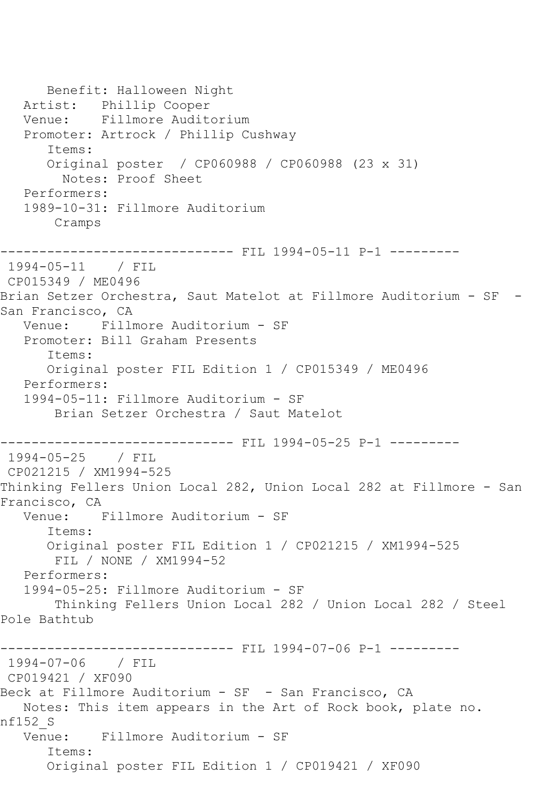Benefit: Halloween Night Artist: Phillip Cooper Venue: Fillmore Auditorium Promoter: Artrock / Phillip Cushway Items: Original poster / CP060988 / CP060988 (23 x 31) Notes: Proof Sheet Performers: 1989-10-31: Fillmore Auditorium Cramps ----------- FIL 1994-05-11 P-1 ---------1994-05-11 / FIL CP015349 / ME0496 Brian Setzer Orchestra, Saut Matelot at Fillmore Auditorium - SF - San Francisco, CA Venue: Fillmore Auditorium - SF Promoter: Bill Graham Presents Items: Original poster FIL Edition 1 / CP015349 / ME0496 Performers: 1994-05-11: Fillmore Auditorium - SF Brian Setzer Orchestra / Saut Matelot ------------------------------ FIL 1994-05-25 P-1 --------- 1994-05-25 / FIL CP021215 / XM1994-525 Thinking Fellers Union Local 282, Union Local 282 at Fillmore - San Francisco, CA Venue: Fillmore Auditorium - SF Items: Original poster FIL Edition 1 / CP021215 / XM1994-525 FIL / NONE / XM1994-52 Performers: 1994-05-25: Fillmore Auditorium - SF Thinking Fellers Union Local 282 / Union Local 282 / Steel Pole Bathtub ------------------------------ FIL 1994-07-06 P-1 --------- 1994-07-06 / FIL CP019421 / XF090 Beck at Fillmore Auditorium - SF - San Francisco, CA Notes: This item appears in the Art of Rock book, plate no. nf152\_S Venue: Fillmore Auditorium - SF Items: Original poster FIL Edition 1 / CP019421 / XF090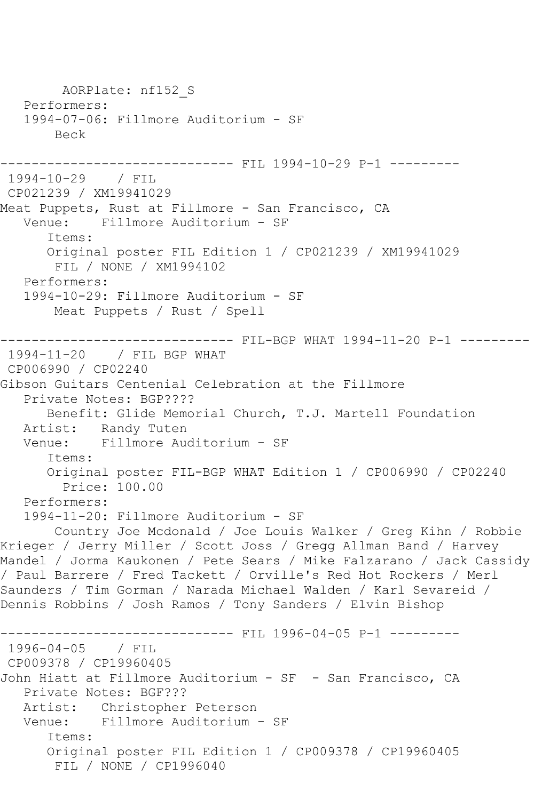AORPlate: nf152\_S Performers: 1994-07-06: Fillmore Auditorium - SF Beck --------- FIL 1994-10-29 P-1 ---------1994-10-29 / FIL CP021239 / XM19941029 Meat Puppets, Rust at Fillmore - San Francisco, CA Venue: Fillmore Auditorium - SF Items: Original poster FIL Edition 1 / CP021239 / XM19941029 FIL / NONE / XM1994102 Performers: 1994-10-29: Fillmore Auditorium - SF Meat Puppets / Rust / Spell ------------------------------ FIL-BGP WHAT 1994-11-20 P-1 --------- 1994-11-20 / FIL BGP WHAT CP006990 / CP02240 Gibson Guitars Centenial Celebration at the Fillmore Private Notes: BGP???? Benefit: Glide Memorial Church, T.J. Martell Foundation Artist: Randy Tuten Venue: Fillmore Auditorium - SF Items: Original poster FIL-BGP WHAT Edition 1 / CP006990 / CP02240 Price: 100.00 Performers: 1994-11-20: Fillmore Auditorium - SF Country Joe Mcdonald / Joe Louis Walker / Greg Kihn / Robbie Krieger / Jerry Miller / Scott Joss / Gregg Allman Band / Harvey Mandel / Jorma Kaukonen / Pete Sears / Mike Falzarano / Jack Cassidy / Paul Barrere / Fred Tackett / Orville's Red Hot Rockers / Merl Saunders / Tim Gorman / Narada Michael Walden / Karl Sevareid / Dennis Robbins / Josh Ramos / Tony Sanders / Elvin Bishop ------------------------------ FIL 1996-04-05 P-1 --------- 1996-04-05 / FIL CP009378 / CP19960405 John Hiatt at Fillmore Auditorium - SF - San Francisco, CA Private Notes: BGF??? Artist: Christopher Peterson Venue: Fillmore Auditorium - SF Items: Original poster FIL Edition 1 / CP009378 / CP19960405 FIL / NONE / CP1996040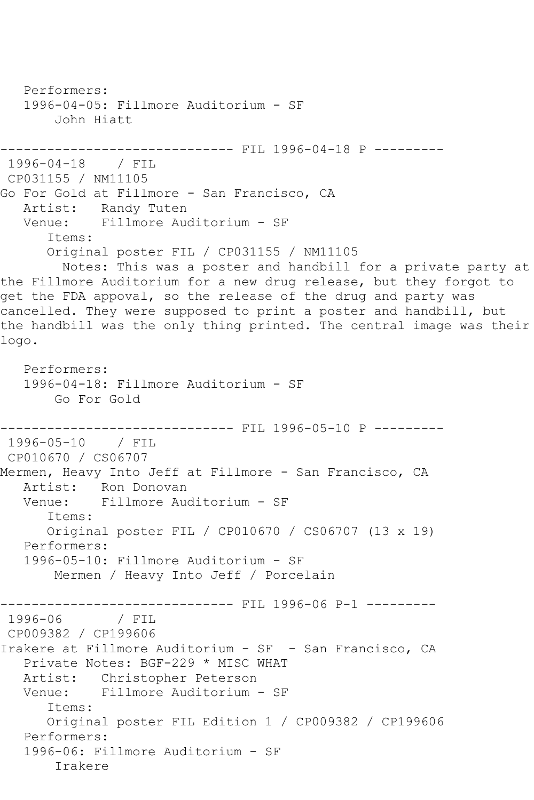Performers: 1996-04-05: Fillmore Auditorium - SF John Hiatt ------------------------------ FIL 1996-04-18 P --------- 1996-04-18 / FIL CP031155 / NM11105 Go For Gold at Fillmore - San Francisco, CA Artist: Randy Tuten Venue: Fillmore Auditorium - SF Items: Original poster FIL / CP031155 / NM11105 Notes: This was a poster and handbill for a private party at the Fillmore Auditorium for a new drug release, but they forgot to get the FDA appoval, so the release of the drug and party was cancelled. They were supposed to print a poster and handbill, but the handbill was the only thing printed. The central image was their logo. Performers: 1996-04-18: Fillmore Auditorium - SF Go For Gold ------------------------------ FIL 1996-05-10 P --------- 1996-05-10 / FIL CP010670 / CS06707 Mermen, Heavy Into Jeff at Fillmore - San Francisco, CA Artist: Ron Donovan Venue: Fillmore Auditorium - SF Items: Original poster FIL / CP010670 / CS06707 (13 x 19) Performers: 1996-05-10: Fillmore Auditorium - SF Mermen / Heavy Into Jeff / Porcelain -------------------------------- FIL 1996-06 P-1 ---------<br>1996-06 / FIL 1996-06 CP009382 / CP199606 Irakere at Fillmore Auditorium - SF - San Francisco, CA Private Notes: BGF-229 \* MISC WHAT Artist: Christopher Peterson Venue: Fillmore Auditorium - SF Items: Original poster FIL Edition 1 / CP009382 / CP199606 Performers: 1996-06: Fillmore Auditorium - SF Irakere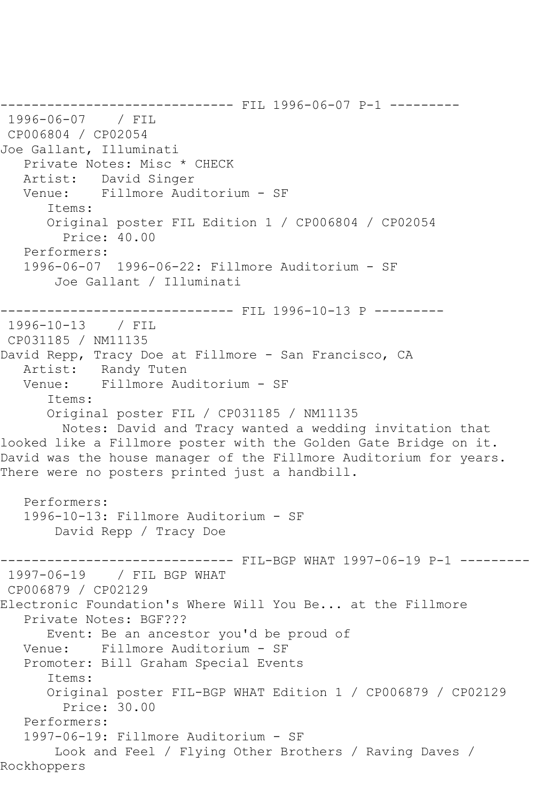```
------------------------------ FIL 1996-06-07 P-1 ---------
1996-06-07 / FIL 
CP006804 / CP02054
Joe Gallant, Illuminati
    Private Notes: Misc * CHECK
   Artist: David Singer
   Venue: Fillmore Auditorium - SF
       Items:
       Original poster FIL Edition 1 / CP006804 / CP02054
         Price: 40.00
   Performers:
    1996-06-07 1996-06-22: Fillmore Auditorium - SF
        Joe Gallant / Illuminati
                    ------------------------------ FIL 1996-10-13 P ---------
1996-10-13 / FIL 
CP031185 / NM11135
David Repp, Tracy Doe at Fillmore - San Francisco, CA
  Artist: Randy Tuten<br>Venue: Fillmore Aud
            Fillmore Auditorium - SF
       Items:
       Original poster FIL / CP031185 / NM11135
         Notes: David and Tracy wanted a wedding invitation that 
looked like a Fillmore poster with the Golden Gate Bridge on it. 
David was the house manager of the Fillmore Auditorium for years. 
There were no posters printed just a handbill.
   Performers:
    1996-10-13: Fillmore Auditorium - SF
        David Repp / Tracy Doe
------------------------------ FIL-BGP WHAT 1997-06-19 P-1 ---------
1997-06-19 / FIL BGP WHAT
CP006879 / CP02129
Electronic Foundation's Where Will You Be... at the Fillmore
    Private Notes: BGF???
       Event: Be an ancestor you'd be proud of
   Venue: Fillmore Auditorium - SF
    Promoter: Bill Graham Special Events
       Items:
       Original poster FIL-BGP WHAT Edition 1 / CP006879 / CP02129
         Price: 30.00
    Performers:
    1997-06-19: Fillmore Auditorium - SF
        Look and Feel / Flying Other Brothers / Raving Daves / 
Rockhoppers
```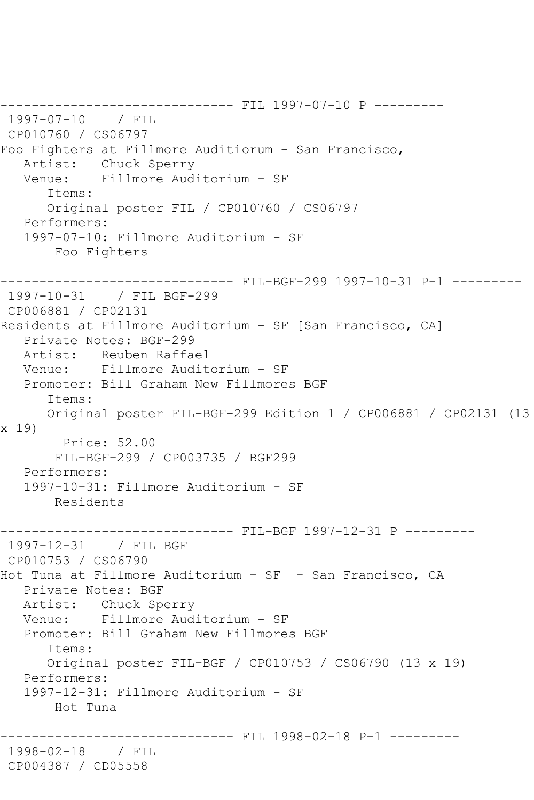------------------------------ FIL 1997-07-10 P --------- 1997-07-10 / FIL CP010760 / CS06797 Foo Fighters at Fillmore Auditiorum - San Francisco, Artist: Chuck Sperry Venue: Fillmore Auditorium - SF Items: Original poster FIL / CP010760 / CS06797 Performers: 1997-07-10: Fillmore Auditorium - SF Foo Fighters ------------------------------ FIL-BGF-299 1997-10-31 P-1 --------- 1997-10-31 / FIL BGF-299 CP006881 / CP02131 Residents at Fillmore Auditorium - SF [San Francisco, CA] Private Notes: BGF-299 Artist: Reuben Raffael Venue: Fillmore Auditorium - SF Promoter: Bill Graham New Fillmores BGF Items: Original poster FIL-BGF-299 Edition 1 / CP006881 / CP02131 (13 x 19) Price: 52.00 FIL-BGF-299 / CP003735 / BGF299 Performers: 1997-10-31: Fillmore Auditorium - SF Residents ------------------------------ FIL-BGF 1997-12-31 P --------- 1997-12-31 / FIL BGF CP010753 / CS06790 Hot Tuna at Fillmore Auditorium - SF - San Francisco, CA Private Notes: BGF Artist: Chuck Sperry Venue: Fillmore Auditorium - SF Promoter: Bill Graham New Fillmores BGF Items: Original poster FIL-BGF / CP010753 / CS06790 (13 x 19) Performers: 1997-12-31: Fillmore Auditorium - SF Hot Tuna ------------------------------ FIL 1998-02-18 P-1 --------- 1998-02-18 / FIL CP004387 / CD05558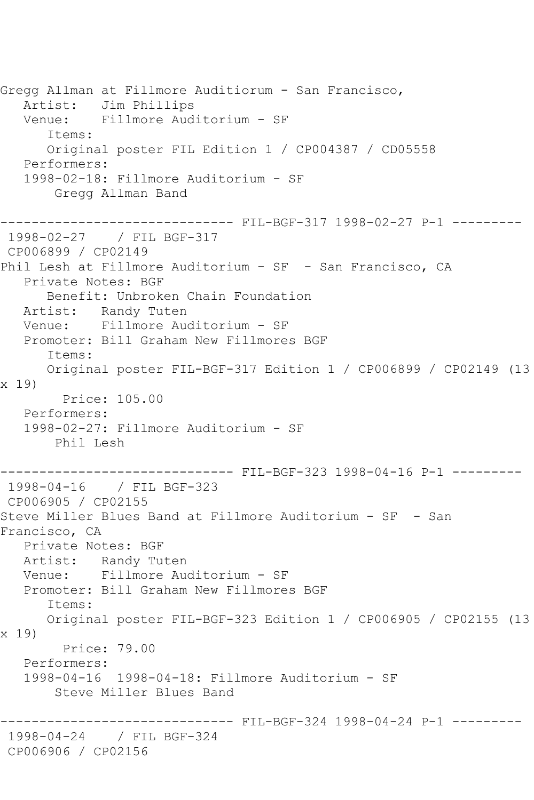Gregg Allman at Fillmore Auditiorum - San Francisco, Artist: Jim Phillips Venue: Fillmore Auditorium - SF Items: Original poster FIL Edition 1 / CP004387 / CD05558 Performers: 1998-02-18: Fillmore Auditorium - SF Gregg Allman Band ------------------------------ FIL-BGF-317 1998-02-27 P-1 --------- 1998-02-27 / FIL BGF-317 CP006899 / CP02149 Phil Lesh at Fillmore Auditorium - SF - San Francisco, CA Private Notes: BGF Benefit: Unbroken Chain Foundation Artist: Randy Tuten Venue: Fillmore Auditorium - SF Promoter: Bill Graham New Fillmores BGF Items: Original poster FIL-BGF-317 Edition 1 / CP006899 / CP02149 (13 x 19) Price: 105.00 Performers: 1998-02-27: Fillmore Auditorium - SF Phil Lesh ------------------------------ FIL-BGF-323 1998-04-16 P-1 --------- 1998-04-16 / FIL BGF-323 CP006905 / CP02155 Steve Miller Blues Band at Fillmore Auditorium - SF - San Francisco, CA Private Notes: BGF Artist: Randy Tuten<br>Venue: Fillmore Aud Fillmore Auditorium - SF Promoter: Bill Graham New Fillmores BGF Items: Original poster FIL-BGF-323 Edition 1 / CP006905 / CP02155 (13 x 19) Price: 79.00 Performers: 1998-04-16 1998-04-18: Fillmore Auditorium - SF Steve Miller Blues Band ------------ FIL-BGF-324 1998-04-24 P-1 ---------1998-04-24 / FIL BGF-324 CP006906 / CP02156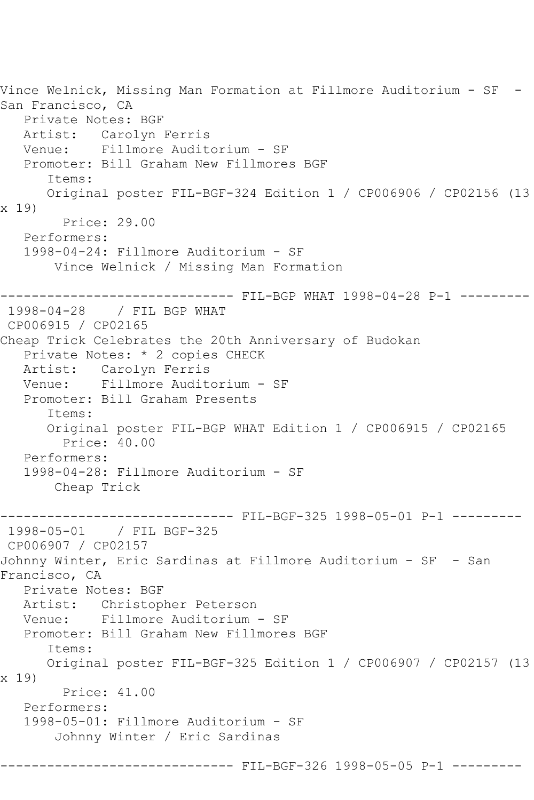Vince Welnick, Missing Man Formation at Fillmore Auditorium - SF - San Francisco, CA Private Notes: BGF Artist: Carolyn Ferris<br>Venue: Fillmore Audit Fillmore Auditorium - SF Promoter: Bill Graham New Fillmores BGF Items: Original poster FIL-BGF-324 Edition 1 / CP006906 / CP02156 (13 x 19) Price: 29.00 Performers: 1998-04-24: Fillmore Auditorium - SF Vince Welnick / Missing Man Formation ------------------------------ FIL-BGP WHAT 1998-04-28 P-1 --------- 1998-04-28 / FIL BGP WHAT CP006915 / CP02165 Cheap Trick Celebrates the 20th Anniversary of Budokan Private Notes: \* 2 copies CHECK Artist: Carolyn Ferris Venue: Fillmore Auditorium - SF Promoter: Bill Graham Presents Items: Original poster FIL-BGP WHAT Edition 1 / CP006915 / CP02165 Price: 40.00 Performers: 1998-04-28: Fillmore Auditorium - SF Cheap Trick ------------------------------ FIL-BGF-325 1998-05-01 P-1 --------- 1998-05-01 / FIL BGF-325 CP006907 / CP02157 Johnny Winter, Eric Sardinas at Fillmore Auditorium - SF - San Francisco, CA Private Notes: BGF Artist: Christopher Peterson Venue: Fillmore Auditorium - SF Promoter: Bill Graham New Fillmores BGF Items: Original poster FIL-BGF-325 Edition 1 / CP006907 / CP02157 (13 x 19) Price: 41.00 Performers: 1998-05-01: Fillmore Auditorium - SF Johnny Winter / Eric Sardinas ------ FIL-BGF-326 1998-05-05 P-1 -------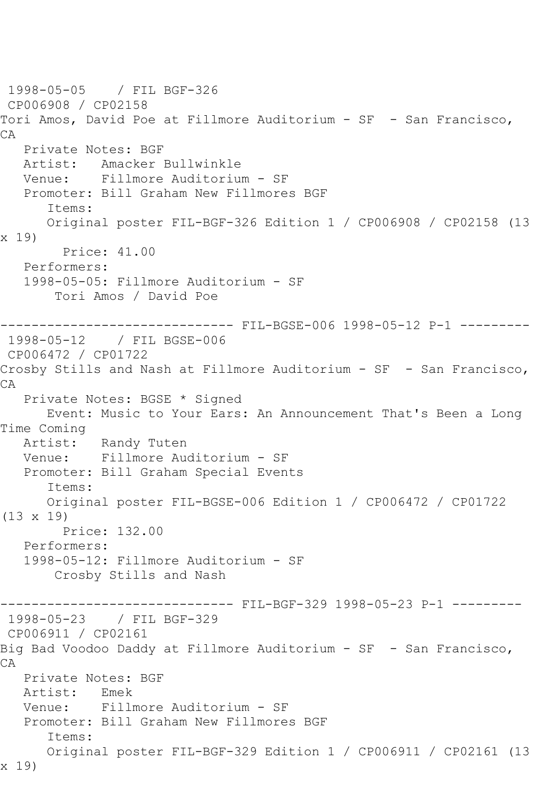1998-05-05 / FIL BGF-326 CP006908 / CP02158 Tori Amos, David Poe at Fillmore Auditorium - SF - San Francisco, CA Private Notes: BGF<br>Artist: Amacker I Amacker Bullwinkle Venue: Fillmore Auditorium - SF Promoter: Bill Graham New Fillmores BGF Items: Original poster FIL-BGF-326 Edition 1 / CP006908 / CP02158 (13 x 19) Price: 41.00 Performers: 1998-05-05: Fillmore Auditorium - SF Tori Amos / David Poe ------------------------------ FIL-BGSE-006 1998-05-12 P-1 --------- 1998-05-12 / FIL BGSE-006 CP006472 / CP01722 Crosby Stills and Nash at Fillmore Auditorium - SF - San Francisco, CA Private Notes: BGSE \* Signed Event: Music to Your Ears: An Announcement That's Been a Long Time Coming Artist: Randy Tuten Venue: Fillmore Auditorium - SF Promoter: Bill Graham Special Events Items: Original poster FIL-BGSE-006 Edition 1 / CP006472 / CP01722 (13 x 19) Price: 132.00 Performers: 1998-05-12: Fillmore Auditorium - SF Crosby Stills and Nash ------------------------------ FIL-BGF-329 1998-05-23 P-1 --------- 1998-05-23 / FIL BGF-329 CP006911 / CP02161 Big Bad Voodoo Daddy at Fillmore Auditorium - SF - San Francisco, CA Private Notes: BGF Artist: Emek Venue: Fillmore Auditorium - SF Promoter: Bill Graham New Fillmores BGF Items: Original poster FIL-BGF-329 Edition 1 / CP006911 / CP02161 (13 x 19)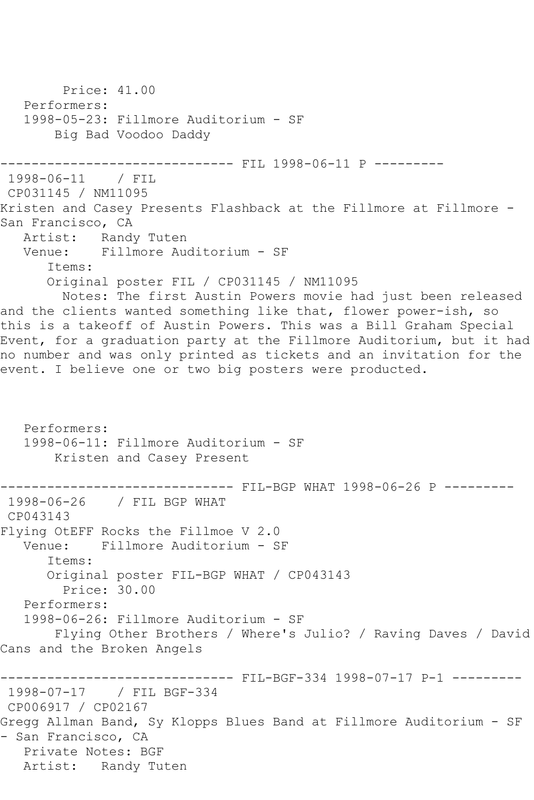Price: 41.00 Performers: 1998-05-23: Fillmore Auditorium - SF Big Bad Voodoo Daddy ------------------------------ FIL 1998-06-11 P --------- 1998-06-11 CP031145 / NM11095 Kristen and Casey Presents Flashback at the Fillmore at Fillmore - San Francisco, CA Artist: Randy Tuten<br>Venue: Fillmore Aud Fillmore Auditorium - SF Items: Original poster FIL / CP031145 / NM11095 Notes: The first Austin Powers movie had just been released and the clients wanted something like that, flower power-ish, so this is a takeoff of Austin Powers. This was a Bill Graham Special Event, for a graduation party at the Fillmore Auditorium, but it had no number and was only printed as tickets and an invitation for the event. I believe one or two big posters were producted. Performers: 1998-06-11: Fillmore Auditorium - SF Kristen and Casey Present ------------------------------ FIL-BGP WHAT 1998-06-26 P --------- 1998-06-26 / FIL BGP WHAT CP043143 Flying OtEFF Rocks the Fillmoe V 2.0 Venue: Fillmore Auditorium - SF Items: Original poster FIL-BGP WHAT / CP043143 Price: 30.00 Performers: 1998-06-26: Fillmore Auditorium - SF Flying Other Brothers / Where's Julio? / Raving Daves / David Cans and the Broken Angels ------------------------------ FIL-BGF-334 1998-07-17 P-1 --------- 1998-07-17 / FIL BGF-334 CP006917 / CP02167 Gregg Allman Band, Sy Klopps Blues Band at Fillmore Auditorium - SF - San Francisco, CA Private Notes: BGF Artist: Randy Tuten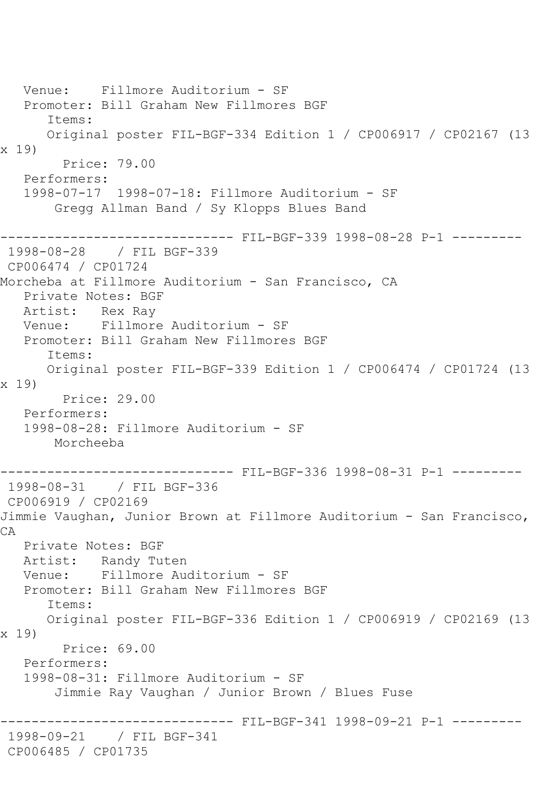Venue: Fillmore Auditorium - SF Promoter: Bill Graham New Fillmores BGF Items: Original poster FIL-BGF-334 Edition 1 / CP006917 / CP02167 (13 x 19) Price: 79.00 Performers: 1998-07-17 1998-07-18: Fillmore Auditorium - SF Gregg Allman Band / Sy Klopps Blues Band ------------------------------ FIL-BGF-339 1998-08-28 P-1 --------- 1998-08-28 / FIL BGF-339 CP006474 / CP01724 Morcheba at Fillmore Auditorium - San Francisco, CA Private Notes: BGF Artist: Rex Ray Venue: Fillmore Auditorium - SF Promoter: Bill Graham New Fillmores BGF Items: Original poster FIL-BGF-339 Edition 1 / CP006474 / CP01724 (13 x 19) Price: 29.00 Performers: 1998-08-28: Fillmore Auditorium - SF Morcheeba ------------------------------ FIL-BGF-336 1998-08-31 P-1 --------- 1998-08-31 / FIL BGF-336 CP006919 / CP02169 Jimmie Vaughan, Junior Brown at Fillmore Auditorium - San Francisco, CA Private Notes: BGF Artist: Randy Tuten<br>Venue: Fillmore Aud Fillmore Auditorium - SF Promoter: Bill Graham New Fillmores BGF Items: Original poster FIL-BGF-336 Edition 1 / CP006919 / CP02169 (13 x 19) Price: 69.00 Performers: 1998-08-31: Fillmore Auditorium - SF Jimmie Ray Vaughan / Junior Brown / Blues Fuse ------------------------------ FIL-BGF-341 1998-09-21 P-1 --------- 1998-09-21 / FIL BGF-341 CP006485 / CP01735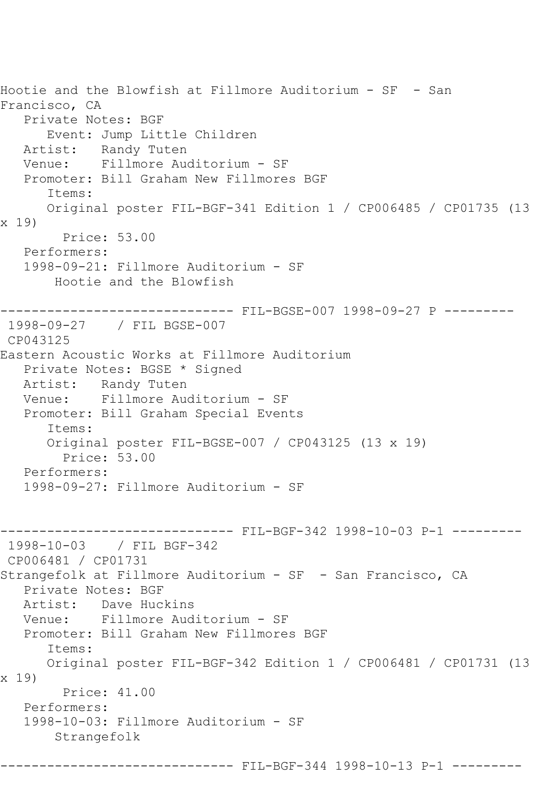Hootie and the Blowfish at Fillmore Auditorium - SF - San Francisco, CA Private Notes: BGF Event: Jump Little Children Artist: Randy Tuten Venue: Fillmore Auditorium - SF Promoter: Bill Graham New Fillmores BGF Items: Original poster FIL-BGF-341 Edition 1 / CP006485 / CP01735 (13 x 19) Price: 53.00 Performers: 1998-09-21: Fillmore Auditorium - SF Hootie and the Blowfish ------------------------------ FIL-BGSE-007 1998-09-27 P --------- 1998-09-27 / FIL BGSE-007 CP043125 Eastern Acoustic Works at Fillmore Auditorium Private Notes: BGSE \* Signed Artist: Randy Tuten Venue: Fillmore Auditorium - SF Promoter: Bill Graham Special Events Items: Original poster FIL-BGSE-007 / CP043125 (13 x 19) Price: 53.00 Performers: 1998-09-27: Fillmore Auditorium - SF ------------------------------ FIL-BGF-342 1998-10-03 P-1 --------- 1998-10-03 / FIL BGF-342 CP006481 / CP01731 Strangefolk at Fillmore Auditorium - SF - San Francisco, CA Private Notes: BGF Artist: Dave Huckins Venue: Fillmore Auditorium - SF Promoter: Bill Graham New Fillmores BGF Items: Original poster FIL-BGF-342 Edition 1 / CP006481 / CP01731 (13 x 19) Price: 41.00 Performers: 1998-10-03: Fillmore Auditorium - SF Strangefolk ------------------------------ FIL-BGF-344 1998-10-13 P-1 ---------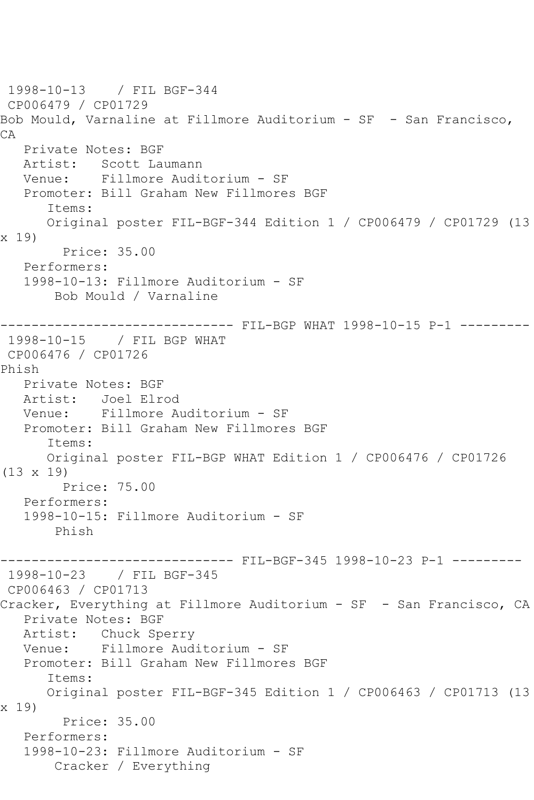1998-10-13 / FIL BGF-344 CP006479 / CP01729 Bob Mould, Varnaline at Fillmore Auditorium - SF - San Francisco, CA Private Notes: BGF<br>Artist: Scott Law Scott Laumann Venue: Fillmore Auditorium - SF Promoter: Bill Graham New Fillmores BGF Items: Original poster FIL-BGF-344 Edition 1 / CP006479 / CP01729 (13 x 19) Price: 35.00 Performers: 1998-10-13: Fillmore Auditorium - SF Bob Mould / Varnaline ------------------------------ FIL-BGP WHAT 1998-10-15 P-1 --------- 1998-10-15 / FIL BGP WHAT CP006476 / CP01726 Phish Private Notes: BGF Artist: Joel Elrod Venue: Fillmore Auditorium - SF Promoter: Bill Graham New Fillmores BGF Items: Original poster FIL-BGP WHAT Edition 1 / CP006476 / CP01726 (13 x 19) Price: 75.00 Performers: 1998-10-15: Fillmore Auditorium - SF Phish ------------------------------ FIL-BGF-345 1998-10-23 P-1 --------- 1998-10-23 / FIL BGF-345 CP006463 / CP01713 Cracker, Everything at Fillmore Auditorium - SF - San Francisco, CA Private Notes: BGF Artist: Chuck Sperry Venue: Fillmore Auditorium - SF Promoter: Bill Graham New Fillmores BGF Items: Original poster FIL-BGF-345 Edition 1 / CP006463 / CP01713 (13 x 19) Price: 35.00 Performers: 1998-10-23: Fillmore Auditorium - SF Cracker / Everything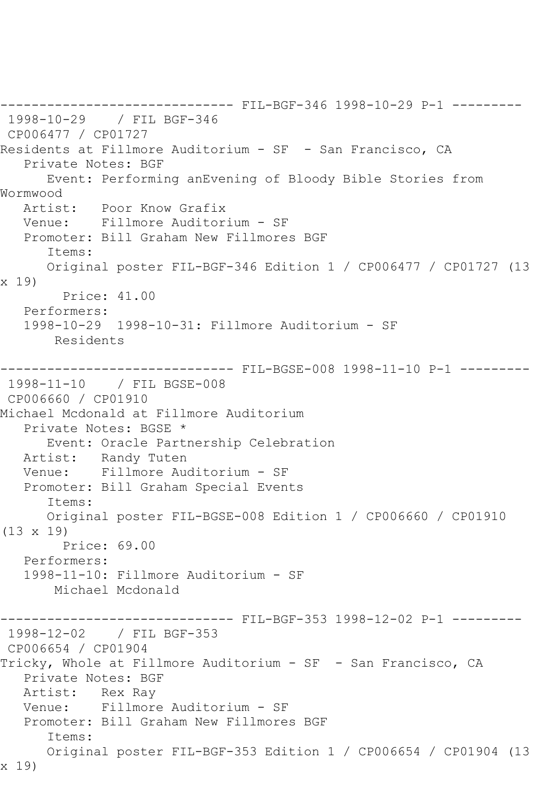------------------------------ FIL-BGF-346 1998-10-29 P-1 --------- 1998-10-29 / FIL BGF-346 CP006477 / CP01727 Residents at Fillmore Auditorium - SF - San Francisco, CA Private Notes: BGF Event: Performing anEvening of Bloody Bible Stories from Wormwood Artist: Poor Know Grafix Venue: Fillmore Auditorium - SF Promoter: Bill Graham New Fillmores BGF Items: Original poster FIL-BGF-346 Edition 1 / CP006477 / CP01727 (13 x 19) Price: 41.00 Performers: 1998-10-29 1998-10-31: Fillmore Auditorium - SF Residents ------------------------------ FIL-BGSE-008 1998-11-10 P-1 --------- 1998-11-10 / FIL BGSE-008 CP006660 / CP01910 Michael Mcdonald at Fillmore Auditorium Private Notes: BGSE \* Event: Oracle Partnership Celebration Artist: Randy Tuten Venue: Fillmore Auditorium - SF Promoter: Bill Graham Special Events Items: Original poster FIL-BGSE-008 Edition 1 / CP006660 / CP01910 (13 x 19) Price: 69.00 Performers: 1998-11-10: Fillmore Auditorium - SF Michael Mcdonald ------------------------------ FIL-BGF-353 1998-12-02 P-1 --------- 1998-12-02 / FIL BGF-353 CP006654 / CP01904 Tricky, Whole at Fillmore Auditorium - SF - San Francisco, CA Private Notes: BGF Artist: Rex Ray Venue: Fillmore Auditorium - SF Promoter: Bill Graham New Fillmores BGF Items: Original poster FIL-BGF-353 Edition 1 / CP006654 / CP01904 (13 x 19)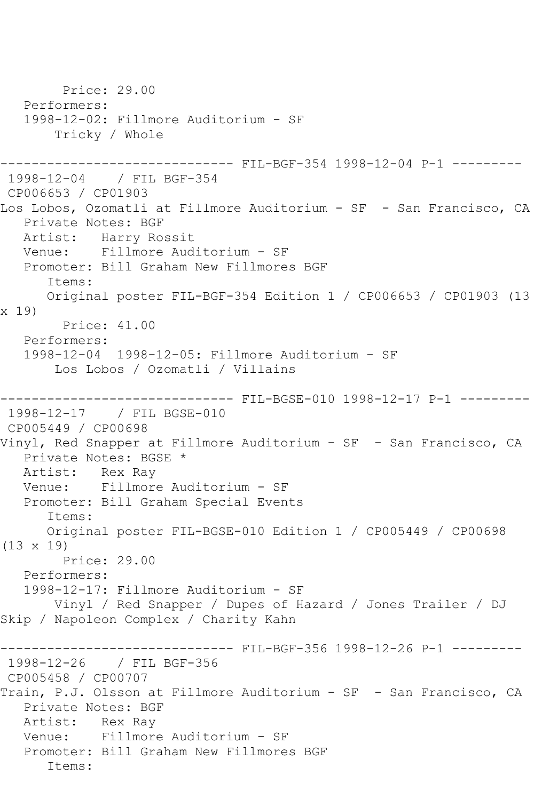Price: 29.00 Performers: 1998-12-02: Fillmore Auditorium - SF Tricky / Whole ------ FIL-BGF-354 1998-12-04 P-1 ---------1998-12-04 / FIL BGF-354 CP006653 / CP01903 Los Lobos, Ozomatli at Fillmore Auditorium - SF - San Francisco, CA Private Notes: BGF Artist: Harry Rossit<br>Venue: Fillmore Aud Fillmore Auditorium - SF Promoter: Bill Graham New Fillmores BGF Items: Original poster FIL-BGF-354 Edition 1 / CP006653 / CP01903 (13 x 19) Price: 41.00 Performers: 1998-12-04 1998-12-05: Fillmore Auditorium - SF Los Lobos / Ozomatli / Villains ------------------------------ FIL-BGSE-010 1998-12-17 P-1 --------- 1998-12-17 / FIL BGSE-010 CP005449 / CP00698 Vinyl, Red Snapper at Fillmore Auditorium - SF - San Francisco, CA Private Notes: BGSE \* Artist: Rex Ray Venue: Fillmore Auditorium - SF Promoter: Bill Graham Special Events Items: Original poster FIL-BGSE-010 Edition 1 / CP005449 / CP00698 (13 x 19) Price: 29.00 Performers: 1998-12-17: Fillmore Auditorium - SF Vinyl / Red Snapper / Dupes of Hazard / Jones Trailer / DJ Skip / Napoleon Complex / Charity Kahn ------------------------------ FIL-BGF-356 1998-12-26 P-1 --------- 1998-12-26 / FIL BGF-356 CP005458 / CP00707 Train, P.J. Olsson at Fillmore Auditorium - SF - San Francisco, CA Private Notes: BGF Artist: Rex Ray Venue: Fillmore Auditorium - SF Promoter: Bill Graham New Fillmores BGF Items: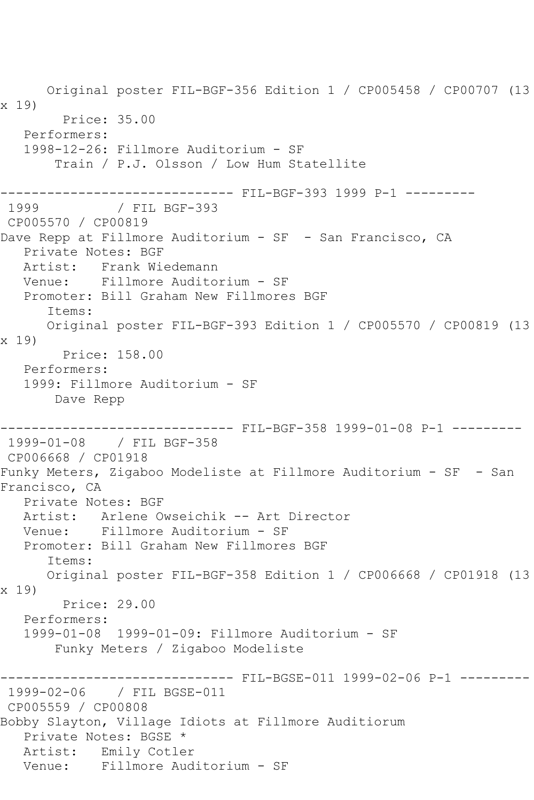Original poster FIL-BGF-356 Edition 1 / CP005458 / CP00707 (13 x 19) Price: 35.00 Performers: 1998-12-26: Fillmore Auditorium - SF Train / P.J. Olsson / Low Hum Statellite -------------------------------- FIL-BGF-393 1999 P-1 ----------<br>1999 / FIL BGF-393 / FIL BGF-393 CP005570 / CP00819 Dave Repp at Fillmore Auditorium - SF - San Francisco, CA Private Notes: BGF Artist: Frank Wiedemann Venue: Fillmore Auditorium - SF Promoter: Bill Graham New Fillmores BGF Items: Original poster FIL-BGF-393 Edition 1 / CP005570 / CP00819 (13 x 19) Price: 158.00 Performers: 1999: Fillmore Auditorium - SF Dave Repp ------------------------------ FIL-BGF-358 1999-01-08 P-1 --------- 1999-01-08 / FIL BGF-358 CP006668 / CP01918 Funky Meters, Zigaboo Modeliste at Fillmore Auditorium - SF - San Francisco, CA Private Notes: BGF Artist: Arlene Owseichik -- Art Director Venue: Fillmore Auditorium - SF Promoter: Bill Graham New Fillmores BGF Items: Original poster FIL-BGF-358 Edition 1 / CP006668 / CP01918 (13 x 19) Price: 29.00 Performers: 1999-01-08 1999-01-09: Fillmore Auditorium - SF Funky Meters / Zigaboo Modeliste ------------------------------ FIL-BGSE-011 1999-02-06 P-1 --------- 1999-02-06 / FIL BGSE-011 CP005559 / CP00808 Bobby Slayton, Village Idiots at Fillmore Auditiorum Private Notes: BGSE \* Artist: Emily Cotler Venue: Fillmore Auditorium - SF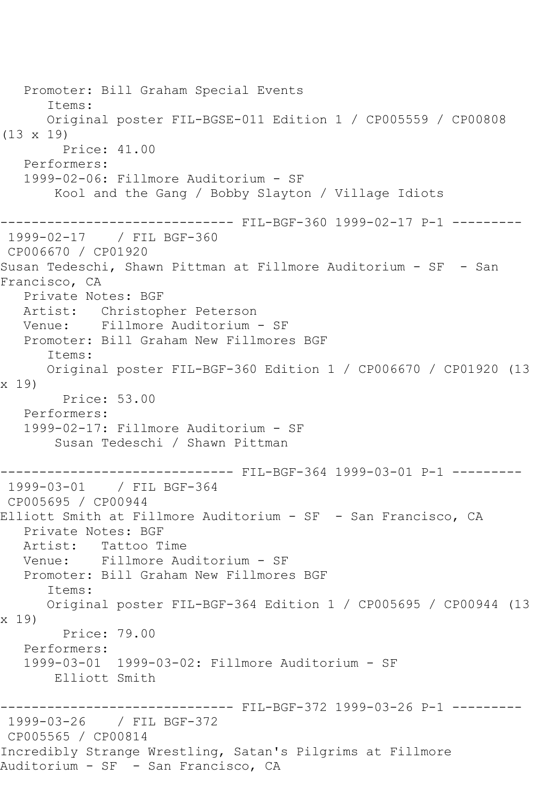Promoter: Bill Graham Special Events Items: Original poster FIL-BGSE-011 Edition 1 / CP005559 / CP00808 (13 x 19) Price: 41.00 Performers: 1999-02-06: Fillmore Auditorium - SF Kool and the Gang / Bobby Slayton / Village Idiots ------------------------------ FIL-BGF-360 1999-02-17 P-1 --------- 1999-02-17 / FIL BGF-360 CP006670 / CP01920 Susan Tedeschi, Shawn Pittman at Fillmore Auditorium - SF - San Francisco, CA Private Notes: BGF Artist: Christopher Peterson Venue: Fillmore Auditorium - SF Promoter: Bill Graham New Fillmores BGF Items: Original poster FIL-BGF-360 Edition 1 / CP006670 / CP01920 (13 x 19) Price: 53.00 Performers: 1999-02-17: Fillmore Auditorium - SF Susan Tedeschi / Shawn Pittman ------------------------------ FIL-BGF-364 1999-03-01 P-1 --------- 1999-03-01 / FIL BGF-364 CP005695 / CP00944 Elliott Smith at Fillmore Auditorium - SF - San Francisco, CA Private Notes: BGF Artist: Tattoo Time Venue: Fillmore Auditorium - SF Promoter: Bill Graham New Fillmores BGF Items: Original poster FIL-BGF-364 Edition 1 / CP005695 / CP00944 (13 x 19) Price: 79.00 Performers: 1999-03-01 1999-03-02: Fillmore Auditorium - SF Elliott Smith ------------------------------ FIL-BGF-372 1999-03-26 P-1 --------- 1999-03-26 / FIL BGF-372 CP005565 / CP00814 Incredibly Strange Wrestling, Satan's Pilgrims at Fillmore Auditorium - SF - San Francisco, CA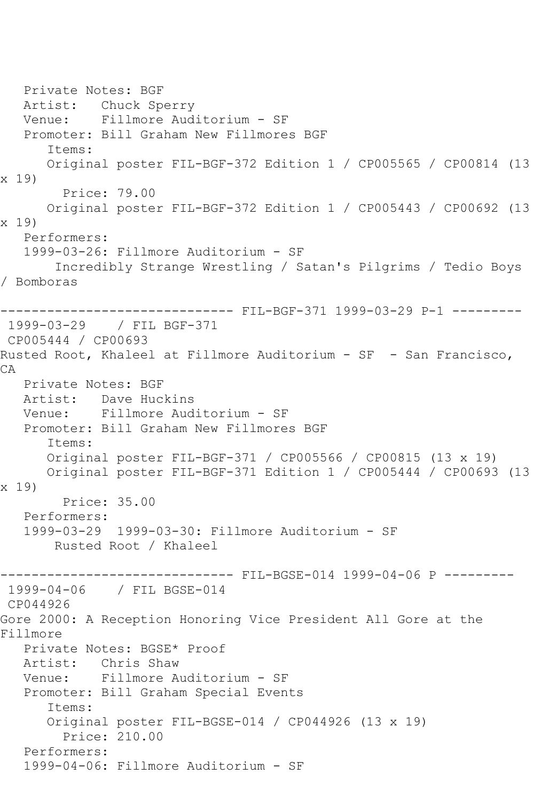Private Notes: BGF Artist: Chuck Sperry Venue: Fillmore Auditorium - SF Promoter: Bill Graham New Fillmores BGF Items: Original poster FIL-BGF-372 Edition 1 / CP005565 / CP00814 (13 x 19) Price: 79.00 Original poster FIL-BGF-372 Edition 1 / CP005443 / CP00692 (13 x 19) Performers: 1999-03-26: Fillmore Auditorium - SF Incredibly Strange Wrestling / Satan's Pilgrims / Tedio Boys / Bomboras ------------------------------ FIL-BGF-371 1999-03-29 P-1 --------- 1999-03-29 / FIL BGF-371 CP005444 / CP00693 Rusted Root, Khaleel at Fillmore Auditorium - SF - San Francisco, CA Private Notes: BGF Artist: Dave Huckins Venue: Fillmore Auditorium - SF Promoter: Bill Graham New Fillmores BGF Items: Original poster FIL-BGF-371 / CP005566 / CP00815 (13 x 19) Original poster FIL-BGF-371 Edition 1 / CP005444 / CP00693 (13 x 19) Price: 35.00 Performers: 1999-03-29 1999-03-30: Fillmore Auditorium - SF Rusted Root / Khaleel ------------------------------ FIL-BGSE-014 1999-04-06 P --------- 1999-04-06 / FIL BGSE-014 CP044926 Gore 2000: A Reception Honoring Vice President All Gore at the Fillmore Private Notes: BGSE\* Proof<br>Artist: Chris Shaw Chris Shaw Venue: Fillmore Auditorium - SF Promoter: Bill Graham Special Events Items: Original poster FIL-BGSE-014 / CP044926 (13 x 19) Price: 210.00 Performers: 1999-04-06: Fillmore Auditorium - SF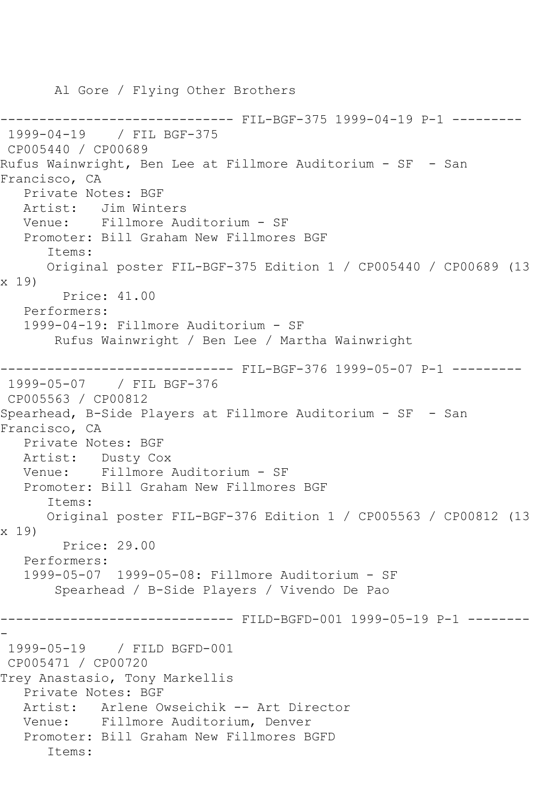Al Gore / Flying Other Brothers ------------------------------ FIL-BGF-375 1999-04-19 P-1 --------- 1999-04-19 / FIL BGF-375 CP005440 / CP00689 Rufus Wainwright, Ben Lee at Fillmore Auditorium - SF - San Francisco, CA Private Notes: BGF Artist: Jim Winters Venue: Fillmore Auditorium - SF Promoter: Bill Graham New Fillmores BGF Items: Original poster FIL-BGF-375 Edition 1 / CP005440 / CP00689 (13 x 19) Price: 41.00 Performers: 1999-04-19: Fillmore Auditorium - SF Rufus Wainwright / Ben Lee / Martha Wainwright ------------------------------ FIL-BGF-376 1999-05-07 P-1 --------- 1999-05-07 / FIL BGF-376 CP005563 / CP00812 Spearhead, B-Side Players at Fillmore Auditorium - SF - San Francisco, CA Private Notes: BGF Artist: Dusty Cox Venue: Fillmore Auditorium - SF Promoter: Bill Graham New Fillmores BGF Items: Original poster FIL-BGF-376 Edition 1 / CP005563 / CP00812 (13 x 19) Price: 29.00 Performers: 1999-05-07 1999-05-08: Fillmore Auditorium - SF Spearhead / B-Side Players / Vivendo De Pao ------------------------------ FILD-BGFD-001 1999-05-19 P-1 -------- - 1999-05-19 / FILD BGFD-001 CP005471 / CP00720 Trey Anastasio, Tony Markellis Private Notes: BGF Artist: Arlene Owseichik -- Art Director Venue: Fillmore Auditorium, Denver Promoter: Bill Graham New Fillmores BGFD Items: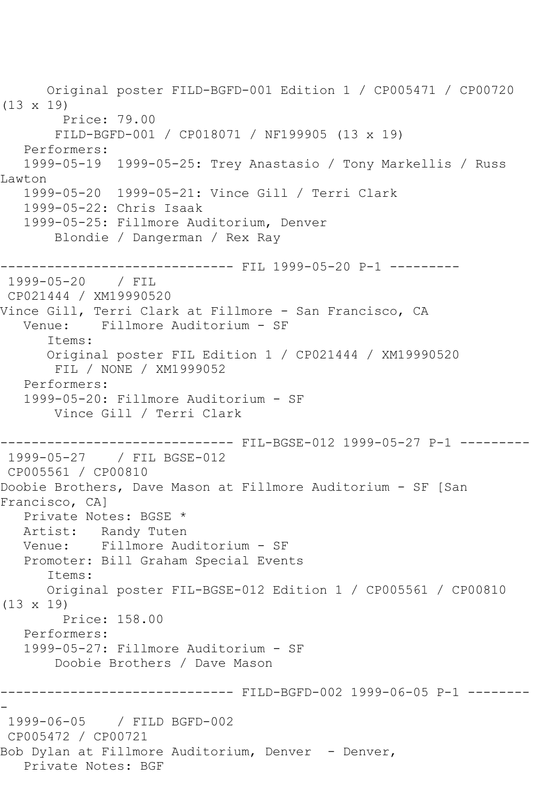Original poster FILD-BGFD-001 Edition 1 / CP005471 / CP00720 (13 x 19) Price: 79.00 FILD-BGFD-001 / CP018071 / NF199905 (13 x 19) Performers: 1999-05-19 1999-05-25: Trey Anastasio / Tony Markellis / Russ Lawton 1999-05-20 1999-05-21: Vince Gill / Terri Clark 1999-05-22: Chris Isaak 1999-05-25: Fillmore Auditorium, Denver Blondie / Dangerman / Rex Ray ------------------------------ FIL 1999-05-20 P-1 --------- 1999-05-20 / FIL CP021444 / XM19990520 Vince Gill, Terri Clark at Fillmore - San Francisco, CA Venue: Fillmore Auditorium - SF Items: Original poster FIL Edition 1 / CP021444 / XM19990520 FIL / NONE / XM1999052 Performers: 1999-05-20: Fillmore Auditorium - SF Vince Gill / Terri Clark ------------------------------ FIL-BGSE-012 1999-05-27 P-1 --------- 1999-05-27 / FIL BGSE-012 CP005561 / CP00810 Doobie Brothers, Dave Mason at Fillmore Auditorium - SF [San Francisco, CA] Private Notes: BGSE \* Artist: Randy Tuten Venue: Fillmore Auditorium - SF Promoter: Bill Graham Special Events Items: Original poster FIL-BGSE-012 Edition 1 / CP005561 / CP00810 (13 x 19) Price: 158.00 Performers: 1999-05-27: Fillmore Auditorium - SF Doobie Brothers / Dave Mason ------------------------------ FILD-BGFD-002 1999-06-05 P-1 -------- - 1999-06-05 / FILD BGFD-002 CP005472 / CP00721 Bob Dylan at Fillmore Auditorium, Denver - Denver, Private Notes: BGF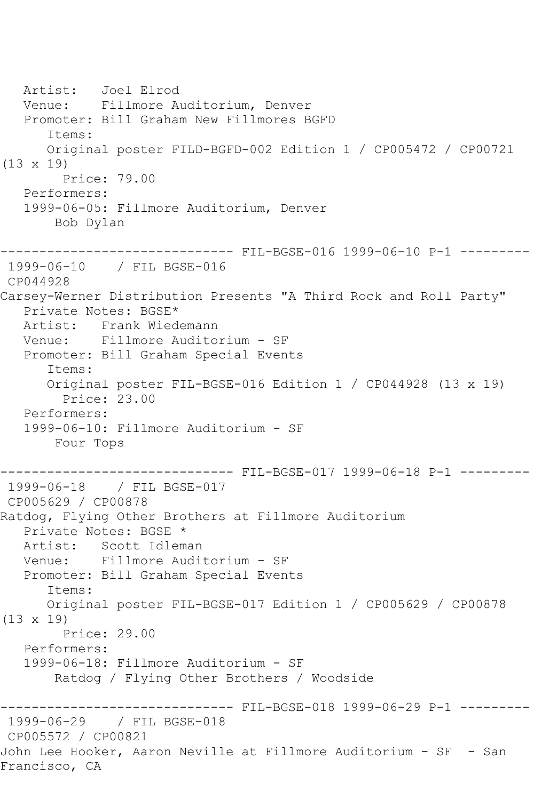Artist: Joel Elrod Venue: Fillmore Auditorium, Denver Promoter: Bill Graham New Fillmores BGFD Items: Original poster FILD-BGFD-002 Edition 1 / CP005472 / CP00721 (13 x 19) Price: 79.00 Performers: 1999-06-05: Fillmore Auditorium, Denver Bob Dylan ------------------------------ FIL-BGSE-016 1999-06-10 P-1 --------- 1999-06-10 / FIL BGSE-016 CP044928 Carsey-Werner Distribution Presents "A Third Rock and Roll Party" Private Notes: BGSE\* Artist: Frank Wiedemann Venue: Fillmore Auditorium - SF Promoter: Bill Graham Special Events Items: Original poster FIL-BGSE-016 Edition 1 / CP044928 (13 x 19) Price: 23.00 Performers: 1999-06-10: Fillmore Auditorium - SF Four Tops ------------------------------ FIL-BGSE-017 1999-06-18 P-1 --------- 1999-06-18 / FIL BGSE-017 CP005629 / CP00878 Ratdog, Flying Other Brothers at Fillmore Auditorium Private Notes: BGSE \* Artist: Scott Idleman<br>Venue: Fillmore Audi Fillmore Auditorium - SF Promoter: Bill Graham Special Events Items: Original poster FIL-BGSE-017 Edition 1 / CP005629 / CP00878 (13 x 19) Price: 29.00 Performers: 1999-06-18: Fillmore Auditorium - SF Ratdog / Flying Other Brothers / Woodside ------------------------------ FIL-BGSE-018 1999-06-29 P-1 --------- 1999-06-29 / FIL BGSE-018 CP005572 / CP00821 John Lee Hooker, Aaron Neville at Fillmore Auditorium - SF - San Francisco, CA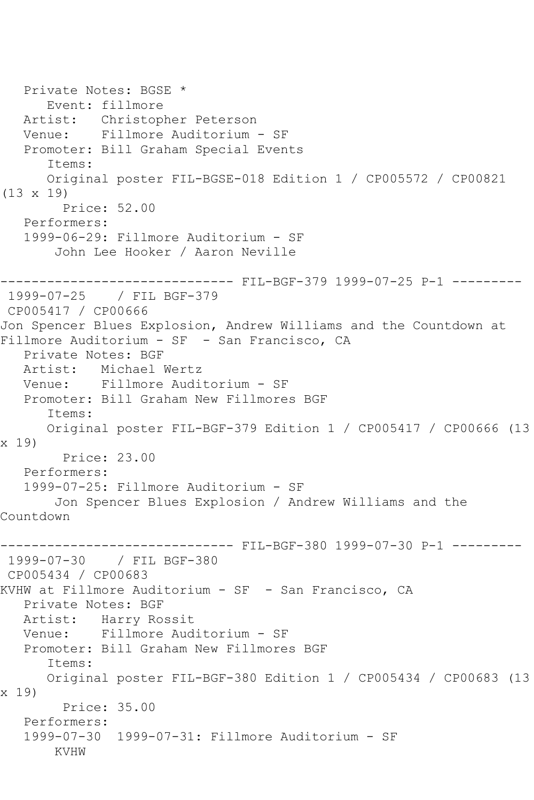```
 Private Notes: BGSE *
      Event: fillmore
 Artist: Christopher Peterson
 Venue: Fillmore Auditorium - SF
   Promoter: Bill Graham Special Events
       Items:
      Original poster FIL-BGSE-018 Edition 1 / CP005572 / CP00821 
(13 x 19)
         Price: 52.00
   Performers:
   1999-06-29: Fillmore Auditorium - SF
       John Lee Hooker / Aaron Neville
------------------------------ FIL-BGF-379 1999-07-25 P-1 ---------
1999-07-25 / FIL BGF-379
CP005417 / CP00666
Jon Spencer Blues Explosion, Andrew Williams and the Countdown at 
Fillmore Auditorium - SF - San Francisco, CA
   Private Notes: BGF
   Artist: Michael Wertz
   Venue: Fillmore Auditorium - SF
   Promoter: Bill Graham New Fillmores BGF
      Items:
      Original poster FIL-BGF-379 Edition 1 / CP005417 / CP00666 (13 
x 19)
        Price: 23.00
   Performers:
   1999-07-25: Fillmore Auditorium - SF
       Jon Spencer Blues Explosion / Andrew Williams and the 
Countdown
        ------------------------------ FIL-BGF-380 1999-07-30 P-1 ---------
1999-07-30 / FIL BGF-380
CP005434 / CP00683
KVHW at Fillmore Auditorium - SF - San Francisco, CA
   Private Notes: BGF
   Artist: Harry Rossit
   Venue: Fillmore Auditorium - SF
   Promoter: Bill Graham New Fillmores BGF
       Items:
      Original poster FIL-BGF-380 Edition 1 / CP005434 / CP00683 (13 
x 19)
        Price: 35.00
   Performers:
   1999-07-30 1999-07-31: Fillmore Auditorium - SF
       KVHW
```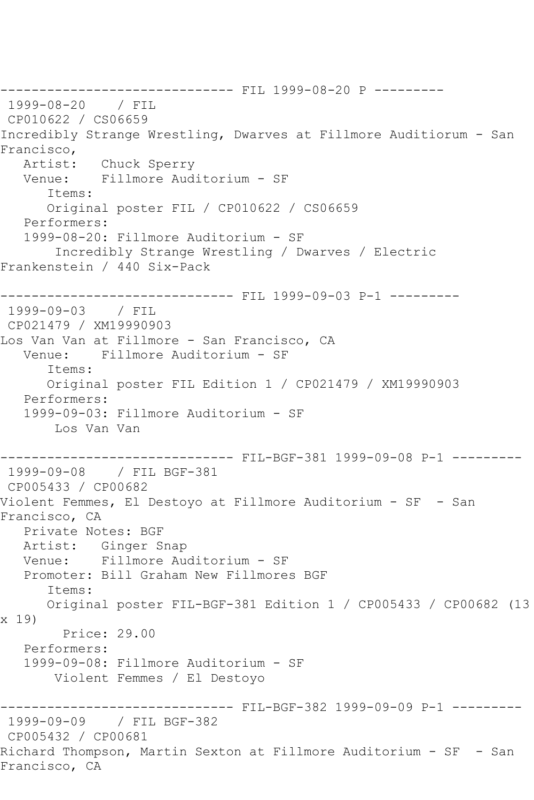------------------------------ FIL 1999-08-20 P --------- 1999-08-20 / FIL CP010622 / CS06659 Incredibly Strange Wrestling, Dwarves at Fillmore Auditiorum - San Francisco,<br>:Artist Chuck Sperry Venue: Fillmore Auditorium - SF Items: Original poster FIL / CP010622 / CS06659 Performers: 1999-08-20: Fillmore Auditorium - SF Incredibly Strange Wrestling / Dwarves / Electric Frankenstein / 440 Six-Pack ------------------------------ FIL 1999-09-03 P-1 --------- 1999-09-03 / FIL CP021479 / XM19990903 Los Van Van at Fillmore - San Francisco, CA Venue: Fillmore Auditorium - SF Items: Original poster FIL Edition 1 / CP021479 / XM19990903 Performers: 1999-09-03: Fillmore Auditorium - SF Los Van Van ------------------------------ FIL-BGF-381 1999-09-08 P-1 --------- 1999-09-08 / FIL BGF-381 CP005433 / CP00682 Violent Femmes, El Destoyo at Fillmore Auditorium - SF - San Francisco, CA Private Notes: BGF Artist: Ginger Snap Venue: Fillmore Auditorium - SF Promoter: Bill Graham New Fillmores BGF Items: Original poster FIL-BGF-381 Edition 1 / CP005433 / CP00682 (13 x 19) Price: 29.00 Performers: 1999-09-08: Fillmore Auditorium - SF Violent Femmes / El Destoyo ------------------------------ FIL-BGF-382 1999-09-09 P-1 --------- 1999-09-09 / FIL BGF-382 CP005432 / CP00681 Richard Thompson, Martin Sexton at Fillmore Auditorium - SF - San Francisco, CA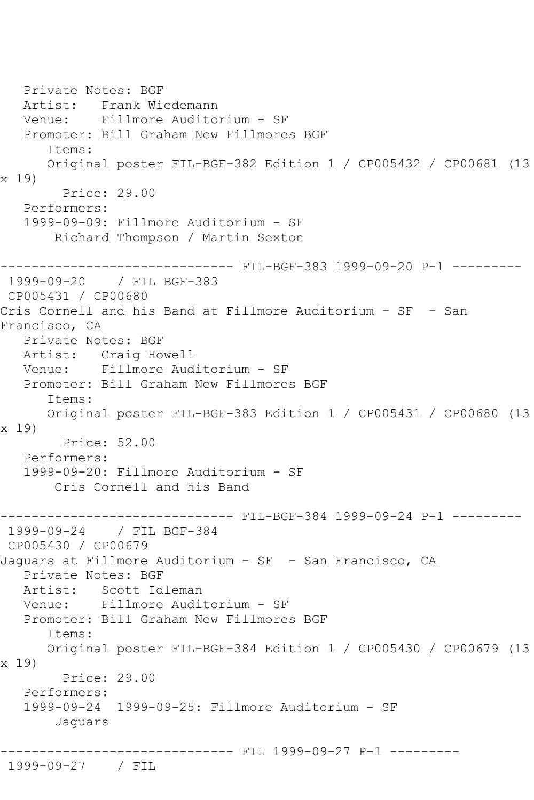Private Notes: BGF Artist: Frank Wiedemann Venue: Fillmore Auditorium - SF Promoter: Bill Graham New Fillmores BGF Items: Original poster FIL-BGF-382 Edition 1 / CP005432 / CP00681 (13 x 19) Price: 29.00 Performers: 1999-09-09: Fillmore Auditorium - SF Richard Thompson / Martin Sexton --------- FIL-BGF-383 1999-09-20 P-1 ---------1999-09-20 / FIL BGF-383 CP005431 / CP00680 Cris Cornell and his Band at Fillmore Auditorium - SF - San Francisco, CA Private Notes: BGF Artist: Craig Howell Venue: Fillmore Auditorium - SF Promoter: Bill Graham New Fillmores BGF Items: Original poster FIL-BGF-383 Edition 1 / CP005431 / CP00680 (13 x 19) Price: 52.00 Performers: 1999-09-20: Fillmore Auditorium - SF Cris Cornell and his Band ------------------------------ FIL-BGF-384 1999-09-24 P-1 --------- 1999-09-24 / FIL BGF-384 CP005430 / CP00679 Jaquars at Fillmore Auditorium - SF - San Francisco, CA Private Notes: BGF Artist: Scott Idleman Venue: Fillmore Auditorium - SF Promoter: Bill Graham New Fillmores BGF Items: Original poster FIL-BGF-384 Edition 1 / CP005430 / CP00679 (13 x 19) Price: 29.00 Performers: 1999-09-24 1999-09-25: Fillmore Auditorium - SF Jaguars ---------------- FIL 1999-09-27 P-1 ---------1999-09-27 / FIL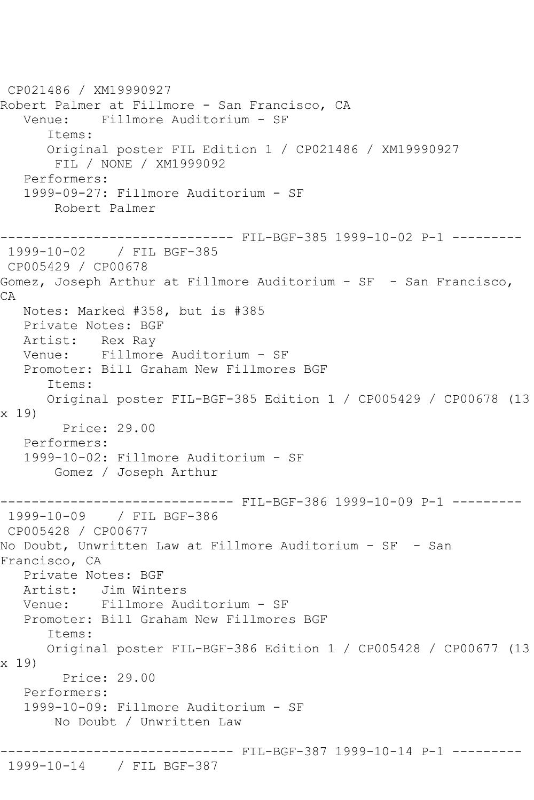```
CP021486 / XM19990927
Robert Palmer at Fillmore - San Francisco, CA
   Venue: Fillmore Auditorium - SF
       Items:
       Original poster FIL Edition 1 / CP021486 / XM19990927
        FIL / NONE / XM1999092
   Performers:
    1999-09-27: Fillmore Auditorium - SF
        Robert Palmer
------------------------------ FIL-BGF-385 1999-10-02 P-1 ---------
1999-10-02 / FIL BGF-385
CP005429 / CP00678
Gomez, Joseph Arthur at Fillmore Auditorium - SF - San Francisco, 
CA
   Notes: Marked #358, but is #385
   Private Notes: BGF
  Artist: Rex Ray<br>Venue: Fillmore
            Venue: Fillmore Auditorium - SF
   Promoter: Bill Graham New Fillmores BGF
       Items:
       Original poster FIL-BGF-385 Edition 1 / CP005429 / CP00678 (13 
x 19)
         Price: 29.00
   Performers:
    1999-10-02: Fillmore Auditorium - SF
        Gomez / Joseph Arthur
                     ---------- FIL-BGF-386 1999-10-09 P-1 ---------
1999-10-09 / FIL BGF-386
CP005428 / CP00677
No Doubt, Unwritten Law at Fillmore Auditorium - SF - San 
Francisco, CA
   Private Notes: BGF
   Artist: Jim Winters
   Venue: Fillmore Auditorium - SF
   Promoter: Bill Graham New Fillmores BGF
       Items:
       Original poster FIL-BGF-386 Edition 1 / CP005428 / CP00677 (13 
x 19)
         Price: 29.00
   Performers:
    1999-10-09: Fillmore Auditorium - SF
        No Doubt / Unwritten Law
                ------------------------------ FIL-BGF-387 1999-10-14 P-1 ---------
1999-10-14 / FIL BGF-387
```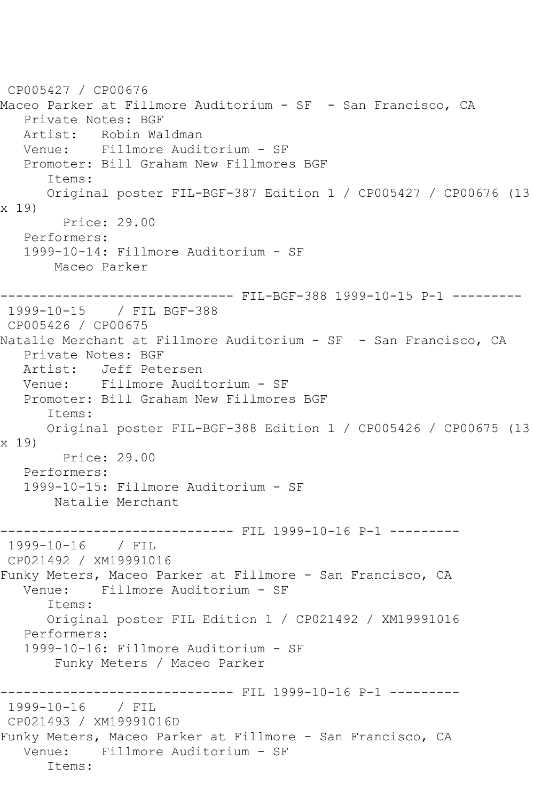CP005427 / CP00676 Maceo Parker at Fillmore Auditorium - SF - San Francisco, CA Private Notes: BGF Artist: Robin Waldman<br>Venue: Fillmore Audi Venue: Fillmore Auditorium - SF Promoter: Bill Graham New Fillmores BGF Items: Original poster FIL-BGF-387 Edition 1 / CP005427 / CP00676 (13 x 19) Price: 29.00 Performers: 1999-10-14: Fillmore Auditorium - SF Maceo Parker ------------------------------ FIL-BGF-388 1999-10-15 P-1 --------- 1999-10-15 / FIL BGF-388 CP005426 / CP00675 Natalie Merchant at Fillmore Auditorium - SF - San Francisco, CA Private Notes: BGF Artist: Jeff Petersen Venue: Fillmore Auditorium - SF Promoter: Bill Graham New Fillmores BGF Items: Original poster FIL-BGF-388 Edition 1 / CP005426 / CP00675 (13 x 19) Price: 29.00 Performers: 1999-10-15: Fillmore Auditorium - SF Natalie Merchant ------------------------------ FIL 1999-10-16 P-1 --------- 1999-10-16 / FIL CP021492 / XM19991016 Funky Meters, Maceo Parker at Fillmore - San Francisco, CA Venue: Fillmore Auditorium - SF Items: Original poster FIL Edition 1 / CP021492 / XM19991016 Performers: 1999-10-16: Fillmore Auditorium - SF Funky Meters / Maceo Parker ------------------------------ FIL 1999-10-16 P-1 --------- 1999-10-16 / FIL CP021493 / XM19991016D Funky Meters, Maceo Parker at Fillmore - San Francisco, CA Venue: Fillmore Auditorium - SF Items: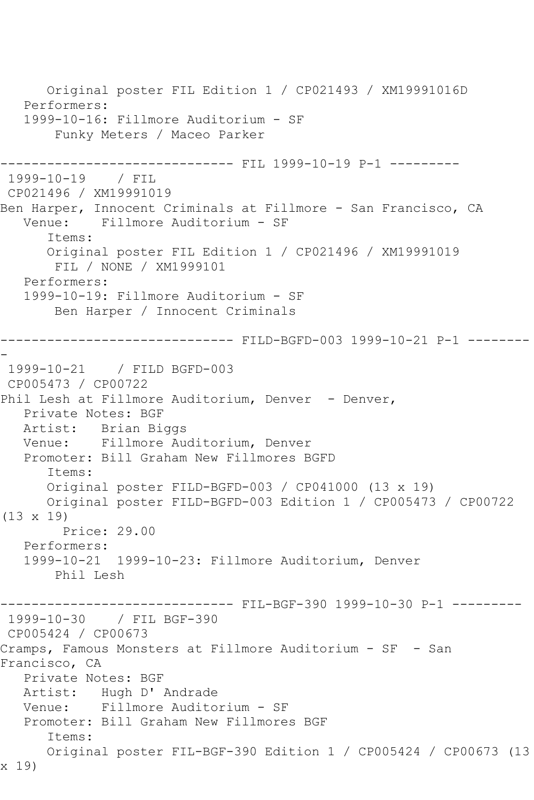Original poster FIL Edition 1 / CP021493 / XM19991016D Performers: 1999-10-16: Fillmore Auditorium - SF Funky Meters / Maceo Parker ------------------------------ FIL 1999-10-19 P-1 --------- 1999-10-19 / FIL CP021496 / XM19991019 Ben Harper, Innocent Criminals at Fillmore - San Francisco, CA Venue: Fillmore Auditorium - SF Items: Original poster FIL Edition 1 / CP021496 / XM19991019 FIL / NONE / XM1999101 Performers: 1999-10-19: Fillmore Auditorium - SF Ben Harper / Innocent Criminals ------------------------------ FILD-BGFD-003 1999-10-21 P-1 -------- - 1999-10-21 / FILD BGFD-003 CP005473 / CP00722 Phil Lesh at Fillmore Auditorium, Denver - Denver, Private Notes: BGF Artist: Brian Biggs Venue: Fillmore Auditorium, Denver Promoter: Bill Graham New Fillmores BGFD Items: Original poster FILD-BGFD-003 / CP041000 (13 x 19) Original poster FILD-BGFD-003 Edition 1 / CP005473 / CP00722 (13 x 19) Price: 29.00 Performers: 1999-10-21 1999-10-23: Fillmore Auditorium, Denver Phil Lesh ------------------------------ FIL-BGF-390 1999-10-30 P-1 --------- 1999-10-30 / FIL BGF-390 CP005424 / CP00673 Cramps, Famous Monsters at Fillmore Auditorium - SF - San Francisco, CA Private Notes: BGF Artist: Hugh D' Andrade Venue: Fillmore Auditorium - SF Promoter: Bill Graham New Fillmores BGF Items: Original poster FIL-BGF-390 Edition 1 / CP005424 / CP00673 (13 x 19)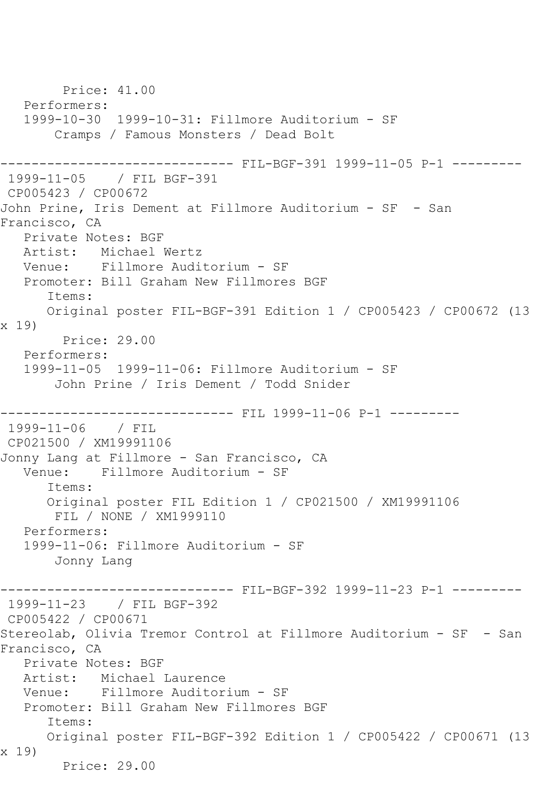```
 Price: 41.00
   Performers:
   1999-10-30 1999-10-31: Fillmore Auditorium - SF
        Cramps / Famous Monsters / Dead Bolt
            ------------------------------ FIL-BGF-391 1999-11-05 P-1 ---------
1999-11-05 / FIL BGF-391
CP005423 / CP00672
John Prine, Iris Dement at Fillmore Auditorium - SF - San 
Francisco, CA
   Private Notes: BGF
   Artist: Michael Wertz
   Venue: Fillmore Auditorium - SF
   Promoter: Bill Graham New Fillmores BGF
       Items:
      Original poster FIL-BGF-391 Edition 1 / CP005423 / CP00672 (13 
x 19)
        Price: 29.00
   Performers:
   1999-11-05 1999-11-06: Fillmore Auditorium - SF
        John Prine / Iris Dement / Todd Snider
------------------------------ FIL 1999-11-06 P-1 ---------
1999-11-06 / FIL 
CP021500 / XM19991106
Jonny Lang at Fillmore - San Francisco, CA
   Venue: Fillmore Auditorium - SF
       Items:
      Original poster FIL Edition 1 / CP021500 / XM19991106
        FIL / NONE / XM1999110
   Performers:
   1999-11-06: Fillmore Auditorium - SF
        Jonny Lang
                        ------- FIL-BGF-392 1999-11-23 P-1 ----------
1999-11-23 / FIL BGF-392
CP005422 / CP00671
Stereolab, Olivia Tremor Control at Fillmore Auditorium - SF - San 
Francisco, CA
   Private Notes: BGF
   Artist: Michael Laurence
   Venue: Fillmore Auditorium - SF
   Promoter: Bill Graham New Fillmores BGF
       Items:
      Original poster FIL-BGF-392 Edition 1 / CP005422 / CP00671 (13 
x 19)
        Price: 29.00
```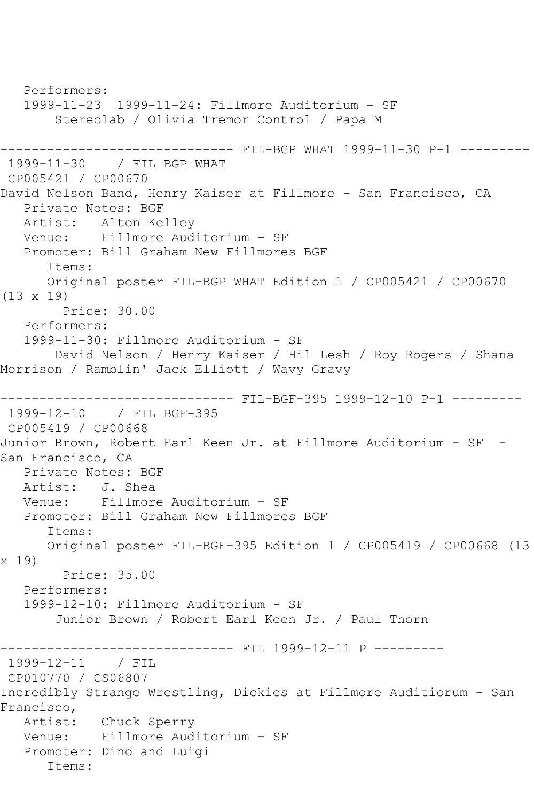Performers: 1999-11-23 1999-11-24: Fillmore Auditorium - SF Stereolab / Olivia Tremor Control / Papa M ------------------------------ FIL-BGP WHAT 1999-11-30 P-1 --------- 1999-11-30 / FIL BGP WHAT CP005421 / CP00670 David Nelson Band, Henry Kaiser at Fillmore - San Francisco, CA Private Notes: BGF Artist: Alton Kelley Venue: Fillmore Auditorium - SF Promoter: Bill Graham New Fillmores BGF Items: Original poster FIL-BGP WHAT Edition 1 / CP005421 / CP00670 (13 x 19) Price: 30.00 Performers: 1999-11-30: Fillmore Auditorium - SF David Nelson / Henry Kaiser / Hil Lesh / Roy Rogers / Shana Morrison / Ramblin' Jack Elliott / Wavy Gravy ------------------------------ FIL-BGF-395 1999-12-10 P-1 --------- 1999-12-10 / FIL BGF-395 CP005419 / CP00668 Junior Brown, Robert Earl Keen Jr. at Fillmore Auditorium - SF - San Francisco, CA Private Notes: BGF Artist: J. Shea Venue: Fillmore Auditorium - SF Promoter: Bill Graham New Fillmores BGF Items: Original poster FIL-BGF-395 Edition 1 / CP005419 / CP00668 (13 x 19) Price: 35.00 Performers: 1999-12-10: Fillmore Auditorium - SF Junior Brown / Robert Earl Keen Jr. / Paul Thorn ------------------------------ FIL 1999-12-11 P --------- 1999-12-11 / FIL CP010770 / CS06807 Incredibly Strange Wrestling, Dickies at Fillmore Auditiorum - San Francisco, Artist: Chuck Sperry Venue: Fillmore Auditorium - SF Promoter: Dino and Luigi Items: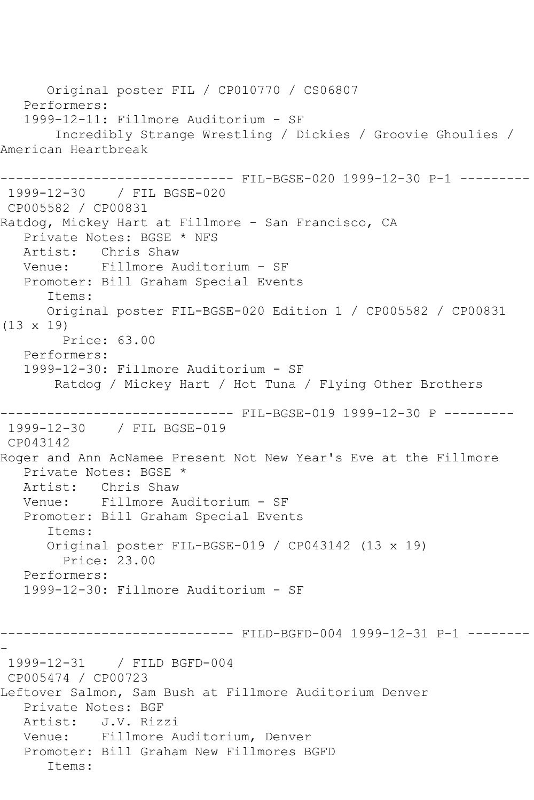Original poster FIL / CP010770 / CS06807 Performers: 1999-12-11: Fillmore Auditorium - SF Incredibly Strange Wrestling / Dickies / Groovie Ghoulies / American Heartbreak ------------------------------ FIL-BGSE-020 1999-12-30 P-1 --------- 1999-12-30 / FIL BGSE-020 CP005582 / CP00831 Ratdog, Mickey Hart at Fillmore - San Francisco, CA Private Notes: BGSE \* NFS Artist: Chris Shaw Venue: Fillmore Auditorium - SF Promoter: Bill Graham Special Events Items: Original poster FIL-BGSE-020 Edition 1 / CP005582 / CP00831 (13 x 19) Price: 63.00 Performers: 1999-12-30: Fillmore Auditorium - SF Ratdog / Mickey Hart / Hot Tuna / Flying Other Brothers ------------------------------ FIL-BGSE-019 1999-12-30 P --------- 1999-12-30 / FIL BGSE-019 CP043142 Roger and Ann AcNamee Present Not New Year's Eve at the Fillmore Private Notes: BGSE \* Artist: Chris Shaw Venue: Fillmore Auditorium - SF Promoter: Bill Graham Special Events Items: Original poster FIL-BGSE-019 / CP043142 (13 x 19) Price: 23.00 Performers: 1999-12-30: Fillmore Auditorium - SF ------------------------------ FILD-BGFD-004 1999-12-31 P-1 -------- - 1999-12-31 / FILD BGFD-004 CP005474 / CP00723 Leftover Salmon, Sam Bush at Fillmore Auditorium Denver Private Notes: BGF Artist: J.V. Rizzi Venue: Fillmore Auditorium, Denver Promoter: Bill Graham New Fillmores BGFD Items: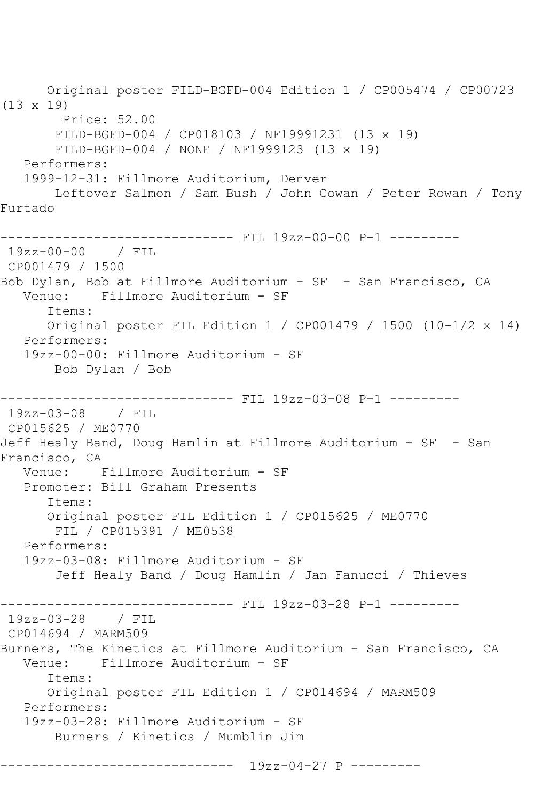Original poster FILD-BGFD-004 Edition 1 / CP005474 / CP00723 (13 x 19) Price: 52.00 FILD-BGFD-004 / CP018103 / NF19991231 (13 x 19) FILD-BGFD-004 / NONE / NF1999123 (13 x 19) Performers: 1999-12-31: Fillmore Auditorium, Denver Leftover Salmon / Sam Bush / John Cowan / Peter Rowan / Tony Furtado ------------------------------ FIL 19zz-00-00 P-1 --------- 19zz-00-00 / FIL CP001479 / 1500 Bob Dylan, Bob at Fillmore Auditorium - SF - San Francisco, CA Venue: Fillmore Auditorium - SF Items: Original poster FIL Edition 1 / CP001479 / 1500 (10-1/2 x 14) Performers: 19zz-00-00: Fillmore Auditorium - SF Bob Dylan / Bob ------------------------------ FIL 19zz-03-08 P-1 --------- 19zz-03-08 / FIL CP015625 / ME0770 Jeff Healy Band, Doug Hamlin at Fillmore Auditorium - SF - San Francisco, CA Venue: Fillmore Auditorium - SF Promoter: Bill Graham Presents Items: Original poster FIL Edition 1 / CP015625 / ME0770 FIL / CP015391 / ME0538 Performers: 19zz-03-08: Fillmore Auditorium - SF Jeff Healy Band / Doug Hamlin / Jan Fanucci / Thieves ------------------------------ FIL 19zz-03-28 P-1 --------- 19zz-03-28 / FIL CP014694 / MARM509 Burners, The Kinetics at Fillmore Auditorium - San Francisco, CA Venue: Fillmore Auditorium - SF Items: Original poster FIL Edition 1 / CP014694 / MARM509 Performers: 19zz-03-28: Fillmore Auditorium - SF Burners / Kinetics / Mumblin Jim ------------------------------ 19zz-04-27 P ---------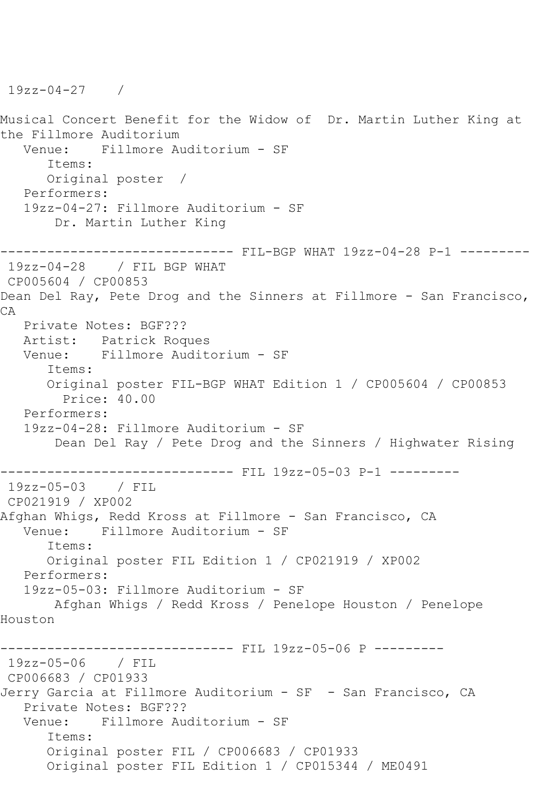Musical Concert Benefit for the Widow of Dr. Martin Luther King at the Fillmore Auditorium<br>Venue: Fillmore A Fillmore Auditorium - SF Items: Original poster / Performers: 19zz-04-27: Fillmore Auditorium - SF Dr. Martin Luther King ------------------------------ FIL-BGP WHAT 19zz-04-28 P-1 --------- 19zz-04-28 / FIL BGP WHAT CP005604 / CP00853 Dean Del Ray, Pete Drog and the Sinners at Fillmore - San Francisco, CA Private Notes: BGF??? Artist: Patrick Roques Venue: Fillmore Auditorium - SF Items: Original poster FIL-BGP WHAT Edition 1 / CP005604 / CP00853 Price: 40.00 Performers: 19zz-04-28: Fillmore Auditorium - SF Dean Del Ray / Pete Drog and the Sinners / Highwater Rising ------------------------------ FIL 19zz-05-03 P-1 --------- 19zz-05-03 / FIL CP021919 / XP002 Afghan Whigs, Redd Kross at Fillmore - San Francisco, CA<br>Venue: Fillmore Auditorium - SF Fillmore Auditorium - SF Items: Original poster FIL Edition 1 / CP021919 / XP002 Performers: 19zz-05-03: Fillmore Auditorium - SF Afghan Whigs / Redd Kross / Penelope Houston / Penelope Houston ------------------------------ FIL 19zz-05-06 P --------- 19zz-05-06 / FIL CP006683 / CP01933 Jerry Garcia at Fillmore Auditorium - SF - San Francisco, CA Private Notes: BGF??? Venue: Fillmore Auditorium - SF Items: Original poster FIL / CP006683 / CP01933 Original poster FIL Edition 1 / CP015344 / ME0491

19zz-04-27 /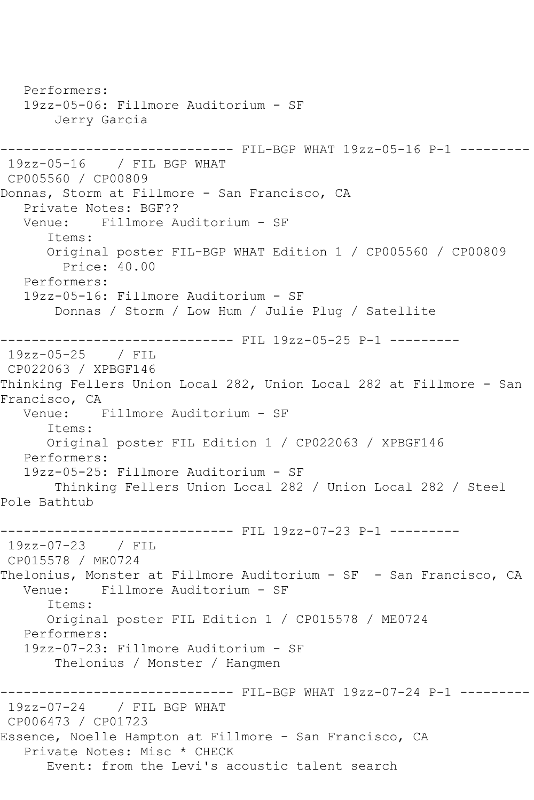Performers: 19zz-05-06: Fillmore Auditorium - SF Jerry Garcia ------------------------------ FIL-BGP WHAT 19zz-05-16 P-1 --------- 19zz-05-16 / FIL BGP WHAT CP005560 / CP00809 Donnas, Storm at Fillmore - San Francisco, CA Private Notes: BGF?? Venue: Fillmore Auditorium - SF Items: Original poster FIL-BGP WHAT Edition 1 / CP005560 / CP00809 Price: 40.00 Performers: 19zz-05-16: Fillmore Auditorium - SF Donnas / Storm / Low Hum / Julie Plug / Satellite ------------------------------ FIL 19zz-05-25 P-1 --------- 19zz-05-25 / FIL CP022063 / XPBGF146 Thinking Fellers Union Local 282, Union Local 282 at Fillmore - San Francisco, CA Venue: Fillmore Auditorium - SF Items: Original poster FIL Edition 1 / CP022063 / XPBGF146 Performers: 19zz-05-25: Fillmore Auditorium - SF Thinking Fellers Union Local 282 / Union Local 282 / Steel Pole Bathtub ------------------------------ FIL 19zz-07-23 P-1 --------- 19zz-07-23 / FIL CP015578 / ME0724 Thelonius, Monster at Fillmore Auditorium - SF - San Francisco, CA Venue: Fillmore Auditorium - SF Items: Original poster FIL Edition 1 / CP015578 / ME0724 Performers: 19zz-07-23: Fillmore Auditorium - SF Thelonius / Monster / Hangmen ------------ FIL-BGP WHAT 19zz-07-24 P-1 ---------19zz-07-24 / FIL BGP WHAT CP006473 / CP01723 Essence, Noelle Hampton at Fillmore - San Francisco, CA Private Notes: Misc \* CHECK Event: from the Levi's acoustic talent search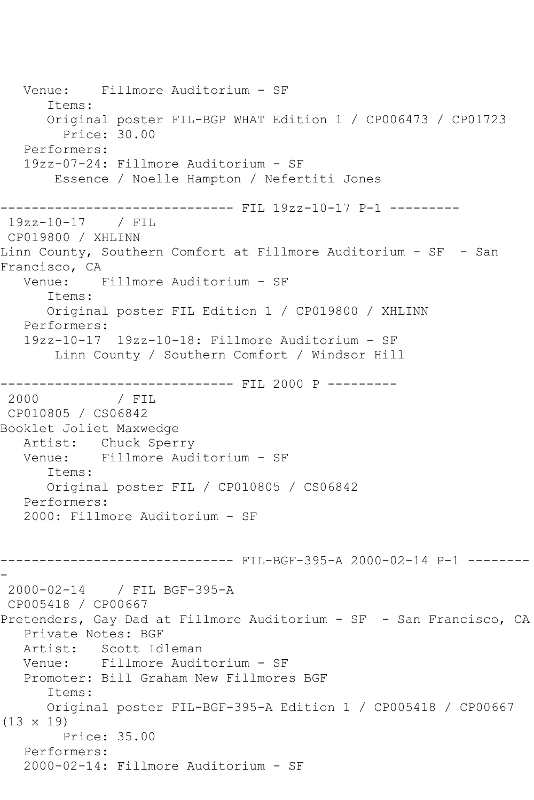Venue: Fillmore Auditorium - SF Items: Original poster FIL-BGP WHAT Edition 1 / CP006473 / CP01723 Price: 30.00 Performers: 19zz-07-24: Fillmore Auditorium - SF Essence / Noelle Hampton / Nefertiti Jones ------------------------------ FIL 19zz-10-17 P-1 --------- 19zz-10-17 / FIL CP019800 / XHLINN Linn County, Southern Comfort at Fillmore Auditorium - SF - San Francisco, CA Venue: Fillmore Auditorium - SF Items: Original poster FIL Edition 1 / CP019800 / XHLINN Performers: 19zz-10-17 19zz-10-18: Fillmore Auditorium - SF Linn County / Southern Comfort / Windsor Hill ------------------------------ FIL 2000 P --------- / FIL CP010805 / CS06842 Booklet Joliet Maxwedge Artist: Chuck Sperry<br>Venue: Fillmore Aud Fillmore Auditorium - SF Items: Original poster FIL / CP010805 / CS06842 Performers: 2000: Fillmore Auditorium - SF ------------------------------ FIL-BGF-395-A 2000-02-14 P-1 -------- - 2000-02-14 / FIL BGF-395-A CP005418 / CP00667 Pretenders, Gay Dad at Fillmore Auditorium - SF - San Francisco, CA Private Notes: BGF Artist: Scott Idleman Venue: Fillmore Auditorium - SF Promoter: Bill Graham New Fillmores BGF Items: Original poster FIL-BGF-395-A Edition 1 / CP005418 / CP00667 (13 x 19) Price: 35.00 Performers: 2000-02-14: Fillmore Auditorium - SF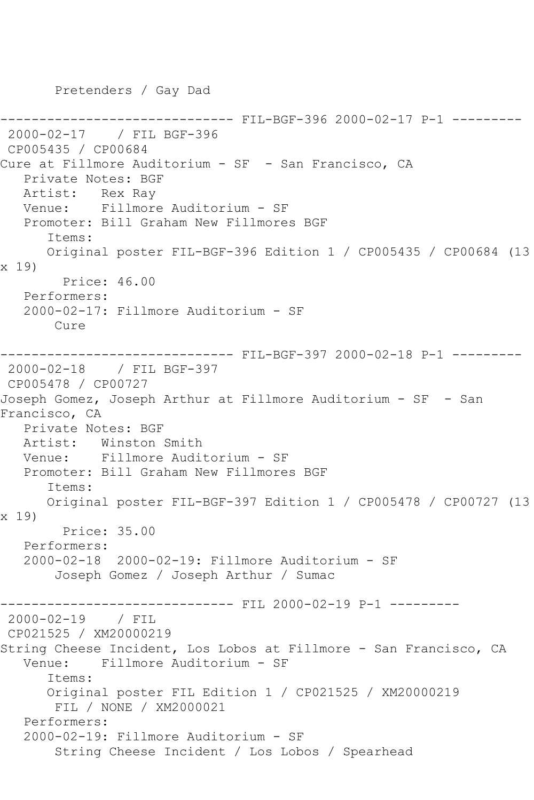Pretenders / Gay Dad

------------------------------ FIL-BGF-396 2000-02-17 P-1 --------- 2000-02-17 / FIL BGF-396 CP005435 / CP00684 Cure at Fillmore Auditorium - SF - San Francisco, CA Private Notes: BGF Artist: Rex Ray Venue: Fillmore Auditorium - SF Promoter: Bill Graham New Fillmores BGF Items: Original poster FIL-BGF-396 Edition 1 / CP005435 / CP00684 (13 x 19) Price: 46.00 Performers: 2000-02-17: Fillmore Auditorium - SF Cure ------------------------------ FIL-BGF-397 2000-02-18 P-1 --------- 2000-02-18 / FIL BGF-397 CP005478 / CP00727 Joseph Gomez, Joseph Arthur at Fillmore Auditorium - SF - San Francisco, CA Private Notes: BGF Artist: Winston Smith<br>Venue: Fillmore Audi Fillmore Auditorium - SF Promoter: Bill Graham New Fillmores BGF Items: Original poster FIL-BGF-397 Edition 1 / CP005478 / CP00727 (13 x 19) Price: 35.00 Performers: 2000-02-18 2000-02-19: Fillmore Auditorium - SF Joseph Gomez / Joseph Arthur / Sumac ------------------------------ FIL 2000-02-19 P-1 --------- 2000-02-19 / FIL CP021525 / XM20000219 String Cheese Incident, Los Lobos at Fillmore - San Francisco, CA Venue: Fillmore Auditorium - SF Items: Original poster FIL Edition 1 / CP021525 / XM20000219 FIL / NONE / XM2000021 Performers: 2000-02-19: Fillmore Auditorium - SF String Cheese Incident / Los Lobos / Spearhead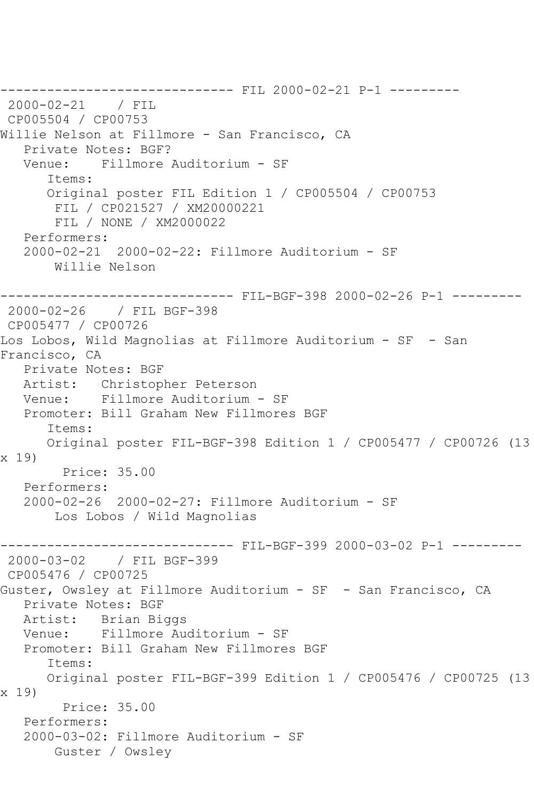------------------------------ FIL 2000-02-21 P-1 --------- 2000-02-21 / FIL CP005504 / CP00753 Willie Nelson at Fillmore - San Francisco, CA Private Notes: BGF? Venue: Fillmore Auditorium - SF Items: Original poster FIL Edition 1 / CP005504 / CP00753 FIL / CP021527 / XM20000221 FIL / NONE / XM2000022 Performers: 2000-02-21 2000-02-22: Fillmore Auditorium - SF Willie Nelson ------------------------------ FIL-BGF-398 2000-02-26 P-1 --------- 2000-02-26 / FIL BGF-398 CP005477 / CP00726 Los Lobos, Wild Magnolias at Fillmore Auditorium - SF - San Francisco, CA Private Notes: BGF Artist: Christopher Peterson Venue: Fillmore Auditorium - SF Promoter: Bill Graham New Fillmores BGF Items: Original poster FIL-BGF-398 Edition 1 / CP005477 / CP00726 (13 x 19) Price: 35.00 Performers: 2000-02-26 2000-02-27: Fillmore Auditorium - SF Los Lobos / Wild Magnolias ------------------------------ FIL-BGF-399 2000-03-02 P-1 --------- 2000-03-02 / FIL BGF-399 CP005476 / CP00725 Guster, Owsley at Fillmore Auditorium - SF - San Francisco, CA Private Notes: BGF Artist: Brian Biggs Venue: Fillmore Auditorium - SF Promoter: Bill Graham New Fillmores BGF Items: Original poster FIL-BGF-399 Edition 1 / CP005476 / CP00725 (13 x 19) Price: 35.00 Performers: 2000-03-02: Fillmore Auditorium - SF Guster / Owsley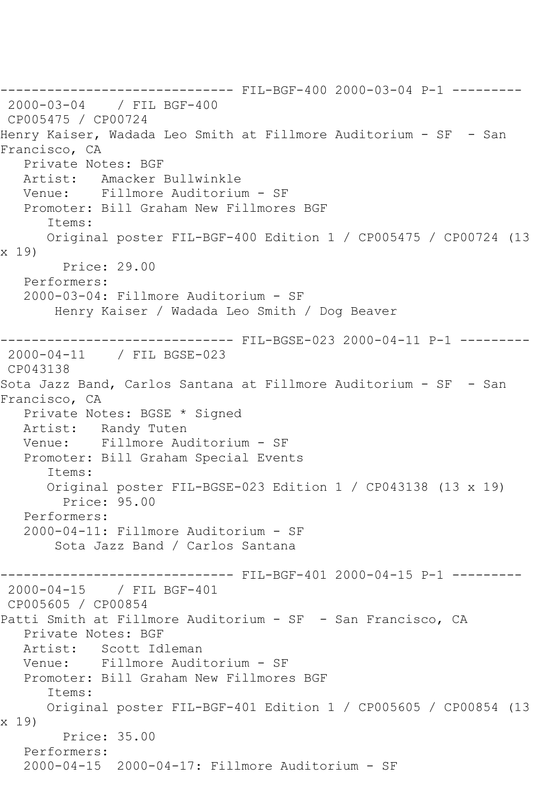------------------------------ FIL-BGF-400 2000-03-04 P-1 --------- 2000-03-04 / FIL BGF-400 CP005475 / CP00724 Henry Kaiser, Wadada Leo Smith at Fillmore Auditorium - SF - San Francisco, CA Private Notes: BGF Artist: Amacker Bullwinkle Venue: Fillmore Auditorium - SF Promoter: Bill Graham New Fillmores BGF Items: Original poster FIL-BGF-400 Edition 1 / CP005475 / CP00724 (13 x 19) Price: 29.00 Performers: 2000-03-04: Fillmore Auditorium - SF Henry Kaiser / Wadada Leo Smith / Dog Beaver ------------------------------ FIL-BGSE-023 2000-04-11 P-1 --------- 2000-04-11 / FIL BGSE-023 CP043138 Sota Jazz Band, Carlos Santana at Fillmore Auditorium - SF - San Francisco, CA Private Notes: BGSE \* Signed Artist: Randy Tuten Venue: Fillmore Auditorium - SF Promoter: Bill Graham Special Events Items: Original poster FIL-BGSE-023 Edition 1 / CP043138 (13 x 19) Price: 95.00 Performers: 2000-04-11: Fillmore Auditorium - SF Sota Jazz Band / Carlos Santana ------------------------------ FIL-BGF-401 2000-04-15 P-1 --------- 2000-04-15 / FIL BGF-401 CP005605 / CP00854 Patti Smith at Fillmore Auditorium - SF - San Francisco, CA Private Notes: BGF Artist: Scott Idleman Venue: Fillmore Auditorium - SF Promoter: Bill Graham New Fillmores BGF Items: Original poster FIL-BGF-401 Edition 1 / CP005605 / CP00854 (13 x 19) Price: 35.00 Performers: 2000-04-15 2000-04-17: Fillmore Auditorium - SF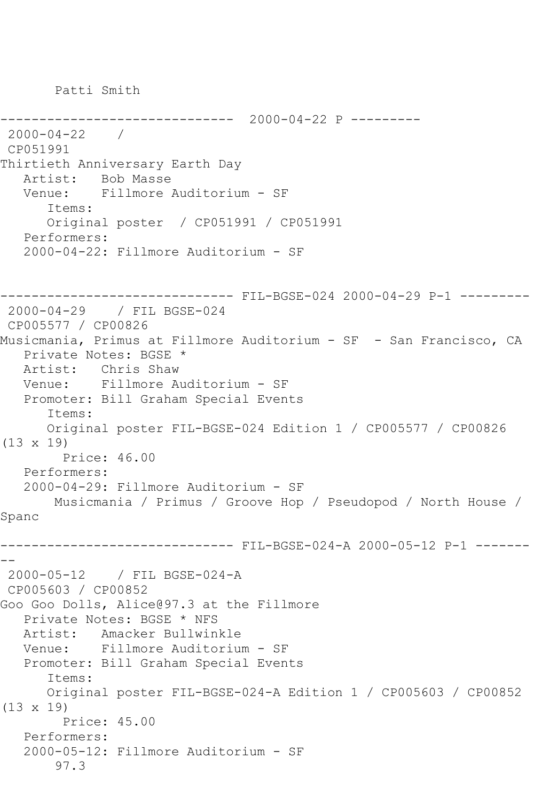Patti Smith

```
------------------------------ 2000-04-22 P ---------
2000-04-22 / 
CP051991
Thirtieth Anniversary Earth Day
   Artist: Bob Masse
   Venue: Fillmore Auditorium - SF
       Items:
       Original poster / CP051991 / CP051991
   Performers:
    2000-04-22: Fillmore Auditorium - SF
         ------------------------------ FIL-BGSE-024 2000-04-29 P-1 ---------
2000-04-29 / FIL BGSE-024
CP005577 / CP00826
Musicmania, Primus at Fillmore Auditorium - SF - San Francisco, CA
   Private Notes: BGSE *
   Artist: Chris Shaw
   Venue: Fillmore Auditorium - SF
   Promoter: Bill Graham Special Events
       Items:
       Original poster FIL-BGSE-024 Edition 1 / CP005577 / CP00826 
(13 x 19)
         Price: 46.00
   Performers:
    2000-04-29: Fillmore Auditorium - SF
        Musicmania / Primus / Groove Hop / Pseudopod / North House / 
Spanc
                  ------------------------------ FIL-BGSE-024-A 2000-05-12 P-1 -------
--
2000-05-12 / FIL BGSE-024-A
CP005603 / CP00852
Goo Goo Dolls, Alice@97.3 at the Fillmore
  Private Notes: BGSE * NFS<br>Artist: Amacker Bullwin
            Amacker Bullwinkle
   Venue: Fillmore Auditorium - SF
   Promoter: Bill Graham Special Events
       Items:
       Original poster FIL-BGSE-024-A Edition 1 / CP005603 / CP00852 
(13 x 19)
         Price: 45.00
    Performers:
    2000-05-12: Fillmore Auditorium - SF
        97.3
```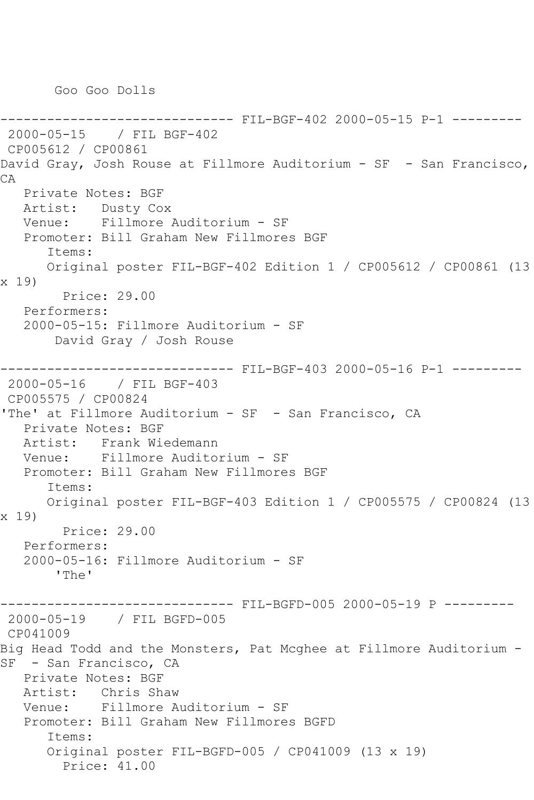Goo Goo Dolls

------------------------------ FIL-BGF-402 2000-05-15 P-1 --------- 2000-05-15 / FIL BGF-402 CP005612 / CP00861 David Gray, Josh Rouse at Fillmore Auditorium - SF - San Francisco, CA Private Notes: BGF Artist: Dusty Cox Venue: Fillmore Auditorium - SF Promoter: Bill Graham New Fillmores BGF Items: Original poster FIL-BGF-402 Edition 1 / CP005612 / CP00861 (13 x 19) Price: 29.00 Performers: 2000-05-15: Fillmore Auditorium - SF David Gray / Josh Rouse ------------------------------ FIL-BGF-403 2000-05-16 P-1 --------- 2000-05-16 / FIL BGF-403 CP005575 / CP00824 'The' at Fillmore Auditorium - SF - San Francisco, CA Private Notes: BGF Artist: Frank Wiedemann<br>Venue: Fillmore Audito Fillmore Auditorium - SF Promoter: Bill Graham New Fillmores BGF Items: Original poster FIL-BGF-403 Edition 1 / CP005575 / CP00824 (13 x 19) Price: 29.00 Performers: 2000-05-16: Fillmore Auditorium - SF 'The' ------------------------------ FIL-BGFD-005 2000-05-19 P --------- 2000-05-19 / FIL BGFD-005 CP041009 Big Head Todd and the Monsters, Pat Mcghee at Fillmore Auditorium - SF - San Francisco, CA Private Notes: BGF Artist: Chris Shaw Venue: Fillmore Auditorium - SF Promoter: Bill Graham New Fillmores BGFD Items: Original poster FIL-BGFD-005 / CP041009 (13 x 19) Price: 41.00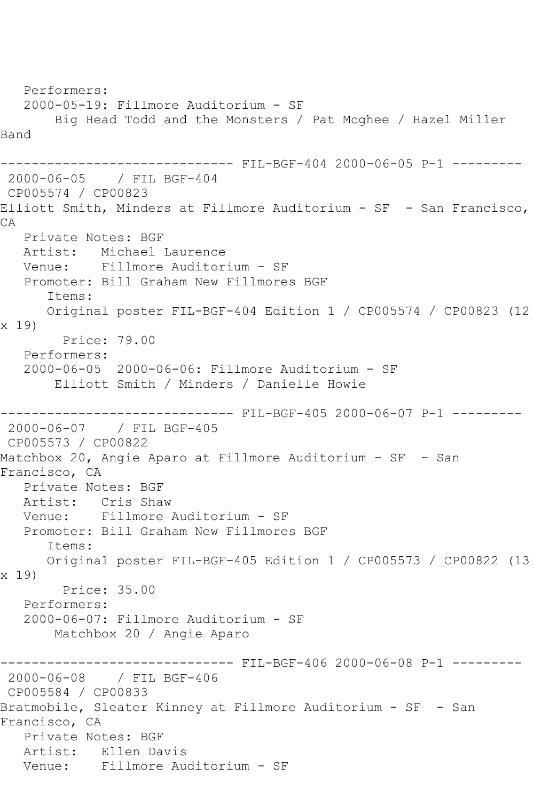```
 Performers:
   2000-05-19: Fillmore Auditorium - SF
       Big Head Todd and the Monsters / Pat Mcghee / Hazel Miller 
Band
                  ------------ FIL-BGF-404 2000-06-05 P-1 ---------
2000-06-05 / FIL BGF-404
CP005574 / CP00823
Elliott Smith, Minders at Fillmore Auditorium - SF - San Francisco, 
CA
   Private Notes: BGF
   Artist: Michael Laurence
   Venue: Fillmore Auditorium - SF
   Promoter: Bill Graham New Fillmores BGF
      Items:
      Original poster FIL-BGF-404 Edition 1 / CP005574 / CP00823 (12 
x 19)
        Price: 79.00
   Performers:
   2000-06-05 2000-06-06: Fillmore Auditorium - SF
       Elliott Smith / Minders / Danielle Howie
------------------------------ FIL-BGF-405 2000-06-07 P-1 ---------
2000-06-07 / FIL BGF-405
CP005573 / CP00822
Matchbox 20, Angie Aparo at Fillmore Auditorium - SF - San 
Francisco, CA
   Private Notes: BGF
   Artist: Cris Shaw
   Venue: Fillmore Auditorium - SF
   Promoter: Bill Graham New Fillmores BGF
      Items:
      Original poster FIL-BGF-405 Edition 1 / CP005573 / CP00822 (13 
x 19)
        Price: 35.00
   Performers:
   2000-06-07: Fillmore Auditorium - SF
       Matchbox 20 / Angie Aparo
------------------------------ FIL-BGF-406 2000-06-08 P-1 ---------
2000-06-08 / FIL BGF-406
CP005584 / CP00833
Bratmobile, Sleater Kinney at Fillmore Auditorium - SF - San 
Francisco, CA
   Private Notes: BGF
   Artist: Ellen Davis
   Venue: Fillmore Auditorium - SF
```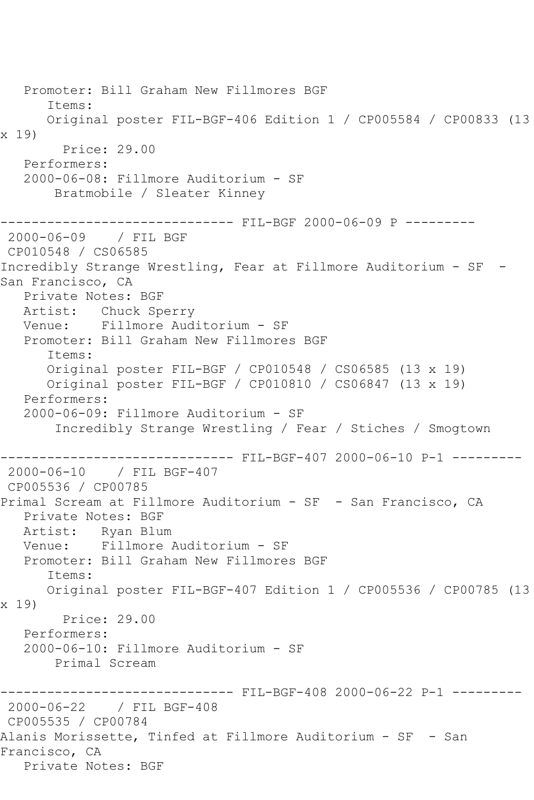Promoter: Bill Graham New Fillmores BGF Items: Original poster FIL-BGF-406 Edition 1 / CP005584 / CP00833 (13 x 19) Price: 29.00 Performers: 2000-06-08: Fillmore Auditorium - SF Bratmobile / Sleater Kinney ------------------------------ FIL-BGF 2000-06-09 P --------- 2000-06-09 / FIL BGF CP010548 / CS06585 Incredibly Strange Wrestling, Fear at Fillmore Auditorium - SF - San Francisco, CA Private Notes: BGF Artist: Chuck Sperry Venue: Fillmore Auditorium - SF Promoter: Bill Graham New Fillmores BGF Items: Original poster FIL-BGF / CP010548 / CS06585 (13 x 19) Original poster FIL-BGF / CP010810 / CS06847 (13 x 19) Performers: 2000-06-09: Fillmore Auditorium - SF Incredibly Strange Wrestling / Fear / Stiches / Smogtown ------------------------------ FIL-BGF-407 2000-06-10 P-1 --------- 2000-06-10 / FIL BGF-407 CP005536 / CP00785 Primal Scream at Fillmore Auditorium - SF - San Francisco, CA Private Notes: BGF Artist: Ryan Blum Venue: Fillmore Auditorium - SF Promoter: Bill Graham New Fillmores BGF Items: Original poster FIL-BGF-407 Edition 1 / CP005536 / CP00785 (13 x 19) Price: 29.00 Performers: 2000-06-10: Fillmore Auditorium - SF Primal Scream ------------------------------ FIL-BGF-408 2000-06-22 P-1 --------- 2000-06-22 / FIL BGF-408 CP005535 / CP00784 Alanis Morissette, Tinfed at Fillmore Auditorium - SF - San Francisco, CA Private Notes: BGF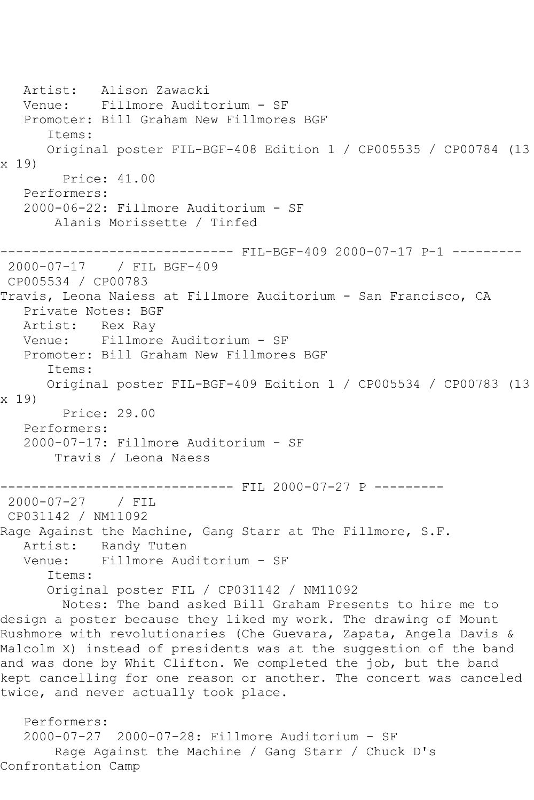Artist: Alison Zawacki Venue: Fillmore Auditorium - SF Promoter: Bill Graham New Fillmores BGF Items: Original poster FIL-BGF-408 Edition 1 / CP005535 / CP00784 (13 x 19) Price: 41.00 Performers: 2000-06-22: Fillmore Auditorium - SF Alanis Morissette / Tinfed ----------- FIL-BGF-409 2000-07-17 P-1 ---------2000-07-17 / FIL BGF-409 CP005534 / CP00783 Travis, Leona Naiess at Fillmore Auditorium - San Francisco, CA Private Notes: BGF Artist: Rex Ray Venue: Fillmore Auditorium - SF Promoter: Bill Graham New Fillmores BGF Items: Original poster FIL-BGF-409 Edition 1 / CP005534 / CP00783 (13 x 19) Price: 29.00 Performers: 2000-07-17: Fillmore Auditorium - SF Travis / Leona Naess ------------------------------ FIL 2000-07-27 P --------- 2000-07-27 / FIL CP031142 / NM11092 Rage Against the Machine, Gang Starr at The Fillmore, S.F. Artist: Randy Tuten<br>Venue: Fillmore Aud Fillmore Auditorium - SF Items: Original poster FIL / CP031142 / NM11092 Notes: The band asked Bill Graham Presents to hire me to design a poster because they liked my work. The drawing of Mount Rushmore with revolutionaries (Che Guevara, Zapata, Angela Davis & Malcolm X) instead of presidents was at the suggestion of the band and was done by Whit Clifton. We completed the job, but the band kept cancelling for one reason or another. The concert was canceled twice, and never actually took place. Performers: 2000-07-27 2000-07-28: Fillmore Auditorium - SF Rage Against the Machine / Gang Starr / Chuck D's

Confrontation Camp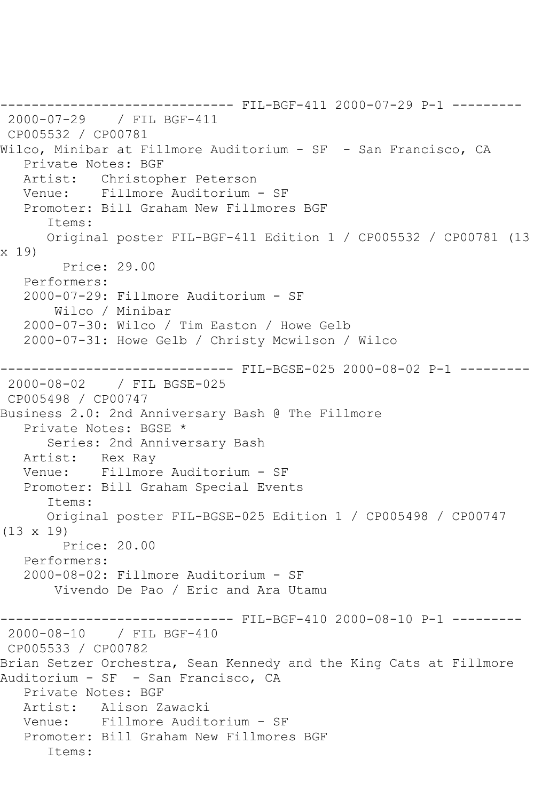```
------------------------------ FIL-BGF-411 2000-07-29 P-1 ---------
2000-07-29 / FIL BGF-411
CP005532 / CP00781
Wilco, Minibar at Fillmore Auditorium - SF - San Francisco, CA
   Private Notes: BGF
   Artist: Christopher Peterson
   Venue: Fillmore Auditorium - SF
   Promoter: Bill Graham New Fillmores BGF
      Items:
      Original poster FIL-BGF-411 Edition 1 / CP005532 / CP00781 (13 
x 19)
         Price: 29.00
   Performers:
   2000-07-29: Fillmore Auditorium - SF
       Wilco / Minibar
   2000-07-30: Wilco / Tim Easton / Howe Gelb
   2000-07-31: Howe Gelb / Christy Mcwilson / Wilco
------------------------------ FIL-BGSE-025 2000-08-02 P-1 ---------
2000-08-02 / FIL BGSE-025
CP005498 / CP00747
Business 2.0: 2nd Anniversary Bash @ The Fillmore
   Private Notes: BGSE *
      Series: 2nd Anniversary Bash
   Artist: Rex Ray
   Venue: Fillmore Auditorium - SF
   Promoter: Bill Graham Special Events
      Items:
      Original poster FIL-BGSE-025 Edition 1 / CP005498 / CP00747 
(13 x 19)
        Price: 20.00
   Performers:
   2000-08-02: Fillmore Auditorium - SF
       Vivendo De Pao / Eric and Ara Utamu
------------------------------ FIL-BGF-410 2000-08-10 P-1 ---------
2000-08-10 / FIL BGF-410
CP005533 / CP00782
Brian Setzer Orchestra, Sean Kennedy and the King Cats at Fillmore 
Auditorium - SF - San Francisco, CA
   Private Notes: BGF
   Artist: Alison Zawacki
   Venue: Fillmore Auditorium - SF
   Promoter: Bill Graham New Fillmores BGF
      Items:
```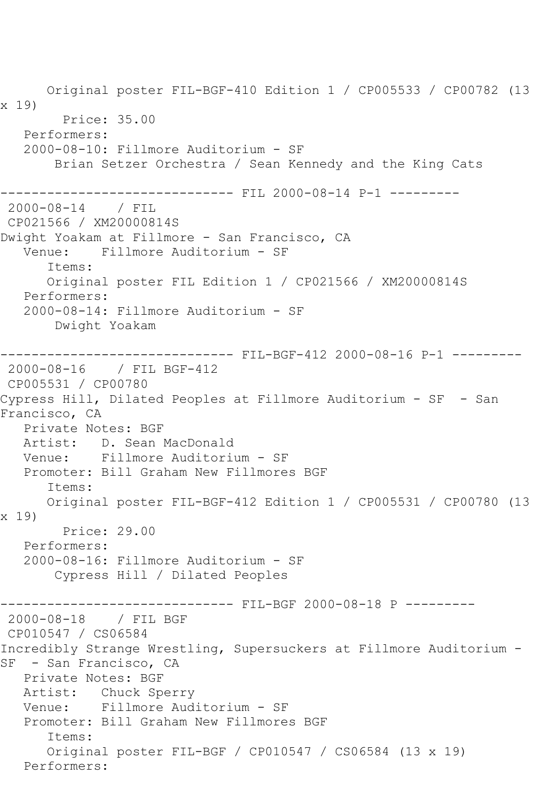Original poster FIL-BGF-410 Edition 1 / CP005533 / CP00782 (13 x 19) Price: 35.00 Performers: 2000-08-10: Fillmore Auditorium - SF Brian Setzer Orchestra / Sean Kennedy and the King Cats ------------------------------ FIL 2000-08-14 P-1 --------- 2000-08-14 / FIL CP021566 / XM20000814S Dwight Yoakam at Fillmore - San Francisco, CA Venue: Fillmore Auditorium - SF Items: Original poster FIL Edition 1 / CP021566 / XM20000814S Performers: 2000-08-14: Fillmore Auditorium - SF Dwight Yoakam ----------- FIL-BGF-412 2000-08-16 P-1 ---------2000-08-16 / FIL BGF-412 CP005531 / CP00780 Cypress Hill, Dilated Peoples at Fillmore Auditorium - SF - San Francisco, CA Private Notes: BGF Artist: D. Sean MacDonald<br>Venue: Fillmore Auditori Fillmore Auditorium - SF Promoter: Bill Graham New Fillmores BGF Items: Original poster FIL-BGF-412 Edition 1 / CP005531 / CP00780 (13 x 19) Price: 29.00 Performers: 2000-08-16: Fillmore Auditorium - SF Cypress Hill / Dilated Peoples ------------------------------ FIL-BGF 2000-08-18 P --------- 2000-08-18 / FIL BGF CP010547 / CS06584 Incredibly Strange Wrestling, Supersuckers at Fillmore Auditorium - SF - San Francisco, CA Private Notes: BGF Artist: Chuck Sperry Venue: Fillmore Auditorium - SF Promoter: Bill Graham New Fillmores BGF Items: Original poster FIL-BGF / CP010547 / CS06584 (13 x 19) Performers: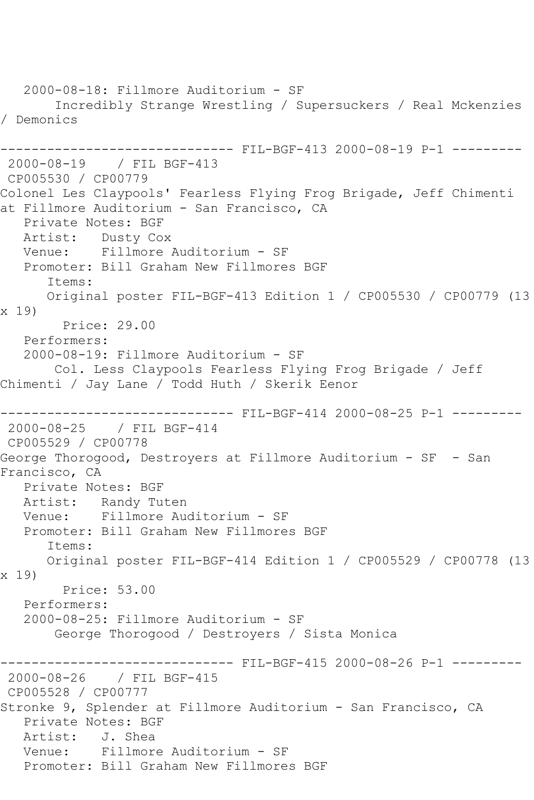2000-08-18: Fillmore Auditorium - SF Incredibly Strange Wrestling / Supersuckers / Real Mckenzies / Demonics ------------------------------ FIL-BGF-413 2000-08-19 P-1 --------- 2000-08-19 / FIL BGF-413 CP005530 / CP00779 Colonel Les Claypools' Fearless Flying Frog Brigade, Jeff Chimenti at Fillmore Auditorium - San Francisco, CA Private Notes: BGF Artist: Dusty Cox<br>Venue: Fillmore Fillmore Auditorium - SF Promoter: Bill Graham New Fillmores BGF Items: Original poster FIL-BGF-413 Edition 1 / CP005530 / CP00779 (13 x 19) Price: 29.00 Performers: 2000-08-19: Fillmore Auditorium - SF Col. Less Claypools Fearless Flying Frog Brigade / Jeff Chimenti / Jay Lane / Todd Huth / Skerik Eenor ------------------------------ FIL-BGF-414 2000-08-25 P-1 --------- 2000-08-25 / FIL BGF-414 CP005529 / CP00778 George Thorogood, Destroyers at Fillmore Auditorium - SF - San Francisco, CA Private Notes: BGF Artist: Randy Tuten Venue: Fillmore Auditorium - SF Promoter: Bill Graham New Fillmores BGF Items: Original poster FIL-BGF-414 Edition 1 / CP005529 / CP00778 (13 x 19) Price: 53.00 Performers: 2000-08-25: Fillmore Auditorium - SF George Thorogood / Destroyers / Sista Monica ------------------------------ FIL-BGF-415 2000-08-26 P-1 --------- 2000-08-26 / FIL BGF-415 CP005528 / CP00777 Stronke 9, Splender at Fillmore Auditorium - San Francisco, CA Private Notes: BGF Artist: J. Shea Venue: Fillmore Auditorium - SF Promoter: Bill Graham New Fillmores BGF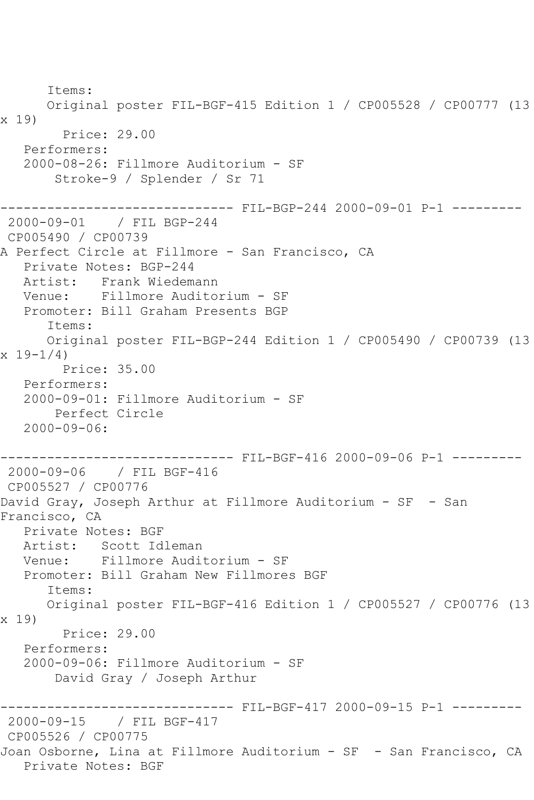Items: Original poster FIL-BGF-415 Edition 1 / CP005528 / CP00777 (13 x 19) Price: 29.00 Performers: 2000-08-26: Fillmore Auditorium - SF Stroke-9 / Splender / Sr 71 ------------------------------ FIL-BGP-244 2000-09-01 P-1 --------- 2000-09-01 / FIL BGP-244 CP005490 / CP00739 A Perfect Circle at Fillmore - San Francisco, CA Private Notes: BGP-244 Artist: Frank Wiedemann Venue: Fillmore Auditorium - SF Promoter: Bill Graham Presents BGP Items: Original poster FIL-BGP-244 Edition 1 / CP005490 / CP00739 (13  $x 19 - 1/4$  Price: 35.00 Performers: 2000-09-01: Fillmore Auditorium - SF Perfect Circle 2000-09-06: ------------------------------ FIL-BGF-416 2000-09-06 P-1 --------- 2000-09-06 / FIL BGF-416 CP005527 / CP00776 David Gray, Joseph Arthur at Fillmore Auditorium - SF - San Francisco, CA Private Notes: BGF Artist: Scott Idleman Venue: Fillmore Auditorium - SF Promoter: Bill Graham New Fillmores BGF Items: Original poster FIL-BGF-416 Edition 1 / CP005527 / CP00776 (13 x 19) Price: 29.00 Performers: 2000-09-06: Fillmore Auditorium - SF David Gray / Joseph Arthur ------------------------------ FIL-BGF-417 2000-09-15 P-1 --------- 2000-09-15 / FIL BGF-417 CP005526 / CP00775 Joan Osborne, Lina at Fillmore Auditorium - SF - San Francisco, CA Private Notes: BGF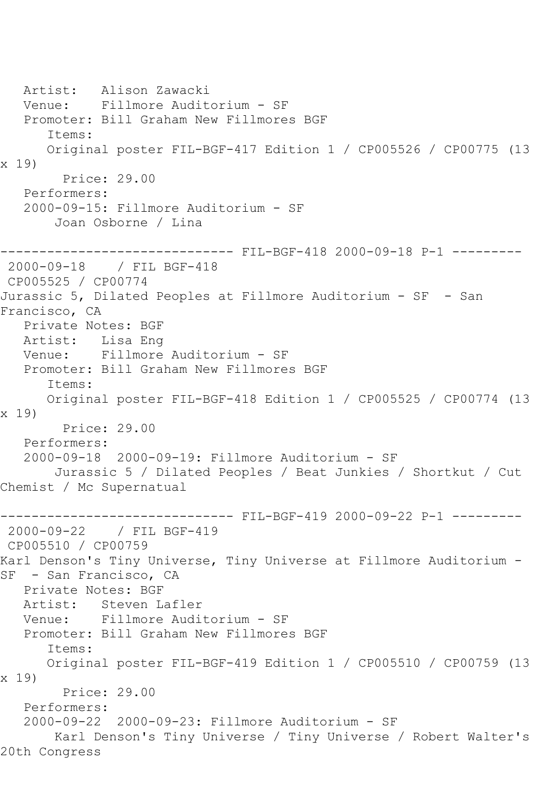```
 Artist: Alison Zawacki
   Venue: Fillmore Auditorium - SF
   Promoter: Bill Graham New Fillmores BGF
      Items:
      Original poster FIL-BGF-417 Edition 1 / CP005526 / CP00775 (13 
x 19)
        Price: 29.00
   Performers:
   2000-09-15: Fillmore Auditorium - SF
       Joan Osborne / Lina
   ------------------------------ FIL-BGF-418 2000-09-18 P-1 ---------
2000-09-18 / FIL BGF-418
CP005525 / CP00774
Jurassic 5, Dilated Peoples at Fillmore Auditorium - SF - San 
Francisco, CA
   Private Notes: BGF
   Artist: Lisa Eng
   Venue: Fillmore Auditorium - SF
   Promoter: Bill Graham New Fillmores BGF
      Items:
      Original poster FIL-BGF-418 Edition 1 / CP005525 / CP00774 (13 
x 19)
        Price: 29.00
   Performers:
   2000-09-18 2000-09-19: Fillmore Auditorium - SF
       Jurassic 5 / Dilated Peoples / Beat Junkies / Shortkut / Cut 
Chemist / Mc Supernatual
------------------------------ FIL-BGF-419 2000-09-22 P-1 ---------
2000-09-22 / FIL BGF-419
CP005510 / CP00759
Karl Denson's Tiny Universe, Tiny Universe at Fillmore Auditorium -
SF - San Francisco, CA
   Private Notes: BGF
   Artist: Steven Lafler
   Venue: Fillmore Auditorium - SF
   Promoter: Bill Graham New Fillmores BGF
      Items:
      Original poster FIL-BGF-419 Edition 1 / CP005510 / CP00759 (13 
x 19)
        Price: 29.00
   Performers:
   2000-09-22 2000-09-23: Fillmore Auditorium - SF
       Karl Denson's Tiny Universe / Tiny Universe / Robert Walter's 
20th Congress
```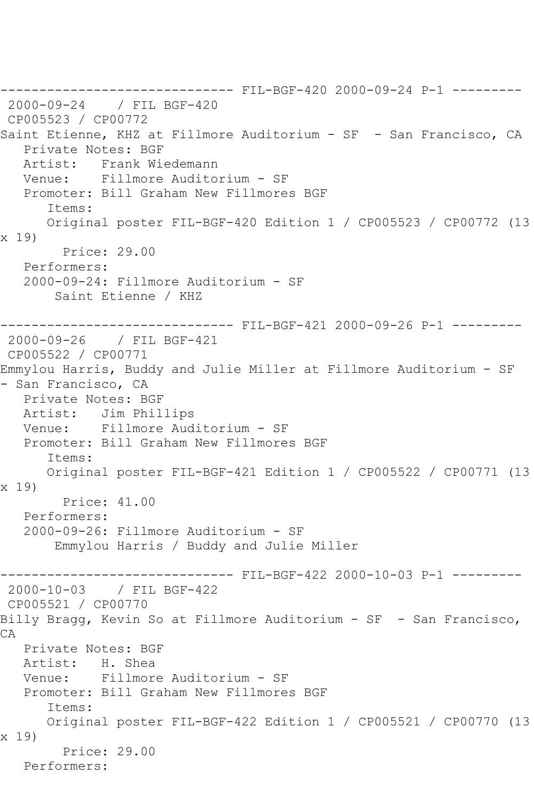------------------------------ FIL-BGF-420 2000-09-24 P-1 --------- 2000-09-24 / FIL BGF-420 CP005523 / CP00772 Saint Etienne, KHZ at Fillmore Auditorium - SF - San Francisco, CA Private Notes: BGF<br>Artist: Frank Wie Artist: Frank Wiedemann Venue: Fillmore Auditorium - SF Promoter: Bill Graham New Fillmores BGF Items: Original poster FIL-BGF-420 Edition 1 / CP005523 / CP00772 (13 x 19) Price: 29.00 Performers: 2000-09-24: Fillmore Auditorium - SF Saint Etienne / KHZ ------------------------------ FIL-BGF-421 2000-09-26 P-1 --------- 2000-09-26 / FIL BGF-421 CP005522 / CP00771 Emmylou Harris, Buddy and Julie Miller at Fillmore Auditorium - SF - San Francisco, CA Private Notes: BGF Artist: Jim Phillips Venue: Fillmore Auditorium - SF Promoter: Bill Graham New Fillmores BGF Items: Original poster FIL-BGF-421 Edition 1 / CP005522 / CP00771 (13 x 19) Price: 41.00 Performers: 2000-09-26: Fillmore Auditorium - SF Emmylou Harris / Buddy and Julie Miller ------------------------------ FIL-BGF-422 2000-10-03 P-1 --------- 2000-10-03 / FIL BGF-422 CP005521 / CP00770 Billy Bragg, Kevin So at Fillmore Auditorium - SF - San Francisco, CA Private Notes: BGF<br>Artist: H. Shea H. Shea Venue: Fillmore Auditorium - SF Promoter: Bill Graham New Fillmores BGF Items: Original poster FIL-BGF-422 Edition 1 / CP005521 / CP00770 (13 x 19) Price: 29.00 Performers: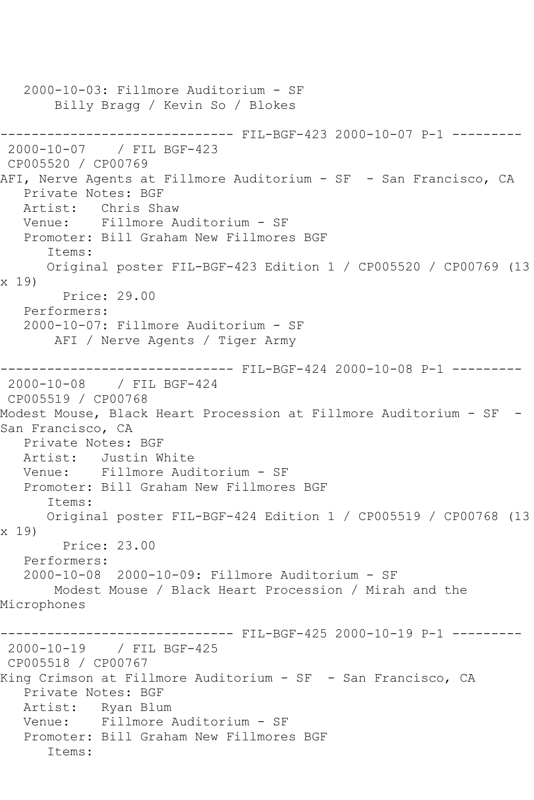```
 2000-10-03: Fillmore Auditorium - SF
       Billy Bragg / Kevin So / Blokes
------------------------------ FIL-BGF-423 2000-10-07 P-1 ---------
2000-10-07 / FIL BGF-423
CP005520 / CP00769
AFI, Nerve Agents at Fillmore Auditorium - SF - San Francisco, CA
   Private Notes: BGF
   Artist: Chris Shaw
   Venue: Fillmore Auditorium - SF
   Promoter: Bill Graham New Fillmores BGF
      Items:
      Original poster FIL-BGF-423 Edition 1 / CP005520 / CP00769 (13 
x 19)
        Price: 29.00
   Performers:
   2000-10-07: Fillmore Auditorium - SF
       AFI / Nerve Agents / Tiger Army
------------------------------ FIL-BGF-424 2000-10-08 P-1 ---------
2000-10-08 / FIL BGF-424
CP005519 / CP00768
Modest Mouse, Black Heart Procession at Fillmore Auditorium - SF -
San Francisco, CA
   Private Notes: BGF
   Artist: Justin White
   Venue: Fillmore Auditorium - SF
   Promoter: Bill Graham New Fillmores BGF
      Items:
      Original poster FIL-BGF-424 Edition 1 / CP005519 / CP00768 (13 
x 19)
        Price: 23.00
   Performers:
   2000-10-08 2000-10-09: Fillmore Auditorium - SF
       Modest Mouse / Black Heart Procession / Mirah and the 
Microphones
                   ----------- FIL-BGF-425 2000-10-19 P-1 ---------
2000-10-19 / FIL BGF-425
CP005518 / CP00767
King Crimson at Fillmore Auditorium - SF - San Francisco, CA
   Private Notes: BGF
   Artist: Ryan Blum
   Venue: Fillmore Auditorium - SF
   Promoter: Bill Graham New Fillmores BGF
      Items:
```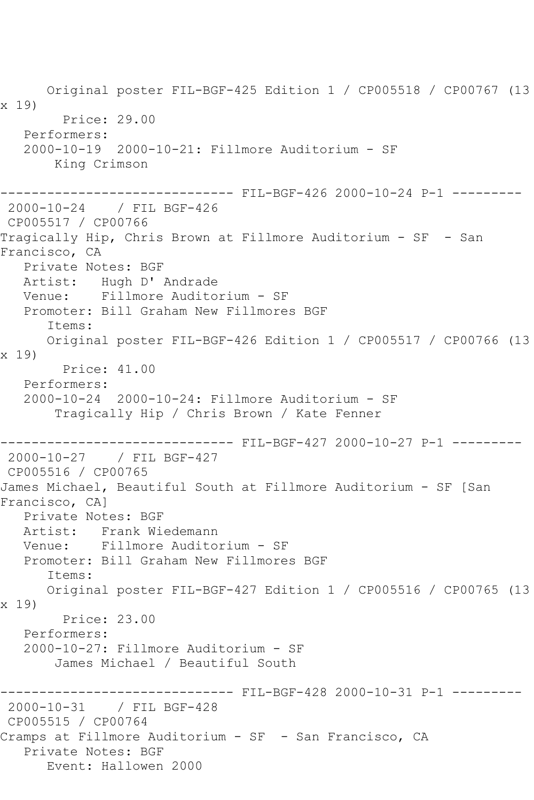Original poster FIL-BGF-425 Edition 1 / CP005518 / CP00767 (13 x 19) Price: 29.00 Performers: 2000-10-19 2000-10-21: Fillmore Auditorium - SF King Crimson ------------------------------ FIL-BGF-426 2000-10-24 P-1 --------- 2000-10-24 / FIL BGF-426 CP005517 / CP00766 Tragically Hip, Chris Brown at Fillmore Auditorium - SF - San Francisco, CA Private Notes: BGF Artist: Hugh D' Andrade Venue: Fillmore Auditorium - SF Promoter: Bill Graham New Fillmores BGF Items: Original poster FIL-BGF-426 Edition 1 / CP005517 / CP00766 (13 x 19) Price: 41.00 Performers: 2000-10-24 2000-10-24: Fillmore Auditorium - SF Tragically Hip / Chris Brown / Kate Fenner ------------------------------ FIL-BGF-427 2000-10-27 P-1 --------- 2000-10-27 / FIL BGF-427 CP005516 / CP00765 James Michael, Beautiful South at Fillmore Auditorium - SF [San Francisco, CA] Private Notes: BGF Artist: Frank Wiedemann Venue: Fillmore Auditorium - SF Promoter: Bill Graham New Fillmores BGF Items: Original poster FIL-BGF-427 Edition 1 / CP005516 / CP00765 (13 x 19) Price: 23.00 Performers: 2000-10-27: Fillmore Auditorium - SF James Michael / Beautiful South ------------------------------ FIL-BGF-428 2000-10-31 P-1 --------- 2000-10-31 / FIL BGF-428 CP005515 / CP00764 Cramps at Fillmore Auditorium - SF - San Francisco, CA Private Notes: BGF Event: Hallowen 2000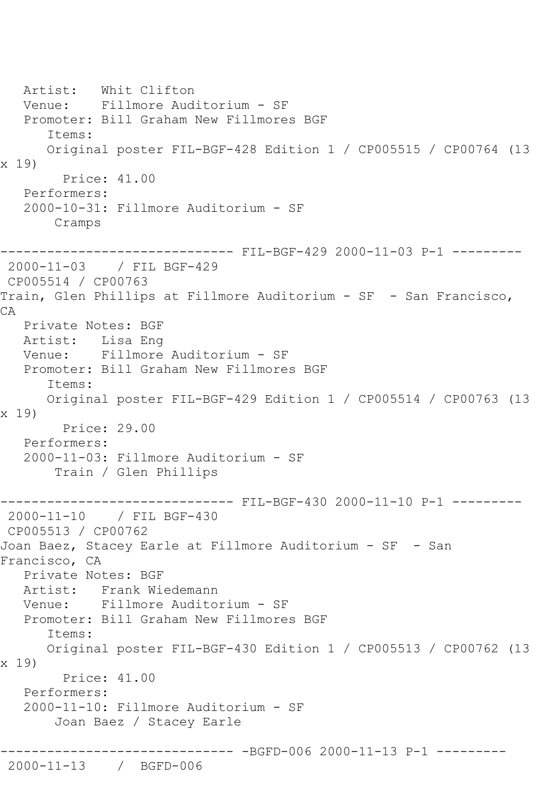Artist: Whit Clifton Venue: Fillmore Auditorium - SF Promoter: Bill Graham New Fillmores BGF Items: Original poster FIL-BGF-428 Edition 1 / CP005515 / CP00764 (13 x 19) Price: 41.00 Performers: 2000-10-31: Fillmore Auditorium - SF Cramps ------------------------------ FIL-BGF-429 2000-11-03 P-1 --------- 2000-11-03 / FIL BGF-429 CP005514 / CP00763 Train, Glen Phillips at Fillmore Auditorium - SF - San Francisco, CA Private Notes: BGF Artist: Lisa Eng Venue: Fillmore Auditorium - SF Promoter: Bill Graham New Fillmores BGF Items: Original poster FIL-BGF-429 Edition 1 / CP005514 / CP00763 (13 x 19) Price: 29.00 Performers: 2000-11-03: Fillmore Auditorium - SF Train / Glen Phillips ------------------------------ FIL-BGF-430 2000-11-10 P-1 --------- 2000-11-10 / FIL BGF-430 CP005513 / CP00762 Joan Baez, Stacey Earle at Fillmore Auditorium - SF - San Francisco, CA Private Notes: BGF Artist: Frank Wiedemann Venue: Fillmore Auditorium - SF Promoter: Bill Graham New Fillmores BGF Items: Original poster FIL-BGF-430 Edition 1 / CP005513 / CP00762 (13 x 19) Price: 41.00 Performers: 2000-11-10: Fillmore Auditorium - SF Joan Baez / Stacey Earle ------------------------------ -BGFD-006 2000-11-13 P-1 --------- 2000-11-13 / BGFD-006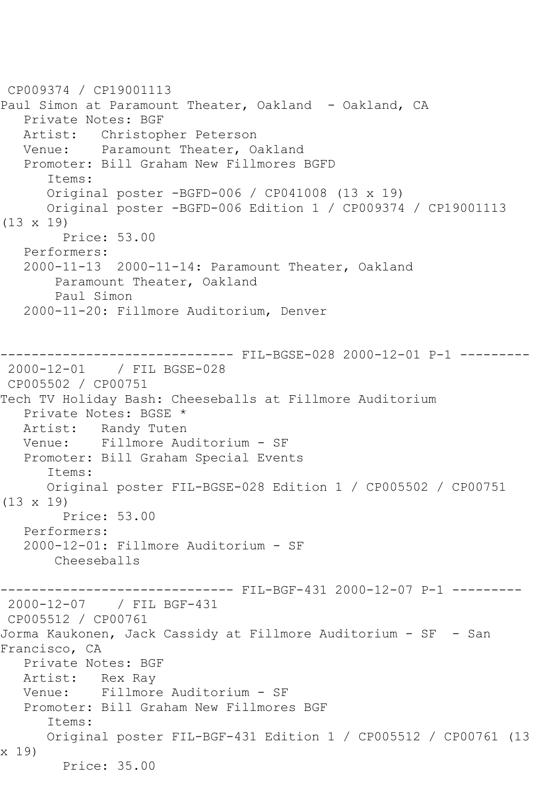CP009374 / CP19001113 Paul Simon at Paramount Theater, Oakland - Oakland, CA Private Notes: BGF Artist: Christopher Peterson Venue: Paramount Theater, Oakland Promoter: Bill Graham New Fillmores BGFD Items: Original poster -BGFD-006 / CP041008 (13 x 19) Original poster -BGFD-006 Edition 1 / CP009374 / CP19001113 (13 x 19) Price: 53.00 Performers: 2000-11-13 2000-11-14: Paramount Theater, Oakland Paramount Theater, Oakland Paul Simon 2000-11-20: Fillmore Auditorium, Denver ----------- FIL-BGSE-028 2000-12-01 P-1 ---------2000-12-01 / FIL BGSE-028 CP005502 / CP00751 Tech TV Holiday Bash: Cheeseballs at Fillmore Auditorium Private Notes: BGSE \* Artist: Randy Tuten Venue: Fillmore Auditorium - SF Promoter: Bill Graham Special Events Items: Original poster FIL-BGSE-028 Edition 1 / CP005502 / CP00751 (13 x 19) Price: 53.00 Performers: 2000-12-01: Fillmore Auditorium - SF Cheeseballs ------ FIL-BGF-431 2000-12-07 P-1 ---------2000-12-07 / FIL BGF-431 CP005512 / CP00761 Jorma Kaukonen, Jack Cassidy at Fillmore Auditorium - SF - San Francisco, CA Private Notes: BGF Artist: Rex Ray Venue: Fillmore Auditorium - SF Promoter: Bill Graham New Fillmores BGF Items: Original poster FIL-BGF-431 Edition 1 / CP005512 / CP00761 (13 x 19) Price: 35.00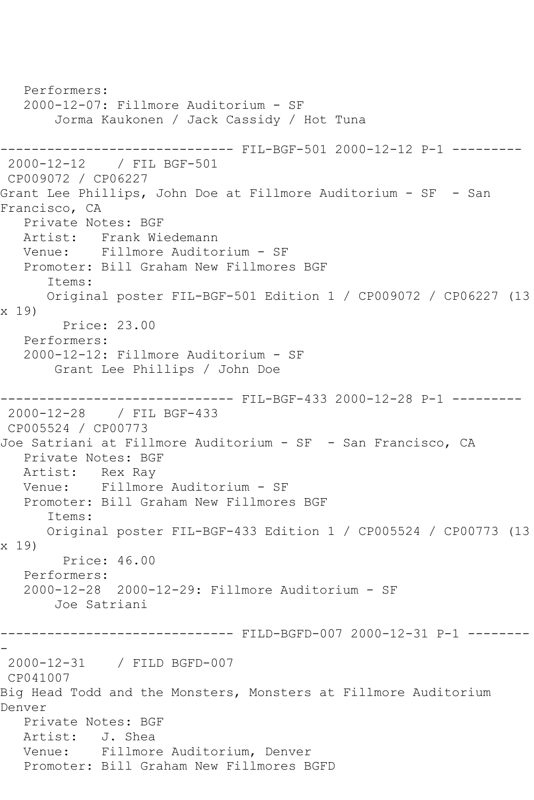Performers: 2000-12-07: Fillmore Auditorium - SF Jorma Kaukonen / Jack Cassidy / Hot Tuna ------------------------------ FIL-BGF-501 2000-12-12 P-1 --------- 2000-12-12 / FIL BGF-501 CP009072 / CP06227 Grant Lee Phillips, John Doe at Fillmore Auditorium - SF - San Francisco, CA Private Notes: BGF Artist: Frank Wiedemann Venue: Fillmore Auditorium - SF Promoter: Bill Graham New Fillmores BGF Items: Original poster FIL-BGF-501 Edition 1 / CP009072 / CP06227 (13 x 19) Price: 23.00 Performers: 2000-12-12: Fillmore Auditorium - SF Grant Lee Phillips / John Doe ------------------------------ FIL-BGF-433 2000-12-28 P-1 --------- 2000-12-28 / FIL BGF-433 CP005524 / CP00773 Joe Satriani at Fillmore Auditorium - SF - San Francisco, CA Private Notes: BGF Artist: Rex Ray Venue: Fillmore Auditorium - SF Promoter: Bill Graham New Fillmores BGF Items: Original poster FIL-BGF-433 Edition 1 / CP005524 / CP00773 (13 x 19) Price: 46.00 Performers: 2000-12-28 2000-12-29: Fillmore Auditorium - SF Joe Satriani ------------------------------ FILD-BGFD-007 2000-12-31 P-1 -------- - 2000-12-31 / FILD BGFD-007 CP041007 Big Head Todd and the Monsters, Monsters at Fillmore Auditorium Denver Private Notes: BGF Artist: J. Shea Venue: Fillmore Auditorium, Denver Promoter: Bill Graham New Fillmores BGFD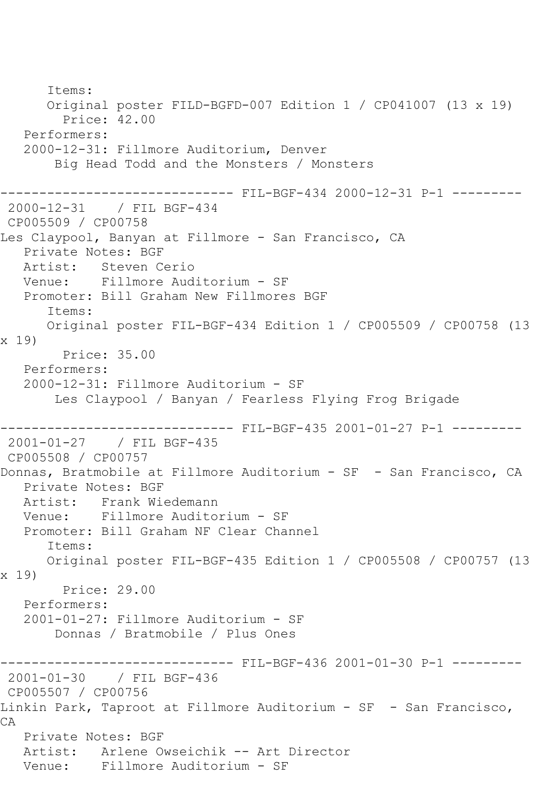Items: Original poster FILD-BGFD-007 Edition 1 / CP041007 (13 x 19) Price: 42.00 Performers: 2000-12-31: Fillmore Auditorium, Denver Big Head Todd and the Monsters / Monsters ------------------------------ FIL-BGF-434 2000-12-31 P-1 --------- 2000-12-31 / FIL BGF-434 CP005509 / CP00758 Les Claypool, Banyan at Fillmore - San Francisco, CA Private Notes: BGF Artist: Steven Cerio Venue: Fillmore Auditorium - SF Promoter: Bill Graham New Fillmores BGF Items: Original poster FIL-BGF-434 Edition 1 / CP005509 / CP00758 (13 x 19) Price: 35.00 Performers: 2000-12-31: Fillmore Auditorium - SF Les Claypool / Banyan / Fearless Flying Frog Brigade ------------------------------ FIL-BGF-435 2001-01-27 P-1 --------- 2001-01-27 / FIL BGF-435 CP005508 / CP00757 Donnas, Bratmobile at Fillmore Auditorium - SF - San Francisco, CA Private Notes: BGF Artist: Frank Wiedemann Venue: Fillmore Auditorium - SF Promoter: Bill Graham NF Clear Channel Items: Original poster FIL-BGF-435 Edition 1 / CP005508 / CP00757 (13 x 19) Price: 29.00 Performers: 2001-01-27: Fillmore Auditorium - SF Donnas / Bratmobile / Plus Ones ------------------------------ FIL-BGF-436 2001-01-30 P-1 --------- 2001-01-30 / FIL BGF-436 CP005507 / CP00756 Linkin Park, Taproot at Fillmore Auditorium - SF - San Francisco, CA Private Notes: BGF Artist: Arlene Owseichik -- Art Director Venue: Fillmore Auditorium - SF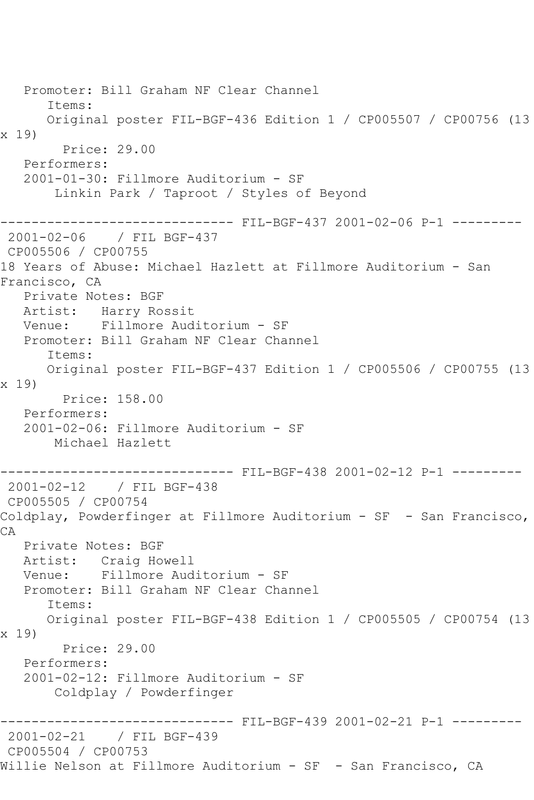Promoter: Bill Graham NF Clear Channel Items: Original poster FIL-BGF-436 Edition 1 / CP005507 / CP00756 (13 x 19) Price: 29.00 Performers: 2001-01-30: Fillmore Auditorium - SF Linkin Park / Taproot / Styles of Beyond ------------------------------ FIL-BGF-437 2001-02-06 P-1 --------- 2001-02-06 / FIL BGF-437 CP005506 / CP00755 18 Years of Abuse: Michael Hazlett at Fillmore Auditorium - San Francisco, CA Private Notes: BGF Artist: Harry Rossit Venue: Fillmore Auditorium - SF Promoter: Bill Graham NF Clear Channel Items: Original poster FIL-BGF-437 Edition 1 / CP005506 / CP00755 (13 x 19) Price: 158.00 Performers: 2001-02-06: Fillmore Auditorium - SF Michael Hazlett ------------------------------ FIL-BGF-438 2001-02-12 P-1 --------- 2001-02-12 / FIL BGF-438 CP005505 / CP00754 Coldplay, Powderfinger at Fillmore Auditorium - SF - San Francisco, CA Private Notes: BGF Artist: Craig Howell Venue: Fillmore Auditorium - SF Promoter: Bill Graham NF Clear Channel Items: Original poster FIL-BGF-438 Edition 1 / CP005505 / CP00754 (13 x 19) Price: 29.00 Performers: 2001-02-12: Fillmore Auditorium - SF Coldplay / Powderfinger ------------------------------ FIL-BGF-439 2001-02-21 P-1 --------- 2001-02-21 / FIL BGF-439 CP005504 / CP00753 Willie Nelson at Fillmore Auditorium - SF - San Francisco, CA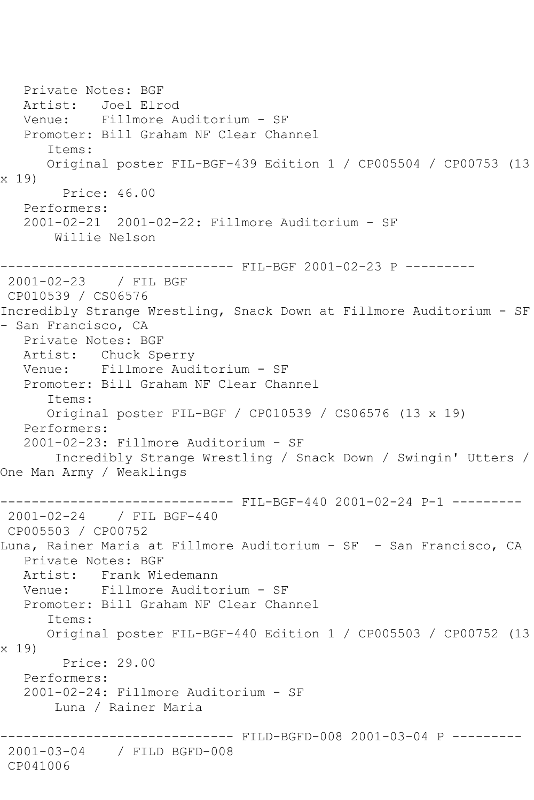Private Notes: BGF Artist: Joel Elrod Venue: Fillmore Auditorium - SF Promoter: Bill Graham NF Clear Channel Items: Original poster FIL-BGF-439 Edition 1 / CP005504 / CP00753 (13 x 19) Price: 46.00 Performers: 2001-02-21 2001-02-22: Fillmore Auditorium - SF Willie Nelson ------------------------------ FIL-BGF 2001-02-23 P --------- 2001-02-23 / FIL BGF CP010539 / CS06576 Incredibly Strange Wrestling, Snack Down at Fillmore Auditorium - SF - San Francisco, CA Private Notes: BGF Artist: Chuck Sperry Venue: Fillmore Auditorium - SF Promoter: Bill Graham NF Clear Channel Items: Original poster FIL-BGF / CP010539 / CS06576 (13 x 19) Performers: 2001-02-23: Fillmore Auditorium - SF Incredibly Strange Wrestling / Snack Down / Swingin' Utters / One Man Army / Weaklings ------------------------------ FIL-BGF-440 2001-02-24 P-1 --------- 2001-02-24 / FIL BGF-440 CP005503 / CP00752 Luna, Rainer Maria at Fillmore Auditorium - SF - San Francisco, CA Private Notes: BGF Artist: Frank Wiedemann Venue: Fillmore Auditorium - SF Promoter: Bill Graham NF Clear Channel Items: Original poster FIL-BGF-440 Edition 1 / CP005503 / CP00752 (13 x 19) Price: 29.00 Performers: 2001-02-24: Fillmore Auditorium - SF Luna / Rainer Maria ------------------------------ FILD-BGFD-008 2001-03-04 P --------- 2001-03-04 / FILD BGFD-008 CP041006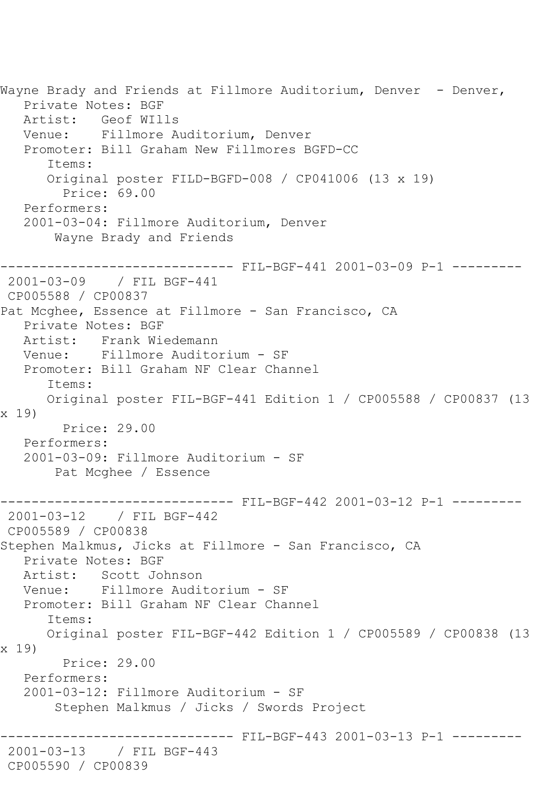Wayne Brady and Friends at Fillmore Auditorium, Denver - Denver, Private Notes: BGF Artist: Geof WIlls Venue: Fillmore Auditorium, Denver Promoter: Bill Graham New Fillmores BGFD-CC Items: Original poster FILD-BGFD-008 / CP041006 (13 x 19) Price: 69.00 Performers: 2001-03-04: Fillmore Auditorium, Denver Wayne Brady and Friends ------------------------------ FIL-BGF-441 2001-03-09 P-1 --------- 2001-03-09 / FIL BGF-441 CP005588 / CP00837 Pat Mcghee, Essence at Fillmore - San Francisco, CA Private Notes: BGF Artist: Frank Wiedemann Venue: Fillmore Auditorium - SF Promoter: Bill Graham NF Clear Channel Items: Original poster FIL-BGF-441 Edition 1 / CP005588 / CP00837 (13 x 19) Price: 29.00 Performers: 2001-03-09: Fillmore Auditorium - SF Pat Mcghee / Essence ------------------------------ FIL-BGF-442 2001-03-12 P-1 --------- 2001-03-12 / FIL BGF-442 CP005589 / CP00838 Stephen Malkmus, Jicks at Fillmore - San Francisco, CA Private Notes: BGF Artist: Scott Johnson Venue: Fillmore Auditorium - SF Promoter: Bill Graham NF Clear Channel Items: Original poster FIL-BGF-442 Edition 1 / CP005589 / CP00838 (13 x 19) Price: 29.00 Performers: 2001-03-12: Fillmore Auditorium - SF Stephen Malkmus / Jicks / Swords Project ------------------------------ FIL-BGF-443 2001-03-13 P-1 --------- 2001-03-13 / FIL BGF-443 CP005590 / CP00839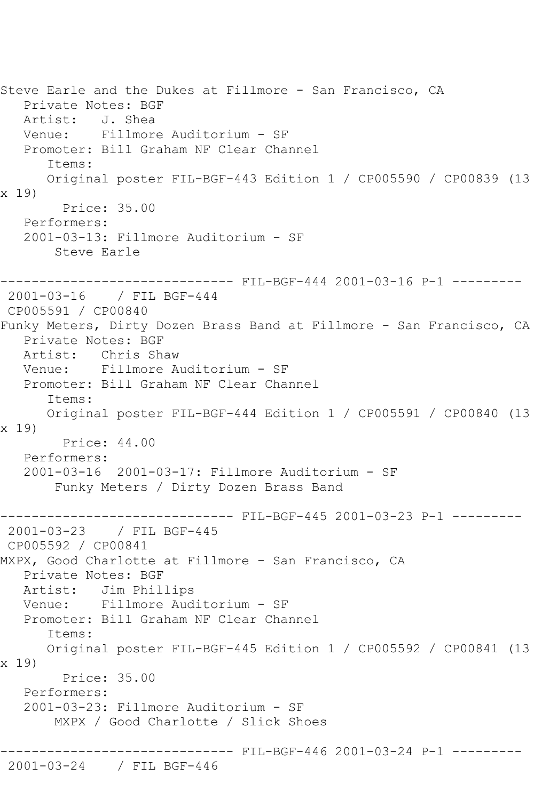```
Steve Earle and the Dukes at Fillmore - San Francisco, CA
   Private Notes: BGF
   Artist: J. Shea
   Venue: Fillmore Auditorium - SF
   Promoter: Bill Graham NF Clear Channel
       Items:
      Original poster FIL-BGF-443 Edition 1 / CP005590 / CP00839 (13 
x 19)
         Price: 35.00
   Performers:
   2001-03-13: Fillmore Auditorium - SF
        Steve Earle
------------------------------ FIL-BGF-444 2001-03-16 P-1 ---------
2001-03-16 / FIL BGF-444
CP005591 / CP00840
Funky Meters, Dirty Dozen Brass Band at Fillmore - San Francisco, CA
   Private Notes: BGF
   Artist: Chris Shaw
   Venue: Fillmore Auditorium - SF
   Promoter: Bill Graham NF Clear Channel
       Items:
      Original poster FIL-BGF-444 Edition 1 / CP005591 / CP00840 (13 
x 19)
         Price: 44.00
   Performers:
   2001-03-16 2001-03-17: Fillmore Auditorium - SF
        Funky Meters / Dirty Dozen Brass Band
------------------------------ FIL-BGF-445 2001-03-23 P-1 ---------
2001-03-23 / FIL BGF-445
CP005592 / CP00841
MXPX, Good Charlotte at Fillmore - San Francisco, CA
   Private Notes: BGF
   Artist: Jim Phillips
   Venue: Fillmore Auditorium - SF
   Promoter: Bill Graham NF Clear Channel
       Items:
      Original poster FIL-BGF-445 Edition 1 / CP005592 / CP00841 (13 
x 19)
         Price: 35.00
   Performers:
   2001-03-23: Fillmore Auditorium - SF
        MXPX / Good Charlotte / Slick Shoes
                ------------------------------ FIL-BGF-446 2001-03-24 P-1 ---------
2001-03-24 / FIL BGF-446
```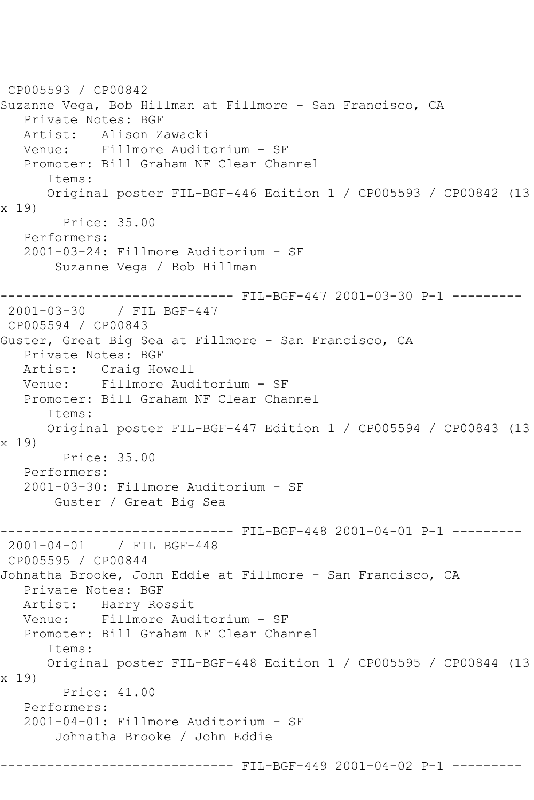```
CP005593 / CP00842
Suzanne Vega, Bob Hillman at Fillmore - San Francisco, CA
   Private Notes: BGF
   Artist: Alison Zawacki
   Venue: Fillmore Auditorium - SF
   Promoter: Bill Graham NF Clear Channel
       Items:
      Original poster FIL-BGF-446 Edition 1 / CP005593 / CP00842 (13 
x 19)
         Price: 35.00
   Performers:
   2001-03-24: Fillmore Auditorium - SF
        Suzanne Vega / Bob Hillman
         ------------------------------ FIL-BGF-447 2001-03-30 P-1 ---------
2001-03-30 / FIL BGF-447
CP005594 / CP00843
Guster, Great Big Sea at Fillmore - San Francisco, CA
   Private Notes: BGF
   Artist: Craig Howell
   Venue: Fillmore Auditorium - SF
   Promoter: Bill Graham NF Clear Channel
      Items:
      Original poster FIL-BGF-447 Edition 1 / CP005594 / CP00843 (13 
x 19)
         Price: 35.00
   Performers:
   2001-03-30: Fillmore Auditorium - SF
       Guster / Great Big Sea
                  ------------ FIL-BGF-448 2001-04-01 P-1 ---------
2001-04-01 / FIL BGF-448
CP005595 / CP00844
Johnatha Brooke, John Eddie at Fillmore - San Francisco, CA
   Private Notes: BGF
   Artist: Harry Rossit
   Venue: Fillmore Auditorium - SF
   Promoter: Bill Graham NF Clear Channel
       Items:
      Original poster FIL-BGF-448 Edition 1 / CP005595 / CP00844 (13 
x 19)
         Price: 41.00
   Performers:
   2001-04-01: Fillmore Auditorium - SF
        Johnatha Brooke / John Eddie
                        ------- FIL-BGF-449 2001-04-02 P-1 --------
```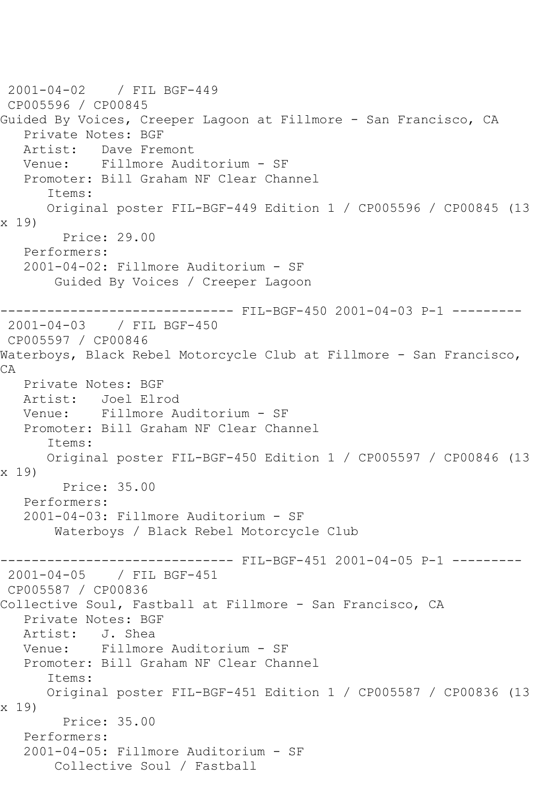2001-04-02 / FIL BGF-449 CP005596 / CP00845 Guided By Voices, Creeper Lagoon at Fillmore - San Francisco, CA Private Notes: BGF Artist: Dave Fremont Venue: Fillmore Auditorium - SF Promoter: Bill Graham NF Clear Channel Items: Original poster FIL-BGF-449 Edition 1 / CP005596 / CP00845 (13 x 19) Price: 29.00 Performers: 2001-04-02: Fillmore Auditorium - SF Guided By Voices / Creeper Lagoon ---------- FIL-BGF-450 2001-04-03 P-1 ---------2001-04-03 / FIL BGF-450 CP005597 / CP00846 Waterboys, Black Rebel Motorcycle Club at Fillmore - San Francisco, CA Private Notes: BGF Artist: Joel Elrod Venue: Fillmore Auditorium - SF Promoter: Bill Graham NF Clear Channel Items: Original poster FIL-BGF-450 Edition 1 / CP005597 / CP00846 (13 x 19) Price: 35.00 Performers: 2001-04-03: Fillmore Auditorium - SF Waterboys / Black Rebel Motorcycle Club ------------------------------ FIL-BGF-451 2001-04-05 P-1 --------- 2001-04-05 / FIL BGF-451 CP005587 / CP00836 Collective Soul, Fastball at Fillmore - San Francisco, CA Private Notes: BGF Artist: J. Shea Venue: Fillmore Auditorium - SF Promoter: Bill Graham NF Clear Channel Items: Original poster FIL-BGF-451 Edition 1 / CP005587 / CP00836 (13 x 19) Price: 35.00 Performers: 2001-04-05: Fillmore Auditorium - SF Collective Soul / Fastball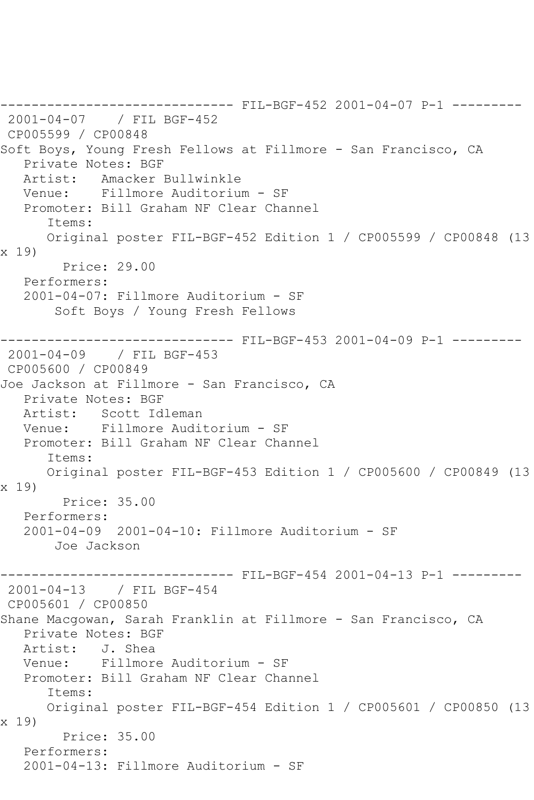------------------------------ FIL-BGF-452 2001-04-07 P-1 --------- 2001-04-07 / FIL BGF-452 CP005599 / CP00848 Soft Boys, Young Fresh Fellows at Fillmore - San Francisco, CA Private Notes: BGF Artist: Amacker Bullwinkle Venue: Fillmore Auditorium - SF Promoter: Bill Graham NF Clear Channel Items: Original poster FIL-BGF-452 Edition 1 / CP005599 / CP00848 (13 x 19) Price: 29.00 Performers: 2001-04-07: Fillmore Auditorium - SF Soft Boys / Young Fresh Fellows ------------------------------ FIL-BGF-453 2001-04-09 P-1 --------- 2001-04-09 / FIL BGF-453 CP005600 / CP00849 Joe Jackson at Fillmore - San Francisco, CA Private Notes: BGF Artist: Scott Idleman Venue: Fillmore Auditorium - SF Promoter: Bill Graham NF Clear Channel Items: Original poster FIL-BGF-453 Edition 1 / CP005600 / CP00849 (13 x 19) Price: 35.00 Performers: 2001-04-09 2001-04-10: Fillmore Auditorium - SF Joe Jackson ------------------------------ FIL-BGF-454 2001-04-13 P-1 --------- 2001-04-13 / FIL BGF-454 CP005601 / CP00850 Shane Macgowan, Sarah Franklin at Fillmore - San Francisco, CA Private Notes: BGF Artist: J. Shea Venue: Fillmore Auditorium - SF Promoter: Bill Graham NF Clear Channel Items: Original poster FIL-BGF-454 Edition 1 / CP005601 / CP00850 (13 x 19) Price: 35.00 Performers: 2001-04-13: Fillmore Auditorium - SF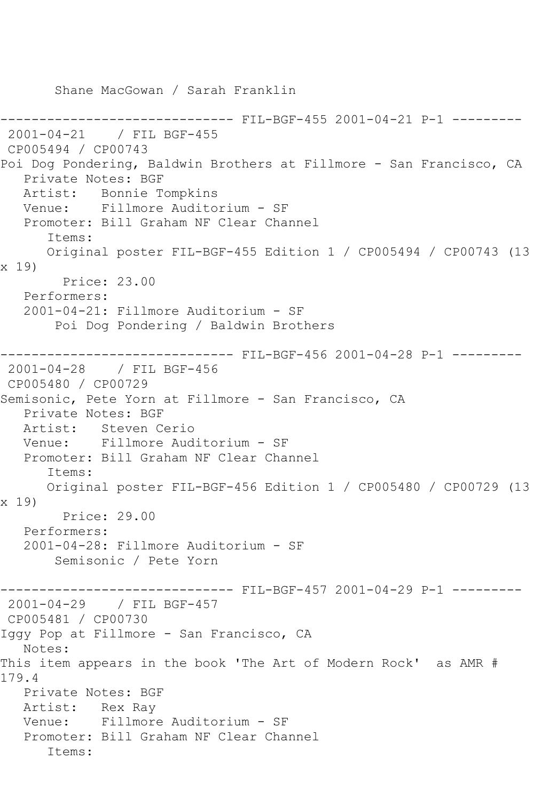Shane MacGowan / Sarah Franklin --------- FIL-BGF-455 2001-04-21 P-1 ---------2001-04-21 / FIL BGF-455 CP005494 / CP00743 Poi Dog Pondering, Baldwin Brothers at Fillmore - San Francisco, CA Private Notes: BGF Artist: Bonnie Tompkins Venue: Fillmore Auditorium - SF Promoter: Bill Graham NF Clear Channel Items: Original poster FIL-BGF-455 Edition 1 / CP005494 / CP00743 (13 x 19) Price: 23.00 Performers: 2001-04-21: Fillmore Auditorium - SF Poi Dog Pondering / Baldwin Brothers ------------------------------ FIL-BGF-456 2001-04-28 P-1 --------- 2001-04-28 / FIL BGF-456 CP005480 / CP00729 Semisonic, Pete Yorn at Fillmore - San Francisco, CA Private Notes: BGF Artist: Steven Cerio Venue: Fillmore Auditorium - SF Promoter: Bill Graham NF Clear Channel Items: Original poster FIL-BGF-456 Edition 1 / CP005480 / CP00729 (13 x 19) Price: 29.00 Performers: 2001-04-28: Fillmore Auditorium - SF Semisonic / Pete Yorn ------------------------------ FIL-BGF-457 2001-04-29 P-1 --------- 2001-04-29 / FIL BGF-457 CP005481 / CP00730 Iggy Pop at Fillmore - San Francisco, CA Notes: This item appears in the book 'The Art of Modern Rock' as AMR # 179.4 Private Notes: BGF Artist: Rex Ray Venue: Fillmore Auditorium - SF Promoter: Bill Graham NF Clear Channel Items: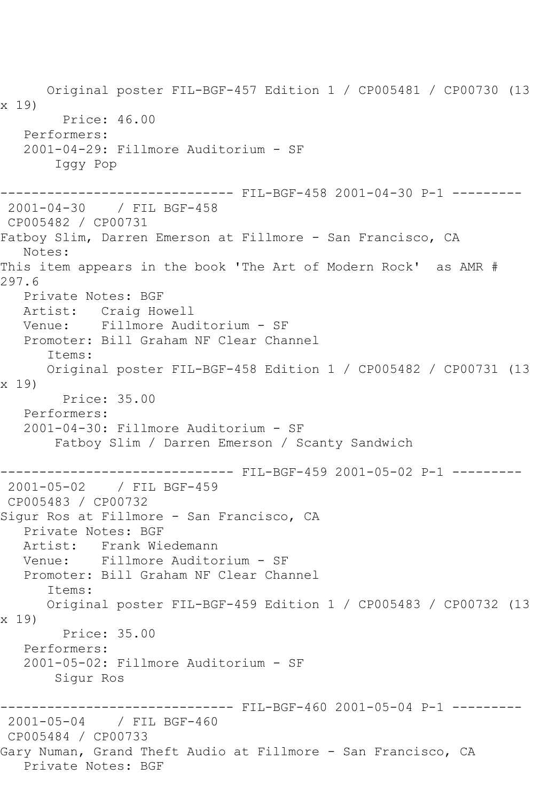Original poster FIL-BGF-457 Edition 1 / CP005481 / CP00730 (13 x 19) Price: 46.00 Performers: 2001-04-29: Fillmore Auditorium - SF Iggy Pop ------------------------------ FIL-BGF-458 2001-04-30 P-1 --------- 2001-04-30 / FIL BGF-458 CP005482 / CP00731 Fatboy Slim, Darren Emerson at Fillmore - San Francisco, CA Notes: This item appears in the book 'The Art of Modern Rock' as AMR # 297.6 Private Notes: BGF Artist: Craig Howell Venue: Fillmore Auditorium - SF Promoter: Bill Graham NF Clear Channel Items: Original poster FIL-BGF-458 Edition 1 / CP005482 / CP00731 (13 x 19) Price: 35.00 Performers: 2001-04-30: Fillmore Auditorium - SF Fatboy Slim / Darren Emerson / Scanty Sandwich ------------------------------ FIL-BGF-459 2001-05-02 P-1 --------- 2001-05-02 / FIL BGF-459 CP005483 / CP00732 Siqur Ros at Fillmore - San Francisco, CA Private Notes: BGF Artist: Frank Wiedemann Venue: Fillmore Auditorium - SF Promoter: Bill Graham NF Clear Channel Items: Original poster FIL-BGF-459 Edition 1 / CP005483 / CP00732 (13 x 19) Price: 35.00 Performers: 2001-05-02: Fillmore Auditorium - SF Sigur Ros ------------------------------ FIL-BGF-460 2001-05-04 P-1 --------- 2001-05-04 / FIL BGF-460 CP005484 / CP00733 Gary Numan, Grand Theft Audio at Fillmore - San Francisco, CA Private Notes: BGF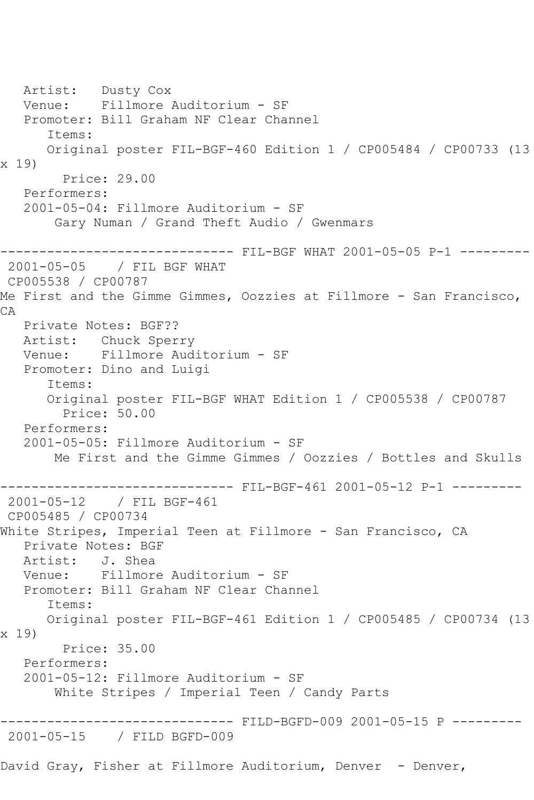Artist: Dusty Cox Venue: Fillmore Auditorium - SF Promoter: Bill Graham NF Clear Channel Items: Original poster FIL-BGF-460 Edition 1 / CP005484 / CP00733 (13 x 19) Price: 29.00 Performers: 2001-05-04: Fillmore Auditorium - SF Gary Numan / Grand Theft Audio / Gwenmars ------------------------------ FIL-BGF WHAT 2001-05-05 P-1 --------- 2001-05-05 / FIL BGF WHAT CP005538 / CP00787 Me First and the Gimme Gimmes, Oozzies at Fillmore - San Francisco, CA Private Notes: BGF?? Artist: Chuck Sperry Venue: Fillmore Auditorium - SF Promoter: Dino and Luigi Items: Original poster FIL-BGF WHAT Edition 1 / CP005538 / CP00787 Price: 50.00 Performers: 2001-05-05: Fillmore Auditorium - SF Me First and the Gimme Gimmes / Oozzies / Bottles and Skulls ------------------------------ FIL-BGF-461 2001-05-12 P-1 --------- 2001-05-12 / FIL BGF-461 CP005485 / CP00734 White Stripes, Imperial Teen at Fillmore - San Francisco, CA Private Notes: BGF Artist: J. Shea<br>Venue: Fillmore Fillmore Auditorium - SF Promoter: Bill Graham NF Clear Channel Items: Original poster FIL-BGF-461 Edition 1 / CP005485 / CP00734 (13 x 19) Price: 35.00 Performers: 2001-05-12: Fillmore Auditorium - SF White Stripes / Imperial Teen / Candy Parts ------------------------------ FILD-BGFD-009 2001-05-15 P --------- 2001-05-15 / FILD BGFD-009 David Gray, Fisher at Fillmore Auditorium, Denver - Denver,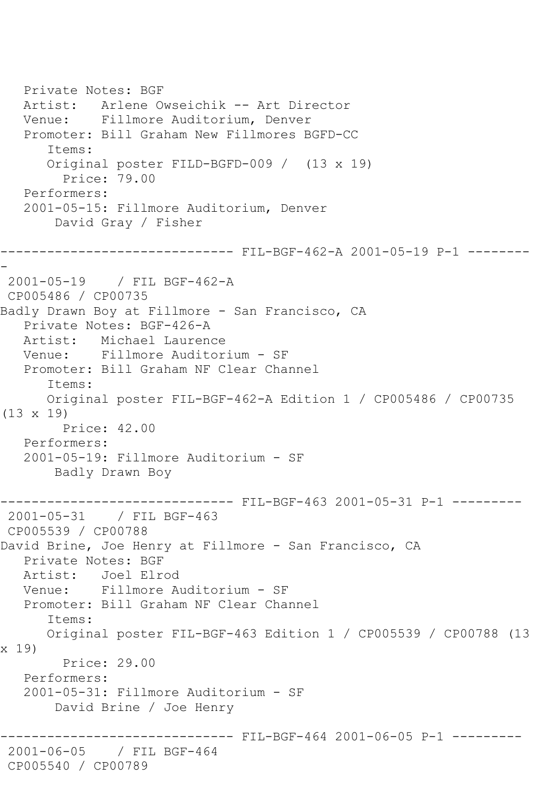Private Notes: BGF Artist: Arlene Owseichik -- Art Director Venue: Fillmore Auditorium, Denver Promoter: Bill Graham New Fillmores BGFD-CC Items: Original poster FILD-BGFD-009 / (13 x 19) Price: 79.00 Performers: 2001-05-15: Fillmore Auditorium, Denver David Gray / Fisher ------------------------------ FIL-BGF-462-A 2001-05-19 P-1 -------- - 2001-05-19 / FIL BGF-462-A CP005486 / CP00735 Badly Drawn Boy at Fillmore - San Francisco, CA Private Notes: BGF-426-A Artist: Michael Laurence Venue: Fillmore Auditorium - SF Promoter: Bill Graham NF Clear Channel Items: Original poster FIL-BGF-462-A Edition 1 / CP005486 / CP00735 (13 x 19) Price: 42.00 Performers: 2001-05-19: Fillmore Auditorium - SF Badly Drawn Boy ------------------------------ FIL-BGF-463 2001-05-31 P-1 --------- 2001-05-31 / FIL BGF-463 CP005539 / CP00788 David Brine, Joe Henry at Fillmore - San Francisco, CA Private Notes: BGF Artist: Joel Elrod Venue: Fillmore Auditorium - SF Promoter: Bill Graham NF Clear Channel Items: Original poster FIL-BGF-463 Edition 1 / CP005539 / CP00788 (13 x 19) Price: 29.00 Performers: 2001-05-31: Fillmore Auditorium - SF David Brine / Joe Henry ------------------------------ FIL-BGF-464 2001-06-05 P-1 --------- 2001-06-05 / FIL BGF-464 CP005540 / CP00789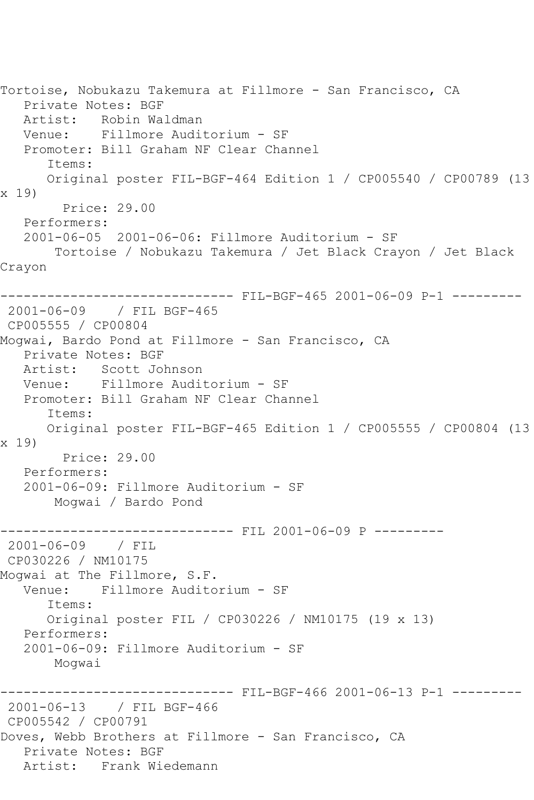Tortoise, Nobukazu Takemura at Fillmore - San Francisco, CA Private Notes: BGF Artist: Robin Waldman Venue: Fillmore Auditorium - SF Promoter: Bill Graham NF Clear Channel Items: Original poster FIL-BGF-464 Edition 1 / CP005540 / CP00789 (13 x 19) Price: 29.00 Performers: 2001-06-05 2001-06-06: Fillmore Auditorium - SF Tortoise / Nobukazu Takemura / Jet Black Crayon / Jet Black Crayon ------------------------------ FIL-BGF-465 2001-06-09 P-1 --------- 2001-06-09 / FIL BGF-465 CP005555 / CP00804 Mogwai, Bardo Pond at Fillmore - San Francisco, CA Private Notes: BGF Artist: Scott Johnson Venue: Fillmore Auditorium - SF Promoter: Bill Graham NF Clear Channel Items: Original poster FIL-BGF-465 Edition 1 / CP005555 / CP00804 (13 x 19) Price: 29.00 Performers: 2001-06-09: Fillmore Auditorium - SF Mogwai / Bardo Pond ------------------------------ FIL 2001-06-09 P --------- 2001-06-09 / FIL CP030226 / NM10175 Mogwai at The Fillmore, S.F. Venue: Fillmore Auditorium - SF Items: Original poster FIL / CP030226 / NM10175 (19 x 13) Performers: 2001-06-09: Fillmore Auditorium - SF Mogwai ------------------------------ FIL-BGF-466 2001-06-13 P-1 --------- 2001-06-13 / FIL BGF-466 CP005542 / CP00791 Doves, Webb Brothers at Fillmore - San Francisco, CA Private Notes: BGF Artist: Frank Wiedemann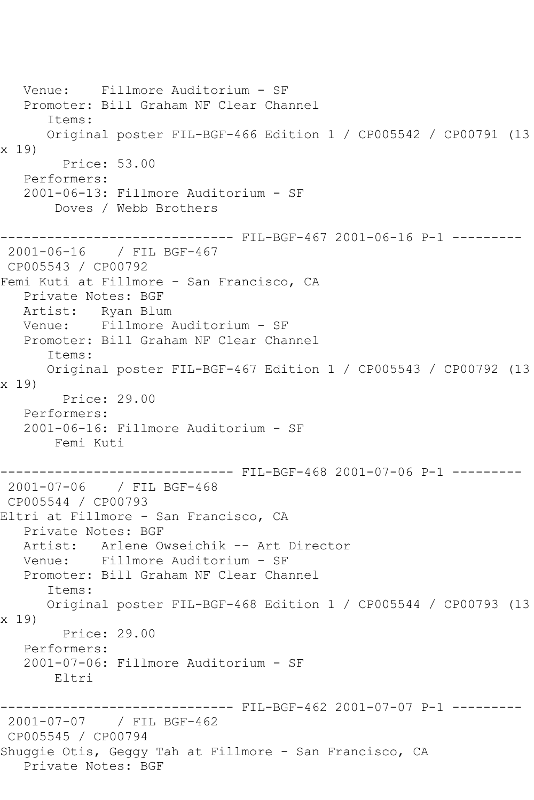Venue: Fillmore Auditorium - SF Promoter: Bill Graham NF Clear Channel Items: Original poster FIL-BGF-466 Edition 1 / CP005542 / CP00791 (13 x 19) Price: 53.00 Performers: 2001-06-13: Fillmore Auditorium - SF Doves / Webb Brothers ------------------------------ FIL-BGF-467 2001-06-16 P-1 --------- 2001-06-16 / FIL BGF-467 CP005543 / CP00792 Femi Kuti at Fillmore - San Francisco, CA Private Notes: BGF Artist: Ryan Blum Venue: Fillmore Auditorium - SF Promoter: Bill Graham NF Clear Channel Items: Original poster FIL-BGF-467 Edition 1 / CP005543 / CP00792 (13 x 19) Price: 29.00 Performers: 2001-06-16: Fillmore Auditorium - SF Femi Kuti ------------------------------ FIL-BGF-468 2001-07-06 P-1 --------- 2001-07-06 / FIL BGF-468 CP005544 / CP00793 Eltri at Fillmore - San Francisco, CA Private Notes: BGF Artist: Arlene Owseichik -- Art Director Venue: Fillmore Auditorium - SF Promoter: Bill Graham NF Clear Channel Items: Original poster FIL-BGF-468 Edition 1 / CP005544 / CP00793 (13 x 19) Price: 29.00 Performers: 2001-07-06: Fillmore Auditorium - SF Eltri ------------------------------ FIL-BGF-462 2001-07-07 P-1 --------- 2001-07-07 / FIL BGF-462 CP005545 / CP00794 Shuggie Otis, Geggy Tah at Fillmore - San Francisco, CA Private Notes: BGF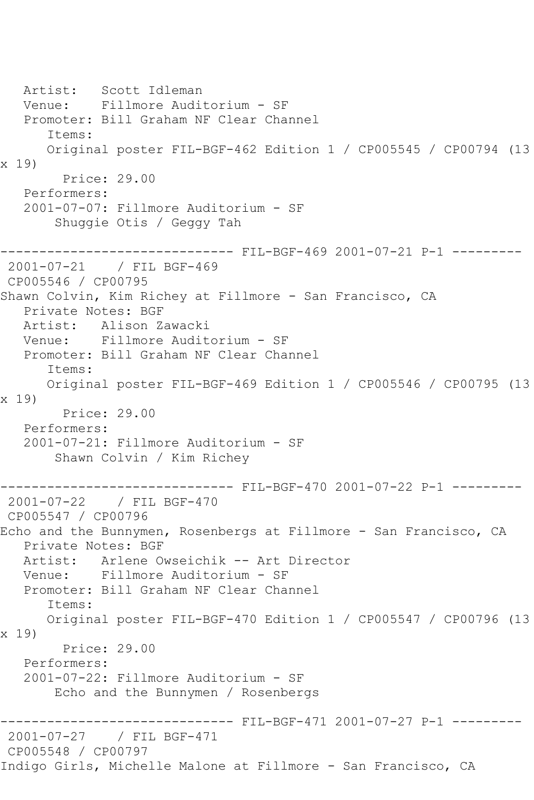Artist: Scott Idleman Venue: Fillmore Auditorium - SF Promoter: Bill Graham NF Clear Channel Items: Original poster FIL-BGF-462 Edition 1 / CP005545 / CP00794 (13 x 19) Price: 29.00 Performers: 2001-07-07: Fillmore Auditorium - SF Shuggie Otis / Geggy Tah ------------------------------ FIL-BGF-469 2001-07-21 P-1 --------- 2001-07-21 / FIL BGF-469 CP005546 / CP00795 Shawn Colvin, Kim Richey at Fillmore - San Francisco, CA Private Notes: BGF Artist: Alison Zawacki Venue: Fillmore Auditorium - SF Promoter: Bill Graham NF Clear Channel Items: Original poster FIL-BGF-469 Edition 1 / CP005546 / CP00795 (13 x 19) Price: 29.00 Performers: 2001-07-21: Fillmore Auditorium - SF Shawn Colvin / Kim Richey ------------------------------ FIL-BGF-470 2001-07-22 P-1 --------- 2001-07-22 / FIL BGF-470 CP005547 / CP00796 Echo and the Bunnymen, Rosenbergs at Fillmore - San Francisco, CA Private Notes: BGF Artist: Arlene Owseichik -- Art Director<br>Venue: Fillmore Auditorium - SF Fillmore Auditorium - SF Promoter: Bill Graham NF Clear Channel Items: Original poster FIL-BGF-470 Edition 1 / CP005547 / CP00796 (13 x 19) Price: 29.00 Performers: 2001-07-22: Fillmore Auditorium - SF Echo and the Bunnymen / Rosenbergs ------------------------------ FIL-BGF-471 2001-07-27 P-1 --------- 2001-07-27 / FIL BGF-471 CP005548 / CP00797 Indigo Girls, Michelle Malone at Fillmore - San Francisco, CA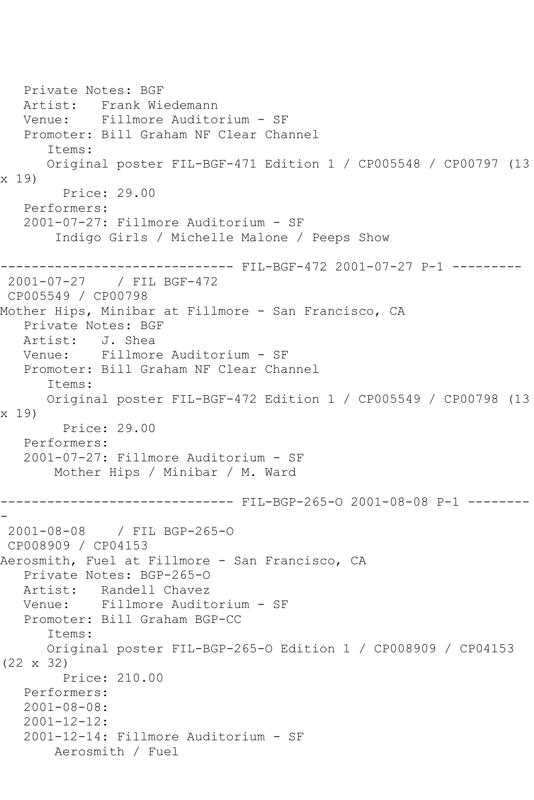```
 Private Notes: BGF
   Artist: Frank Wiedemann
   Venue: Fillmore Auditorium - SF
   Promoter: Bill Graham NF Clear Channel
       Items:
      Original poster FIL-BGF-471 Edition 1 / CP005548 / CP00797 (13 
x 19)
         Price: 29.00
   Performers:
   2001-07-27: Fillmore Auditorium - SF
        Indigo Girls / Michelle Malone / Peeps Show
------------------------------ FIL-BGF-472 2001-07-27 P-1 ---------
2001-07-27 / FIL BGF-472
CP005549 / CP00798
Mother Hips, Minibar at Fillmore - San Francisco, CA
   Private Notes: BGF
   Artist: J. Shea
   Venue: Fillmore Auditorium - SF
   Promoter: Bill Graham NF Clear Channel
       Items:
      Original poster FIL-BGF-472 Edition 1 / CP005549 / CP00798 (13 
x 19)
         Price: 29.00
   Performers:
   2001-07-27: Fillmore Auditorium - SF
        Mother Hips / Minibar / M. Ward
------------------------------ FIL-BGP-265-O 2001-08-08 P-1 --------
-
2001-08-08 / FIL BGP-265-O
CP008909 / CP04153
Aerosmith, Fuel at Fillmore - San Francisco, CA
   Private Notes: BGP-265-O
   Artist: Randell Chavez
   Venue: Fillmore Auditorium - SF
   Promoter: Bill Graham BGP-CC
       Items:
      Original poster FIL-BGP-265-O Edition 1 / CP008909 / CP04153 
(22 x 32)
         Price: 210.00
   Performers:
   2001-08-08:
   2001-12-12:
   2001-12-14: Fillmore Auditorium - SF
        Aerosmith / Fuel
```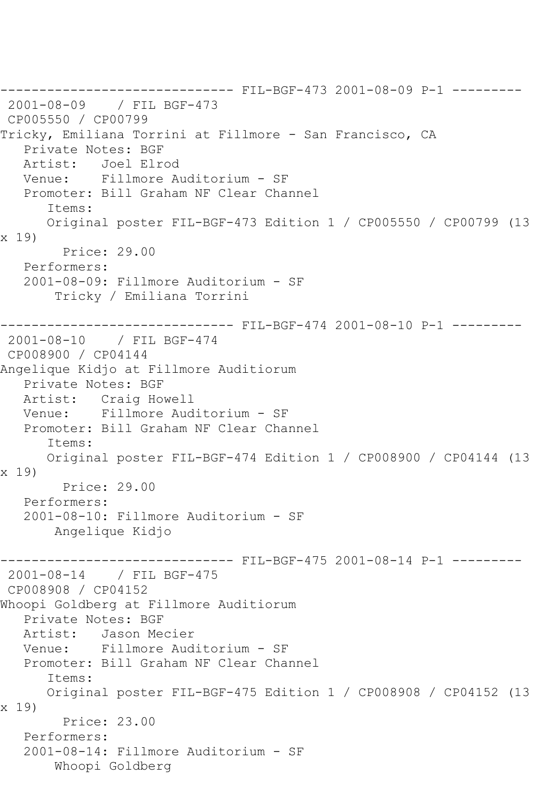```
------------------------------ FIL-BGF-473 2001-08-09 P-1 ---------
2001-08-09 / FIL BGF-473
CP005550 / CP00799
Tricky, Emiliana Torrini at Fillmore - San Francisco, CA
  Private Notes: BGF<br>Artist: Joel Elro
              Artist: Joel Elrod
   Venue: Fillmore Auditorium - SF
   Promoter: Bill Graham NF Clear Channel
       Items:
       Original poster FIL-BGF-473 Edition 1 / CP005550 / CP00799 (13 
x 19)
         Price: 29.00
   Performers:
   2001-08-09: Fillmore Auditorium - SF
        Tricky / Emiliana Torrini
------------------------------ FIL-BGF-474 2001-08-10 P-1 ---------
2001-08-10 / FIL BGF-474
CP008900 / CP04144
Angelique Kidjo at Fillmore Auditiorum
    Private Notes: BGF
   Artist: Craig Howell
   Venue: Fillmore Auditorium - SF
   Promoter: Bill Graham NF Clear Channel
       Items:
       Original poster FIL-BGF-474 Edition 1 / CP008900 / CP04144 (13 
x 19)
         Price: 29.00
   Performers:
    2001-08-10: Fillmore Auditorium - SF
        Angelique Kidjo
------------------------------ FIL-BGF-475 2001-08-14 P-1 ---------
2001-08-14 / FIL BGF-475
CP008908 / CP04152
Whoopi Goldberg at Fillmore Auditiorum
    Private Notes: BGF
   Artist: Jason Mecier
   Venue: Fillmore Auditorium - SF
   Promoter: Bill Graham NF Clear Channel
       Items:
       Original poster FIL-BGF-475 Edition 1 / CP008908 / CP04152 (13 
x 19)
         Price: 23.00
    Performers:
    2001-08-14: Fillmore Auditorium - SF
        Whoopi Goldberg
```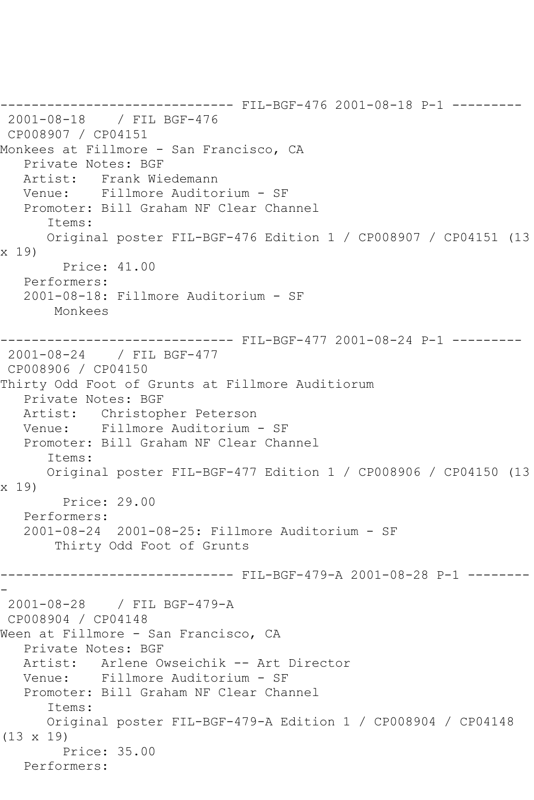------------------------------ FIL-BGF-476 2001-08-18 P-1 --------- 2001-08-18 / FIL BGF-476 CP008907 / CP04151 Monkees at Fillmore - San Francisco, CA Private Notes: BGF Artist: Frank Wiedemann Venue: Fillmore Auditorium - SF Promoter: Bill Graham NF Clear Channel Items: Original poster FIL-BGF-476 Edition 1 / CP008907 / CP04151 (13 x 19) Price: 41.00 Performers: 2001-08-18: Fillmore Auditorium - SF Monkees ------------------------------ FIL-BGF-477 2001-08-24 P-1 --------- 2001-08-24 / FIL BGF-477 CP008906 / CP04150 Thirty Odd Foot of Grunts at Fillmore Auditiorum Private Notes: BGF Artist: Christopher Peterson Venue: Fillmore Auditorium - SF Promoter: Bill Graham NF Clear Channel Items: Original poster FIL-BGF-477 Edition 1 / CP008906 / CP04150 (13 x 19) Price: 29.00 Performers: 2001-08-24 2001-08-25: Fillmore Auditorium - SF Thirty Odd Foot of Grunts ------------------------------ FIL-BGF-479-A 2001-08-28 P-1 -------- - 2001-08-28 / FIL BGF-479-A CP008904 / CP04148 Ween at Fillmore - San Francisco, CA Private Notes: BGF Artist: Arlene Owseichik -- Art Director Venue: Fillmore Auditorium - SF Promoter: Bill Graham NF Clear Channel Items: Original poster FIL-BGF-479-A Edition 1 / CP008904 / CP04148 (13 x 19) Price: 35.00 Performers: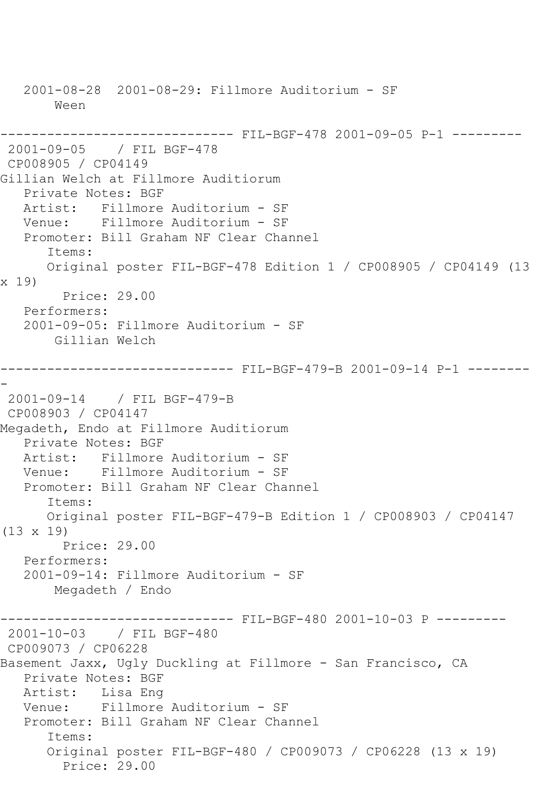2001-08-28 2001-08-29: Fillmore Auditorium - SF Ween ------------------------------ FIL-BGF-478 2001-09-05 P-1 --------- 2001-09-05 / FIL BGF-478 CP008905 / CP04149 Gillian Welch at Fillmore Auditiorum Private Notes: BGF Artist: Fillmore Auditorium - SF Venue: Fillmore Auditorium - SF Promoter: Bill Graham NF Clear Channel Items: Original poster FIL-BGF-478 Edition 1 / CP008905 / CP04149 (13 x 19) Price: 29.00 Performers: 2001-09-05: Fillmore Auditorium - SF Gillian Welch ------------------------------ FIL-BGF-479-B 2001-09-14 P-1 -------- - 2001-09-14 / FIL BGF-479-B CP008903 / CP04147 Megadeth, Endo at Fillmore Auditiorum Private Notes: BGF Artist: Fillmore Auditorium - SF Venue: Fillmore Auditorium - SF Promoter: Bill Graham NF Clear Channel Items: Original poster FIL-BGF-479-B Edition 1 / CP008903 / CP04147 (13 x 19) Price: 29.00 Performers: 2001-09-14: Fillmore Auditorium - SF Megadeth / Endo ------------------------------ FIL-BGF-480 2001-10-03 P --------- 2001-10-03 / FIL BGF-480 CP009073 / CP06228 Basement Jaxx, Ugly Duckling at Fillmore - San Francisco, CA Private Notes: BGF Artist: Lisa Eng Venue: Fillmore Auditorium - SF Promoter: Bill Graham NF Clear Channel Items: Original poster FIL-BGF-480 / CP009073 / CP06228 (13 x 19) Price: 29.00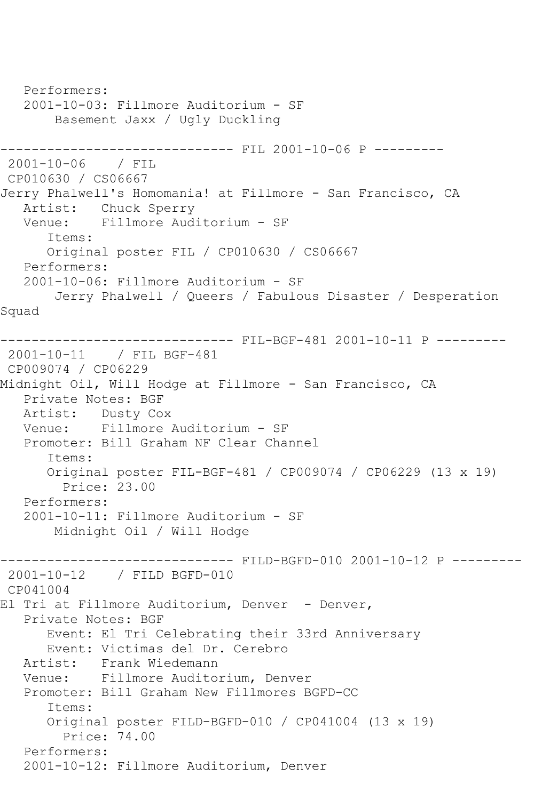Performers: 2001-10-03: Fillmore Auditorium - SF Basement Jaxx / Ugly Duckling ------------------------------ FIL 2001-10-06 P --------- 2001-10-06 / FIL CP010630 / CS06667 Jerry Phalwell's Homomania! at Fillmore - San Francisco, CA Artist: Chuck Sperry Venue: Fillmore Auditorium - SF Items: Original poster FIL / CP010630 / CS06667 Performers: 2001-10-06: Fillmore Auditorium - SF Jerry Phalwell / Queers / Fabulous Disaster / Desperation Squad ------------------------------ FIL-BGF-481 2001-10-11 P --------- 2001-10-11 / FIL BGF-481 CP009074 / CP06229 Midnight Oil, Will Hodge at Fillmore - San Francisco, CA Private Notes: BGF Artist: Dusty Cox Venue: Fillmore Auditorium - SF Promoter: Bill Graham NF Clear Channel Items: Original poster FIL-BGF-481 / CP009074 / CP06229 (13 x 19) Price: 23.00 Performers: 2001-10-11: Fillmore Auditorium - SF Midnight Oil / Will Hodge ------------------------------ FILD-BGFD-010 2001-10-12 P --------- 2001-10-12 / FILD BGFD-010 CP041004 El Tri at Fillmore Auditorium, Denver - Denver, Private Notes: BGF Event: El Tri Celebrating their 33rd Anniversary Event: Victimas del Dr. Cerebro<br>Artist: Frank Wiedemann Artist: Frank Wiedemann Venue: Fillmore Auditorium, Denver Promoter: Bill Graham New Fillmores BGFD-CC Items: Original poster FILD-BGFD-010 / CP041004 (13 x 19) Price: 74.00 Performers: 2001-10-12: Fillmore Auditorium, Denver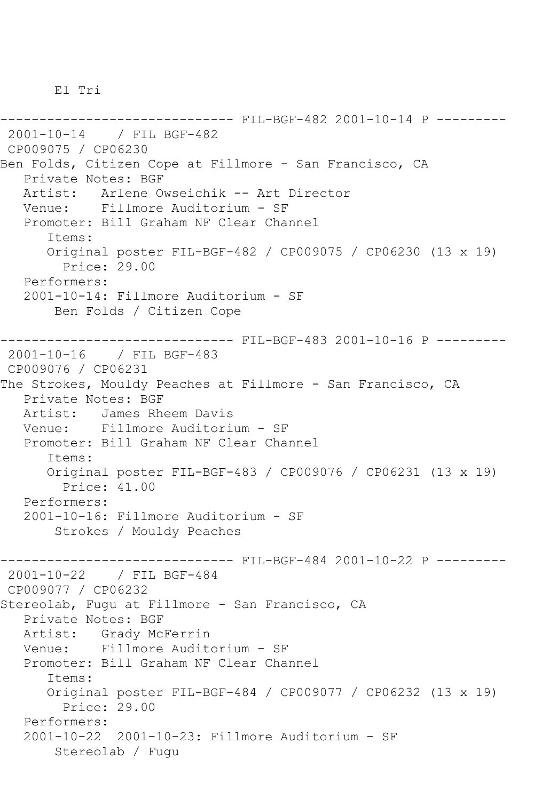El Tri

------------------------------ FIL-BGF-482 2001-10-14 P --------- 2001-10-14 / FIL BGF-482 CP009075 / CP06230 Ben Folds, Citizen Cope at Fillmore - San Francisco, CA Private Notes: BGF Artist: Arlene Owseichik -- Art Director Venue: Fillmore Auditorium - SF Promoter: Bill Graham NF Clear Channel Items: Original poster FIL-BGF-482 / CP009075 / CP06230 (13 x 19) Price: 29.00 Performers: 2001-10-14: Fillmore Auditorium - SF Ben Folds / Citizen Cope ------------------------------ FIL-BGF-483 2001-10-16 P --------- 2001-10-16 / FIL BGF-483 CP009076 / CP06231 The Strokes, Mouldy Peaches at Fillmore - San Francisco, CA Private Notes: BGF Artist: James Rheem Davis Venue: Fillmore Auditorium - SF Promoter: Bill Graham NF Clear Channel Items: Original poster FIL-BGF-483 / CP009076 / CP06231 (13 x 19) Price: 41.00 Performers: 2001-10-16: Fillmore Auditorium - SF Strokes / Mouldy Peaches ------------------------------ FIL-BGF-484 2001-10-22 P --------- 2001-10-22 / FIL BGF-484 CP009077 / CP06232 Stereolab, Fugu at Fillmore - San Francisco, CA Private Notes: BGF Artist: Grady McFerrin Venue: Fillmore Auditorium - SF Promoter: Bill Graham NF Clear Channel Items: Original poster FIL-BGF-484 / CP009077 / CP06232 (13 x 19) Price: 29.00 Performers: 2001-10-22 2001-10-23: Fillmore Auditorium - SF Stereolab / Fugu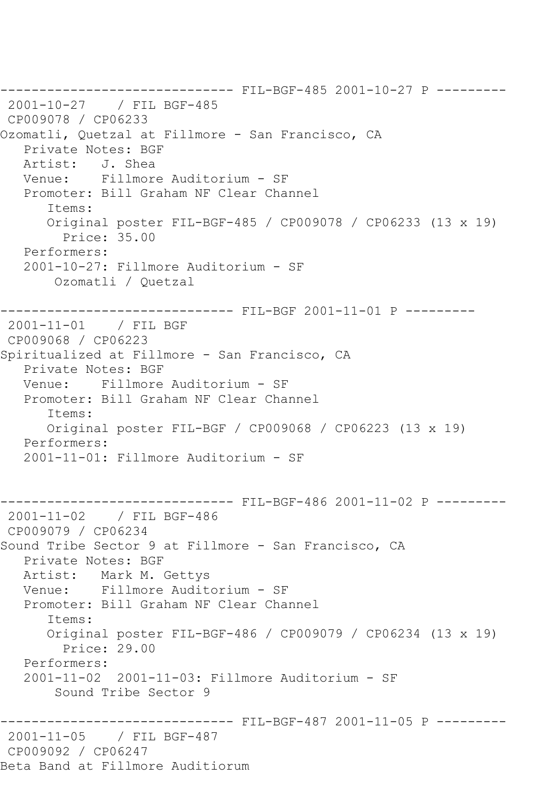------------------------------ FIL-BGF-485 2001-10-27 P --------- 2001-10-27 / FIL BGF-485 CP009078 / CP06233 Ozomatli, Quetzal at Fillmore - San Francisco, CA Private Notes: BGF Artist: J. Shea Venue: Fillmore Auditorium - SF Promoter: Bill Graham NF Clear Channel Items: Original poster FIL-BGF-485 / CP009078 / CP06233 (13 x 19) Price: 35.00 Performers: 2001-10-27: Fillmore Auditorium - SF Ozomatli / Quetzal ------------------------------ FIL-BGF 2001-11-01 P --------- 2001-11-01 / FIL BGF CP009068 / CP06223 Spiritualized at Fillmore - San Francisco, CA Private Notes: BGF Venue: Fillmore Auditorium - SF Promoter: Bill Graham NF Clear Channel Items: Original poster FIL-BGF / CP009068 / CP06223 (13 x 19) Performers: 2001-11-01: Fillmore Auditorium - SF ------------------------------ FIL-BGF-486 2001-11-02 P --------- 2001-11-02 / FIL BGF-486 CP009079 / CP06234 Sound Tribe Sector 9 at Fillmore - San Francisco, CA Private Notes: BGF Artist: Mark M. Gettys Venue: Fillmore Auditorium - SF Promoter: Bill Graham NF Clear Channel Items: Original poster FIL-BGF-486 / CP009079 / CP06234 (13 x 19) Price: 29.00 Performers: 2001-11-02 2001-11-03: Fillmore Auditorium - SF Sound Tribe Sector 9 ------------------------------ FIL-BGF-487 2001-11-05 P --------- 2001-11-05 / FIL BGF-487 CP009092 / CP06247 Beta Band at Fillmore Auditiorum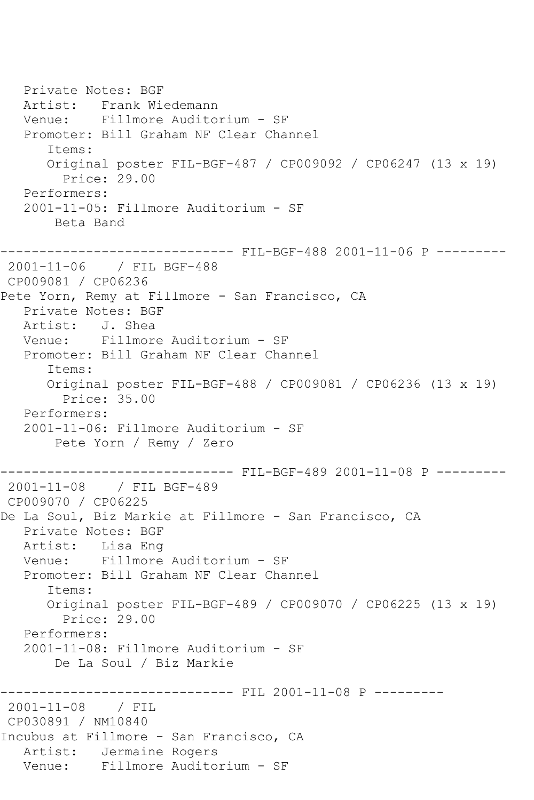Private Notes: BGF Artist: Frank Wiedemann Venue: Fillmore Auditorium - SF Promoter: Bill Graham NF Clear Channel Items: Original poster FIL-BGF-487 / CP009092 / CP06247 (13 x 19) Price: 29.00 Performers: 2001-11-05: Fillmore Auditorium - SF Beta Band ------------------------------ FIL-BGF-488 2001-11-06 P --------- 2001-11-06 / FIL BGF-488 CP009081 / CP06236 Pete Yorn, Remy at Fillmore - San Francisco, CA Private Notes: BGF Artist: J. Shea Venue: Fillmore Auditorium - SF Promoter: Bill Graham NF Clear Channel Items: Original poster FIL-BGF-488 / CP009081 / CP06236 (13 x 19) Price: 35.00 Performers: 2001-11-06: Fillmore Auditorium - SF Pete Yorn / Remy / Zero ------------------------------ FIL-BGF-489 2001-11-08 P --------- 2001-11-08 / FIL BGF-489 CP009070 / CP06225 De La Soul, Biz Markie at Fillmore - San Francisco, CA Private Notes: BGF Artist: Lisa Eng Venue: Fillmore Auditorium - SF Promoter: Bill Graham NF Clear Channel Items: Original poster FIL-BGF-489 / CP009070 / CP06225 (13 x 19) Price: 29.00 Performers: 2001-11-08: Fillmore Auditorium - SF De La Soul / Biz Markie ------------ FIL 2001-11-08 P ---------2001-11-08 / FIL CP030891 / NM10840 Incubus at Fillmore - San Francisco, CA Artist: Jermaine Rogers Venue: Fillmore Auditorium - SF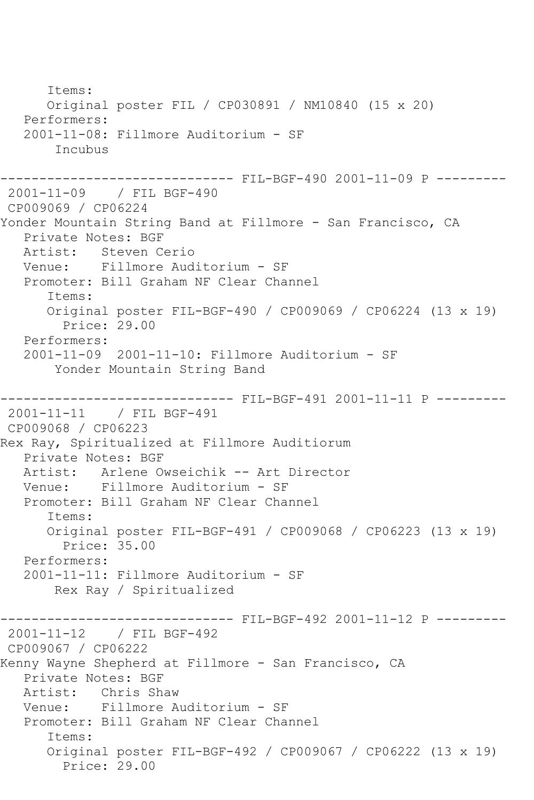Items: Original poster FIL / CP030891 / NM10840 (15 x 20) Performers: 2001-11-08: Fillmore Auditorium - SF Incubus ------------------------------ FIL-BGF-490 2001-11-09 P --------- 2001-11-09 / FIL BGF-490 CP009069 / CP06224 Yonder Mountain String Band at Fillmore - San Francisco, CA Private Notes: BGF<br>Artist: Steven C Artist: Steven Cerio<br>Venue: Fillmore Aud Fillmore Auditorium - SF Promoter: Bill Graham NF Clear Channel Items: Original poster FIL-BGF-490 / CP009069 / CP06224 (13 x 19) Price: 29.00 Performers: 2001-11-09 2001-11-10: Fillmore Auditorium - SF Yonder Mountain String Band ------------------------------ FIL-BGF-491 2001-11-11 P --------- 2001-11-11 / FIL BGF-491 CP009068 / CP06223 Rex Ray, Spiritualized at Fillmore Auditiorum Private Notes: BGF Artist: Arlene Owseichik -- Art Director Venue: Fillmore Auditorium - SF Promoter: Bill Graham NF Clear Channel Items: Original poster FIL-BGF-491 / CP009068 / CP06223 (13 x 19) Price: 35.00 Performers: 2001-11-11: Fillmore Auditorium - SF Rex Ray / Spiritualized ------------------------------ FIL-BGF-492 2001-11-12 P --------- 2001-11-12 / FIL BGF-492 CP009067 / CP06222 Kenny Wayne Shepherd at Fillmore - San Francisco, CA Private Notes: BGF Artist: Chris Shaw Venue: Fillmore Auditorium - SF Promoter: Bill Graham NF Clear Channel Items: Original poster FIL-BGF-492 / CP009067 / CP06222 (13 x 19) Price: 29.00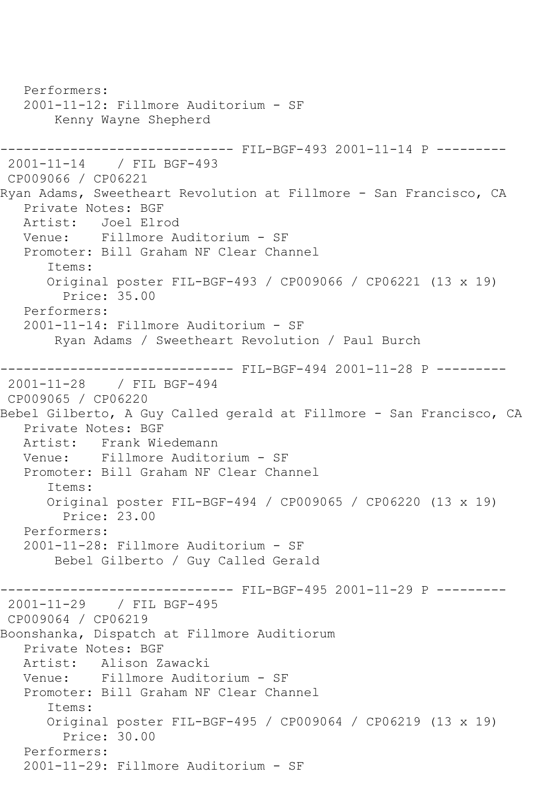Performers: 2001-11-12: Fillmore Auditorium - SF Kenny Wayne Shepherd ------------------------------ FIL-BGF-493 2001-11-14 P --------- 2001-11-14 / FIL BGF-493 CP009066 / CP06221 Ryan Adams, Sweetheart Revolution at Fillmore - San Francisco, CA Private Notes: BGF Artist: Joel Elrod Venue: Fillmore Auditorium - SF Promoter: Bill Graham NF Clear Channel Items: Original poster FIL-BGF-493 / CP009066 / CP06221 (13 x 19) Price: 35.00 Performers: 2001-11-14: Fillmore Auditorium - SF Ryan Adams / Sweetheart Revolution / Paul Burch ------------------------------ FIL-BGF-494 2001-11-28 P --------- 2001-11-28 / FIL BGF-494 CP009065 / CP06220 Bebel Gilberto, A Guy Called gerald at Fillmore - San Francisco, CA Private Notes: BGF Artist: Frank Wiedemann<br>Venue: Fillmore Audito Fillmore Auditorium - SF Promoter: Bill Graham NF Clear Channel Items: Original poster FIL-BGF-494 / CP009065 / CP06220 (13 x 19) Price: 23.00 Performers: 2001-11-28: Fillmore Auditorium - SF Bebel Gilberto / Guy Called Gerald ------- FIL-BGF-495 2001-11-29 P ---------2001-11-29 / FIL BGF-495 CP009064 / CP06219 Boonshanka, Dispatch at Fillmore Auditiorum Private Notes: BGF<br>Artist: Alison Z Artist: Alison Zawacki<br>Venue: Fillmore Audit Venue: Fillmore Auditorium - SF Promoter: Bill Graham NF Clear Channel Items: Original poster FIL-BGF-495 / CP009064 / CP06219 (13 x 19) Price: 30.00 Performers: 2001-11-29: Fillmore Auditorium - SF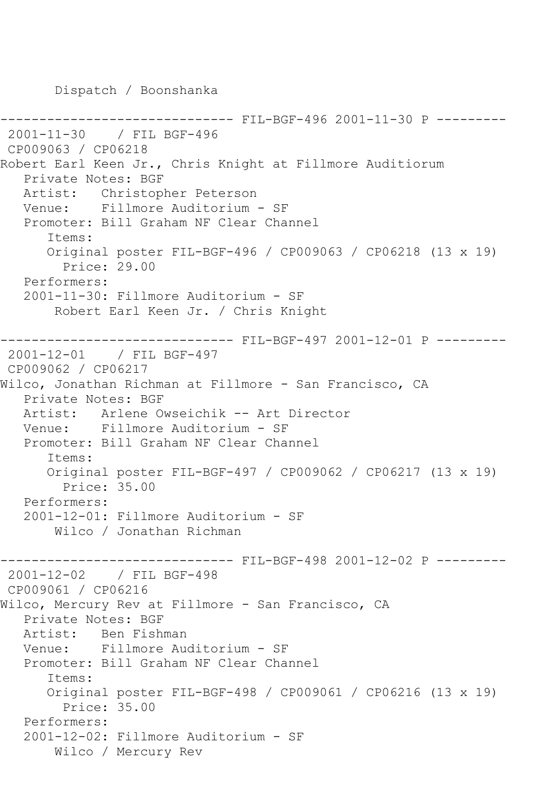Dispatch / Boonshanka

------------------------------ FIL-BGF-496 2001-11-30 P --------- 2001-11-30 / FIL BGF-496 CP009063 / CP06218 Robert Earl Keen Jr., Chris Knight at Fillmore Auditiorum Private Notes: BGF Artist: Christopher Peterson Venue: Fillmore Auditorium - SF Promoter: Bill Graham NF Clear Channel Items: Original poster FIL-BGF-496 / CP009063 / CP06218 (13 x 19) Price: 29.00 Performers: 2001-11-30: Fillmore Auditorium - SF Robert Earl Keen Jr. / Chris Knight ------------------------------ FIL-BGF-497 2001-12-01 P --------- 2001-12-01 / FIL BGF-497 CP009062 / CP06217 Wilco, Jonathan Richman at Fillmore - San Francisco, CA Private Notes: BGF Artist: Arlene Owseichik -- Art Director Venue: Fillmore Auditorium - SF Promoter: Bill Graham NF Clear Channel Items: Original poster FIL-BGF-497 / CP009062 / CP06217 (13 x 19) Price: 35.00 Performers: 2001-12-01: Fillmore Auditorium - SF Wilco / Jonathan Richman ------------------------------ FIL-BGF-498 2001-12-02 P --------- 2001-12-02 / FIL BGF-498 CP009061 / CP06216 Wilco, Mercury Rev at Fillmore - San Francisco, CA Private Notes: BGF Artist: Ben Fishman<br>Venue: Fillmore Au Fillmore Auditorium - SF Promoter: Bill Graham NF Clear Channel Items: Original poster FIL-BGF-498 / CP009061 / CP06216 (13 x 19) Price: 35.00 Performers: 2001-12-02: Fillmore Auditorium - SF Wilco / Mercury Rev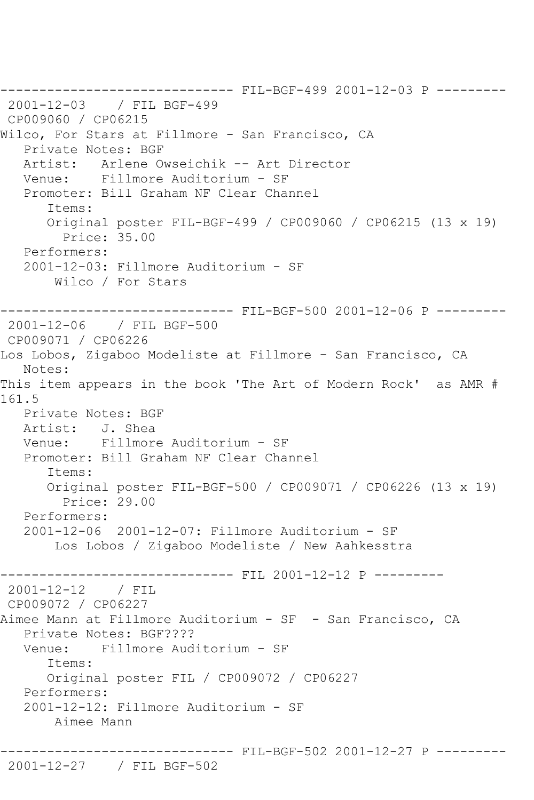------------------------------ FIL-BGF-499 2001-12-03 P --------- 2001-12-03 / FIL BGF-499 CP009060 / CP06215 Wilco, For Stars at Fillmore - San Francisco, CA Private Notes: BGF Artist: Arlene Owseichik -- Art Director Venue: Fillmore Auditorium - SF Promoter: Bill Graham NF Clear Channel Items: Original poster FIL-BGF-499 / CP009060 / CP06215 (13 x 19) Price: 35.00 Performers: 2001-12-03: Fillmore Auditorium - SF Wilco / For Stars ------------------------------ FIL-BGF-500 2001-12-06 P --------- 2001-12-06 / FIL BGF-500 CP009071 / CP06226 Los Lobos, Zigaboo Modeliste at Fillmore - San Francisco, CA Notes: This item appears in the book 'The Art of Modern Rock' as AMR # 161.5 Private Notes: BGF Artist: J. Shea Venue: Fillmore Auditorium - SF Promoter: Bill Graham NF Clear Channel Items: Original poster FIL-BGF-500 / CP009071 / CP06226 (13 x 19) Price: 29.00 Performers: 2001-12-06 2001-12-07: Fillmore Auditorium - SF Los Lobos / Zigaboo Modeliste / New Aahkesstra ------------------------------ FIL 2001-12-12 P --------- 2001-12-12 / FIL CP009072 / CP06227 Aimee Mann at Fillmore Auditorium - SF - San Francisco, CA Private Notes: BGF???? Venue: Fillmore Auditorium - SF Items: Original poster FIL / CP009072 / CP06227 Performers: 2001-12-12: Fillmore Auditorium - SF Aimee Mann ------------------------------ FIL-BGF-502 2001-12-27 P ---------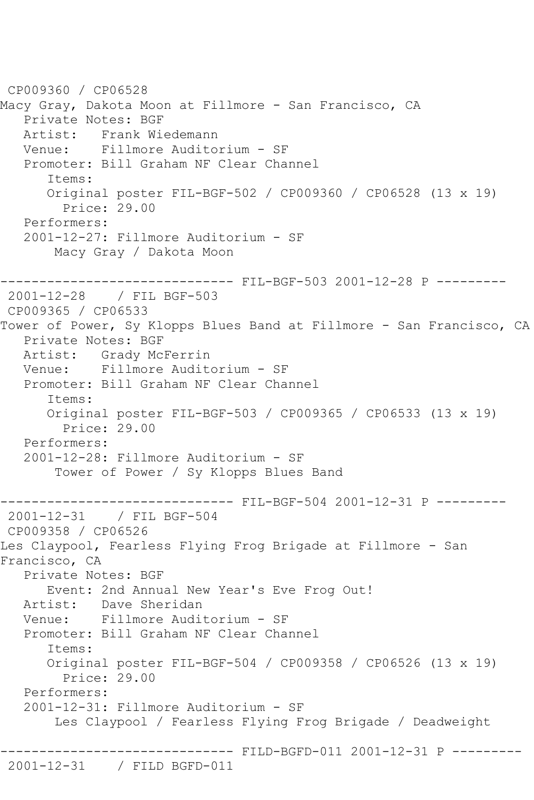```
CP009360 / CP06528
Macy Gray, Dakota Moon at Fillmore - San Francisco, CA
    Private Notes: BGF
  Artist: Frank Wiedemann<br>Venue: Fillmore Audito
             Venue: Fillmore Auditorium - SF
    Promoter: Bill Graham NF Clear Channel
       Items:
       Original poster FIL-BGF-502 / CP009360 / CP06528 (13 x 19)
         Price: 29.00
    Performers:
    2001-12-27: Fillmore Auditorium - SF
        Macy Gray / Dakota Moon
------------------------------ FIL-BGF-503 2001-12-28 P ---------
2001-12-28 / FIL BGF-503
CP009365 / CP06533
Tower of Power, Sy Klopps Blues Band at Fillmore - San Francisco, CA
    Private Notes: BGF
   Artist: Grady McFerrin
   Venue: Fillmore Auditorium - SF
    Promoter: Bill Graham NF Clear Channel
       Items:
       Original poster FIL-BGF-503 / CP009365 / CP06533 (13 x 19)
         Price: 29.00
    Performers:
    2001-12-28: Fillmore Auditorium - SF
        Tower of Power / Sy Klopps Blues Band
                    ------------------------------ FIL-BGF-504 2001-12-31 P ---------
2001-12-31 / FIL BGF-504
CP009358 / CP06526
Les Claypool, Fearless Flying Frog Brigade at Fillmore - San 
Francisco, CA
    Private Notes: BGF
       Event: 2nd Annual New Year's Eve Frog Out!
   Artist: Dave Sheridan
    Venue: Fillmore Auditorium - SF
    Promoter: Bill Graham NF Clear Channel
       Items:
       Original poster FIL-BGF-504 / CP009358 / CP06526 (13 x 19)
         Price: 29.00
    Performers:
    2001-12-31: Fillmore Auditorium - SF
        Les Claypool / Fearless Flying Frog Brigade / Deadweight
                    ------------------------------ FILD-BGFD-011 2001-12-31 P ---------
2001-12-31 / FILD BGFD-011
```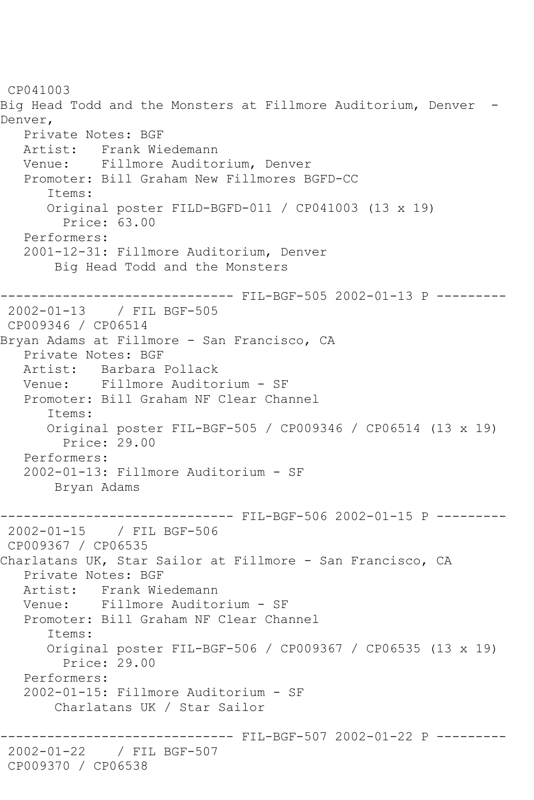CP041003 Big Head Todd and the Monsters at Fillmore Auditorium, Denver - Denver, Private Notes: BGF Artist: Frank Wiedemann Venue: Fillmore Auditorium, Denver Promoter: Bill Graham New Fillmores BGFD-CC Items: Original poster FILD-BGFD-011 / CP041003 (13 x 19) Price: 63.00 Performers: 2001-12-31: Fillmore Auditorium, Denver Big Head Todd and the Monsters ------------------------------ FIL-BGF-505 2002-01-13 P --------- 2002-01-13 / FIL BGF-505 CP009346 / CP06514 Bryan Adams at Fillmore - San Francisco, CA Private Notes: BGF Artist: Barbara Pollack Venue: Fillmore Auditorium - SF Promoter: Bill Graham NF Clear Channel Items: Original poster FIL-BGF-505 / CP009346 / CP06514 (13 x 19) Price: 29.00 Performers: 2002-01-13: Fillmore Auditorium - SF Bryan Adams ------------------------------ FIL-BGF-506 2002-01-15 P --------- 2002-01-15 / FIL BGF-506 CP009367 / CP06535 Charlatans UK, Star Sailor at Fillmore - San Francisco, CA Private Notes: BGF Artist: Frank Wiedemann Venue: Fillmore Auditorium - SF Promoter: Bill Graham NF Clear Channel Items: Original poster FIL-BGF-506 / CP009367 / CP06535 (13 x 19) Price: 29.00 Performers: 2002-01-15: Fillmore Auditorium - SF Charlatans UK / Star Sailor --------- FIL-BGF-507 2002-01-22 P ---------2002-01-22 / FIL BGF-507 CP009370 / CP06538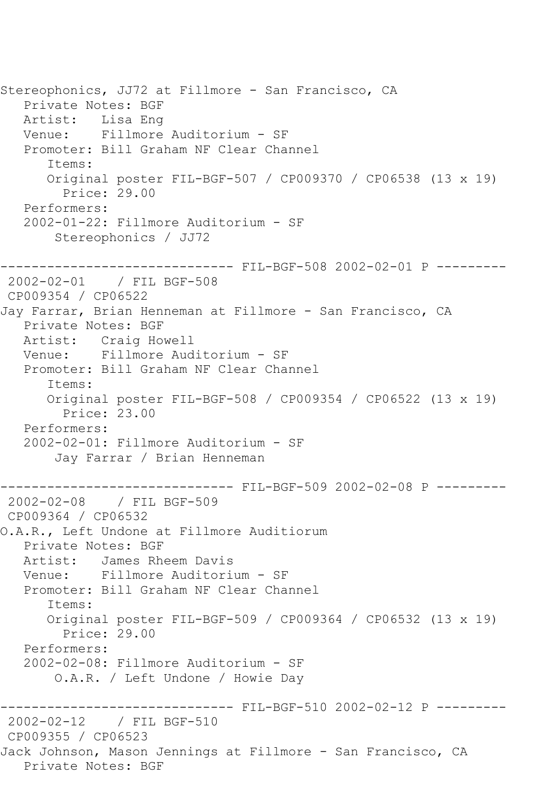Stereophonics, JJ72 at Fillmore - San Francisco, CA Private Notes: BGF Artist: Lisa Eng Venue: Fillmore Auditorium - SF Promoter: Bill Graham NF Clear Channel Items: Original poster FIL-BGF-507 / CP009370 / CP06538 (13 x 19) Price: 29.00 Performers: 2002-01-22: Fillmore Auditorium - SF Stereophonics / JJ72 ------------------------------ FIL-BGF-508 2002-02-01 P --------- 2002-02-01 / FIL BGF-508 CP009354 / CP06522 Jay Farrar, Brian Henneman at Fillmore - San Francisco, CA Private Notes: BGF Artist: Craig Howell Venue: Fillmore Auditorium - SF Promoter: Bill Graham NF Clear Channel Items: Original poster FIL-BGF-508 / CP009354 / CP06522 (13 x 19) Price: 23.00 Performers: 2002-02-01: Fillmore Auditorium - SF Jay Farrar / Brian Henneman ------------------------------ FIL-BGF-509 2002-02-08 P --------- 2002-02-08 / FIL BGF-509 CP009364 / CP06532 O.A.R., Left Undone at Fillmore Auditiorum Private Notes: BGF Artist: James Rheem Davis<br>Venue: Fillmore Auditori Fillmore Auditorium - SF Promoter: Bill Graham NF Clear Channel Items: Original poster FIL-BGF-509 / CP009364 / CP06532 (13 x 19) Price: 29.00 Performers: 2002-02-08: Fillmore Auditorium - SF O.A.R. / Left Undone / Howie Day ------------------------------- FIL-BGF-510 2002-02-12 P ---------<br>2002-02-12 / FIL BGF-510 2002-02-12 / FIL BGF-510 CP009355 / CP06523 Jack Johnson, Mason Jennings at Fillmore - San Francisco, CA Private Notes: BGF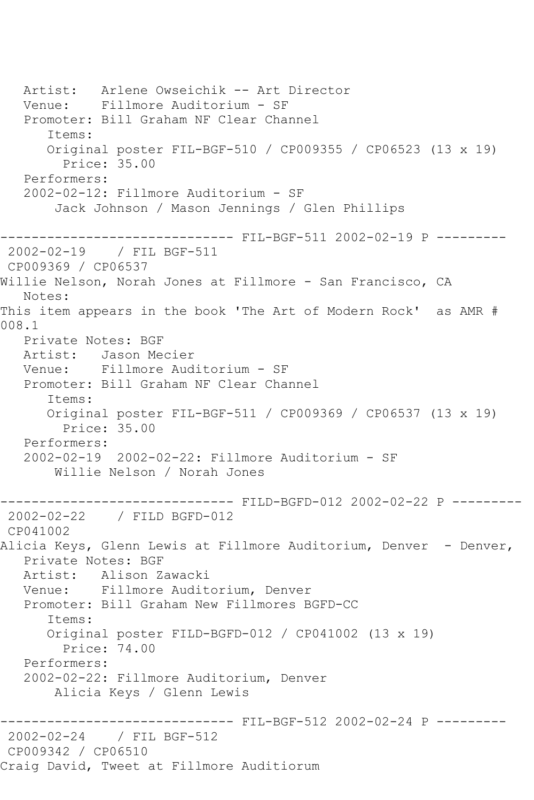Artist: Arlene Owseichik -- Art Director Venue: Fillmore Auditorium - SF Promoter: Bill Graham NF Clear Channel Items: Original poster FIL-BGF-510 / CP009355 / CP06523 (13 x 19) Price: 35.00 Performers: 2002-02-12: Fillmore Auditorium - SF Jack Johnson / Mason Jennings / Glen Phillips ------------------------------ FIL-BGF-511 2002-02-19 P --------- 2002-02-19 / FIL BGF-511 CP009369 / CP06537 Willie Nelson, Norah Jones at Fillmore - San Francisco, CA Notes: This item appears in the book 'The Art of Modern Rock' as AMR # 008.1 Private Notes: BGF Artist: Jason Mecier Venue: Fillmore Auditorium - SF Promoter: Bill Graham NF Clear Channel Items: Original poster FIL-BGF-511 / CP009369 / CP06537 (13 x 19) Price: 35.00 Performers: 2002-02-19 2002-02-22: Fillmore Auditorium - SF Willie Nelson / Norah Jones ------------------------------ FILD-BGFD-012 2002-02-22 P --------- 2002-02-22 / FILD BGFD-012 CP041002 Alicia Keys, Glenn Lewis at Fillmore Auditorium, Denver - Denver, Private Notes: BGF Artist: Alison Zawacki Venue: Fillmore Auditorium, Denver Promoter: Bill Graham New Fillmores BGFD-CC Items: Original poster FILD-BGFD-012 / CP041002 (13 x 19) Price: 74.00 Performers: 2002-02-22: Fillmore Auditorium, Denver Alicia Keys / Glenn Lewis ------------------------------ FIL-BGF-512 2002-02-24 P --------- 2002-02-24 / FIL BGF-512 CP009342 / CP06510 Craig David, Tweet at Fillmore Auditiorum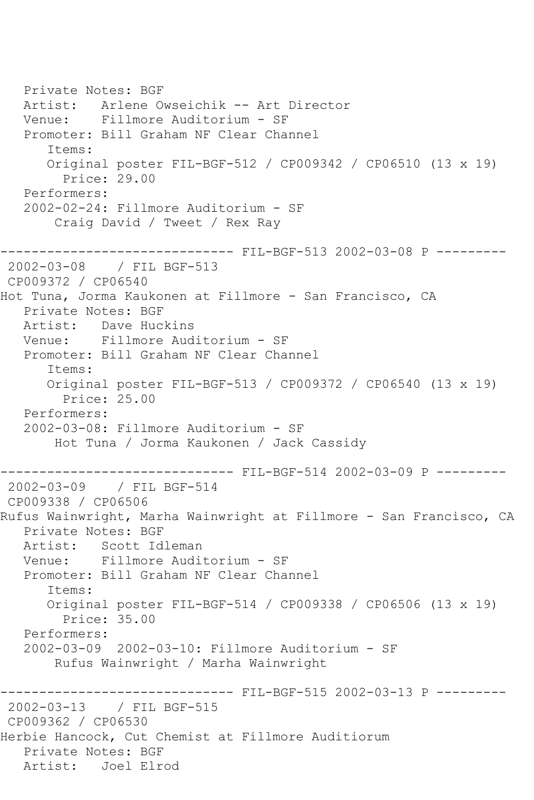Private Notes: BGF Artist: Arlene Owseichik -- Art Director Venue: Fillmore Auditorium - SF Promoter: Bill Graham NF Clear Channel Items: Original poster FIL-BGF-512 / CP009342 / CP06510 (13 x 19) Price: 29.00 Performers: 2002-02-24: Fillmore Auditorium - SF Craig David / Tweet / Rex Ray ------------------------------ FIL-BGF-513 2002-03-08 P --------- 2002-03-08 / FIL BGF-513 CP009372 / CP06540 Hot Tuna, Jorma Kaukonen at Fillmore - San Francisco, CA Private Notes: BGF Artist: Dave Huckins Venue: Fillmore Auditorium - SF Promoter: Bill Graham NF Clear Channel Items: Original poster FIL-BGF-513 / CP009372 / CP06540 (13 x 19) Price: 25.00 Performers: 2002-03-08: Fillmore Auditorium - SF Hot Tuna / Jorma Kaukonen / Jack Cassidy ------------------------------ FIL-BGF-514 2002-03-09 P --------- 2002-03-09 / FIL BGF-514 CP009338 / CP06506 Rufus Wainwright, Marha Wainwright at Fillmore - San Francisco, CA Private Notes: BGF Artist: Scott Idleman Venue: Fillmore Auditorium - SF Promoter: Bill Graham NF Clear Channel Items: Original poster FIL-BGF-514 / CP009338 / CP06506 (13 x 19) Price: 35.00 Performers: 2002-03-09 2002-03-10: Fillmore Auditorium - SF Rufus Wainwright / Marha Wainwright ------------------------------ FIL-BGF-515 2002-03-13 P --------- 2002-03-13 / FIL BGF-515 CP009362 / CP06530 Herbie Hancock, Cut Chemist at Fillmore Auditiorum Private Notes: BGF Artist: Joel Elrod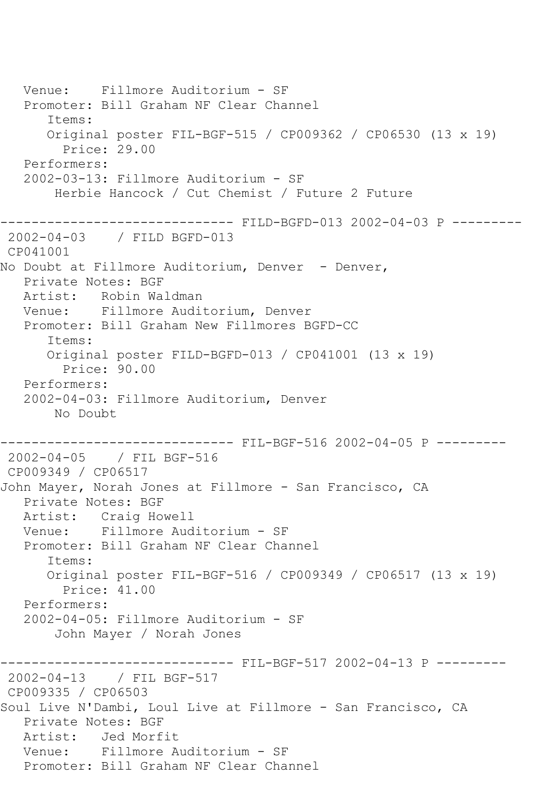Venue: Fillmore Auditorium - SF Promoter: Bill Graham NF Clear Channel Items: Original poster FIL-BGF-515 / CP009362 / CP06530 (13 x 19) Price: 29.00 Performers: 2002-03-13: Fillmore Auditorium - SF Herbie Hancock / Cut Chemist / Future 2 Future ------------------------------ FILD-BGFD-013 2002-04-03 P --------- 2002-04-03 / FILD BGFD-013 CP041001 No Doubt at Fillmore Auditorium, Denver - Denver, Private Notes: BGF Artist: Robin Waldman Venue: Fillmore Auditorium, Denver Promoter: Bill Graham New Fillmores BGFD-CC Items: Original poster FILD-BGFD-013 / CP041001 (13 x 19) Price: 90.00 Performers: 2002-04-03: Fillmore Auditorium, Denver No Doubt ------------------------------ FIL-BGF-516 2002-04-05 P --------- 2002-04-05 / FIL BGF-516 CP009349 / CP06517 John Mayer, Norah Jones at Fillmore - San Francisco, CA Private Notes: BGF Artist: Craig Howell Venue: Fillmore Auditorium - SF Promoter: Bill Graham NF Clear Channel Items: Original poster FIL-BGF-516 / CP009349 / CP06517 (13 x 19) Price: 41.00 Performers: 2002-04-05: Fillmore Auditorium - SF John Mayer / Norah Jones ------------------------------ FIL-BGF-517 2002-04-13 P --------- 2002-04-13 / FIL BGF-517 CP009335 / CP06503 Soul Live N'Dambi, Loul Live at Fillmore - San Francisco, CA Private Notes: BGF Artist: Jed Morfit Venue: Fillmore Auditorium - SF Promoter: Bill Graham NF Clear Channel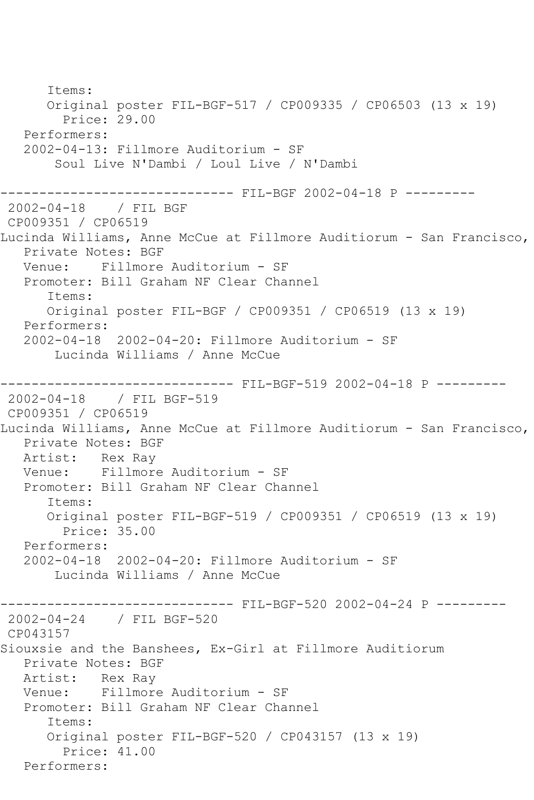Items: Original poster FIL-BGF-517 / CP009335 / CP06503 (13 x 19) Price: 29.00 Performers: 2002-04-13: Fillmore Auditorium - SF Soul Live N'Dambi / Loul Live / N'Dambi ------------------------------ FIL-BGF 2002-04-18 P --------- 2002-04-18 / FIL BGF CP009351 / CP06519 Lucinda Williams, Anne McCue at Fillmore Auditiorum - San Francisco, Private Notes: BGF Venue: Fillmore Auditorium - SF Promoter: Bill Graham NF Clear Channel Items: Original poster FIL-BGF / CP009351 / CP06519 (13 x 19) Performers: 2002-04-18 2002-04-20: Fillmore Auditorium - SF Lucinda Williams / Anne McCue ------------------------------ FIL-BGF-519 2002-04-18 P --------- 2002-04-18 / FIL BGF-519 CP009351 / CP06519 Lucinda Williams, Anne McCue at Fillmore Auditiorum - San Francisco, Private Notes: BGF Artist: Rex Ray Venue: Fillmore Auditorium - SF Promoter: Bill Graham NF Clear Channel Items: Original poster FIL-BGF-519 / CP009351 / CP06519 (13 x 19) Price: 35.00 Performers: 2002-04-18 2002-04-20: Fillmore Auditorium - SF Lucinda Williams / Anne McCue ------------------------------ FIL-BGF-520 2002-04-24 P --------- 2002-04-24 / FIL BGF-520 CP043157 Siouxsie and the Banshees, Ex-Girl at Fillmore Auditiorum Private Notes: BGF<br>Artist: Rex Ray Rex Ray Venue: Fillmore Auditorium - SF Promoter: Bill Graham NF Clear Channel Items: Original poster FIL-BGF-520 / CP043157 (13 x 19) Price: 41.00 Performers: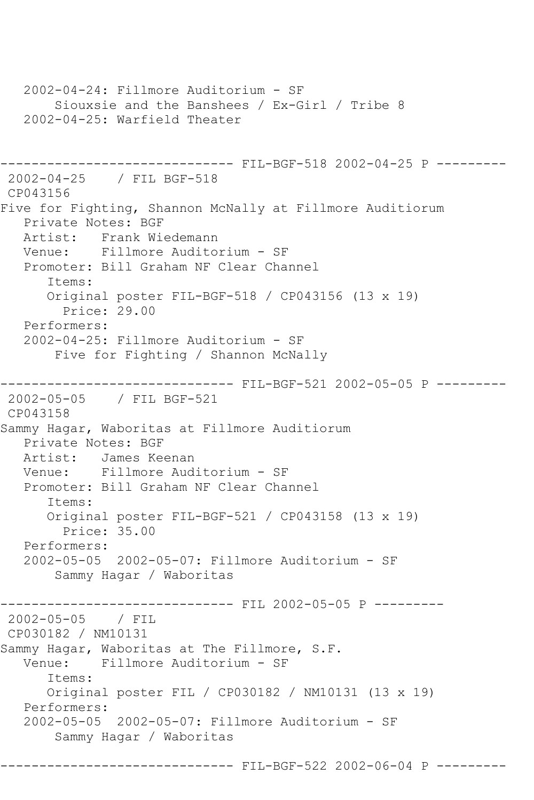2002-04-24: Fillmore Auditorium - SF Siouxsie and the Banshees / Ex-Girl / Tribe 8 2002-04-25: Warfield Theater ------------------------------ FIL-BGF-518 2002-04-25 P --------- 2002-04-25 / FIL BGF-518 CP043156 Five for Fighting, Shannon McNally at Fillmore Auditiorum Private Notes: BGF Artist: Frank Wiedemann<br>Venue: Fillmore Audito: Fillmore Auditorium - SF Promoter: Bill Graham NF Clear Channel Items: Original poster FIL-BGF-518 / CP043156 (13 x 19) Price: 29.00 Performers: 2002-04-25: Fillmore Auditorium - SF Five for Fighting / Shannon McNally ------------------------------ FIL-BGF-521 2002-05-05 P --------- 2002-05-05 / FIL BGF-521 CP043158 Sammy Hagar, Waboritas at Fillmore Auditiorum Private Notes: BGF Artist: James Keenan Venue: Fillmore Auditorium - SF Promoter: Bill Graham NF Clear Channel Items: Original poster FIL-BGF-521 / CP043158 (13 x 19) Price: 35.00 Performers: 2002-05-05 2002-05-07: Fillmore Auditorium - SF Sammy Hagar / Waboritas ------------------------------ FIL 2002-05-05 P --------- 2002-05-05 / FIL CP030182 / NM10131 Sammy Hagar, Waboritas at The Fillmore, S.F. Venue: Fillmore Auditorium - SF Items: Original poster FIL / CP030182 / NM10131 (13 x 19) Performers: 2002-05-05 2002-05-07: Fillmore Auditorium - SF Sammy Hagar / Waboritas ------------------------------ FIL-BGF-522 2002-06-04 P ---------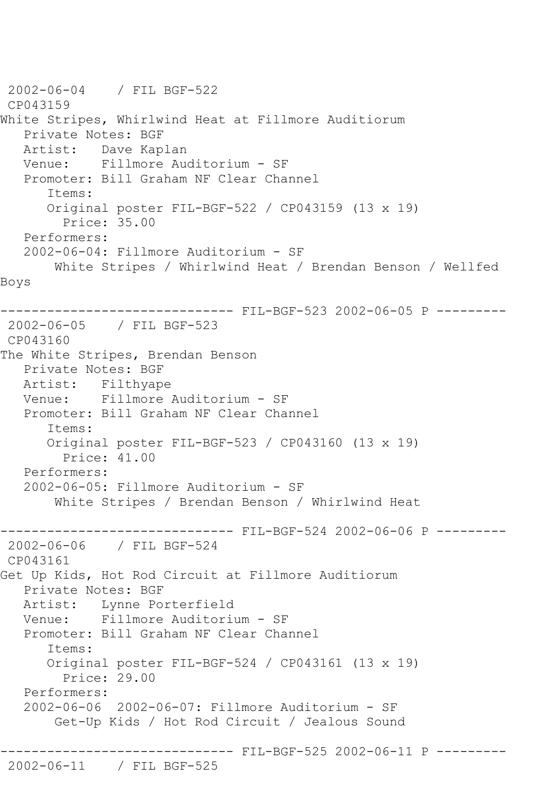2002-06-04 / FIL BGF-522 CP043159 White Stripes, Whirlwind Heat at Fillmore Auditiorum Private Notes: BGF Artist: Dave Kaplan Venue: Fillmore Auditorium - SF Promoter: Bill Graham NF Clear Channel Items: Original poster FIL-BGF-522 / CP043159 (13 x 19) Price: 35.00 Performers: 2002-06-04: Fillmore Auditorium - SF White Stripes / Whirlwind Heat / Brendan Benson / Wellfed Boys ------------------------------ FIL-BGF-523 2002-06-05 P --------- 2002-06-05 / FIL BGF-523 CP043160 The White Stripes, Brendan Benson Private Notes: BGF Artist: Filthyape Venue: Fillmore Auditorium - SF Promoter: Bill Graham NF Clear Channel Items: Original poster FIL-BGF-523 / CP043160 (13 x 19) Price: 41.00 Performers: 2002-06-05: Fillmore Auditorium - SF White Stripes / Brendan Benson / Whirlwind Heat ------------------------------ FIL-BGF-524 2002-06-06 P --------- 2002-06-06 / FIL BGF-524 CP043161 Get Up Kids, Hot Rod Circuit at Fillmore Auditiorum Private Notes: BGF Artist: Lynne Porterfield Venue: Fillmore Auditorium - SF Promoter: Bill Graham NF Clear Channel Items: Original poster FIL-BGF-524 / CP043161 (13 x 19) Price: 29.00 Performers: 2002-06-06 2002-06-07: Fillmore Auditorium - SF Get-Up Kids / Hot Rod Circuit / Jealous Sound ------------------------------ FIL-BGF-525 2002-06-11 P --------- 2002-06-11 / FIL BGF-525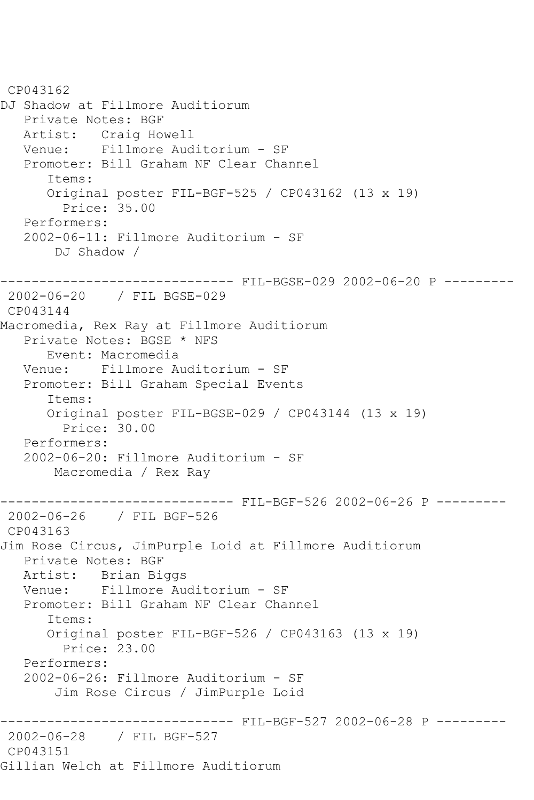CP043162 DJ Shadow at Fillmore Auditiorum Private Notes: BGF Artist: Craig Howell<br>Venue: Fillmore Aud Fillmore Auditorium - SF Promoter: Bill Graham NF Clear Channel Items: Original poster FIL-BGF-525 / CP043162 (13 x 19) Price: 35.00 Performers: 2002-06-11: Fillmore Auditorium - SF DJ Shadow / ------------------------------ FIL-BGSE-029 2002-06-20 P --------- 2002-06-20 / FIL BGSE-029 CP043144 Macromedia, Rex Ray at Fillmore Auditiorum Private Notes: BGSE \* NFS Event: Macromedia Venue: Fillmore Auditorium - SF Promoter: Bill Graham Special Events Items: Original poster FIL-BGSE-029 / CP043144 (13 x 19) Price: 30.00 Performers: 2002-06-20: Fillmore Auditorium - SF Macromedia / Rex Ray ------------------------------ FIL-BGF-526 2002-06-26 P --------- 2002-06-26 / FIL BGF-526 CP043163 Jim Rose Circus, JimPurple Loid at Fillmore Auditiorum Private Notes: BGF Artist: Brian Biggs Venue: Fillmore Auditorium - SF Promoter: Bill Graham NF Clear Channel Items: Original poster FIL-BGF-526 / CP043163 (13 x 19) Price: 23.00 Performers: 2002-06-26: Fillmore Auditorium - SF Jim Rose Circus / JimPurple Loid ------------------------------ FIL-BGF-527 2002-06-28 P --------- 2002-06-28 / FIL BGF-527 CP043151 Gillian Welch at Fillmore Auditiorum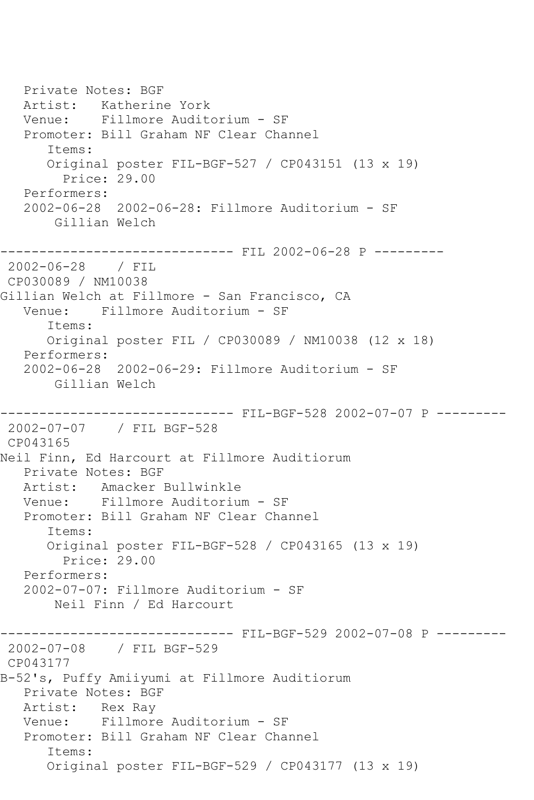Private Notes: BGF Artist: Katherine York Venue: Fillmore Auditorium - SF Promoter: Bill Graham NF Clear Channel Items: Original poster FIL-BGF-527 / CP043151 (13 x 19) Price: 29.00 Performers: 2002-06-28 2002-06-28: Fillmore Auditorium - SF Gillian Welch ----------------------- FIL 2002-06-28 P ---------2002-06-28 / FIL CP030089 / NM10038 Gillian Welch at Fillmore - San Francisco, CA Venue: Fillmore Auditorium - SF Items: Original poster FIL / CP030089 / NM10038 (12 x 18) Performers: 2002-06-28 2002-06-29: Fillmore Auditorium - SF Gillian Welch ------------------------------ FIL-BGF-528 2002-07-07 P --------- 2002-07-07 / FIL BGF-528 CP043165 Neil Finn, Ed Harcourt at Fillmore Auditiorum Private Notes: BGF Artist: Amacker Bullwinkle Venue: Fillmore Auditorium - SF Promoter: Bill Graham NF Clear Channel Items: Original poster FIL-BGF-528 / CP043165 (13 x 19) Price: 29.00 Performers: 2002-07-07: Fillmore Auditorium - SF Neil Finn / Ed Harcourt ------------------------------ FIL-BGF-529 2002-07-08 P --------- 2002-07-08 / FIL BGF-529 CP043177 B-52's, Puffy Amiiyumi at Fillmore Auditiorum Private Notes: BGF Artist: Rex Ray Venue: Fillmore Auditorium - SF Promoter: Bill Graham NF Clear Channel Items: Original poster FIL-BGF-529 / CP043177 (13 x 19)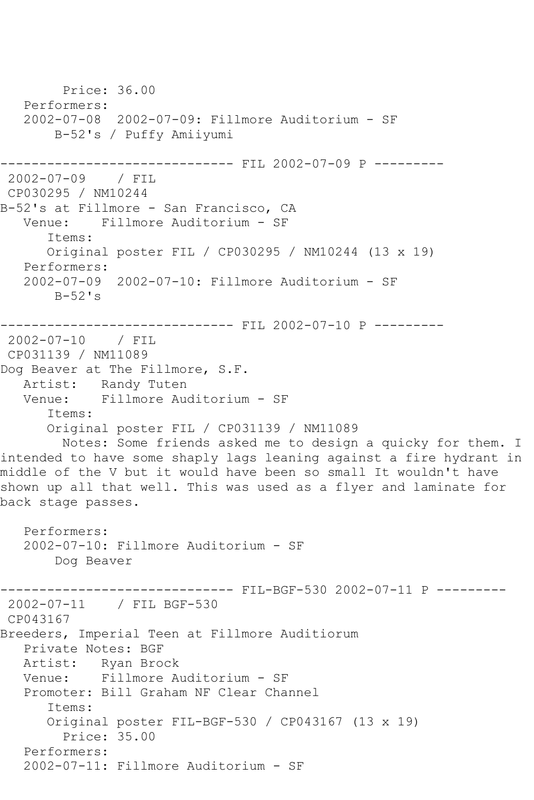Price: 36.00 Performers: 2002-07-08 2002-07-09: Fillmore Auditorium - SF B-52's / Puffy Amiiyumi ------------------------------ FIL 2002-07-09 P --------- 2002-07-09 / FIL CP030295 / NM10244 B-52's at Fillmore - San Francisco, CA Venue: Fillmore Auditorium - SF Items: Original poster FIL / CP030295 / NM10244 (13 x 19) Performers: 2002-07-09 2002-07-10: Fillmore Auditorium - SF  $B-52$ 's ------------------------------ FIL 2002-07-10 P --------- 2002-07-10 / FIL CP031139 / NM11089 Dog Beaver at The Fillmore, S.F. Artist: Randy Tuten Venue: Fillmore Auditorium - SF Items: Original poster FIL / CP031139 / NM11089 Notes: Some friends asked me to design a quicky for them. I intended to have some shaply lags leaning against a fire hydrant in middle of the V but it would have been so small It wouldn't have shown up all that well. This was used as a flyer and laminate for back stage passes. Performers: 2002-07-10: Fillmore Auditorium - SF Dog Beaver ------ FIL-BGF-530 2002-07-11 P ---------2002-07-11 / FIL BGF-530 CP043167 Breeders, Imperial Teen at Fillmore Auditiorum Private Notes: BGF Artist: Ryan Brock Venue: Fillmore Auditorium - SF Promoter: Bill Graham NF Clear Channel Items: Original poster FIL-BGF-530 / CP043167 (13 x 19) Price: 35.00 Performers: 2002-07-11: Fillmore Auditorium - SF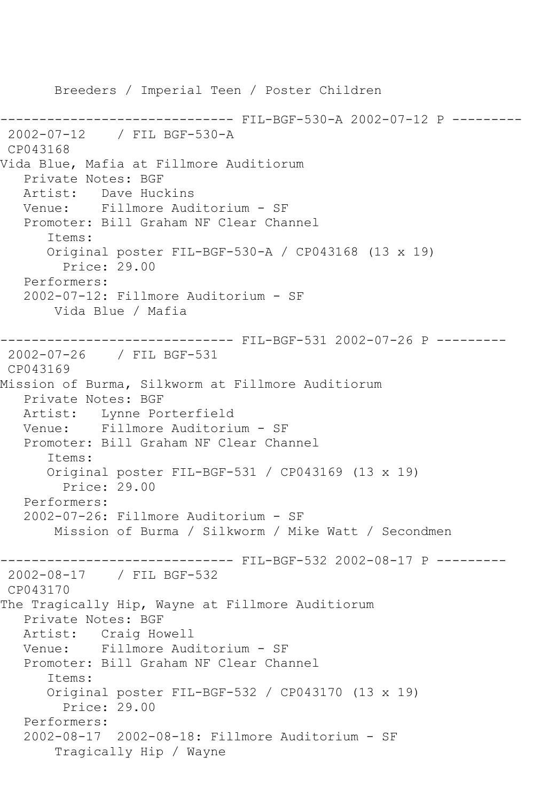Breeders / Imperial Teen / Poster Children ------------------------------ FIL-BGF-530-A 2002-07-12 P --------- 2002-07-12 / FIL BGF-530-A CP043168 Vida Blue, Mafia at Fillmore Auditiorum Private Notes: BGF Artist: Dave Huckins Venue: Fillmore Auditorium - SF Promoter: Bill Graham NF Clear Channel Items: Original poster FIL-BGF-530-A / CP043168 (13 x 19) Price: 29.00 Performers: 2002-07-12: Fillmore Auditorium - SF Vida Blue / Mafia ------------------------------ FIL-BGF-531 2002-07-26 P --------- 2002-07-26 / FIL BGF-531 CP043169 Mission of Burma, Silkworm at Fillmore Auditiorum Private Notes: BGF Artist: Lynne Porterfield Venue: Fillmore Auditorium - SF Promoter: Bill Graham NF Clear Channel Items: Original poster FIL-BGF-531 / CP043169 (13 x 19) Price: 29.00 Performers: 2002-07-26: Fillmore Auditorium - SF Mission of Burma / Silkworm / Mike Watt / Secondmen ------------------------------ FIL-BGF-532 2002-08-17 P --------- 2002-08-17 / FIL BGF-532 CP043170 The Tragically Hip, Wayne at Fillmore Auditiorum Private Notes: BGF Artist: Craig Howell Venue: Fillmore Auditorium - SF Promoter: Bill Graham NF Clear Channel Items: Original poster FIL-BGF-532 / CP043170 (13 x 19) Price: 29.00 Performers: 2002-08-17 2002-08-18: Fillmore Auditorium - SF Tragically Hip / Wayne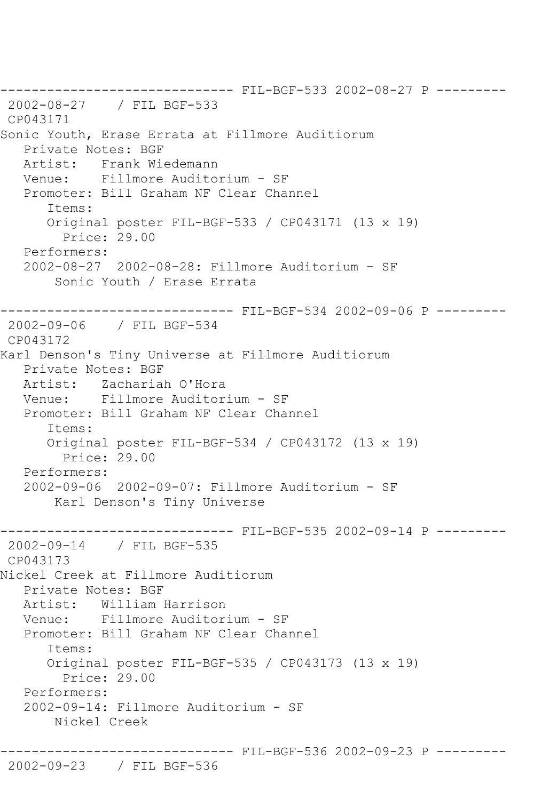------------------------------ FIL-BGF-533 2002-08-27 P --------- 2002-08-27 / FIL BGF-533 CP043171 Sonic Youth, Erase Errata at Fillmore Auditiorum Private Notes: BGF Artist: Frank Wiedemann Venue: Fillmore Auditorium - SF Promoter: Bill Graham NF Clear Channel Items: Original poster FIL-BGF-533 / CP043171 (13 x 19) Price: 29.00 Performers: 2002-08-27 2002-08-28: Fillmore Auditorium - SF Sonic Youth / Erase Errata ------------------------------ FIL-BGF-534 2002-09-06 P --------- 2002-09-06 / FIL BGF-534 CP043172 Karl Denson's Tiny Universe at Fillmore Auditiorum Private Notes: BGF Artist: Zachariah O'Hora Venue: Fillmore Auditorium - SF Promoter: Bill Graham NF Clear Channel Items: Original poster FIL-BGF-534 / CP043172 (13 x 19) Price: 29.00 Performers: 2002-09-06 2002-09-07: Fillmore Auditorium - SF Karl Denson's Tiny Universe ------------------------------ FIL-BGF-535 2002-09-14 P --------- 2002-09-14 / FIL BGF-535 CP043173 Nickel Creek at Fillmore Auditiorum Private Notes: BGF Artist: William Harrison Venue: Fillmore Auditorium - SF Promoter: Bill Graham NF Clear Channel Items: Original poster FIL-BGF-535 / CP043173 (13 x 19) Price: 29.00 Performers: 2002-09-14: Fillmore Auditorium - SF Nickel Creek ------------------------------ FIL-BGF-536 2002-09-23 P ---------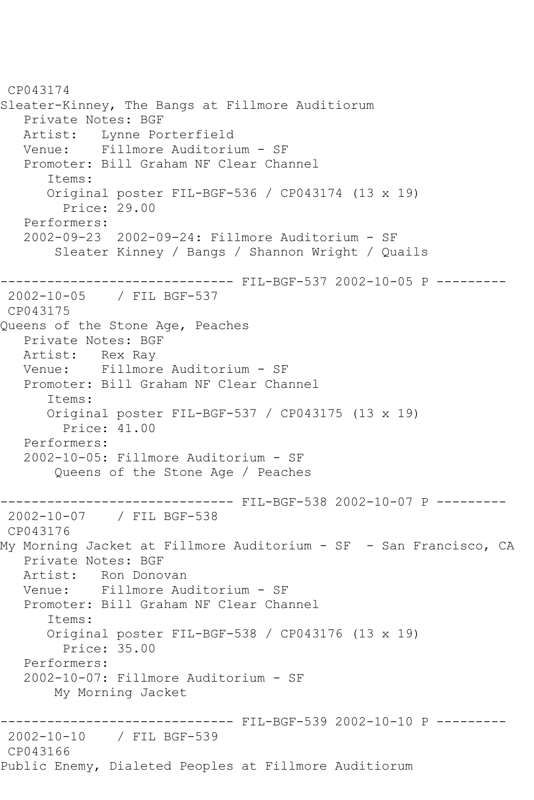CP043174 Sleater-Kinney, The Bangs at Fillmore Auditiorum Private Notes: BGF Artist: Lynne Porterfield<br>Venue: Fillmore Auditori Fillmore Auditorium - SF Promoter: Bill Graham NF Clear Channel Items: Original poster FIL-BGF-536 / CP043174 (13 x 19) Price: 29.00 Performers: 2002-09-23 2002-09-24: Fillmore Auditorium - SF Sleater Kinney / Bangs / Shannon Wright / Quails ------------------------------ FIL-BGF-537 2002-10-05 P --------- 2002-10-05 / FIL BGF-537 CP043175 Queens of the Stone Age, Peaches Private Notes: BGF Artist: Rex Ray Venue: Fillmore Auditorium - SF Promoter: Bill Graham NF Clear Channel Items: Original poster FIL-BGF-537 / CP043175 (13 x 19) Price: 41.00 Performers: 2002-10-05: Fillmore Auditorium - SF Queens of the Stone Age / Peaches ------------------------------ FIL-BGF-538 2002-10-07 P --------- 2002-10-07 / FIL BGF-538 CP043176 My Morning Jacket at Fillmore Auditorium - SF - San Francisco, CA Private Notes: BGF Artist: Ron Donovan Venue: Fillmore Auditorium - SF Promoter: Bill Graham NF Clear Channel Items: Original poster FIL-BGF-538 / CP043176 (13 x 19) Price: 35.00 Performers: 2002-10-07: Fillmore Auditorium - SF My Morning Jacket ------------------------------ FIL-BGF-539 2002-10-10 P --------- 2002-10-10 / FIL BGF-539 CP043166 Public Enemy, Dialeted Peoples at Fillmore Auditiorum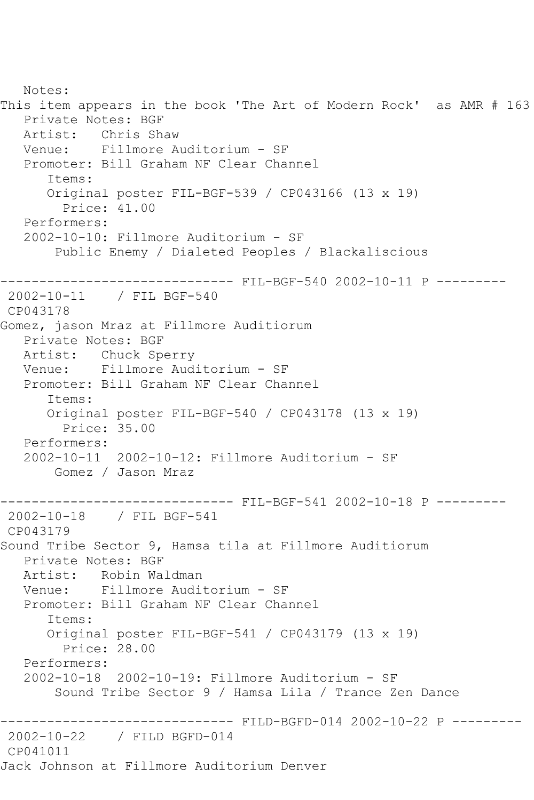Notes: This item appears in the book 'The Art of Modern Rock' as AMR # 163 Private Notes: BGF Artist: Chris Shaw Venue: Fillmore Auditorium - SF Promoter: Bill Graham NF Clear Channel Items: Original poster FIL-BGF-539 / CP043166 (13 x 19) Price: 41.00 Performers: 2002-10-10: Fillmore Auditorium - SF Public Enemy / Dialeted Peoples / Blackaliscious ------------------------------ FIL-BGF-540 2002-10-11 P --------- 2002-10-11 / FIL BGF-540 CP043178 Gomez, jason Mraz at Fillmore Auditiorum Private Notes: BGF Artist: Chuck Sperry Venue: Fillmore Auditorium - SF Promoter: Bill Graham NF Clear Channel Items: Original poster FIL-BGF-540 / CP043178 (13 x 19) Price: 35.00 Performers: 2002-10-11 2002-10-12: Fillmore Auditorium - SF Gomez / Jason Mraz ------------------------------ FIL-BGF-541 2002-10-18 P --------- 2002-10-18 / FIL BGF-541 CP043179 Sound Tribe Sector 9, Hamsa tila at Fillmore Auditiorum Private Notes: BGF Artist: Robin Waldman Venue: Fillmore Auditorium - SF Promoter: Bill Graham NF Clear Channel Items: Original poster FIL-BGF-541 / CP043179 (13 x 19) Price: 28.00 Performers: 2002-10-18 2002-10-19: Fillmore Auditorium - SF Sound Tribe Sector 9 / Hamsa Lila / Trance Zen Dance ------------------------------ FILD-BGFD-014 2002-10-22 P --------- 2002-10-22 / FILD BGFD-014 CP041011 Jack Johnson at Fillmore Auditorium Denver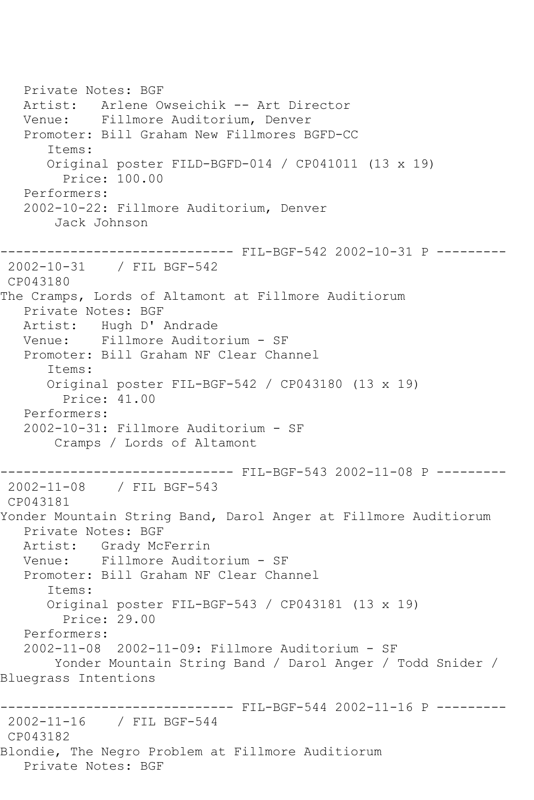Private Notes: BGF Artist: Arlene Owseichik -- Art Director Venue: Fillmore Auditorium, Denver Promoter: Bill Graham New Fillmores BGFD-CC Items: Original poster FILD-BGFD-014 / CP041011 (13 x 19) Price: 100.00 Performers: 2002-10-22: Fillmore Auditorium, Denver Jack Johnson ------------------------------ FIL-BGF-542 2002-10-31 P --------- 2002-10-31 / FIL BGF-542 CP043180 The Cramps, Lords of Altamont at Fillmore Auditiorum Private Notes: BGF Artist: Hugh D' Andrade Venue: Fillmore Auditorium - SF Promoter: Bill Graham NF Clear Channel Items: Original poster FIL-BGF-542 / CP043180 (13 x 19) Price: 41.00 Performers: 2002-10-31: Fillmore Auditorium - SF Cramps / Lords of Altamont ------------------------------ FIL-BGF-543 2002-11-08 P --------- 2002-11-08 / FIL BGF-543 CP043181 Yonder Mountain String Band, Darol Anger at Fillmore Auditiorum Private Notes: BGF Artist: Grady McFerrin Venue: Fillmore Auditorium - SF Promoter: Bill Graham NF Clear Channel Items: Original poster FIL-BGF-543 / CP043181 (13 x 19) Price: 29.00 Performers: 2002-11-08 2002-11-09: Fillmore Auditorium - SF Yonder Mountain String Band / Darol Anger / Todd Snider / Bluegrass Intentions ------------------------------ FIL-BGF-544 2002-11-16 P --------- 2002-11-16 / FIL BGF-544 CP043182 Blondie, The Negro Problem at Fillmore Auditiorum Private Notes: BGF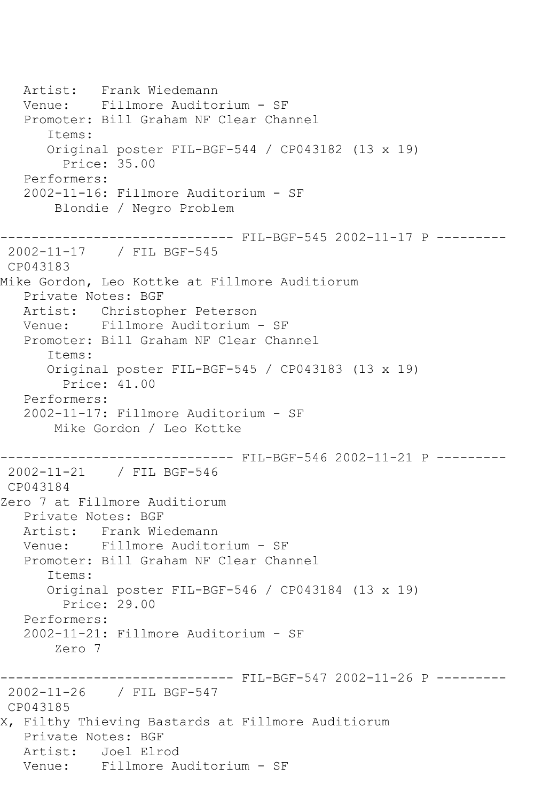Artist: Frank Wiedemann<br>Venue: Fillmore Audito Fillmore Auditorium - SF Promoter: Bill Graham NF Clear Channel Items: Original poster FIL-BGF-544 / CP043182 (13 x 19) Price: 35.00 Performers: 2002-11-16: Fillmore Auditorium - SF Blondie / Negro Problem ------------------------------ FIL-BGF-545 2002-11-17 P --------- 2002-11-17 / FIL BGF-545 CP043183 Mike Gordon, Leo Kottke at Fillmore Auditiorum Private Notes: BGF Artist: Christopher Peterson Venue: Fillmore Auditorium - SF Promoter: Bill Graham NF Clear Channel Items: Original poster FIL-BGF-545 / CP043183 (13 x 19) Price: 41.00 Performers: 2002-11-17: Fillmore Auditorium - SF Mike Gordon / Leo Kottke ------------------------------ FIL-BGF-546 2002-11-21 P --------- 2002-11-21 / FIL BGF-546 CP043184 Zero 7 at Fillmore Auditiorum Private Notes: BGF Artist: Frank Wiedemann Venue: Fillmore Auditorium - SF Promoter: Bill Graham NF Clear Channel Items: Original poster FIL-BGF-546 / CP043184 (13 x 19) Price: 29.00 Performers: 2002-11-21: Fillmore Auditorium - SF Zero 7 ------------------------------ FIL-BGF-547 2002-11-26 P --------- 2002-11-26 / FIL BGF-547 CP043185 X, Filthy Thieving Bastards at Fillmore Auditiorum Private Notes: BGF Artist: Joel Elrod Venue: Fillmore Auditorium - SF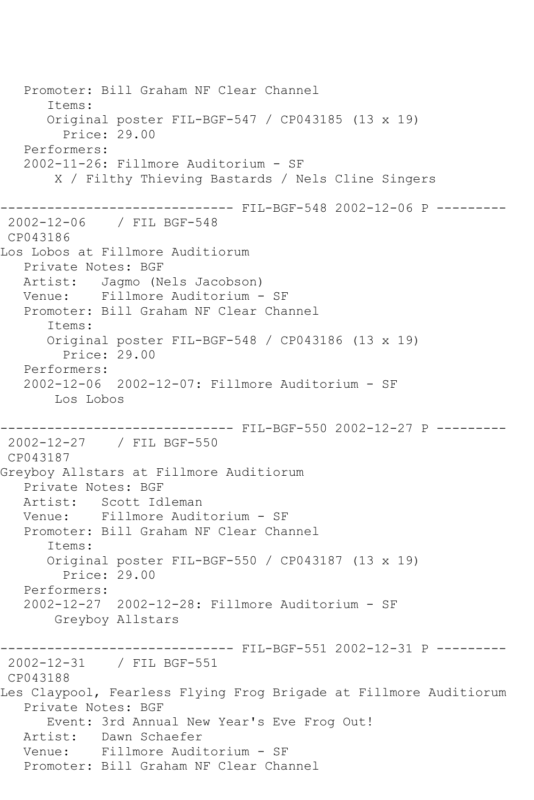Promoter: Bill Graham NF Clear Channel Items: Original poster FIL-BGF-547 / CP043185 (13 x 19) Price: 29.00 Performers: 2002-11-26: Fillmore Auditorium - SF X / Filthy Thieving Bastards / Nels Cline Singers ------------------------------ FIL-BGF-548 2002-12-06 P --------- 2002-12-06 / FIL BGF-548 CP043186 Los Lobos at Fillmore Auditiorum Private Notes: BGF Artist: Jagmo (Nels Jacobson) Venue: Fillmore Auditorium - SF Promoter: Bill Graham NF Clear Channel Items: Original poster FIL-BGF-548 / CP043186 (13 x 19) Price: 29.00 Performers: 2002-12-06 2002-12-07: Fillmore Auditorium - SF Los Lobos ------------------------------ FIL-BGF-550 2002-12-27 P --------- 2002-12-27 / FIL BGF-550 CP043187 Greyboy Allstars at Fillmore Auditiorum Private Notes: BGF Artist: Scott Idleman Venue: Fillmore Auditorium - SF Promoter: Bill Graham NF Clear Channel Items: Original poster FIL-BGF-550 / CP043187 (13 x 19) Price: 29.00 Performers: 2002-12-27 2002-12-28: Fillmore Auditorium - SF Greyboy Allstars ------------------------------ FIL-BGF-551 2002-12-31 P --------- 2002-12-31 / FIL BGF-551 CP043188 Les Claypool, Fearless Flying Frog Brigade at Fillmore Auditiorum Private Notes: BGF Event: 3rd Annual New Year's Eve Frog Out! Artist: Dawn Schaefer Venue: Fillmore Auditorium - SF Promoter: Bill Graham NF Clear Channel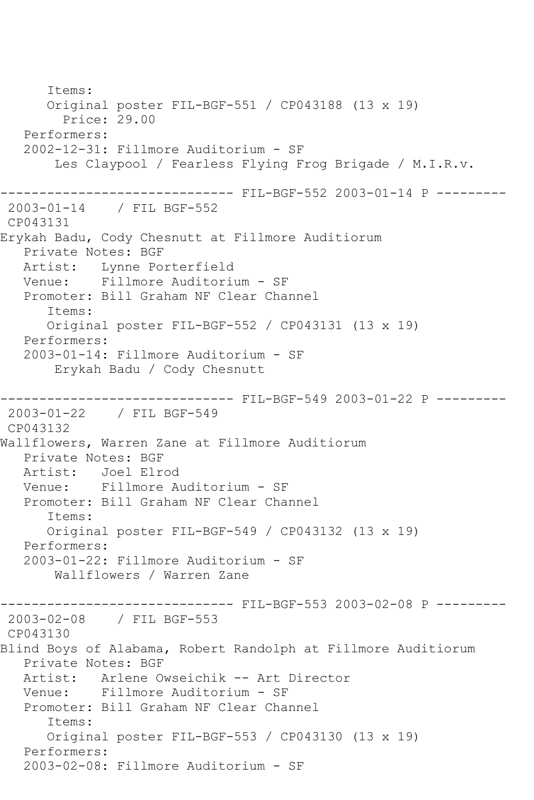Items: Original poster FIL-BGF-551 / CP043188 (13 x 19) Price: 29.00 Performers: 2002-12-31: Fillmore Auditorium - SF Les Claypool / Fearless Flying Frog Brigade / M.I.R.v. ------------------------------ FIL-BGF-552 2003-01-14 P --------- 2003-01-14 / FIL BGF-552 CP043131 Erykah Badu, Cody Chesnutt at Fillmore Auditiorum Private Notes: BGF Artist: Lynne Porterfield Venue: Fillmore Auditorium - SF Promoter: Bill Graham NF Clear Channel Items: Original poster FIL-BGF-552 / CP043131 (13 x 19) Performers: 2003-01-14: Fillmore Auditorium - SF Erykah Badu / Cody Chesnutt ------------------------------ FIL-BGF-549 2003-01-22 P --------- 2003-01-22 / FIL BGF-549 CP043132 Wallflowers, Warren Zane at Fillmore Auditiorum Private Notes: BGF Artist: Joel Elrod Venue: Fillmore Auditorium - SF Promoter: Bill Graham NF Clear Channel Items: Original poster FIL-BGF-549 / CP043132 (13 x 19) Performers: 2003-01-22: Fillmore Auditorium - SF Wallflowers / Warren Zane ------------------------------ FIL-BGF-553 2003-02-08 P --------- 2003-02-08 / FIL BGF-553 CP043130 Blind Boys of Alabama, Robert Randolph at Fillmore Auditiorum Private Notes: BGF Artist: Arlene Owseichik -- Art Director Venue: Fillmore Auditorium - SF Promoter: Bill Graham NF Clear Channel Items: Original poster FIL-BGF-553 / CP043130 (13 x 19) Performers: 2003-02-08: Fillmore Auditorium - SF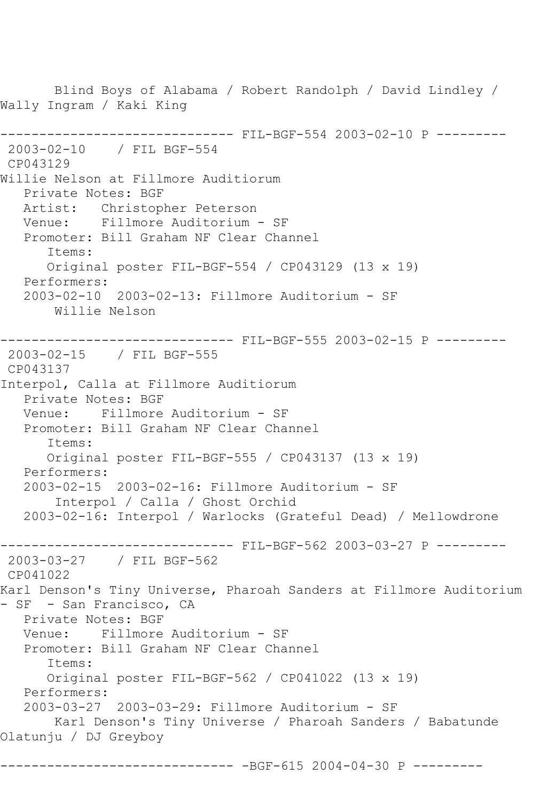Blind Boys of Alabama / Robert Randolph / David Lindley / Wally Ingram / Kaki King ------------------------------ FIL-BGF-554 2003-02-10 P --------- 2003-02-10 / FIL BGF-554 CP043129 Willie Nelson at Fillmore Auditiorum Private Notes: BGF Artist: Christopher Peterson Venue: Fillmore Auditorium - SF Promoter: Bill Graham NF Clear Channel Items: Original poster FIL-BGF-554 / CP043129 (13 x 19) Performers: 2003-02-10 2003-02-13: Fillmore Auditorium - SF Willie Nelson ------------------------------ FIL-BGF-555 2003-02-15 P --------- 2003-02-15 / FIL BGF-555 CP043137 Interpol, Calla at Fillmore Auditiorum Private Notes: BGF Venue: Fillmore Auditorium - SF Promoter: Bill Graham NF Clear Channel Items: Original poster FIL-BGF-555 / CP043137 (13 x 19) Performers: 2003-02-15 2003-02-16: Fillmore Auditorium - SF Interpol / Calla / Ghost Orchid 2003-02-16: Interpol / Warlocks (Grateful Dead) / Mellowdrone ------------------------------ FIL-BGF-562 2003-03-27 P --------- 2003-03-27 / FIL BGF-562 CP041022 Karl Denson's Tiny Universe, Pharoah Sanders at Fillmore Auditorium - SF - San Francisco, CA Private Notes: BGF Venue: Fillmore Auditorium - SF Promoter: Bill Graham NF Clear Channel Items: Original poster FIL-BGF-562 / CP041022 (13 x 19) Performers: 2003-03-27 2003-03-29: Fillmore Auditorium - SF Karl Denson's Tiny Universe / Pharoah Sanders / Babatunde Olatunju / DJ Greyboy ------------------------------ -BGF-615 2004-04-30 P ---------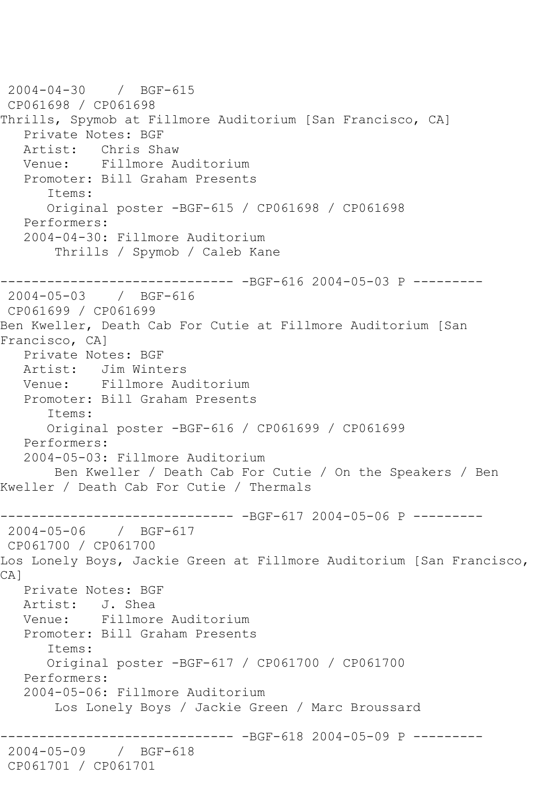2004-04-30 / BGF-615 CP061698 / CP061698 Thrills, Spymob at Fillmore Auditorium [San Francisco, CA] Private Notes: BGF Artist: Chris Shaw Venue: Fillmore Auditorium Promoter: Bill Graham Presents Items: Original poster -BGF-615 / CP061698 / CP061698 Performers: 2004-04-30: Fillmore Auditorium Thrills / Spymob / Caleb Kane ------------------------------ -BGF-616 2004-05-03 P --------- 2004-05-03 / BGF-616 CP061699 / CP061699 Ben Kweller, Death Cab For Cutie at Fillmore Auditorium [San Francisco, CA] Private Notes: BGF Artist: Jim Winters Venue: Fillmore Auditorium Promoter: Bill Graham Presents Items: Original poster -BGF-616 / CP061699 / CP061699 Performers: 2004-05-03: Fillmore Auditorium Ben Kweller / Death Cab For Cutie / On the Speakers / Ben Kweller / Death Cab For Cutie / Thermals ------------------------------ -BGF-617 2004-05-06 P --------- 2004-05-06 / BGF-617 CP061700 / CP061700 Los Lonely Boys, Jackie Green at Fillmore Auditorium [San Francisco, CA] Private Notes: BGF Artist: J. Shea Venue: Fillmore Auditorium Promoter: Bill Graham Presents Items: Original poster -BGF-617 / CP061700 / CP061700 Performers: 2004-05-06: Fillmore Auditorium Los Lonely Boys / Jackie Green / Marc Broussard ------------------------------ -BGF-618 2004-05-09 P --------- 2004-05-09 / BGF-618 CP061701 / CP061701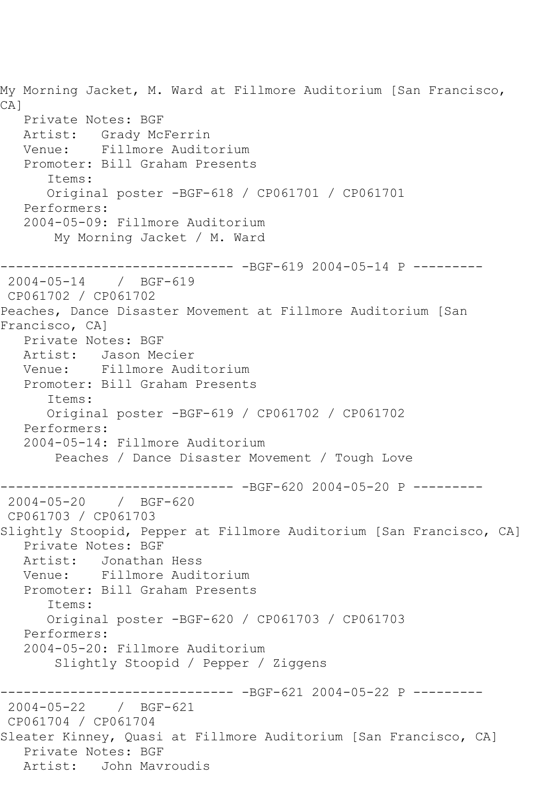My Morning Jacket, M. Ward at Fillmore Auditorium [San Francisco, CA] Private Notes: BGF Artist: Grady McFerrin<br>Venue: Fillmore Audit Venue: Fillmore Auditorium Promoter: Bill Graham Presents Items: Original poster -BGF-618 / CP061701 / CP061701 Performers: 2004-05-09: Fillmore Auditorium My Morning Jacket / M. Ward ------------------------------ -BGF-619 2004-05-14 P --------- 2004-05-14 / BGF-619 CP061702 / CP061702 Peaches, Dance Disaster Movement at Fillmore Auditorium [San Francisco, CA] Private Notes: BGF Artist: Jason Mecier Venue: Fillmore Auditorium Promoter: Bill Graham Presents Items: Original poster -BGF-619 / CP061702 / CP061702 Performers: 2004-05-14: Fillmore Auditorium Peaches / Dance Disaster Movement / Tough Love ------------------------------ -BGF-620 2004-05-20 P --------- 2004-05-20 / BGF-620 CP061703 / CP061703 Slightly Stoopid, Pepper at Fillmore Auditorium [San Francisco, CA] Private Notes: BGF Artist: Jonathan Hess<br>Venue: Fillmore Audi Fillmore Auditorium Promoter: Bill Graham Presents Items: Original poster -BGF-620 / CP061703 / CP061703 Performers: 2004-05-20: Fillmore Auditorium Slightly Stoopid / Pepper / Ziggens ------------------------------ -BGF-621 2004-05-22 P --------- 2004-05-22 / BGF-621 CP061704 / CP061704 Sleater Kinney, Quasi at Fillmore Auditorium [San Francisco, CA] Private Notes: BGF Artist: John Mavroudis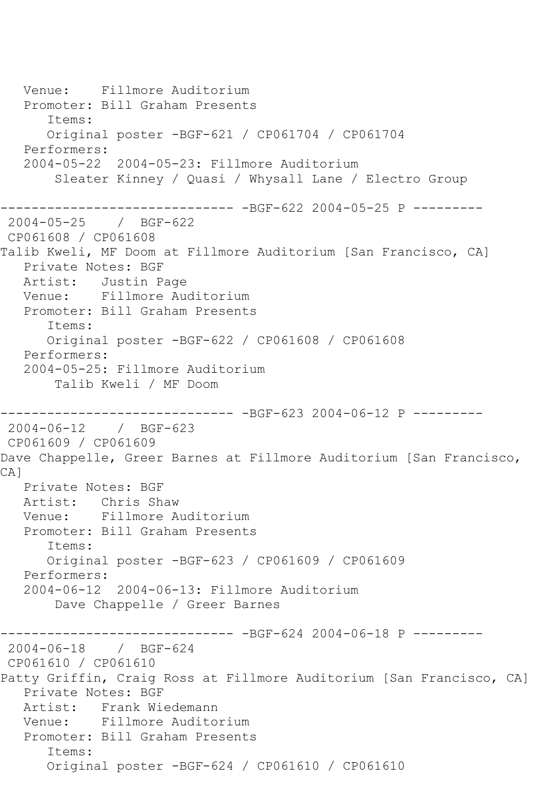Venue: Fillmore Auditorium Promoter: Bill Graham Presents Items: Original poster -BGF-621 / CP061704 / CP061704 Performers: 2004-05-22 2004-05-23: Fillmore Auditorium Sleater Kinney / Quasi / Whysall Lane / Electro Group ------------------------------ -BGF-622 2004-05-25 P --------- 2004-05-25 / BGF-622 CP061608 / CP061608 Talib Kweli, MF Doom at Fillmore Auditorium [San Francisco, CA] Private Notes: BGF Artist: Justin Page Venue: Fillmore Auditorium Promoter: Bill Graham Presents Items: Original poster -BGF-622 / CP061608 / CP061608 Performers: 2004-05-25: Fillmore Auditorium Talib Kweli / MF Doom ------------------------------ -BGF-623 2004-06-12 P --------- 2004-06-12 / BGF-623 CP061609 / CP061609 Dave Chappelle, Greer Barnes at Fillmore Auditorium [San Francisco, CA] Private Notes: BGF Artist: Chris Shaw Venue: Fillmore Auditorium Promoter: Bill Graham Presents Items: Original poster -BGF-623 / CP061609 / CP061609 Performers: 2004-06-12 2004-06-13: Fillmore Auditorium Dave Chappelle / Greer Barnes ------------------------------ -BGF-624 2004-06-18 P --------- 2004-06-18 / BGF-624 CP061610 / CP061610 Patty Griffin, Craig Ross at Fillmore Auditorium [San Francisco, CA] Private Notes: BGF Artist: Frank Wiedemann Venue: Fillmore Auditorium Promoter: Bill Graham Presents Items: Original poster -BGF-624 / CP061610 / CP061610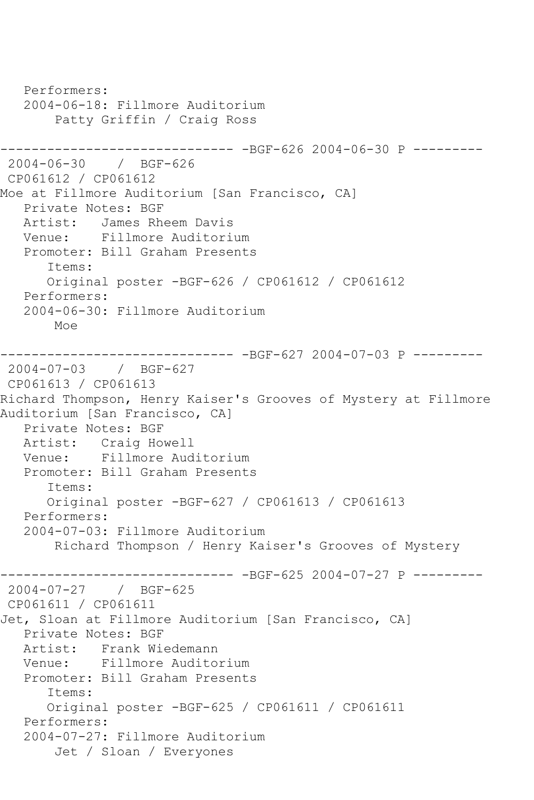Performers: 2004-06-18: Fillmore Auditorium Patty Griffin / Craig Ross ------------------------------ -BGF-626 2004-06-30 P --------- 2004-06-30 / BGF-626 CP061612 / CP061612 Moe at Fillmore Auditorium [San Francisco, CA] Private Notes: BGF Artist: James Rheem Davis Venue: Fillmore Auditorium Promoter: Bill Graham Presents Items: Original poster -BGF-626 / CP061612 / CP061612 Performers: 2004-06-30: Fillmore Auditorium Moe ------------------------------ -BGF-627 2004-07-03 P --------- 2004-07-03 / BGF-627 CP061613 / CP061613 Richard Thompson, Henry Kaiser's Grooves of Mystery at Fillmore Auditorium [San Francisco, CA] Private Notes: BGF Artist: Craig Howell Venue: Fillmore Auditorium Promoter: Bill Graham Presents Items: Original poster -BGF-627 / CP061613 / CP061613 Performers: 2004-07-03: Fillmore Auditorium Richard Thompson / Henry Kaiser's Grooves of Mystery ------------------------------ -BGF-625 2004-07-27 P --------- 2004-07-27 / BGF-625 CP061611 / CP061611 Jet, Sloan at Fillmore Auditorium [San Francisco, CA] Private Notes: BGF Artist: Frank Wiedemann Venue: Fillmore Auditorium Promoter: Bill Graham Presents Items: Original poster -BGF-625 / CP061611 / CP061611 Performers: 2004-07-27: Fillmore Auditorium Jet / Sloan / Everyones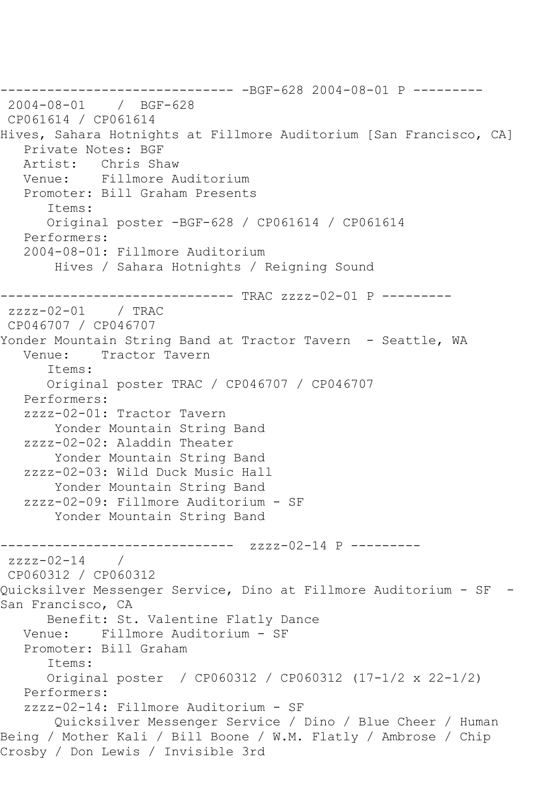------------------------------ -BGF-628 2004-08-01 P --------- 2004-08-01 / BGF-628 CP061614 / CP061614 Hives, Sahara Hotnights at Fillmore Auditorium [San Francisco, CA] Private Notes: BGF Artist: Chris Shaw Venue: Fillmore Auditorium Promoter: Bill Graham Presents Items: Original poster -BGF-628 / CP061614 / CP061614 Performers: 2004-08-01: Fillmore Auditorium Hives / Sahara Hotnights / Reigning Sound ------------------------------ TRAC zzzz-02-01 P -------- zzzz-02-01 / TRAC CP046707 / CP046707 Yonder Mountain String Band at Tractor Tavern - Seattle, WA<br>Venue: Tractor Tavern Tractor Tavern Items: Original poster TRAC / CP046707 / CP046707 Performers: zzzz-02-01: Tractor Tavern Yonder Mountain String Band zzzz-02-02: Aladdin Theater Yonder Mountain String Band zzzz-02-03: Wild Duck Music Hall Yonder Mountain String Band zzzz-02-09: Fillmore Auditorium - SF Yonder Mountain String Band ------------------------------ zzzz-02-14 P -------- zzzz-02-14 / CP060312 / CP060312 Quicksilver Messenger Service, Dino at Fillmore Auditorium - SF - San Francisco, CA Benefit: St. Valentine Flatly Dance Venue: Fillmore Auditorium - SF Promoter: Bill Graham Items: Original poster / CP060312 / CP060312 (17-1/2 x 22-1/2) Performers: zzzz-02-14: Fillmore Auditorium - SF Quicksilver Messenger Service / Dino / Blue Cheer / Human Being / Mother Kali / Bill Boone / W.M. Flatly / Ambrose / Chip Crosby / Don Lewis / Invisible 3rd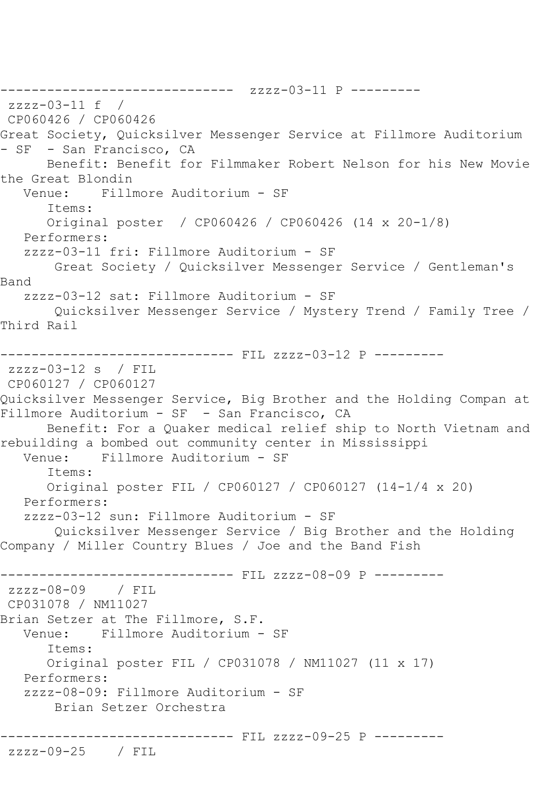------------------------------ zzzz-03-11 P -------- zzzz-03-11 f / CP060426 / CP060426 Great Society, Quicksilver Messenger Service at Fillmore Auditorium - SF - San Francisco, CA Benefit: Benefit for Filmmaker Robert Nelson for his New Movie the Great Blondin Venue: Fillmore Auditorium - SF Items: Original poster / CP060426 / CP060426 (14 x 20-1/8) Performers: zzzz-03-11 fri: Fillmore Auditorium - SF Great Society / Quicksilver Messenger Service / Gentleman's Band zzzz-03-12 sat: Fillmore Auditorium - SF Quicksilver Messenger Service / Mystery Trend / Family Tree / Third Rail ------------------------------ FIL zzzz-03-12 P -------- zzzz-03-12 s / FIL CP060127 / CP060127 Quicksilver Messenger Service, Big Brother and the Holding Compan at Fillmore Auditorium - SF - San Francisco, CA Benefit: For a Quaker medical relief ship to North Vietnam and rebuilding a bombed out community center in Mississippi Venue: Fillmore Auditorium - SF Items: Original poster FIL / CP060127 / CP060127 (14-1/4 x 20) Performers: zzzz-03-12 sun: Fillmore Auditorium - SF Quicksilver Messenger Service / Big Brother and the Holding Company / Miller Country Blues / Joe and the Band Fish ------------------------------ FIL zzzz-08-09 P -------- zzzz-08-09 / FIL CP031078 / NM11027 Brian Setzer at The Fillmore, S.F. Venue: Fillmore Auditorium - SF Items: Original poster FIL / CP031078 / NM11027 (11 x 17) Performers: zzzz-08-09: Fillmore Auditorium - SF Brian Setzer Orchestra ------------------------------ FIL zzzz-09-25 P -------- zzzz-09-25 / FIL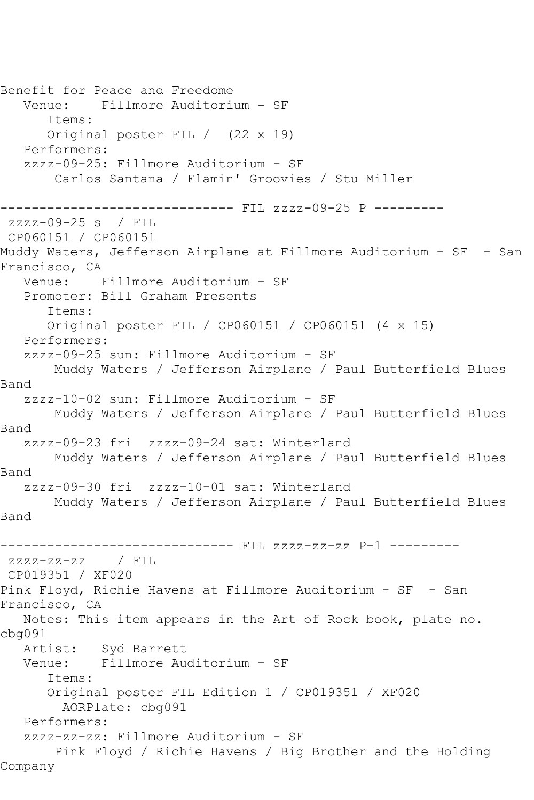Benefit for Peace and Freedome Venue: Fillmore Auditorium - SF Items: Original poster FIL / (22 x 19) Performers: zzzz-09-25: Fillmore Auditorium - SF Carlos Santana / Flamin' Groovies / Stu Miller ------------ FIL zzzz-09-25 P --------zzzz-09-25 s / FIL CP060151 / CP060151 Muddy Waters, Jefferson Airplane at Fillmore Auditorium - SF - San Francisco, CA Venue: Fillmore Auditorium - SF Promoter: Bill Graham Presents Items: Original poster FIL / CP060151 / CP060151 (4 x 15) Performers: zzzz-09-25 sun: Fillmore Auditorium - SF Muddy Waters / Jefferson Airplane / Paul Butterfield Blues Band zzzz-10-02 sun: Fillmore Auditorium - SF Muddy Waters / Jefferson Airplane / Paul Butterfield Blues Band zzzz-09-23 fri zzzz-09-24 sat: Winterland Muddy Waters / Jefferson Airplane / Paul Butterfield Blues Band zzzz-09-30 fri zzzz-10-01 sat: Winterland Muddy Waters / Jefferson Airplane / Paul Butterfield Blues Band ------------------------------ FIL zzzz-zz-zz P-1 -------- zzzz-zz-zz / FIL CP019351 / XF020 Pink Floyd, Richie Havens at Fillmore Auditorium - SF - San Francisco, CA Notes: This item appears in the Art of Rock book, plate no. cbg091 Artist: Syd Barrett<br>Venue: Fillmore Au Fillmore Auditorium - SF Items: Original poster FIL Edition 1 / CP019351 / XF020 AORPlate: cbg091 Performers: zzzz-zz-zz: Fillmore Auditorium - SF Pink Floyd / Richie Havens / Big Brother and the Holding Company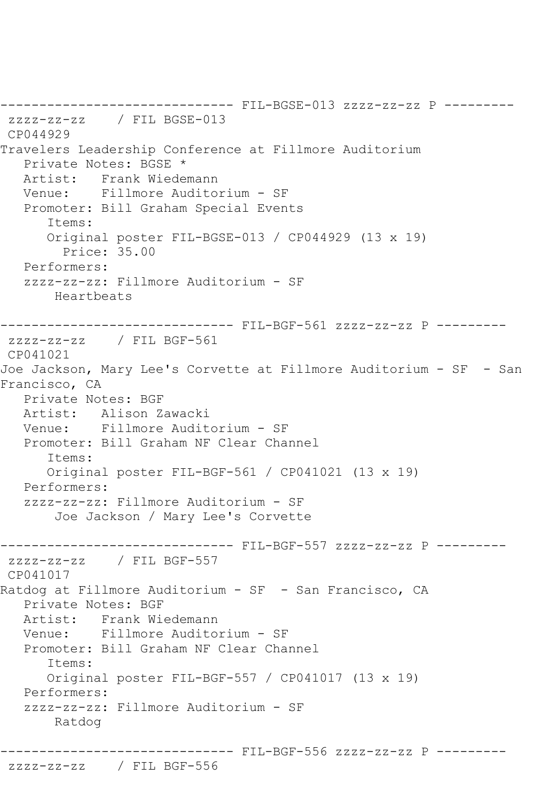------------------------------ FIL-BGSE-013 zzzz-zz-zz P -------- zzzz-zz-zz / FIL BGSE-013 CP044929 Travelers Leadership Conference at Fillmore Auditorium Private Notes: BGSE \* Artist: Frank Wiedemann Venue: Fillmore Auditorium - SF Promoter: Bill Graham Special Events Items: Original poster FIL-BGSE-013 / CP044929 (13 x 19) Price: 35.00 Performers: zzzz-zz-zz: Fillmore Auditorium - SF Heartbeats ------------------------------ FIL-BGF-561 zzzz-zz-zz P -------- zzzz-zz-zz / FIL BGF-561 CP041021 Joe Jackson, Mary Lee's Corvette at Fillmore Auditorium - SF - San Francisco, CA Private Notes: BGF Artist: Alison Zawacki Venue: Fillmore Auditorium - SF Promoter: Bill Graham NF Clear Channel Items: Original poster FIL-BGF-561 / CP041021 (13 x 19) Performers: zzzz-zz-zz: Fillmore Auditorium - SF Joe Jackson / Mary Lee's Corvette ------------------------------ FIL-BGF-557 zzzz-zz-zz P -------- zzzz-zz-zz / FIL BGF-557 CP041017 Ratdog at Fillmore Auditorium - SF - San Francisco, CA Private Notes: BGF Artist: Frank Wiedemann Venue: Fillmore Auditorium - SF Promoter: Bill Graham NF Clear Channel Items: Original poster FIL-BGF-557 / CP041017 (13 x 19) Performers: zzzz-zz-zz: Fillmore Auditorium - SF Ratdog ------------------------------ FIL-BGF-556 zzzz-zz-zz P ---------